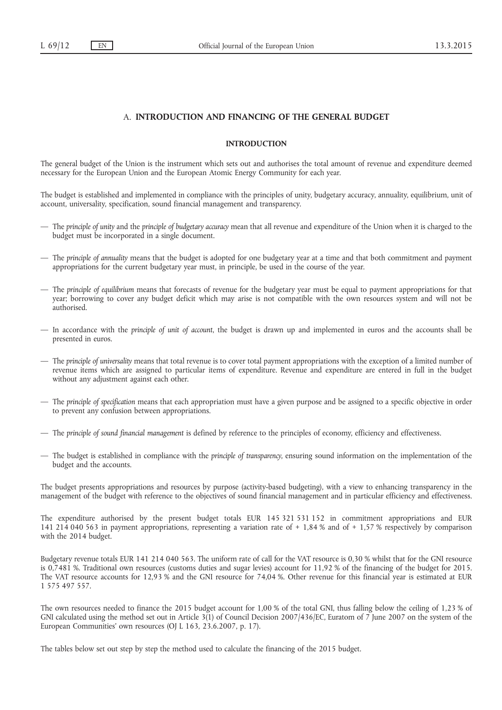## A. INTRODUCTION AND FINANCING OF THE GENERAL BUDGET

### INTRODUCTION

The general budget of the Union is the instrument which sets out and authorises the total amount of revenue and expenditure deemed necessary for the European Union and the European Atomic Energy Community for each year.

The budget is established and implemented in compliance with the principles of unity, budgetary accuracy, annuality, equilibrium, unit of account, universality, specification, sound financial management and transparency.

- The principle of unity and the principle of budgetary accuracy mean that all revenue and expenditure of the Union when it is charged to the budget must be incorporated in a single document.
- The principle of annuality means that the budget is adopted for one budgetary year at a time and that both commitment and payment appropriations for the current budgetary year must, in principle, be used in the course of the year.
- The principle of equilibrium means that forecasts of revenue for the budgetary year must be equal to payment appropriations for that year; borrowing to cover any budget deficit which may arise is not compatible with the own resources system and will not be authorised.
- In accordance with the principle of unit of account, the budget is drawn up and implemented in euros and the accounts shall be presented in euros.
- The principle of universality means that total revenue is to cover total payment appropriations with the exception of a limited number of revenue items which are assigned to particular items of expenditure. Revenue and expenditure are entered in full in the budget without any adjustment against each other.
- The principle of specification means that each appropriation must have a given purpose and be assigned to a specific objective in order to prevent any confusion between appropriations.
- The principle of sound financial management is defined by reference to the principles of economy, efficiency and effectiveness.
- The budget is established in compliance with the principle of transparency, ensuring sound information on the implementation of the budget and the accounts.

The budget presents appropriations and resources by purpose (activity-based budgeting), with a view to enhancing transparency in the management of the budget with reference to the objectives of sound financial management and in particular efficiency and effectiveness.

The expenditure authorised by the present budget totals EUR 145 321 531 152 in commitment appropriations and EUR 141 214 040 563 in payment appropriations, representing a variation rate of + 1,84 % and of + 1,57 % respectively by comparison with the 2014 budget.

Budgetary revenue totals EUR 141 214 040 563. The uniform rate of call for the VAT resource is 0,30 % whilst that for the GNI resource is 0,7481 %. Traditional own resources (customs duties and sugar levies) account for 11,92 % of the financing of the budget for 2015. The VAT resource accounts for 12,93 % and the GNI resource for 74,04 %. Other revenue for this financial year is estimated at EUR 1 575 497 557.

The own resources needed to finance the 2015 budget account for 1,00 % of the total GNI, thus falling below the ceiling of 1,23 % of GNI calculated using the method set out in Article 3(1) of Council Decision 2007/436/EC, Euratom of 7 June 2007 on the system of the European Communities' own resources (OJ L 163, 23.6.2007, p. 17).

The tables below set out step by step the method used to calculate the financing of the 2015 budget.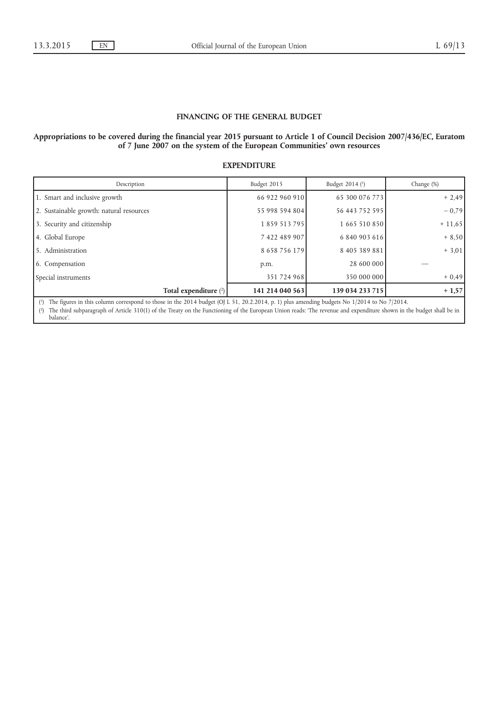## FINANCING OF THE GENERAL BUDGET

#### Appropriations to be covered during the financial year 2015 pursuant to Article 1 of Council Decision 2007/436/EC, Euratom of 7 June 2007 on the system of the European Communities' own resources

## EXPENDITURE

| Description                                                                                                                                            | Budget 2015     | Budget 2014 (1) | Change (%) |
|--------------------------------------------------------------------------------------------------------------------------------------------------------|-----------------|-----------------|------------|
| 1. Smart and inclusive growth                                                                                                                          | 66 922 960 910  | 65 300 076 773  | $+2,49$    |
| 2. Sustainable growth: natural resources                                                                                                               | 55 998 594 804  | 56 443 752 595  | $-0.79$    |
| 3. Security and citizenship                                                                                                                            | 1859513795      | 1 665 510 850   | $+11,65$   |
| 4. Global Europe                                                                                                                                       | 7 422 489 907   | 6 840 903 616   | $+8,50$    |
| 5. Administration                                                                                                                                      | 8 658 756 179   | 8 405 389 881   | $+3,01$    |
| 6. Compensation                                                                                                                                        | p.m.            | 28 600 000      |            |
| Special instruments                                                                                                                                    | 351 724 968     | 350 000 000     | $+0.49$    |
| Total expenditure $(2)$                                                                                                                                | 141 214 040 563 | 139 034 233 715 | $+1,57$    |
| The figures in this column correspond to those in the 2014 budget (OJ L 51, 20.2.2014, p. 1) plus amending budgets No $1/2014$ to No $7/2014$ .<br>(1) |                 |                 |            |

( 2) The third subparagraph of Article 310(1) of the Treaty on the Functioning of the European Union reads: 'The revenue and expenditure shown in the budget shall be in balance'.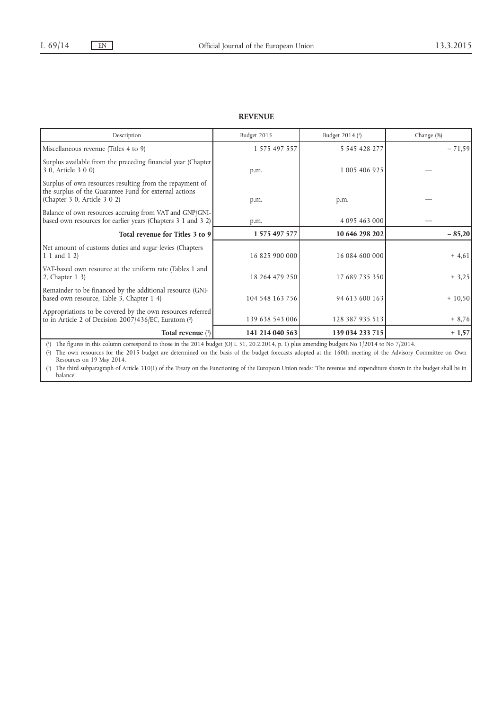## REVENUE

| Budget 2015                                                                                                                                                                                                                                                                                                      | Budget 2014 (1) | Change (%)                                                                                                                                   |
|------------------------------------------------------------------------------------------------------------------------------------------------------------------------------------------------------------------------------------------------------------------------------------------------------------------|-----------------|----------------------------------------------------------------------------------------------------------------------------------------------|
| 1 575 497 557                                                                                                                                                                                                                                                                                                    | 5 545 428 277   | $-71,59$                                                                                                                                     |
| p.m.                                                                                                                                                                                                                                                                                                             | 1 005 406 925   |                                                                                                                                              |
| p.m.                                                                                                                                                                                                                                                                                                             | p.m.            |                                                                                                                                              |
| p.m.                                                                                                                                                                                                                                                                                                             | 4 095 463 000   |                                                                                                                                              |
| 1 575 497 577                                                                                                                                                                                                                                                                                                    | 10 646 298 202  | $-85,20$                                                                                                                                     |
| 16 825 900 000                                                                                                                                                                                                                                                                                                   | 16 084 600 000  | $+4,61$                                                                                                                                      |
| 18 264 479 250                                                                                                                                                                                                                                                                                                   | 17 689 735 350  | $+3,25$                                                                                                                                      |
| 104 548 163 756                                                                                                                                                                                                                                                                                                  | 94 613 600 163  | $+10,50$                                                                                                                                     |
| 139 638 543 006                                                                                                                                                                                                                                                                                                  | 128 387 935 513 | $+8,76$                                                                                                                                      |
| 141 214 040 563                                                                                                                                                                                                                                                                                                  | 139 034 233 715 | $+1,57$                                                                                                                                      |
| Surplus available from the preceding financial year (Chapter)<br>Balance of own resources accruing from VAT and GNP/GNI-<br>based own resources for earlier years (Chapters 3 1 and 3 2)<br>Total revenue for Titles 3 to 9<br>Appropriations to be covered by the own resources referred<br>Total revenue $(3)$ |                 | (1) The figures in this column correspond to those in the 2014 budget (OLL 51, 20, 2014 n, 1) plus amending budgets No 1/2014 to No $7/2014$ |

( 1) The figures in this column correspond to those in the 2014 budget (OJ L 51, 20.2.2014, p. 1) plus amending budgets No 1/2014 to No 7/2014.

( 2) The own resources for the 2015 budget are determined on the basis of the budget forecasts adopted at the 160th meeting of the Advisory Committee on Own Resources on 19 May 2014.

( 3) The third subparagraph of Article 310(1) of the Treaty on the Functioning of the European Union reads: 'The revenue and expenditure shown in the budget shall be in balance'.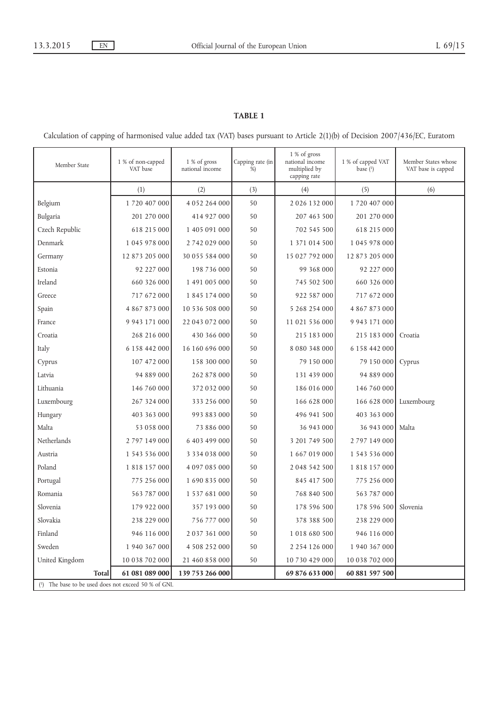Calculation of capping of harmonised value added tax (VAT) bases pursuant to Article 2(1)(b) of Decision 2007/436/EC, Euratom

| Member State                                         | 1 % of non-capped<br>VAT base | 1 % of gross<br>national income | Capping rate (in<br>% | 1 % of gross<br>national income<br>multiplied by<br>capping rate | 1 % of capped VAT<br>base $(1)$ | Member States whose<br>VAT base is capped |
|------------------------------------------------------|-------------------------------|---------------------------------|-----------------------|------------------------------------------------------------------|---------------------------------|-------------------------------------------|
|                                                      | (1)                           | (2)                             | (3)                   | (4)                                                              | (5)                             | (6)                                       |
| Belgium                                              | 1 720 407 000                 | 4 052 264 000                   | 50                    | 2026132000                                                       | 1 720 407 000                   |                                           |
| Bulgaria                                             | 201 270 000                   | 414 927 000                     | 50                    | 207 463 500                                                      | 201 270 000                     |                                           |
| Czech Republic                                       | 618 215 000                   | 1 405 091 000                   | 50                    | 702 545 500                                                      | 618 215 000                     |                                           |
| Denmark                                              | 1 045 978 000                 | 2 742 029 000                   | 50                    | 1 371 014 500                                                    | 1 045 978 000                   |                                           |
| Germany                                              | 12 873 205 000                | 30 055 584 000                  | 50                    | 15 027 792 000                                                   | 12 873 205 000                  |                                           |
| Estonia                                              | 92 227 000                    | 198 736 000                     | 50                    | 99 368 000                                                       | 92 227 000                      |                                           |
| Ireland                                              | 660 326 000                   | 1 491 005 000                   | 50                    | 745 502 500                                                      | 660 326 000                     |                                           |
| Greece                                               | 717 672 000                   | 1 845 174 000                   | 50                    | 922 587 000                                                      | 717 672 000                     |                                           |
| Spain                                                | 4 867 873 000                 | 10 536 508 000                  | 50                    | 5 268 254 000                                                    | 4 867 873 000                   |                                           |
| France                                               | 9 943 171 000                 | 22 043 072 000                  | 50                    | 11 021 536 000                                                   | 9 943 171 000                   |                                           |
| Croatia                                              | 268 216 000                   | 430 366 000                     | 50                    | 215 183 000                                                      | 215 183 000                     | Croatia                                   |
| Italy                                                | 6 158 442 000                 | 16 160 696 000                  | 50                    | 8 0 8 0 3 4 8 0 0 0                                              | 6 158 442 000                   |                                           |
| Cyprus                                               | 107 472 000                   | 158 300 000                     | 50                    | 79 150 000                                                       | 79 150 000                      | Cyprus                                    |
| Latvia                                               | 94 889 000                    | 262 878 000                     | 50                    | 131 439 000                                                      | 94 889 000                      |                                           |
| Lithuania                                            | 146 760 000                   | 372 032 000                     | 50                    | 186 016 000                                                      | 146 760 000                     |                                           |
| Luxembourg                                           | 267 324 000                   | 333 256 000                     | 50                    | 166 628 000                                                      | 166 628 000                     | Luxembourg                                |
| Hungary                                              | 403 363 000                   | 993 883 000                     | 50                    | 496 941 500                                                      | 403 363 000                     |                                           |
| Malta                                                | 53 058 000                    | 73 886 000                      | 50                    | 36 943 000                                                       | 36 943 000                      | Malta                                     |
| Netherlands                                          | 2 797 149 000                 | 6 403 499 000                   | 50                    | 3 201 749 500                                                    | 2 797 149 000                   |                                           |
| Austria                                              | 1 543 536 000                 | 3 334 038 000                   | 50                    | 1 667 019 000                                                    | 1 543 536 000                   |                                           |
| Poland                                               | 1 818 157 000                 | 4 097 085 000                   | 50                    | 2 048 542 500                                                    | 1 818 157 000                   |                                           |
| Portugal                                             | 775 256 000                   | 1 690 835 000                   | 50                    | 845 417 500                                                      | 775 256 000                     |                                           |
| Romania                                              | 563 787 000                   | 1 537 681 000                   | 50                    | 768 840 500                                                      | 563 787 000                     |                                           |
| Slovenia                                             | 179 922 000                   | 357 193 000                     | 50                    | 178 596 500                                                      | 178 596 500                     | Slovenia                                  |
| Slovakia                                             | 238 229 000                   | 756 777 000                     | 50                    | 378 388 500                                                      | 238 229 000                     |                                           |
| Finland                                              | 946 116 000                   | 2 037 361 000                   | 50                    | 1 018 680 500                                                    | 946 116 000                     |                                           |
| Sweden                                               | 1 940 367 000                 | 4 508 252 000                   | 50                    | 2 2 5 4 1 2 6 0 0 0                                              | 1 940 367 000                   |                                           |
| United Kingdom                                       | 10 038 702 000                | 21 460 858 000                  | 50                    | 10 730 429 000                                                   | 10 038 702 000                  |                                           |
| <b>Total</b>                                         | 61 081 089 000                | 139 753 266 000                 |                       | 69 876 633 000                                                   | 60 881 597 500                  |                                           |
| (1) The base to be used does not exceed 50 % of GNI. |                               |                                 |                       |                                                                  |                                 |                                           |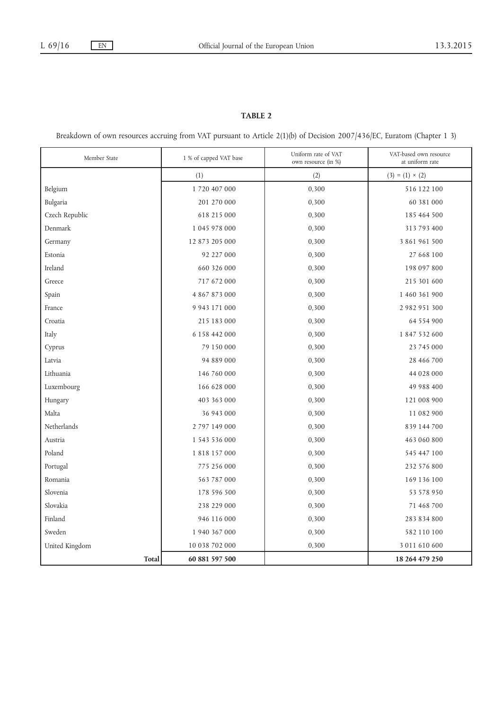Breakdown of own resources accruing from VAT pursuant to Article 2(1)(b) of Decision 2007/436/EC, Euratom (Chapter 1 3)

| Member State   | 1 % of capped VAT base | Uniform rate of VAT<br>own resource (in %) | VAT-based own resource<br>at uniform rate |
|----------------|------------------------|--------------------------------------------|-------------------------------------------|
|                | (1)                    | (2)                                        | $(3) = (1) \times (2)$                    |
| Belgium        | 1 720 407 000          | 0,300                                      | 516 122 100                               |
| Bulgaria       | 201 270 000            | 0,300                                      | 60 381 000                                |
| Czech Republic | 618 215 000            | 0,300                                      | 185 464 500                               |
| Denmark        | 1 045 978 000          | 0,300                                      | 313 793 400                               |
| Germany        | 12 873 205 000         | 0,300                                      | 3 861 961 500                             |
| Estonia        | 92 227 000             | 0,300                                      | 27 668 100                                |
| Ireland        | 660 326 000            | 0,300                                      | 198 097 800                               |
| Greece         | 717 672 000            | 0,300                                      | 215 301 600                               |
| Spain          | 4 867 873 000          | 0,300                                      | 1 460 361 900                             |
| France         | 9 9 4 3 1 7 1 0 0 0    | 0,300                                      | 2 982 951 300                             |
| Croatia        | 215 183 000            | 0,300                                      | 64 554 900                                |
| Italy          | 6 1 5 8 4 4 2 0 0 0    | 0,300                                      | 1 847 532 600                             |
| Cyprus         | 79 150 000             | 0,300                                      | 23 745 000                                |
| Latvia         | 94 889 000             | 0,300                                      | 28 466 700                                |
| Lithuania      | 146 760 000            | 0,300                                      | 44 028 000                                |
| Luxembourg     | 166 628 000            | 0,300                                      | 49 988 400                                |
| Hungary        | 403 363 000            | 0,300                                      | 121 008 900                               |
| Malta          | 36 943 000             | 0,300                                      | 11 082 900                                |
| Netherlands    | 2 797 149 000          | 0,300                                      | 839 144 700                               |
| Austria        | 1 543 536 000          | 0,300                                      | 463 060 800                               |
| Poland         | 1 818 157 000          | 0,300                                      | 545 447 100                               |
| Portugal       | 775 256 000            | 0,300                                      | 232 576 800                               |
| Romania        | 563 787 000            | 0,300                                      | 169 136 100                               |
| Slovenia       | 178 596 500            | 0,300                                      | 53 578 950                                |
| Slovakia       | 238 229 000            | 0,300                                      | 71 468 700                                |
| Finland        | 946 116 000            | 0,300                                      | 283 834 800                               |
| Sweden         | 1 940 367 000          | 0,300                                      | 582 110 100                               |
| United Kingdom | 10 038 702 000         | 0,300                                      | 3 011 610 600                             |
| <b>Total</b>   | 60 881 597 500         |                                            | 18 264 479 250                            |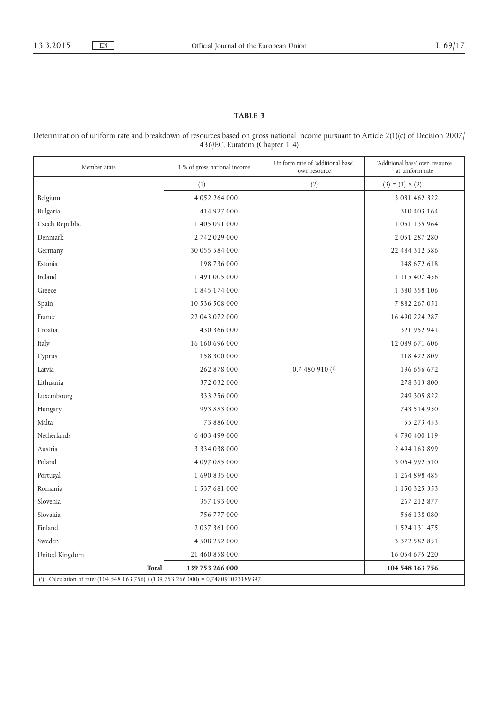Determination of uniform rate and breakdown of resources based on gross national income pursuant to Article 2(1)(c) of Decision 2007/ 436/EC, Euratom (Chapter 1 4)

| Member State                                                                     | 1 % of gross national income | Uniform rate of 'additional base',<br>own resource | 'Additional base' own resource<br>at uniform rate |
|----------------------------------------------------------------------------------|------------------------------|----------------------------------------------------|---------------------------------------------------|
|                                                                                  | (1)                          | (2)                                                | $(3) = (1) \times (2)$                            |
| Belgium                                                                          | 4 052 264 000                |                                                    | 3 031 462 322                                     |
| Bulgaria                                                                         | 414 927 000                  |                                                    | 310 403 164                                       |
| Czech Republic                                                                   | 1 405 091 000                |                                                    | 1 051 135 964                                     |
| Denmark                                                                          | 2 742 029 000                |                                                    | 2 051 287 280                                     |
| Germany                                                                          | 30 055 584 000               |                                                    | 22 484 312 586                                    |
| Estonia                                                                          | 198 736 000                  |                                                    | 148 672 618                                       |
| Ireland                                                                          | 1 491 005 000                |                                                    | 1 115 407 456                                     |
| Greece                                                                           | 1 845 174 000                |                                                    | 1 380 358 106                                     |
| Spain                                                                            | 10 536 508 000               |                                                    | 7 882 267 051                                     |
| France                                                                           | 22 043 072 000               |                                                    | 16 490 224 287                                    |
| Croatia                                                                          | 430 366 000                  |                                                    | 321 952 941                                       |
| Italy                                                                            | 16 160 696 000               |                                                    | 12 089 671 606                                    |
| Cyprus                                                                           | 158 300 000                  |                                                    | 118 422 809                                       |
| Latvia                                                                           | 262 878 000                  | $0,7480910$ <sup>(1)</sup>                         | 196 656 672                                       |
| Lithuania                                                                        | 372 032 000                  |                                                    | 278 313 800                                       |
| Luxembourg                                                                       | 333 256 000                  |                                                    | 249 305 822                                       |
| Hungary                                                                          | 993 883 000                  |                                                    | 743 514 950                                       |
| Malta                                                                            | 73 886 000                   |                                                    | 55 273 453                                        |
| Netherlands                                                                      | 6 403 499 000                |                                                    | 4 790 400 119                                     |
| Austria                                                                          | 3 3 3 4 0 3 8 0 0 0          |                                                    | 2 494 163 899                                     |
| Poland                                                                           | 4 097 085 000                |                                                    | 3 064 992 510                                     |
| Portugal                                                                         | 1 690 835 000                |                                                    | 1 264 898 485                                     |
| Romania                                                                          | 1 537 681 000                |                                                    | 1 1 50 3 2 5 3 5 3                                |
| Slovenia                                                                         | 357 193 000                  |                                                    | 267 212 877                                       |
| Slovakia                                                                         | 756 777 000                  |                                                    | 566 138 080                                       |
| Finland                                                                          | 2 037 361 000                |                                                    | 1 5 24 1 3 1 4 7 5                                |
| Sweden                                                                           | 4 508 252 000                |                                                    | 3 372 582 851                                     |
| United Kingdom                                                                   | 21 460 858 000               |                                                    | 16 054 675 220                                    |
| <b>Total</b>                                                                     | 139 753 266 000              |                                                    | 104 548 163 756                                   |
| (1) Calculation of rate: $(104548163756) / (139753266000) = 0.748091023189397$ . |                              |                                                    |                                                   |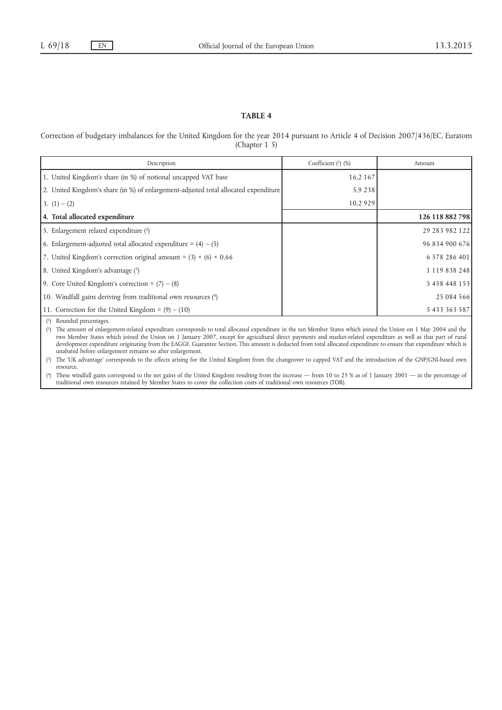Correction of budgetary imbalances for the United Kingdom for the year 2014 pursuant to Article 4 of Decision 2007/436/EC, Euratom (Chapter 1 5)

| Description                                                                          | Coefficient $(1)$ $(\%)$ | Amount          |
|--------------------------------------------------------------------------------------|--------------------------|-----------------|
| 1. United Kingdom's share (in %) of notional uncapped VAT base                       | 16,2 167                 |                 |
| 2. United Kingdom's share (in %) of enlargement-adjusted total allocated expenditure | 5,9 238                  |                 |
| $3. (1) - (2)$                                                                       | 10,2 929                 |                 |
| 4. Total allocated expenditure                                                       |                          | 126 118 882 798 |
| 5. Enlargement related expenditure (2)                                               |                          | 29 283 982 122  |
| 6. Enlargement-adjusted total allocated expenditure = $(4) - (5)$                    |                          | 96 834 900 676  |
| 7. United Kingdom's correction original amount = $(3) \times (6) \times 0.66$        |                          | 6 578 286 401   |
| 8. United Kingdom's advantage (3)                                                    |                          | 1 119 838 248   |
| 9. Core United Kingdom's correction = $(7) - (8)$                                    |                          | 5 458 448 153   |
| 10. Windfall gains deriving from traditional own resources (4)                       |                          | 25 084 566      |
| 11. Correction for the United Kingdom = $(9) - (10)$                                 |                          | 5 433 363 587   |

( 1) Rounded percentages.

( 2) The amount of enlargement-related expenditure corresponds to total allocated expenditure in the ten Member States which joined the Union on 1 May 2004 and the two Member States which joined the Union on 1 January 2007, except for agricultural direct payments and market-related expenditure as well as that part of rural development expenditure originating from the EAGGF, Guarantee Section. This amount is deducted from total allocated expenditure to ensure that expenditure which is unabated before enlargement remains so after enlargement.

( 3) The 'UK advantage' corresponds to the effects arising for the United Kingdom from the changeover to capped VAT and the introduction of the GNP/GNI-based own resource.

( 4) These windfall gains correspond to the net gains of the United Kingdom resulting from the increase — from 10 to 25 % as of 1 January 2001 — in the percentage of traditional own resources retained by Member States to cover the collection costs of traditional own resources (TOR).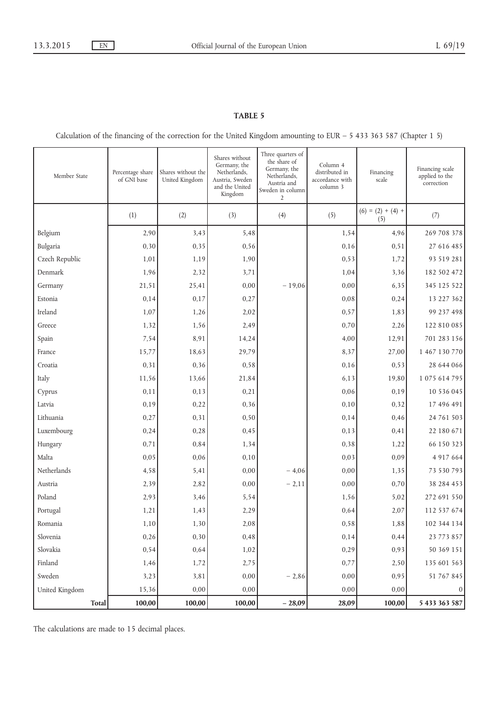Calculation of the financing of the correction for the United Kingdom amounting to EUR - 5 433 363 587 (Chapter 1 5)

| Member State   | Percentage share<br>of GNI base | Shares without the<br>United Kingdom | Shares without<br>Germany, the<br>Netherlands,<br>Austria, Sweden<br>and the United<br>Kingdom | Three quarters of<br>the share of<br>Germany, the<br>Netherlands,<br>Austria and<br>Sweden in column<br>$\overline{2}$ | Column 4<br>distributed in<br>accordance with<br>column 3 | Financing<br>scale         | Financing scale<br>applied to the<br>correction |
|----------------|---------------------------------|--------------------------------------|------------------------------------------------------------------------------------------------|------------------------------------------------------------------------------------------------------------------------|-----------------------------------------------------------|----------------------------|-------------------------------------------------|
|                | (1)                             | (2)                                  | (3)                                                                                            | (4)                                                                                                                    | (5)                                                       | $(6) = (2) + (4) +$<br>(5) | (7)                                             |
| Belgium        | 2,90                            | 3,43                                 | 5,48                                                                                           |                                                                                                                        | 1,54                                                      | 4,96                       | 269 708 378                                     |
| Bulgaria       | 0, 30                           | 0,35                                 | 0,56                                                                                           |                                                                                                                        | 0,16                                                      | 0, 51                      | 27 616 485                                      |
| Czech Republic | 1,01                            | 1,19                                 | 1,90                                                                                           |                                                                                                                        | 0, 53                                                     | 1,72                       | 93 519 281                                      |
| Denmark        | 1,96                            | 2,32                                 | 3,71                                                                                           |                                                                                                                        | 1,04                                                      | 3,36                       | 182 502 472                                     |
| Germany        | 21,51                           | 25,41                                | 0,00                                                                                           | $-19,06$                                                                                                               | 0,00                                                      | 6,35                       | 345 125 522                                     |
| Estonia        | 0,14                            | 0,17                                 | 0,27                                                                                           |                                                                                                                        | 0,08                                                      | 0,24                       | 13 227 362                                      |
| Ireland        | 1,07                            | 1,26                                 | 2,02                                                                                           |                                                                                                                        | 0,57                                                      | 1,83                       | 99 237 498                                      |
| Greece         | 1,32                            | 1,56                                 | 2,49                                                                                           |                                                                                                                        | 0,70                                                      | 2,26                       | 122 810 085                                     |
| Spain          | 7,54                            | 8,91                                 | 14,24                                                                                          |                                                                                                                        | 4,00                                                      | 12,91                      | 701 283 156                                     |
| France         | 15,77                           | 18,63                                | 29,79                                                                                          |                                                                                                                        | 8,37                                                      | 27,00                      | 1 467 130 770                                   |
| Croatia        | 0,31                            | 0,36                                 | 0,58                                                                                           |                                                                                                                        | 0,16                                                      | 0, 53                      | 28 644 066                                      |
| Italy          | 11,56                           | 13,66                                | 21,84                                                                                          |                                                                                                                        | 6,13                                                      | 19,80                      | 1 075 614 795                                   |
| Cyprus         | 0,11                            | 0,13                                 | 0,21                                                                                           |                                                                                                                        | 0,06                                                      | 0,19                       | 10 536 045                                      |
| Latvia         | 0,19                            | 0,22                                 | 0,36                                                                                           |                                                                                                                        | 0,10                                                      | 0,32                       | 17 496 491                                      |
| Lithuania      | 0,27                            | 0,31                                 | 0, 50                                                                                          |                                                                                                                        | 0,14                                                      | 0,46                       | 24 761 503                                      |
| Luxembourg     | 0,24                            | 0,28                                 | 0,45                                                                                           |                                                                                                                        | 0,13                                                      | 0,41                       | 22 180 671                                      |
| Hungary        | 0,71                            | 0,84                                 | 1,34                                                                                           |                                                                                                                        | 0,38                                                      | 1,22                       | 66 150 323                                      |
| Malta          | 0,05                            | 0,06                                 | 0,10                                                                                           |                                                                                                                        | 0,03                                                      | 0,09                       | 4 917 664                                       |
| Netherlands    | 4,58                            | 5,41                                 | 0,00                                                                                           | $-4,06$                                                                                                                | 0,00                                                      | 1,35                       | 73 530 793                                      |
| Austria        | 2,39                            | 2,82                                 | 0,00                                                                                           | $-2,11$                                                                                                                | 0,00                                                      | 0,70                       | 38 284 453                                      |
| Poland         | 2,93                            | 3,46                                 | 5,54                                                                                           |                                                                                                                        | 1,56                                                      | 5,02                       | 272 691 550                                     |
| Portugal       | 1,21                            | 1,43                                 | 2,29                                                                                           |                                                                                                                        | 0,64                                                      | 2,07                       | 112 537 674                                     |
| Romania        | 1,10                            | 1,30                                 | 2,08                                                                                           |                                                                                                                        | 0,58                                                      | 1,88                       | 102 344 134                                     |
| Slovenia       | 0,26                            | 0, 30                                | 0,48                                                                                           |                                                                                                                        | 0,14                                                      | 0,44                       | 23 773 857                                      |
| Slovakia       | 0,54                            | 0,64                                 | 1,02                                                                                           |                                                                                                                        | 0,29                                                      | 0,93                       | 50 369 151                                      |
| Finland        | 1,46                            | 1,72                                 | 2,75                                                                                           |                                                                                                                        | 0,77                                                      | 2,50                       | 135 601 563                                     |
| Sweden         | 3,23                            | 3,81                                 | 0,00                                                                                           | $-2,86$                                                                                                                | 0,00                                                      | 0,95                       | 51 767 845                                      |
| United Kingdom | 15,36                           | 0,00                                 | 0,00                                                                                           |                                                                                                                        | 0,00                                                      | 0,00                       | $\boldsymbol{0}$                                |
| <b>Total</b>   | 100,00                          | 100,00                               | 100,00                                                                                         | $-28,09$                                                                                                               | 28,09                                                     | 100,00                     | 5 433 363 587                                   |

The calculations are made to 15 decimal places.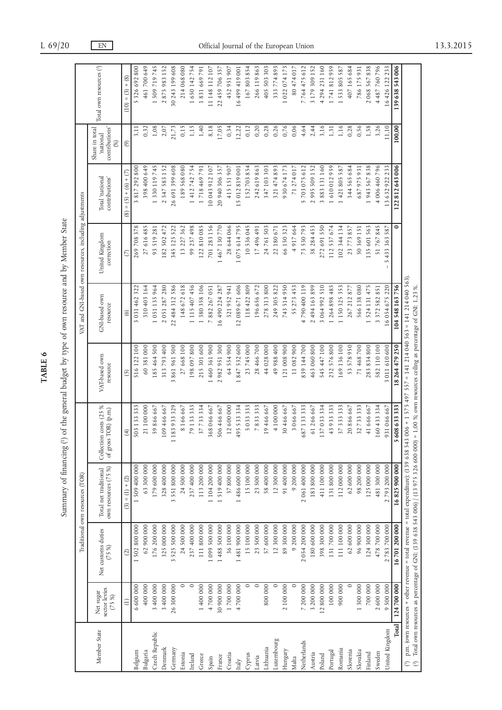| ١<br>┑ |
|--------|
| ۰<br>г |
|        |

Summary of financing (1) of the general budget by type of own resource and by Member State Summary of financing (1) of the general budget by type of own resource and by Member State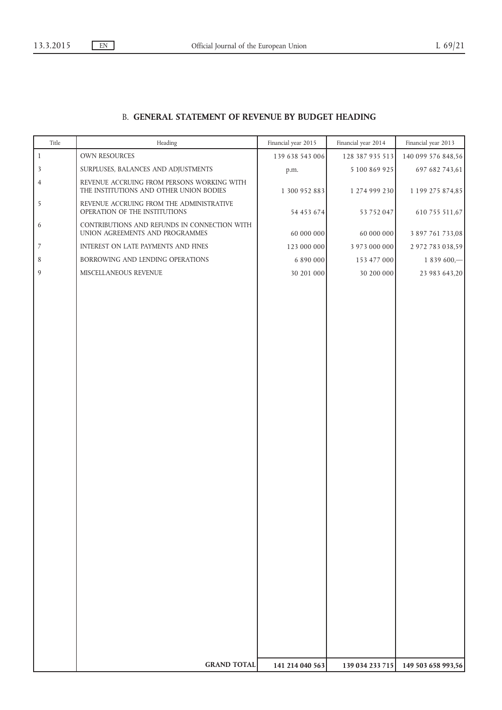# B. GENERAL STATEMENT OF REVENUE BY BUDGET HEADING

| Title                   | Heading                                                                               | Financial year 2015 | Financial year 2014 | Financial year 2013 |
|-------------------------|---------------------------------------------------------------------------------------|---------------------|---------------------|---------------------|
| $\,1\,$                 | OWN RESOURCES                                                                         | 139 638 543 006     | 128 387 935 513     | 140 099 576 848,56  |
| $\overline{\mathbf{3}}$ | SURPLUSES, BALANCES AND ADJUSTMENTS                                                   | p.m.                | 5 100 869 925       | 697 682 743,61      |
| $\overline{4}$          | REVENUE ACCRUING FROM PERSONS WORKING WITH<br>THE INSTITUTIONS AND OTHER UNION BODIES | 1 300 952 883       | 1 274 999 230       | 1 199 275 874,85    |
| 5                       | REVENUE ACCRUING FROM THE ADMINISTRATIVE<br>OPERATION OF THE INSTITUTIONS             | 54 453 674          | 53 752 047          | 610 755 511,67      |
| 6                       | CONTRIBUTIONS AND REFUNDS IN CONNECTION WITH<br>UNION AGREEMENTS AND PROGRAMMES       | 60 000 000          | 60 000 000          | 3 897 761 733,08    |
| 7                       | INTEREST ON LATE PAYMENTS AND FINES                                                   | 123 000 000         | 3 973 000 000       | 2 972 783 038,59    |
| 8                       | BORROWING AND LENDING OPERATIONS                                                      | 6 8 9 0 0 0 0       | 153 477 000         | 1839600,-           |
| 9                       | MISCELLANEOUS REVENUE                                                                 | 30 201 000          | 30 200 000          | 23 983 643,20       |
|                         |                                                                                       |                     |                     |                     |
|                         |                                                                                       |                     |                     |                     |
|                         |                                                                                       |                     |                     |                     |
|                         |                                                                                       |                     |                     |                     |
|                         |                                                                                       |                     |                     |                     |
|                         |                                                                                       |                     |                     |                     |
|                         |                                                                                       |                     |                     |                     |
|                         |                                                                                       |                     |                     |                     |
|                         |                                                                                       |                     |                     |                     |
|                         |                                                                                       |                     |                     |                     |
|                         |                                                                                       |                     |                     |                     |
|                         |                                                                                       |                     |                     |                     |
|                         |                                                                                       |                     |                     |                     |
|                         |                                                                                       |                     |                     |                     |
|                         |                                                                                       |                     |                     |                     |
|                         |                                                                                       |                     |                     |                     |
|                         |                                                                                       |                     |                     |                     |
|                         |                                                                                       |                     |                     |                     |
|                         |                                                                                       |                     |                     |                     |
|                         |                                                                                       |                     |                     |                     |
|                         |                                                                                       |                     |                     |                     |
|                         |                                                                                       |                     |                     |                     |
|                         |                                                                                       |                     |                     |                     |
|                         |                                                                                       |                     |                     |                     |
|                         |                                                                                       |                     |                     |                     |
|                         |                                                                                       |                     |                     |                     |
|                         |                                                                                       |                     |                     |                     |
|                         |                                                                                       |                     |                     |                     |
|                         |                                                                                       |                     |                     |                     |
|                         | <b>GRAND TOTAL</b>                                                                    | 141 214 040 563     | 139 034 233 715     | 149 503 658 993,56  |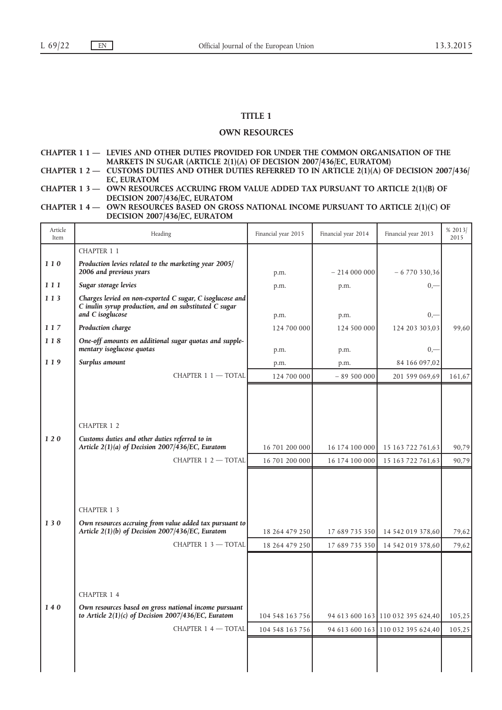## TITLE 1

## OWN RESOURCES

## CHAPTER 1 1 — LEVIES AND OTHER DUTIES PROVIDED FOR UNDER THE COMMON ORGANISATION OF THE MARKETS IN SUGAR (ARTICLE 2(1)(A) OF DECISION 2007/436/EC, EURATOM)

CHAPTER 1 2 - CUSTOMS DUTIES AND OTHER DUTIES REFERRED TO IN ARTICLE 2(1)(A) OF DECISION 2007/436/ EC, EURATOM

CHAPTER 1 3 — OWN RESOURCES ACCRUING FROM VALUE ADDED TAX PURSUANT TO ARTICLE 2(1)(B) OF DECISION 2007/436/EC, EURATOM

## CHAPTER 1 4 - OWN RESOURCES BASED ON GROSS NATIONAL INCOME PURSUANT TO ARTICLE 2(1)(C) OF DECISION 2007/436/EC, EURATOM

| Article<br>Item | Heading                                                                                                                               | Financial year 2015 | Financial year 2014 | Financial year 2013               | % 2013/<br>2015 |
|-----------------|---------------------------------------------------------------------------------------------------------------------------------------|---------------------|---------------------|-----------------------------------|-----------------|
|                 | <b>CHAPTER 11</b>                                                                                                                     |                     |                     |                                   |                 |
| 110             | Production levies related to the marketing year 2005/<br>2006 and previous years                                                      | p.m.                | $-214000000$        | $-6770330,36$                     |                 |
| 111             | Sugar storage levies                                                                                                                  | p.m.                | p.m.                | $0, -$                            |                 |
| 113             | Charges levied on non-exported C sugar, C isoglucose and<br>C inulin syrup production, and on substituted C sugar<br>and C isoglucose | p.m.                | p.m.                | $0, -$                            |                 |
| 117             | Production charge                                                                                                                     | 124 700 000         | 124 500 000         | 124 203 303,03                    | 99,60           |
| 118             | One-off amounts on additional sugar quotas and supple-<br>mentary isoglucose quotas                                                   | p.m.                | p.m.                | $_{0,-}$                          |                 |
| 119             | Surplus amount                                                                                                                        | p.m.                | p.m.                | 84 166 097,02                     |                 |
|                 | CHAPTER 1 1 - TOTAL                                                                                                                   | 124 700 000         | $-89500000$         | 201 599 069,69                    | 161,67          |
|                 |                                                                                                                                       |                     |                     |                                   |                 |
|                 |                                                                                                                                       |                     |                     |                                   |                 |
|                 |                                                                                                                                       |                     |                     |                                   |                 |
|                 | <b>CHAPTER 12</b>                                                                                                                     |                     |                     |                                   |                 |
| 120             | Customs duties and other duties referred to in<br>Article $2(1)(a)$ of Decision 2007/436/EC, Euratom                                  | 16 701 200 000      | 16 174 100 000      | 15 163 722 761,63                 | 90,79           |
|                 | CHAPTER 1 2 - TOTAL                                                                                                                   | 16 701 200 000      | 16 174 100 000      | 15 163 722 761,63                 | 90,79           |
|                 |                                                                                                                                       |                     |                     |                                   |                 |
|                 | <b>CHAPTER 1 3</b>                                                                                                                    |                     |                     |                                   |                 |
| 130             | Own resources accruing from value added tax pursuant to<br>Article 2(1)(b) of Decision 2007/436/EC, Euratom                           | 18 264 479 250      | 17 689 735 350      | 14 542 019 378,60                 | 79,62           |
|                 | CHAPTER 1 3 - TOTAL                                                                                                                   | 18 264 479 250      | 17 689 735 350      | 14 542 019 378,60                 | 79,62           |
|                 |                                                                                                                                       |                     |                     |                                   |                 |
|                 | <b>CHAPTER 1 4</b>                                                                                                                    |                     |                     |                                   |                 |
| 140             | Own resources based on gross national income pursuant<br>to Article $2(1)(c)$ of Decision 2007/436/EC, Euratom                        | 104 548 163 756     |                     | 94 613 600 163 110 032 395 624,40 | 105,25          |
|                 | CHAPTER 1 4 - TOTAL                                                                                                                   | 104 548 163 756     |                     | 94 613 600 163 110 032 395 624,40 | 105,25          |
|                 |                                                                                                                                       |                     |                     |                                   |                 |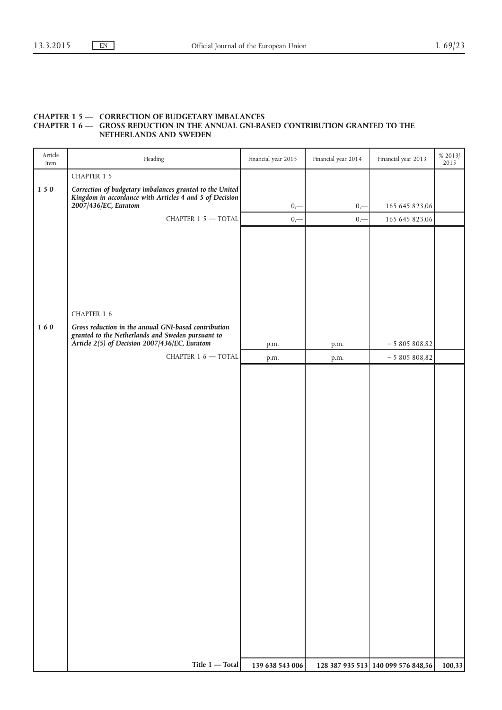#### CHAPTER 1 5 — CORRECTION OF BUDGETARY IMBALANCES CHAPTER 1 6 — GROSS REDUCTION IN THE ANNUAL GNI-BASED CONTRIBUTION GRANTED TO THE NETHERLANDS AND SWEDEN

| Article<br>Item | Heading                                                                                                                                                    | Financial year 2015 | Financial year 2014 | Financial year 2013                | $\begin{array}{c}\%2013/\\2015\end{array}$ |
|-----------------|------------------------------------------------------------------------------------------------------------------------------------------------------------|---------------------|---------------------|------------------------------------|--------------------------------------------|
|                 | CHAPTER 1 5                                                                                                                                                |                     |                     |                                    |                                            |
| 150             | Correction of budgetary imbalances granted to the United<br>Kingdom in accordance with Articles 4 and 5 of Decision<br>2007/436/EC, Euratom                | $0, -$              | $0, -$              | 165 645 823,06                     |                                            |
|                 | CHAPTER $15 -$ TOTAL                                                                                                                                       | $0, -$              | $0, -$              | 165 645 823,06                     |                                            |
|                 |                                                                                                                                                            |                     |                     |                                    |                                            |
|                 | CHAPTER 1 6                                                                                                                                                |                     |                     |                                    |                                            |
| 160             | Gross reduction in the annual GNI-based contribution<br>granted to the Netherlands and Sweden pursuant to<br>Article 2(5) of Decision 2007/436/EC, Euratom | p.m.                | p.m.                | $-5805808,82$                      |                                            |
|                 | CHAPTER $1.6 - TOTAL$                                                                                                                                      | p.m.                | p.m.                | $-5805808,82$                      |                                            |
|                 |                                                                                                                                                            |                     |                     |                                    |                                            |
|                 | Title $1 -$ Total                                                                                                                                          | 139 638 543 006     |                     | 128 387 935 513 140 099 576 848,56 | 100,33                                     |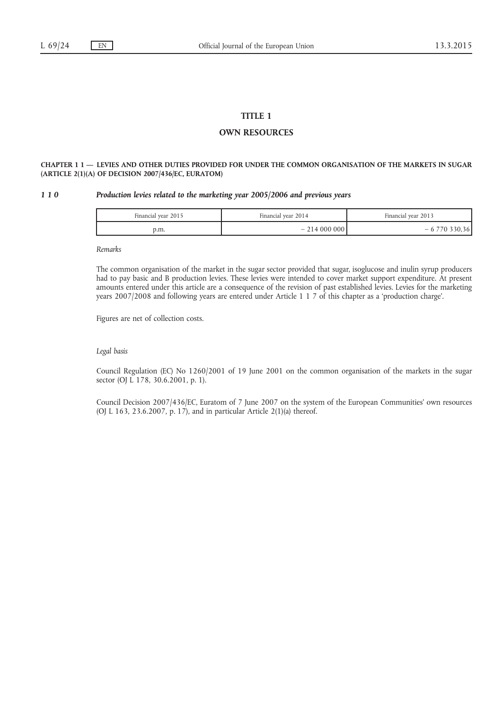## TITLE 1

## OWN RESOURCES

## CHAPTER 1 1 — LEVIES AND OTHER DUTIES PROVIDED FOR UNDER THE COMMON ORGANISATION OF THE MARKETS IN SUGAR (ARTICLE 2(1)(A) OF DECISION 2007/436/EC, EURATOM)

## 1 1 0 Production levies related to the marketing year 2005/2006 and previous years

| Financial vear 2015 | Financial vear 2014 | Financial vear 2013      |
|---------------------|---------------------|--------------------------|
| p.m.                | $-2140000001$       | $\overline{\phantom{0}}$ |

Remarks

The common organisation of the market in the sugar sector provided that sugar, isoglucose and inulin syrup producers had to pay basic and B production levies. These levies were intended to cover market support expenditure. At present amounts entered under this article are a consequence of the revision of past established levies. Levies for the marketing years 2007/2008 and following years are entered under Article 1 1 7 of this chapter as a 'production charge'.

Figures are net of collection costs.

#### Legal basis

Council Regulation (EC) No 1260/2001 of 19 June 2001 on the common organisation of the markets in the sugar sector (OJ L 178, 30.6.2001, p. 1).

Council Decision 2007/436/EC, Euratom of 7 June 2007 on the system of the European Communities' own resources (OJ L 163, 23.6.2007, p. 17), and in particular Article 2(1)(a) thereof.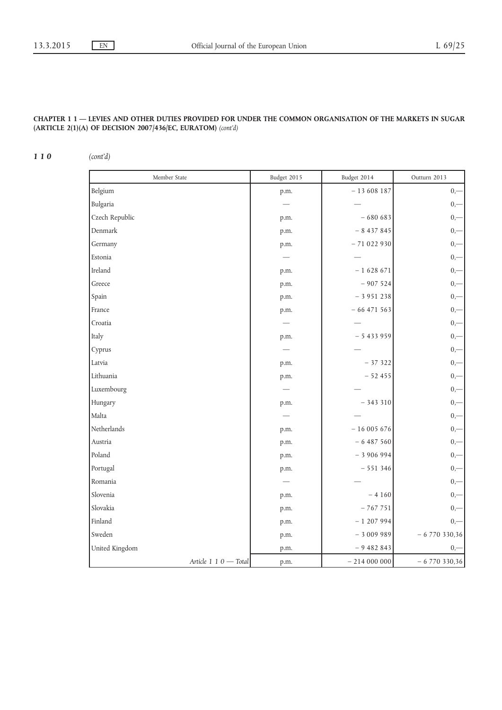110 (cont'd)

| Member State          | Budget 2015 | Budget 2014  | Outturn 2013  |
|-----------------------|-------------|--------------|---------------|
| Belgium               | p.m.        | $-13608187$  | $0, -$        |
| Bulgaria              |             |              | $_{0,-}$      |
| Czech Republic        | p.m.        | $-680683$    | $0, -$        |
| Denmark               | p.m.        | $-8437845$   | $0, -$        |
| Germany               | p.m.        | $-71022930$  | $_{0,-}$      |
| Estonia               |             |              | $0,-$         |
| Ireland               | p.m.        | $-1628671$   | $_{0,-}$      |
| Greece                | p.m.        | $-907524$    | $_{0,-}$      |
| Spain                 | p.m.        | $-3951238$   | $0,-$         |
| France                | p.m.        | $-66471563$  | $0,-$         |
| Croatia               |             |              | $0, -$        |
| Italy                 | p.m.        | $-5433959$   | $_{0,-}$      |
| Cyprus                |             |              | $_{0,-}$      |
| Latvia                | p.m.        | $-37322$     | $0, -$        |
| Lithuania             | p.m.        | $-52455$     | $0, -$        |
| Luxembourg            |             |              | $0, -$        |
| Hungary               | p.m.        | $-343310$    | $0, -$        |
| Malta                 |             |              | $0, -$        |
| Netherlands           | p.m.        | $-16005676$  | $0, -$        |
| Austria               | p.m.        | $-6487560$   | $0, -$        |
| Poland                | p.m.        | $-3906994$   | $_{0,-}$      |
| Portugal              | p.m.        | $-551346$    | $0, -$        |
| Romania               |             |              | $0, -$        |
| Slovenia              | p.m.        | $-4160$      | $0, -$        |
| Slovakia              | p.m.        | $-767751$    | $0, -$        |
| Finland               | p.m.        | $-1207994$   | $0,-$         |
| Sweden                | p.m.        | $-3009989$   | $-6770330,36$ |
| United Kingdom        | p.m.        | $-9482843$   | $0,-$         |
| Article 1 1 0 - Total | p.m.        | $-214000000$ | $-6770330,36$ |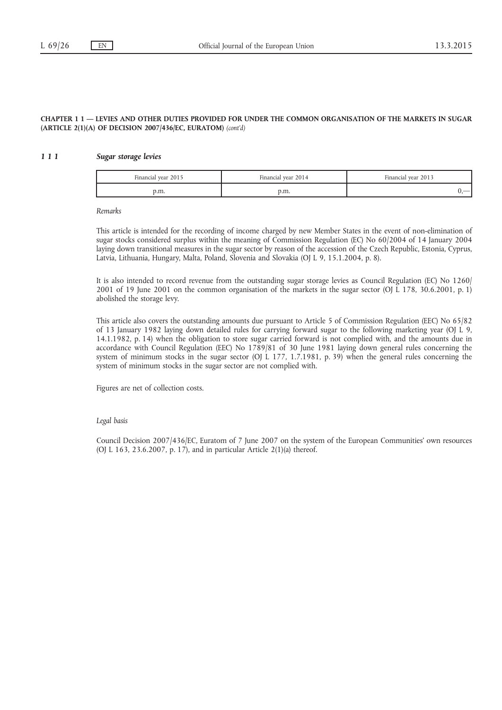#### 1 1 1 Sugar storage levies

| Financial year 2015 | Financial year 2014 | Financial year 2013 |
|---------------------|---------------------|---------------------|
| p.m.                | v.m.                |                     |

Remarks

This article is intended for the recording of income charged by new Member States in the event of non-elimination of sugar stocks considered surplus within the meaning of Commission Regulation (EC) No 60/2004 of 14 January 2004 laying down transitional measures in the sugar sector by reason of the accession of the Czech Republic, Estonia, Cyprus, Latvia, Lithuania, Hungary, Malta, Poland, Slovenia and Slovakia (OJ L 9, 15.1.2004, p. 8).

It is also intended to record revenue from the outstanding sugar storage levies as Council Regulation (EC) No 1260/ 2001 of 19 June 2001 on the common organisation of the markets in the sugar sector (OJ L 178, 30.6.2001, p. 1) abolished the storage levy.

This article also covers the outstanding amounts due pursuant to Article 5 of Commission Regulation (EEC) No 65/82 of 13 January 1982 laying down detailed rules for carrying forward sugar to the following marketing year (OJ L 9, 14.1.1982, p. 14) when the obligation to store sugar carried forward is not complied with, and the amounts due in accordance with Council Regulation (EEC) No 1789/81 of 30 June 1981 laying down general rules concerning the system of minimum stocks in the sugar sector (OJ L 177, 1.7.1981, p. 39) when the general rules concerning the system of minimum stocks in the sugar sector are not complied with.

Figures are net of collection costs.

#### Legal basis

Council Decision 2007/436/EC, Euratom of 7 June 2007 on the system of the European Communities' own resources (OJ L 163, 23.6.2007, p. 17), and in particular Article 2(1)(a) thereof.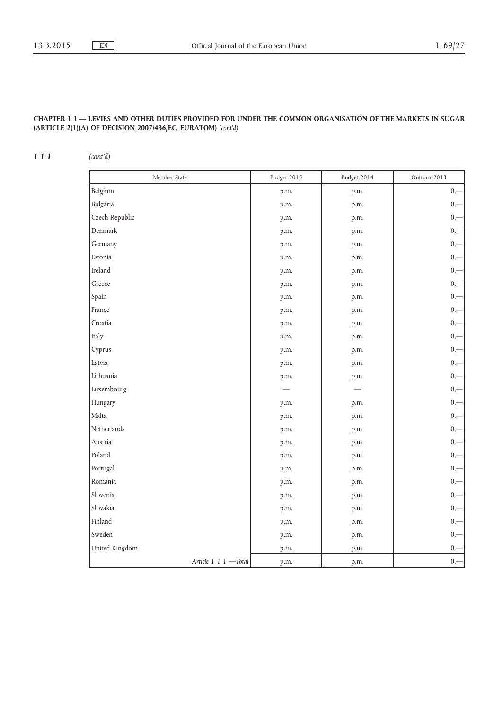## 111 (cont'd)

| Member State         | Budget 2015 | Budget 2014 | Outturn 2013 |
|----------------------|-------------|-------------|--------------|
| Belgium              | p.m.        | p.m.        | $0,-$        |
| Bulgaria             | p.m.        | p.m.        | $0, -$       |
| Czech Republic       | p.m.        | p.m.        | $0, -$       |
| Denmark              | p.m.        | p.m.        | $0, -$       |
| Germany              | p.m.        | p.m.        | $0, -$       |
| Estonia              | p.m.        | p.m.        | $0, -$       |
| Ireland              | p.m.        | p.m.        | $0, -$       |
| Greece               | p.m.        | p.m.        | $0, -$       |
| Spain                | p.m.        | p.m.        | $0, -$       |
| France               | p.m.        | p.m.        | $_{0,-}$     |
| Croatia              | p.m.        | p.m.        | $0, -$       |
| Italy                | p.m.        | p.m.        | $0, -$       |
| Cyprus               | p.m.        | p.m.        | $_{0,-}$     |
| Latvia               | p.m.        | p.m.        | $0, -$       |
| Lithuania            | p.m.        | p.m.        | $0, -$       |
| Luxembourg           |             |             | $0, -$       |
| Hungary              | p.m.        | p.m.        | $0, -$       |
| Malta                | p.m.        | p.m.        | $0, -$       |
| Netherlands          | p.m.        | p.m.        | $_{0,-}$     |
| Austria              | p.m.        | p.m.        | $_{0,-}$     |
| Poland               | p.m.        | p.m.        | $0, -$       |
| Portugal             | p.m.        | p.m.        | $0, -$       |
| Romania              | p.m.        | p.m.        | $_{0,-}$     |
| Slovenia             | p.m.        | p.m.        | $0, -$       |
| Slovakia             | p.m.        | p.m.        | $0, -$       |
| Finland              | p.m.        | p.m.        | $0, -$       |
| Sweden               | p.m.        | p.m.        | $0, -$       |
| United Kingdom       | p.m.        | p.m.        | $0, -$       |
| Article 1 1 1 -Total | p.m.        | p.m.        | $0, -$       |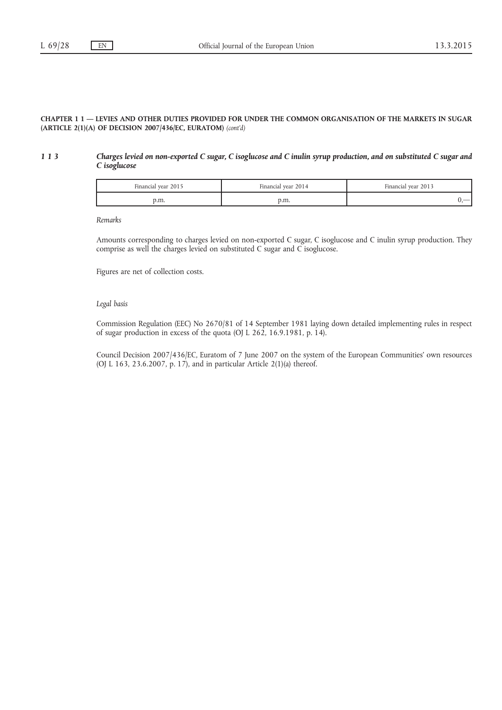#### 1 1 3 Charges levied on non-exported C sugar, C isoglucose and C inulin syrup production, and on substituted C sugar and C isoglucose

| Financial year 2015 | Financial vear 2014 | Financial year 2013 |
|---------------------|---------------------|---------------------|
| p.m.                | p.m.                |                     |

Remarks

Amounts corresponding to charges levied on non-exported C sugar, C isoglucose and C inulin syrup production. They comprise as well the charges levied on substituted  $C$  sugar and  $C$  isoglucose.

Figures are net of collection costs.

#### Legal basis

Commission Regulation (EEC) No 2670/81 of 14 September 1981 laying down detailed implementing rules in respect of sugar production in excess of the quota (OJ L 262, 16.9.1981, p. 14).

Council Decision 2007/436/EC, Euratom of 7 June 2007 on the system of the European Communities' own resources (OJ L 163, 23.6.2007, p. 17), and in particular Article 2(1)(a) thereof.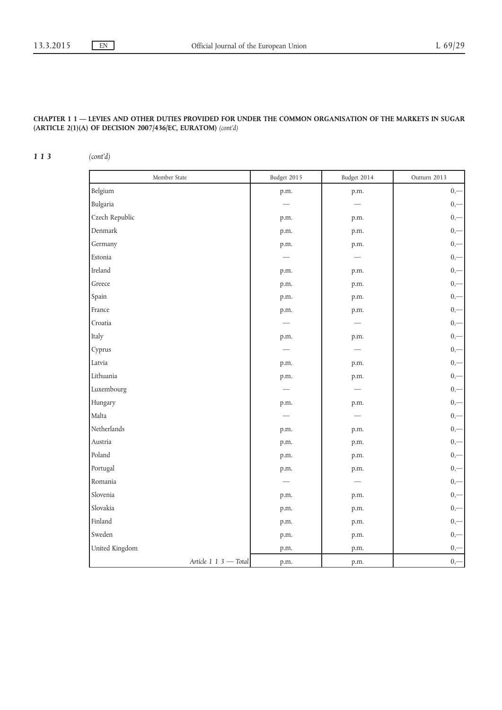113 (cont'd)

| Member State          | Budget 2015 | Budget 2014 | Outturn 2013 |
|-----------------------|-------------|-------------|--------------|
| Belgium               | p.m.        | p.m.        | $0, -$       |
| Bulgaria              |             |             | $_{0,-}$     |
| Czech Republic        | p.m.        | p.m.        | $_{0,-}$     |
| Denmark               | p.m.        | p.m.        | $_{0,-}$     |
| Germany               | p.m.        | p.m.        | $0, -$       |
| Estonia               |             |             | $0, -$       |
| Ireland               | p.m.        | p.m.        | $0, -$       |
| Greece                | p.m.        | p.m.        | $0, -$       |
| Spain                 | p.m.        | p.m.        | $0, -$       |
| France                | p.m.        | p.m.        | $0, -$       |
| Croatia               |             |             | $0, -$       |
| Italy                 | p.m.        | p.m.        | $0, -$       |
| Cyprus                |             |             | $0, -$       |
| Latvia                | p.m.        | p.m.        | $_{0,-}$     |
| Lithuania             | p.m.        | p.m.        | $0, -$       |
| Luxembourg            |             |             | $0, -$       |
| Hungary               | p.m.        | p.m.        | $0, -$       |
| Malta                 |             |             | $0, -$       |
| Netherlands           | p.m.        | p.m.        | $0, -$       |
| Austria               | p.m.        | p.m.        | $0, -$       |
| Poland                | p.m.        | p.m.        | $0, -$       |
| Portugal              | p.m.        | p.m.        | $0, -$       |
| Romania               |             |             | $0, -$       |
| Slovenia              | p.m.        | p.m.        | $0, -$       |
| Slovakia              | p.m.        | p.m.        | $0, -$       |
| Finland               | p.m.        | p.m.        | $0, -$       |
| Sweden                | p.m.        | p.m.        | $_{0,-}$     |
| United Kingdom        | p.m.        | p.m.        | $_{0,-}$     |
| Article 1 1 3 - Total | p.m.        | p.m.        | $0, -$       |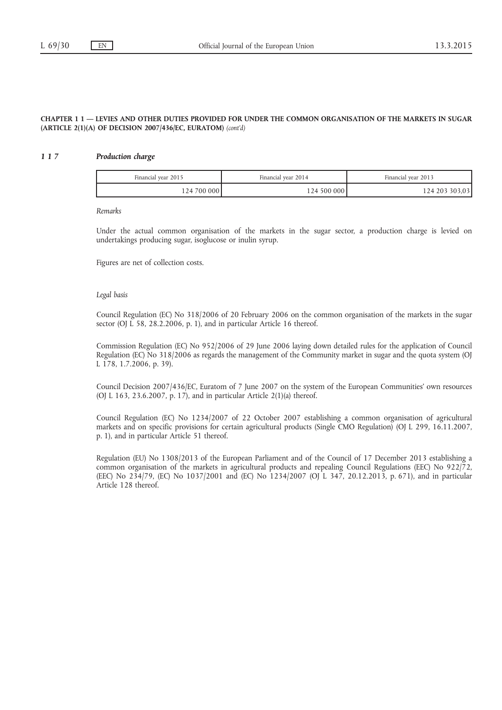#### 1 1 7 **Production charge**

| Financial year 2015 | Financial vear 2014 | Financial year 2013 |
|---------------------|---------------------|---------------------|
| 124 700 000 l       | 124 500 000         | 124 203 303,03      |

Remarks

Under the actual common organisation of the markets in the sugar sector, a production charge is levied on undertakings producing sugar, isoglucose or inulin syrup.

Figures are net of collection costs.

#### Legal basis

Council Regulation (EC) No 318/2006 of 20 February 2006 on the common organisation of the markets in the sugar sector (OJ L 58, 28.2.2006, p. 1), and in particular Article 16 thereof.

Commission Regulation (EC) No 952/2006 of 29 June 2006 laying down detailed rules for the application of Council Regulation (EC) No 318/2006 as regards the management of the Community market in sugar and the quota system (OJ L 178, 1.7.2006, p. 39).

Council Decision 2007/436/EC, Euratom of 7 June 2007 on the system of the European Communities' own resources (OJ L 163, 23.6.2007, p. 17), and in particular Article 2(1)(a) thereof.

Council Regulation (EC) No 1234/2007 of 22 October 2007 establishing a common organisation of agricultural markets and on specific provisions for certain agricultural products (Single CMO Regulation) (OJ L 299, 16.11.2007, p. 1), and in particular Article 51 thereof.

Regulation (EU) No 1308/2013 of the European Parliament and of the Council of 17 December 2013 establishing a common organisation of the markets in agricultural products and repealing Council Regulations (EEC) No 922/72, (EEC) No 234/79, (EC) No 1037/2001 and (EC) No 1234/2007 (OJ L 347, 20.12.2013, p. 671), and in particular Article 128 thereof.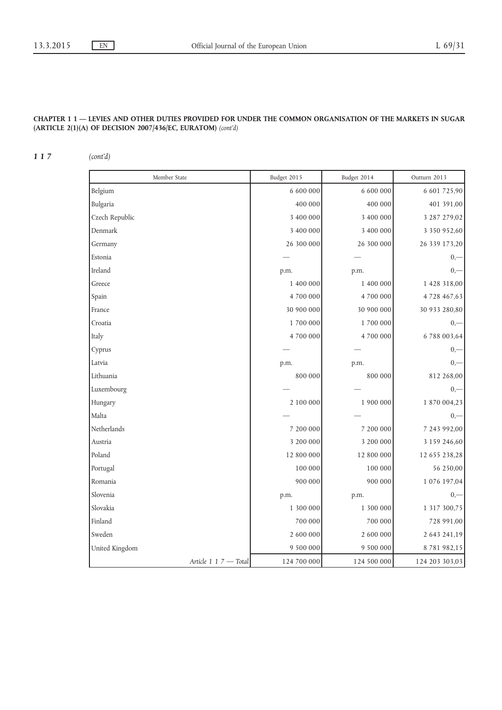117 (cont'd)

| Member State              | Budget 2015 | Budget 2014 | Outturn 2013      |
|---------------------------|-------------|-------------|-------------------|
| Belgium                   | 6 600 000   | 6 600 000   | 6 601 725,90      |
| Bulgaria                  | 400 000     | 400 000     | 401 391,00        |
| Czech Republic            | 3 400 000   | 3 400 000   | 3 287 279,02      |
| Denmark                   | 3 400 000   | 3 400 000   | 3 350 952,60      |
| Germany                   | 26 300 000  | 26 300 000  | 26 339 173,20     |
| Estonia                   |             |             | $0,-$             |
| Ireland                   | p.m.        | p.m.        | $0, -$            |
| Greece                    | 1 400 000   | 1 400 000   | 1 428 318,00      |
| Spain                     | 4 700 000   | 4 700 000   | 4 7 28 4 6 7, 6 3 |
| France                    | 30 900 000  | 30 900 000  | 30 933 280,80     |
| Croatia                   | 1 700 000   | 1 700 000   | $_{0,-}$          |
| Italy                     | 4 700 000   | 4 700 000   | 6 788 003,64      |
| Cyprus                    |             |             | $0,-$             |
| Latvia                    | p.m.        | p.m.        | $0,-$             |
| Lithuania                 | 800 000     | 800 000     | 812 268,00        |
| Luxembourg                |             |             | $0, -$            |
| Hungary                   | 2 100 000   | 1 900 000   | 1 870 004,23      |
| Malta                     |             |             | $_{0,-}$          |
| Netherlands               | 7 200 000   | 7 200 000   | 7 243 992,00      |
| Austria                   | 3 200 000   | 3 200 000   | 3 159 246,60      |
| Poland                    | 12 800 000  | 12 800 000  | 12 655 238,28     |
| Portugal                  | 100 000     | 100 000     | 56 250,00         |
| Romania                   | 900 000     | 900 000     | 1 076 197,04      |
| Slovenia                  | p.m.        | p.m.        | $0, -$            |
| Slovakia                  | 1 300 000   | 1 300 000   | 1 317 300,75      |
| Finland                   | 700 000     | 700 000     | 728 991,00        |
| Sweden                    | 2 600 000   | 2 600 000   | 2 643 241,19      |
| United Kingdom            | 9 500 000   | 9 500 000   | 8 781 982,15      |
| Article $1\,1\,7$ — Total | 124 700 000 | 124 500 000 | 124 203 303,03    |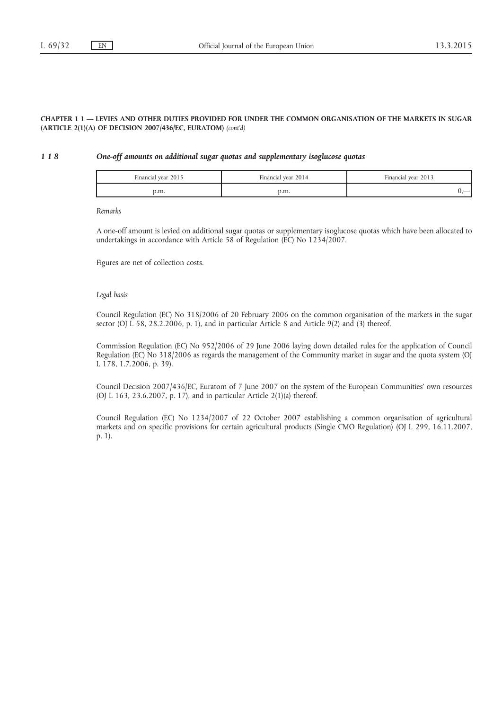#### 1 1 8 One-off amounts on additional sugar quotas and supplementary isoglucose quotas

| Financial year 2015 | Financial year 2014 | Financial year 2013 |
|---------------------|---------------------|---------------------|
| p.m.                | p.m.                |                     |

Remarks

A one-off amount is levied on additional sugar quotas or supplementary isoglucose quotas which have been allocated to undertakings in accordance with Article 58 of Regulation (EC) No 1234/2007.

Figures are net of collection costs.

#### Legal basis

Council Regulation (EC) No 318/2006 of 20 February 2006 on the common organisation of the markets in the sugar sector (OJ L 58, 28.2.2006, p. 1), and in particular Article 8 and Article 9(2) and (3) thereof.

Commission Regulation (EC) No 952/2006 of 29 June 2006 laying down detailed rules for the application of Council Regulation (EC) No 318/2006 as regards the management of the Community market in sugar and the quota system (OJ L 178, 1.7.2006, p. 39).

Council Decision 2007/436/EC, Euratom of 7 June 2007 on the system of the European Communities' own resources (OJ L 163, 23.6.2007, p. 17), and in particular Article 2(1)(a) thereof.

Council Regulation (EC) No 1234/2007 of 22 October 2007 establishing a common organisation of agricultural markets and on specific provisions for certain agricultural products (Single CMO Regulation) (OJ L 299, 16.11.2007, p. 1).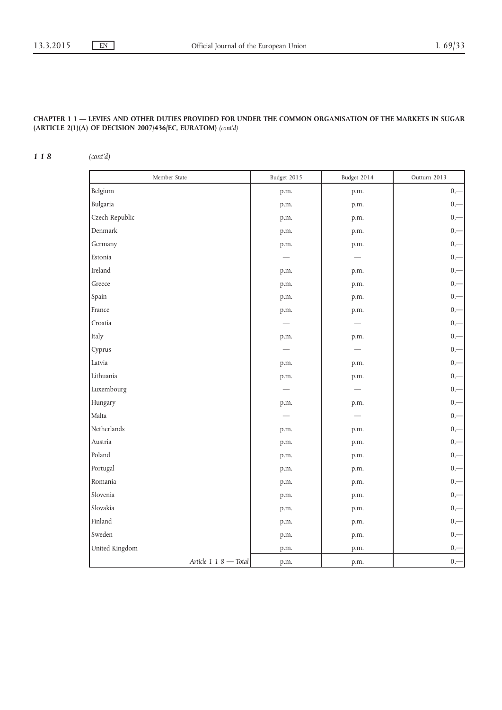## 118 (cont'd)

| Member State          | Budget 2015 | Budget 2014 | Outturn 2013 |
|-----------------------|-------------|-------------|--------------|
| Belgium               | p.m.        | p.m.        | $0, -$       |
| Bulgaria              | p.m.        | p.m.        | $0, -$       |
| Czech Republic        | p.m.        | p.m.        | $_{0,-}$     |
| Denmark               | p.m.        | p.m.        | $0, -$       |
| Germany               | p.m.        | p.m.        | $0, -$       |
| Estonia               |             |             | $_{0,-}$     |
| Ireland               | p.m.        | p.m.        | $0, -$       |
| Greece                | p.m.        | p.m.        | $0, -$       |
| Spain                 | p.m.        | p.m.        | $0, -$       |
| France                | p.m.        | p.m.        | $0, -$       |
| Croatia               |             |             | $0, -$       |
| Italy                 | p.m.        | p.m.        | $0, -$       |
| Cyprus                |             |             | $0, -$       |
| Latvia                | p.m.        | p.m.        | $0, -$       |
| Lithuania             | p.m.        | p.m.        | $0, -$       |
| Luxembourg            |             |             | $0, -$       |
| Hungary               | p.m.        | p.m.        | $0, -$       |
| Malta                 |             |             | $0, -$       |
| Netherlands           | p.m.        | p.m.        | $0, -$       |
| Austria               | p.m.        | p.m.        | $0, -$       |
| Poland                | p.m.        | p.m.        | $0, -$       |
| Portugal              | p.m.        | p.m.        | $0, -$       |
| Romania               | p.m.        | p.m.        | $_{0,-}$     |
| Slovenia              | p.m.        | p.m.        | $0,$ — $\,$  |
| Slovakia              | p.m.        | p.m.        | $0, -$       |
| Finland               | p.m.        | p.m.        | $0, -$       |
| Sweden                | p.m.        | p.m.        | $0, -$       |
| United Kingdom        | p.m.        | p.m.        | $0, -$       |
| Article 1 1 8 - Total | p.m.        | p.m.        | $0, -$       |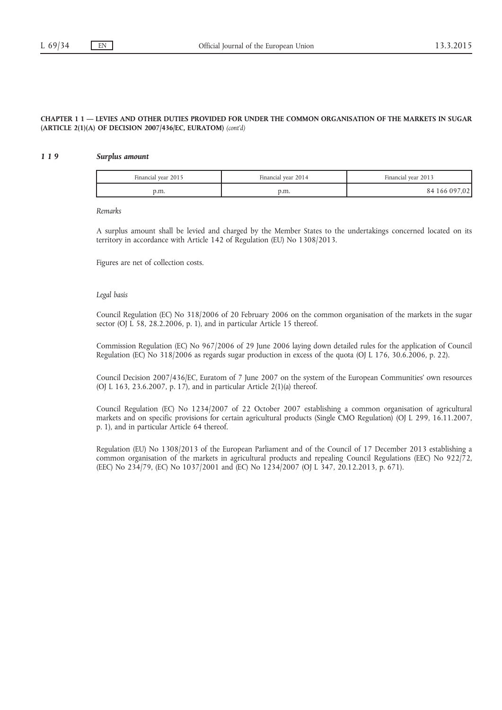#### 1 1 9 Surplus amount

| Financial year 2015 | Financial year 2014 | Financial year 2013 |
|---------------------|---------------------|---------------------|
| p.m.                | p.m.                | 84 166 097,02       |

Remarks

A surplus amount shall be levied and charged by the Member States to the undertakings concerned located on its territory in accordance with Article 142 of Regulation (EU) No 1308/2013.

Figures are net of collection costs.

#### Legal basis

Council Regulation (EC) No 318/2006 of 20 February 2006 on the common organisation of the markets in the sugar sector (OJ L 58, 28.2.2006, p. 1), and in particular Article 15 thereof.

Commission Regulation (EC) No 967/2006 of 29 June 2006 laying down detailed rules for the application of Council Regulation (EC) No 318/2006 as regards sugar production in excess of the quota (OJ L 176, 30.6.2006, p. 22).

Council Decision 2007/436/EC, Euratom of 7 June 2007 on the system of the European Communities' own resources (OJ L 163, 23.6.2007, p. 17), and in particular Article 2(1)(a) thereof.

Council Regulation (EC) No 1234/2007 of 22 October 2007 establishing a common organisation of agricultural markets and on specific provisions for certain agricultural products (Single CMO Regulation) (OJ L 299, 16.11.2007, p. 1), and in particular Article 64 thereof.

Regulation (EU) No 1308/2013 of the European Parliament and of the Council of 17 December 2013 establishing a common organisation of the markets in agricultural products and repealing Council Regulations (EEC) No 922/72, (EEC) No 234/79, (EC) No 1037/2001 and (EC) No 1234/2007 (OJ L 347, 20.12.2013, p. 671).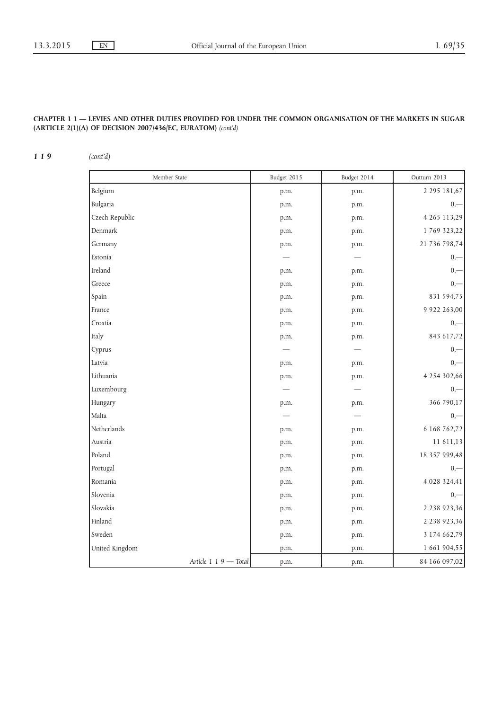## 119 (cont'd)

| Member State          | Budget 2015 | Budget 2014 | Outturn 2013        |
|-----------------------|-------------|-------------|---------------------|
| Belgium               | p.m.        | p.m.        | 2 295 181,67        |
| Bulgaria              | p.m.        | p.m.        | $0, -$              |
| Czech Republic        | p.m.        | p.m.        | 4 265 113,29        |
| Denmark               | p.m.        | p.m.        | 1769323,22          |
| Germany               | p.m.        | p.m.        | 21 736 798,74       |
| Estonia               |             |             | $0, -$              |
| Ireland               | p.m.        | p.m.        | $0, -$              |
| Greece                | p.m.        | p.m.        | $0, -$              |
| Spain                 | p.m.        | p.m.        | 831 594,75          |
| France                | p.m.        | p.m.        | 9 9 2 2 2 6 3,00    |
| Croatia               | p.m.        | p.m.        | $0, -$              |
| Italy                 | p.m.        | p.m.        | 843 617,72          |
| Cyprus                |             |             | $0, -$              |
| Latvia                | p.m.        | p.m.        | $0,-$               |
| Lithuania             | p.m.        | p.m.        | 4 254 302,66        |
| Luxembourg            |             |             | $0,-$               |
| Hungary               | p.m.        | p.m.        | 366 790,17          |
| Malta                 |             |             | $0,-$               |
| Netherlands           | p.m.        | p.m.        | 6 168 762,72        |
| Austria               | p.m.        | p.m.        | 11 611,13           |
| Poland                | p.m.        | p.m.        | 18 357 999,48       |
| Portugal              | p.m.        | p.m.        | $0, -$              |
| Romania               | p.m.        | p.m.        | 4 0 28 3 24, 41     |
| Slovenia              | p.m.        | p.m.        | $0, -$              |
| Slovakia              | p.m.        | p.m.        | 2 2 3 9 9 2 3 , 3 6 |
| Finland               | p.m.        | p.m.        | 2 2 3 9 9 2 3 , 3 6 |
| Sweden                | p.m.        | p.m.        | 3 174 662,79        |
| United Kingdom        | p.m.        | p.m.        | 1 661 904,55        |
| Article 1 1 9 - Total | p.m.        | p.m.        | 84 166 097,02       |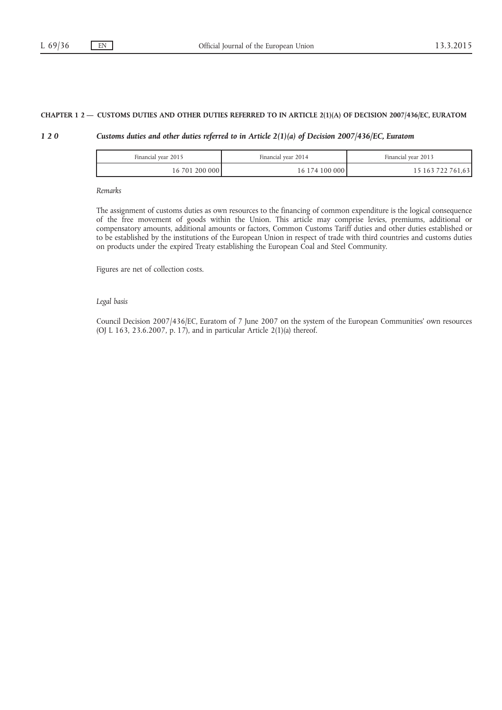## CHAPTER 1 2 — CUSTOMS DUTIES AND OTHER DUTIES REFERRED TO IN ARTICLE 2(1)(A) OF DECISION 2007/436/EC, EURATOM

#### 1 2 0 Customs duties and other duties referred to in Article 2(1)(a) of Decision 2007/436/EC, Euratom

| Financial year 2015 | Financial vear 2014 | Financial year 2013 |
|---------------------|---------------------|---------------------|
| 16 701 200 000 l    | 16 174 100 000      | 15 163 722 761,63   |

Remarks

The assignment of customs duties as own resources to the financing of common expenditure is the logical consequence of the free movement of goods within the Union. This article may comprise levies, premiums, additional or compensatory amounts, additional amounts or factors, Common Customs Tariff duties and other duties established or to be established by the institutions of the European Union in respect of trade with third countries and customs duties on products under the expired Treaty establishing the European Coal and Steel Community.

Figures are net of collection costs.

#### Legal basis

Council Decision 2007/436/EC, Euratom of 7 June 2007 on the system of the European Communities' own resources (OJ L 163, 23.6.2007, p. 17), and in particular Article 2(1)(a) thereof.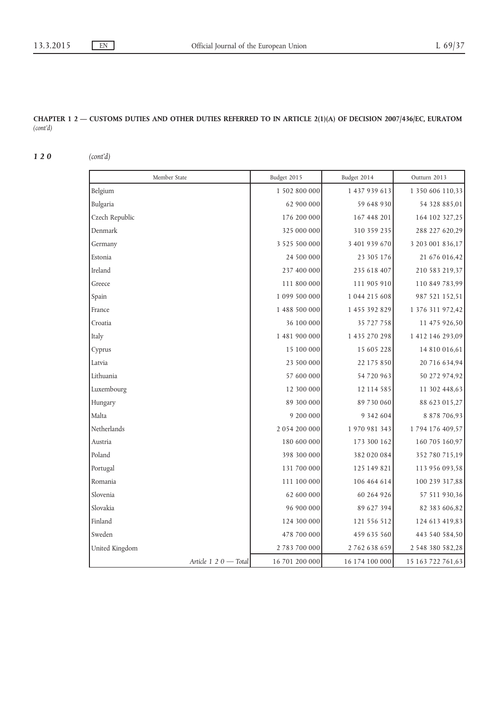## CHAPTER 1 2 — CUSTOMS DUTIES AND OTHER DUTIES REFERRED TO IN ARTICLE 2(1)(A) OF DECISION 2007/436/EC, EURATOM (cont'd)

120 (cont'd)

| Member State              | Budget 2015    | Budget 2014    | Outturn 2013      |
|---------------------------|----------------|----------------|-------------------|
| Belgium                   | 1 502 800 000  | 1 437 939 613  | 1 350 606 110,33  |
| Bulgaria                  | 62 900 000     | 59 648 930     | 54 328 885,01     |
| Czech Republic            | 176 200 000    | 167 448 201    | 164 102 327,25    |
| Denmark                   | 325 000 000    | 310 359 235    | 288 227 620,29    |
| Germany                   |                | 3 401 939 670  | 3 203 001 836,17  |
| Estonia                   | 24 500 000     | 23 305 176     | 21 676 016,42     |
| Ireland                   | 237 400 000    | 235 618 407    | 210 583 219,37    |
| Greece                    | 111 800 000    | 111 905 910    | 110 849 783,99    |
| Spain                     | 1 099 500 000  | 1 044 215 608  | 987 521 152,51    |
| France                    | 1 488 500 000  | 1 455 392 829  | 1 376 311 972,42  |
| Croatia                   | 36 100 000     | 35 727 758     | 11 475 926,50     |
| Italy                     | 1 481 900 000  | 1 435 270 298  | 1 412 146 293,09  |
| Cyprus                    | 15 100 000     | 15 605 228     | 14 810 016,61     |
| Latvia                    | 23 500 000     | 22 175 850     | 20 716 634,94     |
| Lithuania                 | 57 600 000     | 54 720 963     | 50 272 974,92     |
| Luxembourg                | 12 300 000     | 12 114 585     | 11 302 448,63     |
| Hungary                   | 89 300 000     | 89 730 060     | 88 623 015,27     |
| Malta                     | 9 200 000      | 9 342 604      | 8 878 706,93      |
| Netherlands               | 2054 200 000   | 1 970 981 343  | 1 794 176 409,57  |
| Austria                   | 180 600 000    | 173 300 162    | 160 705 160,97    |
| Poland                    | 398 300 000    | 382 020 084    | 352 780 715,19    |
| Portugal                  | 131 700 000    | 125 149 821    | 113 956 093,58    |
| Romania                   | 111 100 000    | 106 464 614    | 100 239 317,88    |
| Slovenia                  | 62 600 000     | 60 264 926     | 57 511 930,36     |
| Slovakia                  | 96 900 000     | 89 627 394     | 82 383 606,82     |
| Finland                   | 124 300 000    | 121 556 512    | 124 613 419,83    |
| Sweden                    | 478 700 000    | 459 635 560    | 443 540 584,50    |
| United Kingdom            | 2 783 700 000  | 2 762 638 659  | 2 548 380 582,28  |
| Article $1\ 2\ 0$ - Total | 16 701 200 000 | 16 174 100 000 | 15 163 722 761,63 |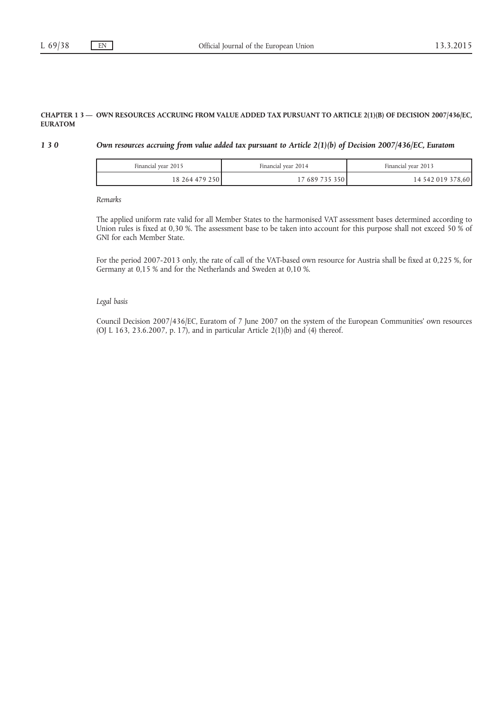### CHAPTER 1 3 — OWN RESOURCES ACCRUING FROM VALUE ADDED TAX PURSUANT TO ARTICLE 2(1)(B) OF DECISION 2007/436/EC, EURATOM

## 1 3 0 Own resources accruing from value added tax pursuant to Article 2(1)(b) of Decision 2007/436/EC, Euratom

| Financial year 2014<br>Financial year 2015 |                | Financial year 2013 |  |
|--------------------------------------------|----------------|---------------------|--|
| 18 264 479 250                             | 17 689 735 350 | 14 542 019 378,601  |  |

Remarks

The applied uniform rate valid for all Member States to the harmonised VAT assessment bases determined according to Union rules is fixed at 0,30 %. The assessment base to be taken into account for this purpose shall not exceed 50 % of GNI for each Member State.

For the period 2007-2013 only, the rate of call of the VAT-based own resource for Austria shall be fixed at 0,225 %, for Germany at 0,15 % and for the Netherlands and Sweden at 0,10 %.

## Legal basis

Council Decision 2007/436/EC, Euratom of 7 June 2007 on the system of the European Communities' own resources (OJ L 163, 23.6.2007, p. 17), and in particular Article 2(1)(b) and (4) thereof.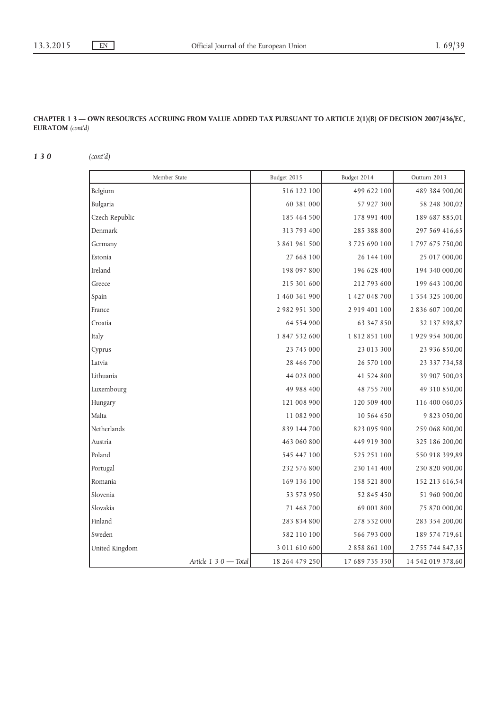## CHAPTER 1 3 — OWN RESOURCES ACCRUING FROM VALUE ADDED TAX PURSUANT TO ARTICLE 2(1)(B) OF DECISION 2007/436/EC, EURATOM (cont'd)

130 (cont'd)

| Member State          | Budget 2015    | Budget 2014    | Outturn 2013              |
|-----------------------|----------------|----------------|---------------------------|
| Belgium               | 516 122 100    | 499 622 100    | 489 384 900,00            |
| Bulgaria              | 60 381 000     | 57 927 300     | 58 248 300,02             |
| Czech Republic        | 185 464 500    | 178 991 400    | 189 687 885,01            |
| Denmark               | 313 793 400    | 285 388 800    | 297 569 416,65            |
| Germany               | 3 861 961 500  | 3725690100     | 1 797 675 750,00          |
| Estonia               | 27 668 100     | 26 144 100     | 25 017 000,00             |
| Ireland               | 198 097 800    | 196 628 400    | 194 340 000,00            |
| Greece                | 215 301 600    | 212 793 600    | 199 643 100,00            |
| Spain                 | 1 460 361 900  | 1 427 048 700  | 1 354 325 100,00          |
| France                | 2 982 951 300  | 2 919 401 100  | 2 8 3 6 6 0 7 1 0 0 0 0   |
| Croatia               | 64 554 900     | 63 347 850     | 32 137 898,87             |
| Italy                 | 1 847 532 600  | 1 812 851 100  | 1 929 954 300,00          |
| Cyprus                | 23 745 000     | 23 013 300     | 23 936 850,00             |
| Latvia                | 28 466 700     | 26 570 100     | 23 337 734,58             |
| Lithuania             | 44 028 000     | 41 524 800     | 39 907 500,03             |
| Luxembourg            | 49 988 400     | 48 755 700     | 49 310 850,00             |
| Hungary               | 121 008 900    | 120 509 400    | 116 400 060,05            |
| Malta                 | 11 082 900     | 10 564 650     | 9 823 050,00              |
| Netherlands           | 839 144 700    | 823 095 900    | 259 068 800,00            |
| Austria               | 463 060 800    | 449 919 300    | 325 186 200,00            |
| Poland                | 545 447 100    | 525 251 100    | 550 918 399,89            |
| Portugal              | 232 576 800    | 230 141 400    | 230 820 900,00            |
| Romania               | 169 136 100    | 158 521 800    | 152 213 616,54            |
| Slovenia              | 53 578 950     | 52 845 450     | 51 960 900,00             |
| Slovakia              | 71 468 700     | 69 001 800     | 75 870 000,00             |
| Finland               | 283 834 800    | 278 532 000    | 283 354 200,00            |
| Sweden                | 582 110 100    | 566 793 000    | 189 574 719,61            |
| United Kingdom        | 3 011 610 600  | 2858861100     | 2 7 5 7 7 4 4 8 4 7 , 3 5 |
| Article 1 3 0 — Total | 18 264 479 250 | 17 689 735 350 | 14 542 019 378,60         |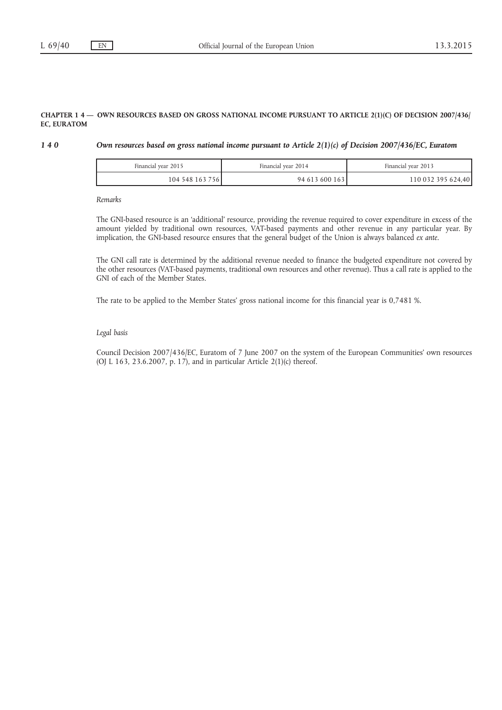### CHAPTER 1 4 — OWN RESOURCES BASED ON GROSS NATIONAL INCOME PURSUANT TO ARTICLE 2(1)(C) OF DECISION 2007/436/ EC, EURATOM

#### 1 4 0 Own resources based on gross national income pursuant to Article 2(1)(c) of Decision 2007/436/EC, Euratom

| Financial year 2015 | Financial year 2014 | Financial year 2013 |
|---------------------|---------------------|---------------------|
| 104 548 163 756     | 94 613 600 163      | 110 032 395 624,40  |

Remarks

The GNI-based resource is an 'additional' resource, providing the revenue required to cover expenditure in excess of the amount yielded by traditional own resources, VAT-based payments and other revenue in any particular year. By implication, the GNI-based resource ensures that the general budget of the Union is always balanced *ex ante*.

The GNI call rate is determined by the additional revenue needed to finance the budgeted expenditure not covered by the other resources (VAT-based payments, traditional own resources and other revenue). Thus a call rate is applied to the GNI of each of the Member States.

The rate to be applied to the Member States' gross national income for this financial year is 0,7481 %.

#### Legal basis

Council Decision 2007/436/EC, Euratom of 7 June 2007 on the system of the European Communities' own resources (OJ L 163, 23.6.2007, p. 17), and in particular Article 2(1)(c) thereof.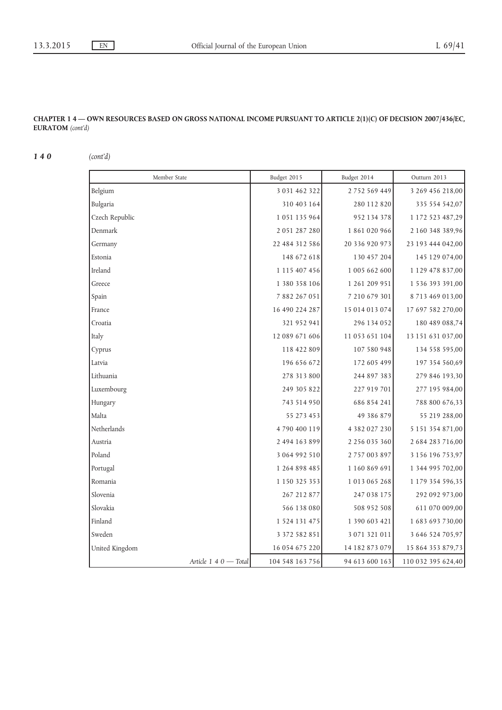## CHAPTER 1 4 — OWN RESOURCES BASED ON GROSS NATIONAL INCOME PURSUANT TO ARTICLE 2(1)(C) OF DECISION 2007/436/EC, EURATOM (cont'd)

140 (cont'd)

| Member State            | Budget 2015         | Budget 2014         | Outturn 2013            |
|-------------------------|---------------------|---------------------|-------------------------|
| Belgium                 | 3 0 3 1 4 6 2 3 2 2 | 2 7 5 2 5 6 9 4 4 9 | 3 269 456 218,00        |
| Bulgaria                | 310 403 164         | 280 112 820         | 335 554 542,07          |
| Czech Republic          | 1 051 135 964       | 952 134 378         | 1 172 523 487,29        |
| Denmark                 | 2051287280          | 1 861 020 966       | 2 160 348 389,96        |
| Germany                 | 22 484 312 586      | 20 336 920 973      | 23 193 444 042,00       |
| Estonia                 | 148 672 618         | 130 457 204         | 145 129 074,00          |
| Ireland                 | 1 115 407 456       | 1 005 662 600       | 1 1 29 4 78 8 3 7,00    |
| Greece                  | 1 380 358 106       | 1 261 209 951       | 1 536 393 391,00        |
| Spain                   | 7 882 267 051       | 7 210 679 301       | 8 713 469 013,00        |
| France                  | 16 490 224 287      | 15 014 013 074      | 17 697 582 270,00       |
| Croatia                 | 321 952 941         | 296 134 052         | 180 489 088,74          |
| Italy                   | 12 089 671 606      | 11 053 651 104      | 13 151 631 037,00       |
| Cyprus                  | 118 422 809         | 107 580 948         | 134 558 595,00          |
| Latvia                  | 196 656 672         | 172 605 499         | 197 354 560,69          |
| Lithuania               | 278 313 800         | 244 897 383         | 279 846 193,30          |
| Luxembourg              | 249 305 822         | 227 919 701         | 277 195 984,00          |
| Hungary                 | 743 514 950         | 686 854 241         | 788 800 676,33          |
| Malta                   | 55 273 453          | 49 386 879          | 55 219 288,00           |
| Netherlands             | 4790400119          | 4 382 027 230       | 5 1 5 1 3 5 4 8 7 1 0 0 |
| Austria                 | 2 494 163 899       | 2 256 035 360       | 2 684 283 716,00        |
| Poland                  | 3 064 992 510       | 2757003897          | 3 156 196 753,97        |
| Portugal                | 1 264 898 485       | 1 160 869 691       | 1 344 995 702,00        |
| Romania                 | 1 1 5 0 3 2 5 3 5 3 | 1 013 065 268       | 1 179 354 596,35        |
| Slovenia                | 267 212 877         | 247 038 175         | 292 092 973,00          |
| Slovakia                | 566 138 080         | 508 952 508         | 611 070 009,00          |
| Finland                 | 1 5 2 4 1 3 1 4 7 5 | 1 390 603 421       | 1 683 693 730,00        |
| Sweden                  | 3 372 582 851       | 3 071 321 011       | 3 646 524 705,97        |
| United Kingdom          | 16 054 675 220      | 14 182 873 079      | 15 864 353 879,73       |
| Article $1\,40$ — Total | 104 548 163 756     | 94 613 600 163      | 110 032 395 624,40      |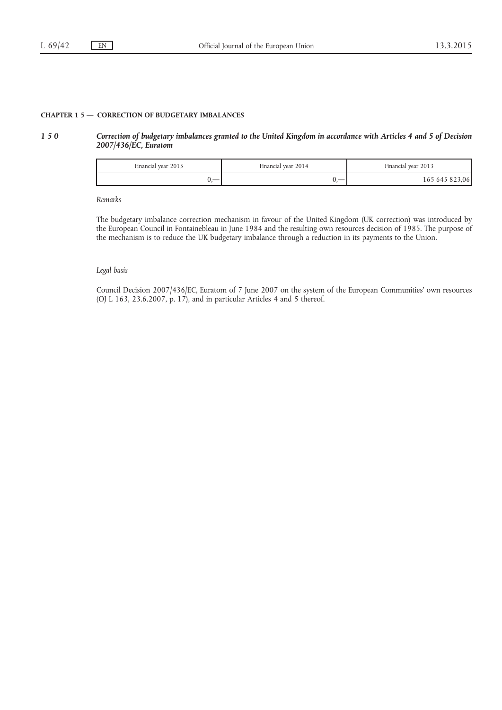## CHAPTER 1 5 — CORRECTION OF BUDGETARY IMBALANCES

### 1 5 0 Correction of budgetary imbalances granted to the United Kingdom in accordance with Articles 4 and 5 of Decision 2007/436/EC, Euratom

| Financial year 2015<br>Financial vear 2014 |                          | Financial vear 2013 |  |
|--------------------------------------------|--------------------------|---------------------|--|
| $\overline{\phantom{a}}$<br>v.             | $\overline{\phantom{a}}$ | 0.06<br>165 645 82? |  |

Remarks

The budgetary imbalance correction mechanism in favour of the United Kingdom (UK correction) was introduced by the European Council in Fontainebleau in June 1984 and the resulting own resources decision of 1985. The purpose of the mechanism is to reduce the UK budgetary imbalance through a reduction in its payments to the Union.

## Legal basis

Council Decision 2007/436/EC, Euratom of 7 June 2007 on the system of the European Communities' own resources (OJ L 163, 23.6.2007, p. 17), and in particular Articles 4 and 5 thereof.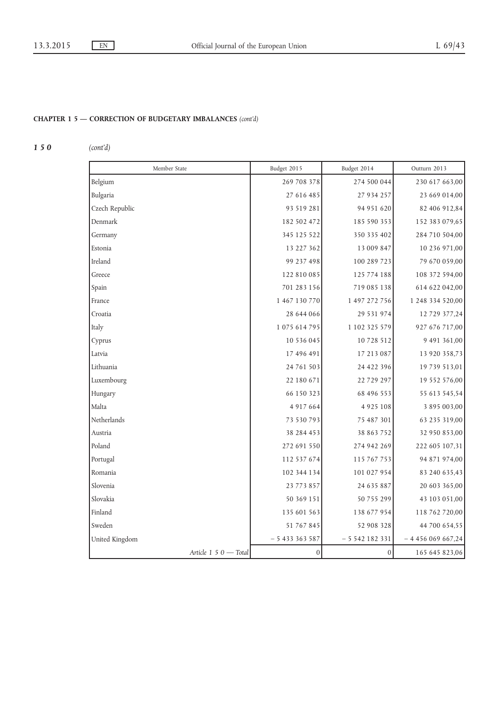## CHAPTER 1 5 - CORRECTION OF BUDGETARY IMBALANCES (cont'd)

150 (cont'd)

| Member State            | Budget 2015   | Budget 2014   | Outturn 2013     |
|-------------------------|---------------|---------------|------------------|
| Belgium                 | 269 708 378   | 274 500 044   | 230 617 663,00   |
| Bulgaria                | 27 616 485    | 27 934 257    | 23 669 014,00    |
| Czech Republic          | 93 519 281    | 94 951 620    | 82 406 912,84    |
| Denmark                 | 182 502 472   | 185 590 353   | 152 383 079,65   |
| Germany                 | 345 125 522   | 350 335 402   | 284 710 504,00   |
| Estonia                 | 13 227 362    | 13 009 847    | 10 236 971,00    |
| Ireland                 | 99 237 498    | 100 289 723   | 79 670 059,00    |
| Greece                  | 122 810 085   | 125 774 188   | 108 372 594,00   |
| Spain                   | 701 283 156   | 719 085 138   | 614 622 042,00   |
| France                  | 1 467 130 770 | 1 497 272 756 | 1 248 334 520,00 |
| Croatia                 | 28 644 066    | 29 531 974    | 12 729 377,24    |
| Italy                   | 1 075 614 795 | 1 102 325 579 | 927 676 717,00   |
| Cyprus                  | 10 536 045    | 10 728 512    | 9 491 361,00     |
| Latvia                  | 17 496 491    | 17 213 087    | 13 920 358,73    |
| Lithuania               | 24 761 503    | 24 422 396    | 19 739 513,01    |
| Luxembourg              | 22 180 671    | 22 7 29 29 7  | 19 552 576,00    |
| Hungary                 | 66 150 323    | 68 496 553    | 55 613 545,54    |
| Malta                   | 4 9 1 7 6 6 4 | 4 9 2 5 1 0 8 | 3 895 003,00     |
| Netherlands             | 73 530 793    | 75 487 301    | 63 235 319,00    |
| Austria                 | 38 284 453    | 38 863 752    | 32 950 853,00    |
| Poland                  | 272 691 550   | 274 942 269   | 222 605 107,31   |
| Portugal                | 112 537 674   | 115 767 753   | 94 871 974,00    |
| Romania                 | 102 344 134   | 101 027 954   | 83 240 635,43    |
| Slovenia                | 23 773 857    | 24 635 887    | 20 603 365,00    |
| Slovakia                | 50 369 151    | 50 755 299    | 43 103 051,00    |
| Finland                 | 135 601 563   | 138 677 954   | 118 762 720,00   |
| Sweden                  | 51 767 845    | 52 908 328    | 44 700 654,55    |
| United Kingdom          | $-5433363587$ | $-5542182331$ | $-4456069667,24$ |
| Article $1 5 0$ - Total | $\mathbf{0}$  | $\theta$      | 165 645 823,06   |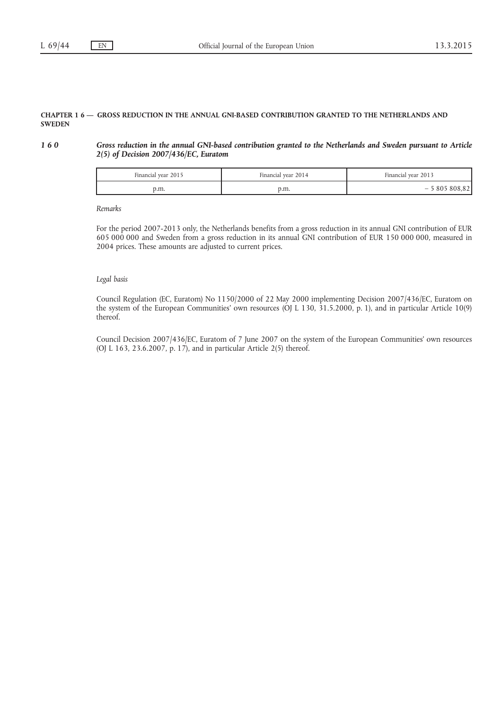## CHAPTER 1 6 — GROSS REDUCTION IN THE ANNUAL GNI-BASED CONTRIBUTION GRANTED TO THE NETHERLANDS AND SWEDEN

## 1 6 0 Gross reduction in the annual GNI-based contribution granted to the Netherlands and Sweden pursuant to Article 2(5) of Decision 2007/436/EC, Euratom

| Financial year 2015 | Financial vear 2014 | Financial vear 2013                      |
|---------------------|---------------------|------------------------------------------|
| p.m.                | p.m.                | 5 805 808,82<br>$\overline{\phantom{0}}$ |

Remarks

For the period 2007-2013 only, the Netherlands benefits from a gross reduction in its annual GNI contribution of EUR 605 000 000 and Sweden from a gross reduction in its annual GNI contribution of EUR 150 000 000, measured in 2004 prices. These amounts are adjusted to current prices.

#### Legal basis

Council Regulation (EC, Euratom) No 1150/2000 of 22 May 2000 implementing Decision 2007/436/EC, Euratom on the system of the European Communities' own resources (OJ L 130, 31.5.2000, p. 1), and in particular Article 10(9) thereof.

Council Decision 2007/436/EC, Euratom of 7 June 2007 on the system of the European Communities' own resources (OJ L 163, 23.6.2007, p. 17), and in particular Article 2(5) thereof.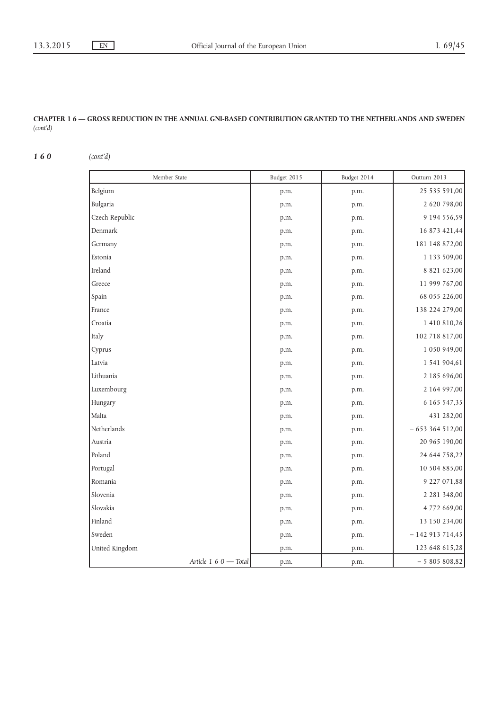## CHAPTER 1 6 — GROSS REDUCTION IN THE ANNUAL GNI-BASED CONTRIBUTION GRANTED TO THE NETHERLANDS AND SWEDEN (cont'd)

160 (cont'd)

| Member State          | Budget 2015 | Budget 2014 | Outturn 2013        |
|-----------------------|-------------|-------------|---------------------|
| Belgium               | p.m.        | p.m.        | 25 535 591,00       |
| Bulgaria              | p.m.        | p.m.        | 2 620 798,00        |
| Czech Republic        | p.m.        | p.m.        | 9 194 556,59        |
| Denmark               | p.m.        | p.m.        | 16 873 421,44       |
| Germany               | p.m.        | p.m.        | 181 148 872,00      |
| Estonia               | p.m.        | p.m.        | 1 1 3 5 5 0 9 , 0 0 |
| Ireland               | p.m.        | p.m.        | 8 8 2 1 6 2 3 , 0 0 |
| Greece                | p.m.        | p.m.        | 11 999 767,00       |
| Spain                 | p.m.        | p.m.        | 68 055 226,00       |
| France                | p.m.        | p.m.        | 138 224 279,00      |
| Croatia               | p.m.        | p.m.        | 1 410 810,26        |
| Italy                 | p.m.        | p.m.        | 102 718 817,00      |
| Cyprus                | p.m.        | p.m.        | 1 050 949,00        |
| Latvia                | p.m.        | p.m.        | 1 541 904,61        |
| Lithuania             | p.m.        | p.m.        | 2 185 696,00        |
| Luxembourg            | p.m.        | p.m.        | 2 164 997,00        |
| Hungary               | p.m.        | p.m.        | 6 165 547,35        |
| Malta                 | p.m.        | p.m.        | 431 282,00          |
| Netherlands           | p.m.        | p.m.        | $-653364512,00$     |
| Austria               | p.m.        | p.m.        | 20 965 190,00       |
| Poland                | p.m.        | p.m.        | 24 644 758,22       |
| Portugal              | p.m.        | p.m.        | 10 504 885,00       |
| Romania               | p.m.        | p.m.        | 9 227 071,88        |
| Slovenia              | p.m.        | p.m.        | 2 2 8 1 3 4 8 , 0 0 |
| Slovakia              | p.m.        | p.m.        | 4 772 669,00        |
| Finland               | p.m.        | p.m.        | 13 150 234,00       |
| Sweden                | p.m.        | p.m.        | $-142913714,45$     |
| United Kingdom        | p.m.        | p.m.        | 123 648 615,28      |
| Article 1 6 0 - Total | p.m.        | p.m.        | $-5805808,82$       |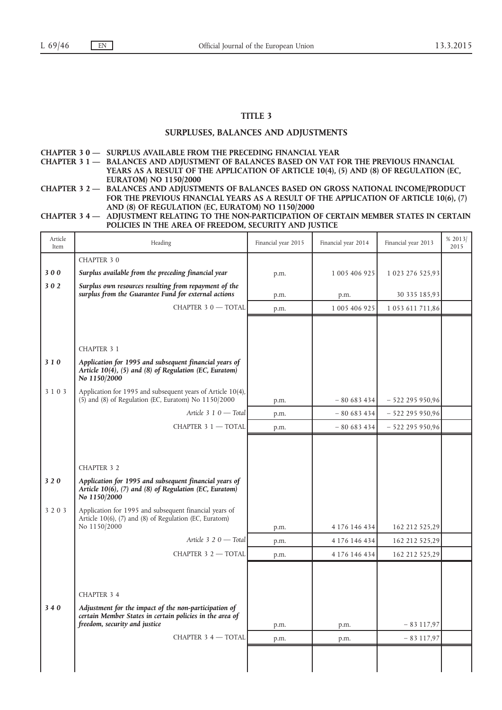г

h

## TITLE 3

## SURPLUSES, BALANCES AND ADJUSTMENTS

- CHAPTER 3 0 SURPLUS AVAILABLE FROM THE PRECEDING FINANCIAL YEAR
- CHAPTER 3 1 BALANCES AND ADJUSTMENT OF BALANCES BASED ON VAT FOR THE PREVIOUS FINANCIAL YEARS AS A RESULT OF THE APPLICATION OF ARTICLE 10(4), (5) AND (8) OF REGULATION (EC, EURATOM) NO 1150/2000
- CHAPTER 3 2 BALANCES AND ADJUSTMENTS OF BALANCES BASED ON GROSS NATIONAL INCOME/PRODUCT FOR THE PREVIOUS FINANCIAL YEARS AS A RESULT OF THE APPLICATION OF ARTICLE 10(6), (7) AND (8) OF REGULATION (EC, EURATOM) NO 1150/2000

### CHAPTER 3 4 — ADJUSTMENT RELATING TO THE NON-PARTICIPATION OF CERTAIN MEMBER STATES IN CERTAIN POLICIES IN THE AREA OF FREEDOM, SECURITY AND JUSTICE

| Article<br>Item | Heading                                                                                                                                            | Financial year 2015 | Financial year 2014 | Financial year 2013 | % 2013/<br>2015 |
|-----------------|----------------------------------------------------------------------------------------------------------------------------------------------------|---------------------|---------------------|---------------------|-----------------|
|                 | <b>CHAPTER 30</b>                                                                                                                                  |                     |                     |                     |                 |
| 300             | Surplus available from the preceding financial year                                                                                                | p.m.                | 1 005 406 925       | 1 023 276 525,93    |                 |
| 302             | Surplus own resources resulting from repayment of the<br>surplus from the Guarantee Fund for external actions                                      | p.m.                | p.m.                | 30 335 185,93       |                 |
|                 | CHAPTER 3 0 - TOTAL                                                                                                                                | p.m.                | 1 005 406 925       | 1 053 611 711,86    |                 |
|                 |                                                                                                                                                    |                     |                     |                     |                 |
|                 |                                                                                                                                                    |                     |                     |                     |                 |
|                 | <b>CHAPTER 3 1</b>                                                                                                                                 |                     |                     |                     |                 |
| 310             | Application for 1995 and subsequent financial years of<br>Article 10(4), (5) and (8) of Regulation (EC, Euratom)<br>No 1150/2000                   |                     |                     |                     |                 |
| 3 1 0 3         | Application for 1995 and subsequent years of Article 10(4),<br>$(5)$ and $(8)$ of Regulation (EC, Euratom) No $1150/2000$                          | p.m.                | $-80683434$         | $-522295950,96$     |                 |
|                 | Article $3\ 1\ 0$ - Total                                                                                                                          | p.m.                | $-80683434$         | $-522295950,96$     |                 |
|                 | CHAPTER 3 1 - TOTAL                                                                                                                                | p.m.                | $-80683434$         | $-522295950,96$     |                 |
|                 |                                                                                                                                                    |                     |                     |                     |                 |
|                 |                                                                                                                                                    |                     |                     |                     |                 |
|                 | <b>CHAPTER 3 2</b>                                                                                                                                 |                     |                     |                     |                 |
| 320             | Application for 1995 and subsequent financial years of<br>Article 10(6), (7) and (8) of Regulation (EC, Euratom)<br>No 1150/2000                   |                     |                     |                     |                 |
| 3 2 0 3         | Application for 1995 and subsequent financial years of                                                                                             |                     |                     |                     |                 |
|                 | Article 10(6), (7) and (8) of Regulation (EC, Euratom)<br>No 1150/2000                                                                             | p.m.                | 4 176 146 434       | 162 212 525,29      |                 |
|                 | Article $3\ 2\ 0$ — Total                                                                                                                          | p.m.                | 4 176 146 434       | 162 212 525,29      |                 |
|                 | CHAPTER 3 2 - TOTAL                                                                                                                                | p.m.                | 4 176 146 434       | 162 212 525,29      |                 |
|                 |                                                                                                                                                    |                     |                     |                     |                 |
|                 |                                                                                                                                                    |                     |                     |                     |                 |
|                 | <b>CHAPTER 3 4</b>                                                                                                                                 |                     |                     |                     |                 |
| $340$           | Adjustment for the impact of the non-participation of<br>certain Member States in certain policies in the area of<br>freedom, security and justice | p.m.                | p.m.                | $-83117,97$         |                 |
|                 | CHAPTER 3 4 - TOTAL                                                                                                                                | p.m.                | p.m.                | $-83117,97$         |                 |
|                 |                                                                                                                                                    |                     |                     |                     |                 |
|                 |                                                                                                                                                    |                     |                     |                     |                 |
|                 |                                                                                                                                                    |                     |                     |                     |                 |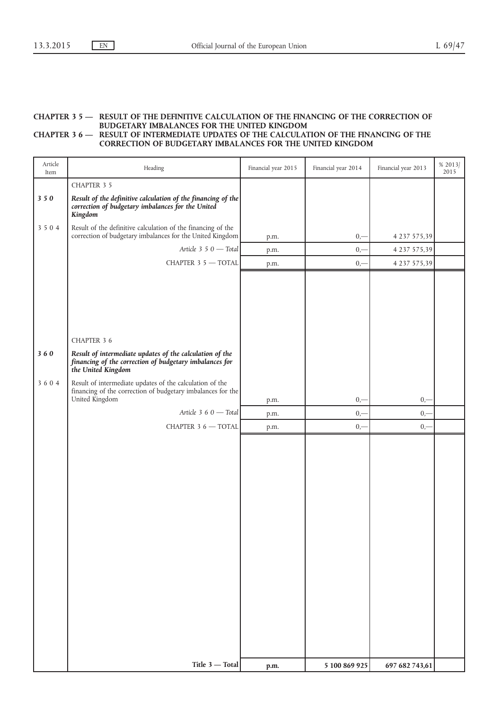#### CHAPTER 3 5 — RESULT OF THE DEFINITIVE CALCULATION OF THE FINANCING OF THE CORRECTION OF BUDGETARY IMBALANCES FOR THE UNITED KINGDOM CHAPTER 3 6 — RESULT OF INTERMEDIATE UPDATES OF THE CALCULATION OF THE FINANCING OF THE CORRECTION OF BUDGETARY IMBALANCES FOR THE UNITED KINGDOM

| Article<br>Item | Heading                                                                                                                                   | Financial year 2015 | Financial year 2014 | Financial year 2013 | % 2013/<br>2015 |
|-----------------|-------------------------------------------------------------------------------------------------------------------------------------------|---------------------|---------------------|---------------------|-----------------|
|                 | CHAPTER 3 5                                                                                                                               |                     |                     |                     |                 |
| 350             | Result of the definitive calculation of the financing of the<br>correction of budgetary imbalances for the United<br>Kingdom              |                     |                     |                     |                 |
| 3 5 0 4         | Result of the definitive calculation of the financing of the<br>correction of budgetary imbalances for the United Kingdom                 | p.m.                | $0, -$              | 4 2 3 7 5 7 5 , 3 9 |                 |
|                 | Article 3 5 0 - Total                                                                                                                     | p.m.                | $0, -$              | 4 237 575,39        |                 |
|                 | CHAPTER 3 $5-$ TOTAL                                                                                                                      | p.m.                | $0, -$              | 4 237 575,39        |                 |
|                 |                                                                                                                                           |                     |                     |                     |                 |
|                 | CHAPTER 3 6                                                                                                                               |                     |                     |                     |                 |
| 360             | Result of intermediate updates of the calculation of the<br>financing of the correction of budgetary imbalances for<br>the United Kingdom |                     |                     |                     |                 |
| 3604            | Result of intermediate updates of the calculation of the<br>financing of the correction of budgetary imbalances for the<br>United Kingdom | p.m.                | $0, -$              | $0, -$              |                 |
|                 | Article 3 6 $0$ - Total                                                                                                                   | p.m.                | $0, -$              | $0, -$              |                 |
|                 | CHAPTER 3 6 - TOTAL                                                                                                                       | p.m.                | $0, -$              | $0, -$              |                 |
|                 |                                                                                                                                           |                     |                     |                     |                 |
|                 | Title 3 - Total                                                                                                                           | p.m.                | 5 100 869 925       | 697 682 743,61      |                 |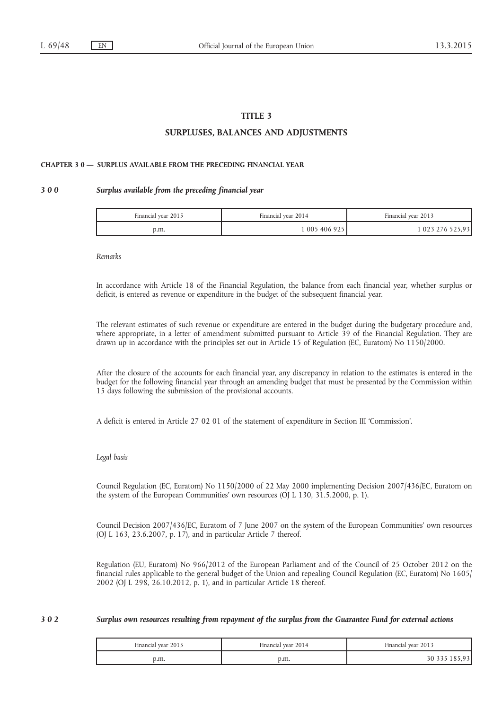## TITLE 3

## SURPLUSES, BALANCES AND ADJUSTMENTS

#### CHAPTER 3 0 — SURPLUS AVAILABLE FROM THE PRECEDING FINANCIAL YEAR

## 3 0 0 Surplus available from the preceding financial year

| Financial year 2015 | Financial year 2014 | Financial year 2013 |
|---------------------|---------------------|---------------------|
| p.m.                | 005 406 925         | $2/6$ 52.           |

#### Remarks

In accordance with Article 18 of the Financial Regulation, the balance from each financial year, whether surplus or deficit, is entered as revenue or expenditure in the budget of the subsequent financial year.

The relevant estimates of such revenue or expenditure are entered in the budget during the budgetary procedure and, where appropriate, in a letter of amendment submitted pursuant to Article 39 of the Financial Regulation. They are drawn up in accordance with the principles set out in Article 15 of Regulation (EC, Euratom) No 1150/2000.

After the closure of the accounts for each financial year, any discrepancy in relation to the estimates is entered in the budget for the following financial year through an amending budget that must be presented by the Commission within 15 days following the submission of the provisional accounts.

A deficit is entered in Article 27 02 01 of the statement of expenditure in Section III 'Commission'.

#### Legal basis

Council Regulation (EC, Euratom) No 1150/2000 of 22 May 2000 implementing Decision 2007/436/EC, Euratom on the system of the European Communities' own resources (OJ L 130, 31.5.2000, p. 1).

Council Decision 2007/436/EC, Euratom of 7 June 2007 on the system of the European Communities' own resources (OJ L 163, 23.6.2007, p. 17), and in particular Article 7 thereof.

Regulation (EU, Euratom) No 966/2012 of the European Parliament and of the Council of 25 October 2012 on the financial rules applicable to the general budget of the Union and repealing Council Regulation (EC, Euratom) No 1605/ 2002 (OJ L 298, 26.10.2012, p. 1), and in particular Article 18 thereof.

#### 3 0 2 Surplus own resources resulting from repayment of the surplus from the Guarantee Fund for external actions

| Financial vear 2015 | Financial vear 2014 | Financial vear 2013 |
|---------------------|---------------------|---------------------|
| p.m.                | p.m.                |                     |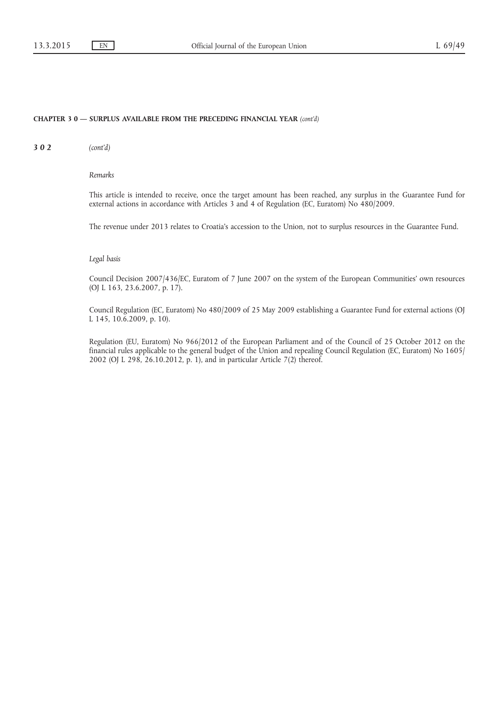#### CHAPTER 3 0 — SURPLUS AVAILABLE FROM THE PRECEDING FINANCIAL YEAR (cont'd)

302 (cont'd)

Remarks

This article is intended to receive, once the target amount has been reached, any surplus in the Guarantee Fund for external actions in accordance with Articles 3 and 4 of Regulation (EC, Euratom) No 480/2009.

The revenue under 2013 relates to Croatia's accession to the Union, not to surplus resources in the Guarantee Fund.

#### Legal basis

Council Decision 2007/436/EC, Euratom of 7 June 2007 on the system of the European Communities' own resources (OJ L 163, 23.6.2007, p. 17).

Council Regulation (EC, Euratom) No 480/2009 of 25 May 2009 establishing a Guarantee Fund for external actions (OJ L 145, 10.6.2009, p. 10).

Regulation (EU, Euratom) No 966/2012 of the European Parliament and of the Council of 25 October 2012 on the financial rules applicable to the general budget of the Union and repealing Council Regulation (EC, Euratom) No 1605/ 2002 (OJ L 298, 26.10.2012, p. 1), and in particular Article 7(2) thereof.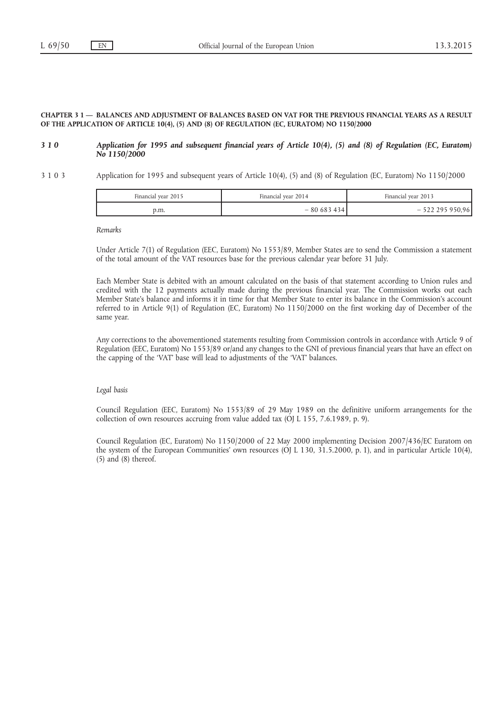#### CHAPTER 3 1 — BALANCES AND ADJUSTMENT OF BALANCES BASED ON VAT FOR THE PREVIOUS FINANCIAL YEARS AS A RESULT OF THE APPLICATION OF ARTICLE 10(4), (5) AND (8) OF REGULATION (EC, EURATOM) NO 1150/2000

#### 3 1 0 Application for 1995 and subsequent financial years of Article 10(4), (5) and (8) of Regulation (EC, Euratom) No 1150/2000

3 1 0 3 Application for 1995 and subsequent years of Article 10(4), (5) and (8) of Regulation (EC, Euratom) No 1150/2000

| Financial year 2015 | Financial year 2014 | Financial year 2013  |
|---------------------|---------------------|----------------------|
| p.m.                | $-80683$            | 522 295 956<br>$-$ 5 |

Remarks

Under Article 7(1) of Regulation (EEC, Euratom) No 1553/89, Member States are to send the Commission a statement of the total amount of the VAT resources base for the previous calendar year before 31 July.

Each Member State is debited with an amount calculated on the basis of that statement according to Union rules and credited with the 12 payments actually made during the previous financial year. The Commission works out each Member State's balance and informs it in time for that Member State to enter its balance in the Commission's account referred to in Article 9(1) of Regulation (EC, Euratom) No 1150/2000 on the first working day of December of the same year.

Any corrections to the abovementioned statements resulting from Commission controls in accordance with Article 9 of Regulation (EEC, Euratom) No 1553/89 or/and any changes to the GNI of previous financial years that have an effect on the capping of the 'VAT' base will lead to adjustments of the 'VAT' balances.

#### Legal basis

Council Regulation (EEC, Euratom) No 1553/89 of 29 May 1989 on the definitive uniform arrangements for the collection of own resources accruing from value added tax (OJ L 155, 7.6.1989, p. 9).

Council Regulation (EC, Euratom) No 1150/2000 of 22 May 2000 implementing Decision 2007/436/EC Euratom on the system of the European Communities' own resources (OJ L 130, 31.5.2000, p. 1), and in particular Article 10(4), (5) and (8) thereof.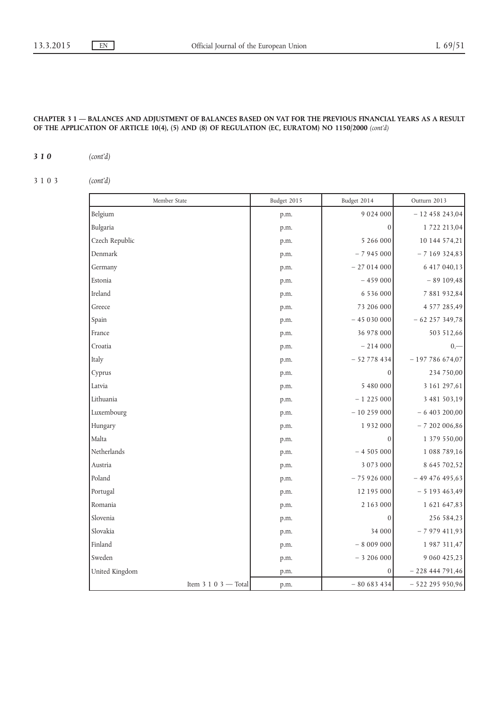# CHAPTER 3 1 — BALANCES AND ADJUSTMENT OF BALANCES BASED ON VAT FOR THE PREVIOUS FINANCIAL YEARS AS A RESULT OF THE APPLICATION OF ARTICLE 10(4), (5) AND (8) OF REGULATION (EC, EURATOM) NO 1150/2000 (cont'd)

## 310 (cont'd)

3103 (cont'd)

| Member State         | Budget 2015 | Budget 2014      | Outturn 2013     |
|----------------------|-------------|------------------|------------------|
| Belgium              | p.m.        | 9 0 2 4 0 0 0    | $-12458243,04$   |
| Bulgaria             | p.m.        | $\boldsymbol{0}$ | 1 722 213,04     |
| Czech Republic       | p.m.        | 5 266 000        | 10 144 574,21    |
| Denmark              | p.m.        | $-7945000$       | $-7169324,83$    |
| Germany              | p.m.        | $-27014000$      | 6 417 040,13     |
| Estonia              | p.m.        | $-459000$        | $-89109,48$      |
| Ireland              | p.m.        | 6 5 3 6 0 0 0    | 7 881 932,84     |
| Greece               | p.m.        | 73 206 000       | 4 577 285,49     |
| Spain                | p.m.        | $-45030000$      | $-62$ 257 349,78 |
| France               | p.m.        | 36 978 000       | 503 512,66       |
| Croatia              | p.m.        | $-214000$        | $_{0,-}$         |
| Italy                | p.m.        | $-52778434$      | $-197786674,07$  |
| Cyprus               | p.m.        | 0                | 234 750,00       |
| Latvia               | p.m.        | 5 480 000        | 3 161 297,61     |
| Lithuania            | p.m.        | $-1225000$       | 3 481 503,19     |
| Luxembourg           | p.m.        | $-10259000$      | $-6403200,00$    |
| Hungary              | p.m.        | 1932000          | $-7202006,86$    |
| Malta                | p.m.        | $\mathbf{0}$     | 1 379 550,00     |
| Netherlands          | p.m.        | $-4505000$       | 1 088 789,16     |
| Austria              | p.m.        | 3 0 7 3 0 0 0    | 8 645 702,52     |
| Poland               | p.m.        | $-75926000$      | $-49476495,63$   |
| Portugal             | p.m.        | 12 195 000       | $-5193463,49$    |
| Romania              | p.m.        | 2 163 000        | 1 621 647,83     |
| Slovenia             | p.m.        | $\boldsymbol{0}$ | 256 584,23       |
| Slovakia             | p.m.        | 34 000           | $-7979411,93$    |
| Finland              | p.m.        | $-8009000$       | 1 987 311,47     |
| Sweden               | p.m.        | $-3206000$       | 9 060 425,23     |
| United Kingdom       | p.m.        | $\mathbf{0}$     | $-228444791,46$  |
| Item 3 1 0 3 - Total | p.m.        | $-80683434$      | $-522295950,96$  |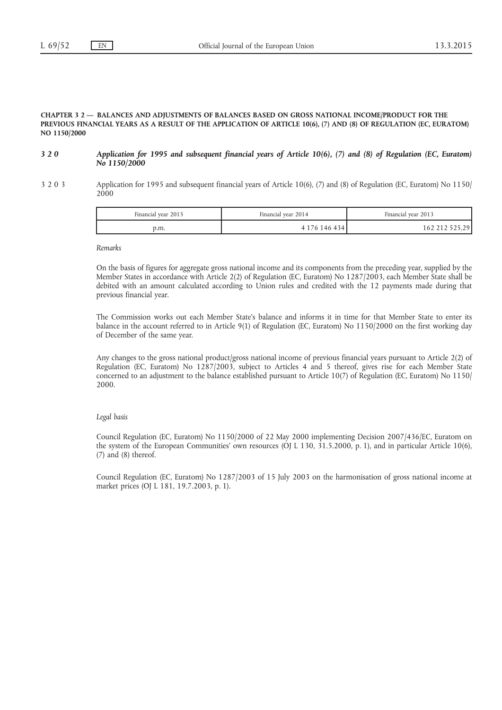#### CHAPTER 3 2 — BALANCES AND ADJUSTMENTS OF BALANCES BASED ON GROSS NATIONAL INCOME/PRODUCT FOR THE PREVIOUS FINANCIAL YEARS AS A RESULT OF THE APPLICATION OF ARTICLE 10(6), (7) AND (8) OF REGULATION (EC, EURATOM) NO 1150/2000

#### 3 2 0 Application for 1995 and subsequent financial years of Article 10(6), (7) and (8) of Regulation (EC, Euratom) No 1150/2000

#### 3 2 0 3 Application for 1995 and subsequent financial years of Article 10(6), (7) and (8) of Regulation (EC, Euratom) No 1150/ 2000

| Financial year 2015 | Financial year 2014 | Financial year 2013 |
|---------------------|---------------------|---------------------|
| p.m.                | 4 176 146 434       | 162 212 525,29      |

Remarks

On the basis of figures for aggregate gross national income and its components from the preceding year, supplied by the Member States in accordance with Article 2(2) of Regulation (EC, Euratom) No 1287/2003, each Member State shall be debited with an amount calculated according to Union rules and credited with the 12 payments made during that previous financial year.

The Commission works out each Member State's balance and informs it in time for that Member State to enter its balance in the account referred to in Article 9(1) of Regulation (EC, Euratom) No 1150/2000 on the first working day of December of the same year.

Any changes to the gross national product/gross national income of previous financial years pursuant to Article 2(2) of Regulation (EC, Euratom) No 1287/2003, subject to Articles 4 and 5 thereof, gives rise for each Member State concerned to an adjustment to the balance established pursuant to Article 10(7) of Regulation (EC, Euratom) No 1150/ 2000.

#### Legal basis

Council Regulation (EC, Euratom) No 1150/2000 of 22 May 2000 implementing Decision 2007/436/EC, Euratom on the system of the European Communities' own resources (OJ L 130, 31.5.2000, p. 1), and in particular Article 10(6), (7) and (8) thereof.

Council Regulation (EC, Euratom) No 1287/2003 of 15 July 2003 on the harmonisation of gross national income at market prices (OJ L 181, 19.7.2003, p. 1).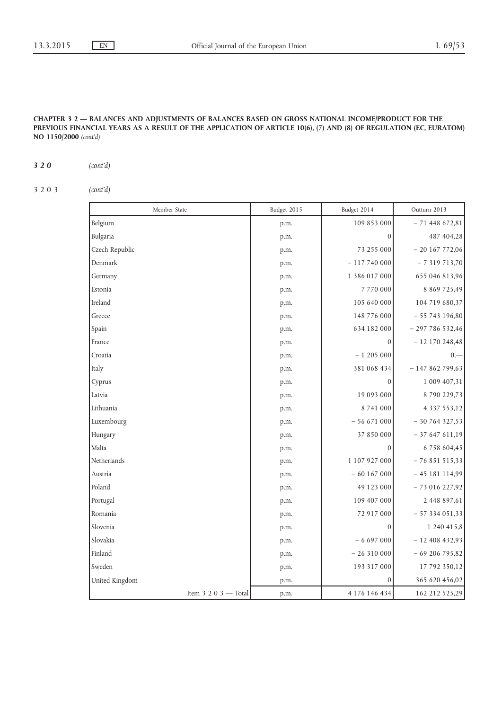## CHAPTER 3 2 — BALANCES AND ADJUSTMENTS OF BALANCES BASED ON GROSS NATIONAL INCOME/PRODUCT FOR THE PREVIOUS FINANCIAL YEARS AS A RESULT OF THE APPLICATION OF ARTICLE 10(6), (7) AND (8) OF REGULATION (EC, EURATOM) NO 1150/2000 (cont'd)

## 320 (cont'd)

3203 (cont'd)

| Member State         | Budget 2015 | Budget 2014    | Outturn 2013        |
|----------------------|-------------|----------------|---------------------|
| Belgium              | p.m.        | 109 853 000    | $-71448672,81$      |
| Bulgaria             | p.m.        | $\theta$       | 487 404,28          |
| Czech Republic       | p.m.        | 73 255 000     | $-20167772,06$      |
| Denmark              | p.m.        | $-117740000$   | $-7319713,70$       |
| Germany              | p.m.        | 1 386 017 000  | 655 046 813,96      |
| Estonia              | p.m.        | 7 770 000      | 8 8 6 9 7 2 5 , 4 9 |
| Ireland              | p.m.        | 105 640 000    | 104 719 680,37      |
| Greece               | p.m.        | 148 776 000    | $-55743196,80$      |
| Spain                | p.m.        | 634 182 000    | $-297786532,46$     |
| France               | p.m.        | $\overline{0}$ | $-12170248,48$      |
| Croatia              | p.m.        | $-1205000$     | $0, -$              |
| Italy                | p.m.        | 381 068 434    | $-14786279963$      |
| Cyprus               | p.m.        | $\overline{0}$ | 1 009 407,31        |
| Latvia               | p.m.        | 19 093 000     | 8 790 229,73        |
| Lithuania            | p.m.        | 8 741 000      | 4 3 3 7 5 5 3 , 1 2 |
| Luxembourg           | p.m.        | $-56671000$    | $-30764327,53$      |
| Hungary              | p.m.        | 37 850 000     | $-37647611,19$      |
| Malta                | p.m.        | $\overline{0}$ | 6 758 604,45        |
| Netherlands          | p.m.        | 1 107 927 000  | $-76851515,33$      |
| Austria              | p.m.        | $-60$ 167 000  | $-45181114,99$      |
| Poland               | p.m.        | 49 123 000     | $-73016227,92$      |
| Portugal             | p.m.        | 109 407 000    | 2 448 897,61        |
| Romania              | p.m.        | 72 917 000     | $-57334051,33$      |
| Slovenia             | p.m.        | $\overline{0}$ | 1 240 415,8         |
| Slovakia             | p.m.        | $-6697000$     | $-12408432,93$      |
| Finland              | p.m.        | $-26310000$    | $-69206795,82$      |
| Sweden               | p.m.        | 193 317 000    | 17 792 350,12       |
| United Kingdom       | p.m.        | 0              | 365 620 456,02      |
| Item 3 2 0 3 - Total | p.m.        | 4 176 146 434  | 162 212 525,29      |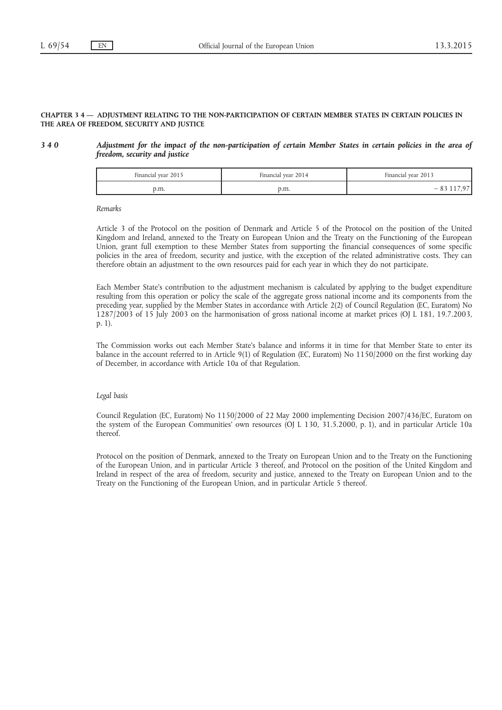#### CHAPTER 3 4 — ADJUSTMENT RELATING TO THE NON-PARTICIPATION OF CERTAIN MEMBER STATES IN CERTAIN POLICIES IN THE AREA OF FREEDOM, SECURITY AND JUSTICE

#### 3 4 0 Adjustment for the impact of the non-participation of certain Member States in certain policies in the area of freedom, security and justice

| Financial year 2015 | Financial vear 2014 | Financial year 2013      |
|---------------------|---------------------|--------------------------|
| o.m.                | p.m.                | $\overline{\phantom{a}}$ |

Remarks

Article 3 of the Protocol on the position of Denmark and Article 5 of the Protocol on the position of the United Kingdom and Ireland, annexed to the Treaty on European Union and the Treaty on the Functioning of the European Union, grant full exemption to these Member States from supporting the financial consequences of some specific policies in the area of freedom, security and justice, with the exception of the related administrative costs. They can therefore obtain an adjustment to the own resources paid for each year in which they do not participate.

Each Member State's contribution to the adjustment mechanism is calculated by applying to the budget expenditure resulting from this operation or policy the scale of the aggregate gross national income and its components from the preceding year, supplied by the Member States in accordance with Article 2(2) of Council Regulation (EC, Euratom) No 1287/2003 of 15 July 2003 on the harmonisation of gross national income at market prices (OJ L 181, 19.7.2003, p. 1).

The Commission works out each Member State's balance and informs it in time for that Member State to enter its balance in the account referred to in Article 9(1) of Regulation (EC, Euratom) No 1150/2000 on the first working day of December, in accordance with Article 10a of that Regulation.

#### Legal basis

Council Regulation (EC, Euratom) No 1150/2000 of 22 May 2000 implementing Decision 2007/436/EC, Euratom on the system of the European Communities' own resources (OJ L 130, 31.5.2000, p. 1), and in particular Article 10a thereof.

Protocol on the position of Denmark, annexed to the Treaty on European Union and to the Treaty on the Functioning of the European Union, and in particular Article 3 thereof, and Protocol on the position of the United Kingdom and Ireland in respect of the area of freedom, security and justice, annexed to the Treaty on European Union and to the Treaty on the Functioning of the European Union, and in particular Article 5 thereof.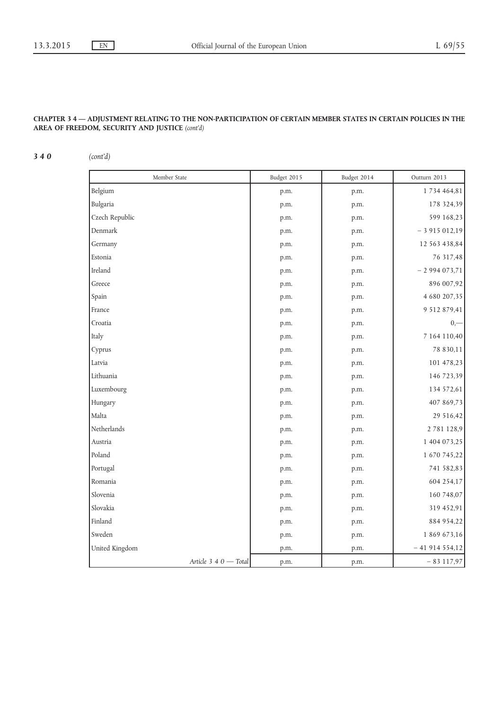# CHAPTER 3 4 — ADJUSTMENT RELATING TO THE NON-PARTICIPATION OF CERTAIN MEMBER STATES IN CERTAIN POLICIES IN THE AREA OF FREEDOM, SECURITY AND JUSTICE (cont'd)

340 (cont'd)

| Member State          | Budget 2015 | Budget 2014 | Outturn 2013   |
|-----------------------|-------------|-------------|----------------|
| Belgium               | p.m.        | p.m.        | 1 734 464,81   |
| Bulgaria              | p.m.        | p.m.        | 178 324,39     |
| Czech Republic        | p.m.        | p.m.        | 599 168,23     |
| Denmark               | p.m.        | p.m.        | $-3915012,19$  |
| Germany               | p.m.        | p.m.        | 12 563 438,84  |
| Estonia               | p.m.        | p.m.        | 76 317,48      |
| Ireland               | p.m.        | p.m.        | $-2994073,71$  |
| Greece                | p.m.        | p.m.        | 896 007,92     |
| Spain                 | p.m.        | p.m.        | 4 680 207,35   |
| France                | p.m.        | p.m.        | 9 512 879,41   |
| Croatia               | p.m.        | p.m.        | $0, -$         |
| Italy                 | p.m.        | p.m.        | 7 164 110,40   |
| Cyprus                | p.m.        | p.m.        | 78 830,11      |
| Latvia                | p.m.        | p.m.        | 101 478,23     |
| Lithuania             | p.m.        | p.m.        | 146 723,39     |
| Luxembourg            | p.m.        | p.m.        | 134 572,61     |
| Hungary               | p.m.        | p.m.        | 407 869,73     |
| Malta                 | p.m.        | p.m.        | 29 516,42      |
| Netherlands           | p.m.        | p.m.        | 2 781 128,9    |
| Austria               | p.m.        | p.m.        | 1 404 073,25   |
| Poland                | p.m.        | p.m.        | 1 670 745,22   |
| Portugal              | p.m.        | p.m.        | 741 582,83     |
| Romania               | p.m.        | p.m.        | 604 254,17     |
| Slovenia              | p.m.        | p.m.        | 160 748,07     |
| Slovakia              | p.m.        | p.m.        | 319 452,91     |
| Finland               | p.m.        | p.m.        | 884 954,22     |
| Sweden                | p.m.        | p.m.        | 1 869 673,16   |
| United Kingdom        | p.m.        | p.m.        | $-41914554,12$ |
| Article 3 4 0 - Total | p.m.        | p.m.        | $-83117,97$    |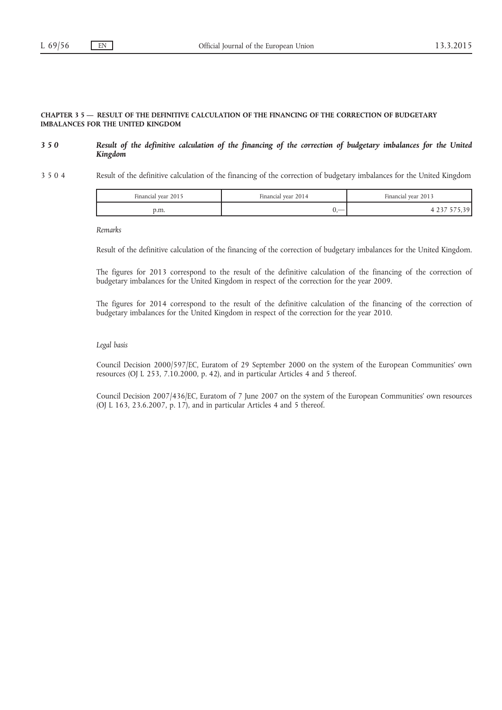## CHAPTER 3 5 — RESULT OF THE DEFINITIVE CALCULATION OF THE FINANCING OF THE CORRECTION OF BUDGETARY IMBALANCES FOR THE UNITED KINGDOM

### 3 5 0 Result of the definitive calculation of the financing of the correction of budgetary imbalances for the United Kingdom

3 5 0 4 Result of the definitive calculation of the financing of the correction of budgetary imbalances for the United Kingdom

| Financial year 2015 | Financial year 2014 | Financial year 2013 |
|---------------------|---------------------|---------------------|
| p.m.                | __                  |                     |

Remarks

Result of the definitive calculation of the financing of the correction of budgetary imbalances for the United Kingdom.

The figures for 2013 correspond to the result of the definitive calculation of the financing of the correction of budgetary imbalances for the United Kingdom in respect of the correction for the year 2009.

The figures for 2014 correspond to the result of the definitive calculation of the financing of the correction of budgetary imbalances for the United Kingdom in respect of the correction for the year 2010.

## Legal basis

Council Decision 2000/597/EC, Euratom of 29 September 2000 on the system of the European Communities' own resources (OJ L 253, 7.10.2000, p. 42), and in particular Articles 4 and 5 thereof.

Council Decision 2007/436/EC, Euratom of 7 June 2007 on the system of the European Communities' own resources (OJ L 163, 23.6.2007, p. 17), and in particular Articles 4 and 5 thereof.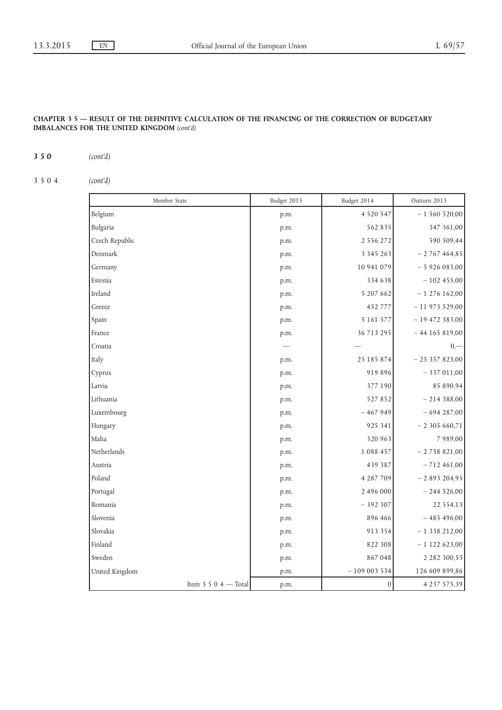# CHAPTER 3 5 — RESULT OF THE DEFINITIVE CALCULATION OF THE FINANCING OF THE CORRECTION OF BUDGETARY IMBALANCES FOR THE UNITED KINGDOM (cont'd)

350 (cont'd)

3504 (cont'd)

| Member State              | Budget 2015 | Budget 2014      | Outturn 2013        |
|---------------------------|-------------|------------------|---------------------|
| Belgium                   | p.m.        | 4 5 20 5 4 7     | $-1560520,00$       |
| Bulgaria                  | p.m.        | 562 835          | 347 361,00          |
| Czech Republic            | p.m.        | 2 5 5 6 2 7 2    | 590 509,44          |
| Denmark                   | p.m.        | 3 3 4 5 2 6 3    | $-2767464,85$       |
| Germany                   | p.m.        | 10 941 079       | $-5926083,00$       |
| Estonia                   | p.m.        | 334 638          | $-102455,00$        |
| Ireland                   | p.m.        | 5 207 662        | $-1276162,00$       |
| Greece                    | p.m.        | 452 777          | $-11973529,00$      |
| Spain                     | p.m.        | 5 1 6 1 5 7 7    | $-19472383,00$      |
| France                    | p.m.        | 36 713 295       | $-44165819,00$      |
| Croatia                   |             |                  | $0, -1$             |
| Italy                     | p.m.        | 25 185 874       | $-25357823,00$      |
| Cyprus                    | p.m.        | 919 896          | $-337011,00$        |
| Latvia                    | p.m.        | 377 190          | 85 890,94           |
| Lithuania                 | p.m.        | 527852           | $-214388,00$        |
| Luxembourg                | p.m.        | $-467949$        | $-694287,00$        |
| Hungary                   | p.m.        | 925 341          | $-2305660,71$       |
| Malta                     | p.m.        | 320 963          | 7 989,00            |
| Netherlands               | p.m.        | 1 0 8 8 4 5 7    | $-2758821,00$       |
| Austria                   | p.m.        | 439 387          | $-712461,00$        |
| Poland                    | p.m.        | 4 287 709        | $-2893204,95$       |
| Portugal                  | p.m.        | 2 496 000        | $-244526,00$        |
| Romania                   | p.m.        | $-392307$        | 22 554,13           |
| Slovenia                  | p.m.        | 896 466          | $-485496,00$        |
| Slovakia                  | p.m.        | 913 354          | $-1338212,00$       |
| Finland                   | p.m.        | 822 308          | $-1122623,00$       |
| Sweden                    | p.m.        | 867048           | 2 2 8 2 3 0 0 , 5 3 |
| United Kingdom            | p.m.        | $-109003534$     | 126 609 899,86      |
| Item $3\ 5\ 0\ 4$ — Total | p.m.        | $\boldsymbol{0}$ | 4 237 575,39        |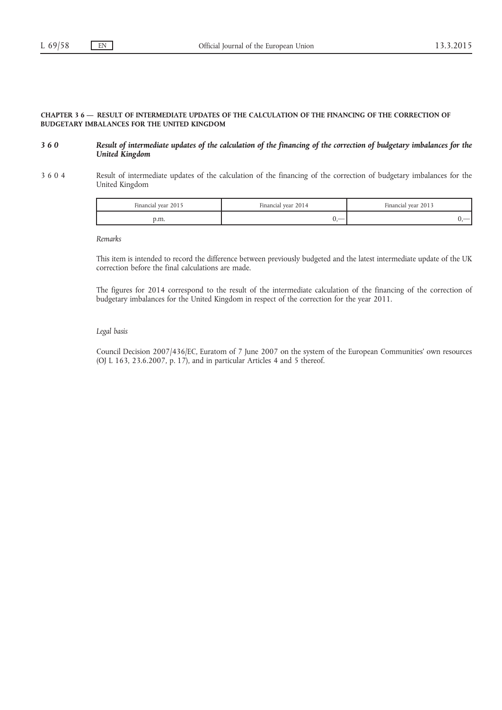## CHAPTER 3 6 — RESULT OF INTERMEDIATE UPDATES OF THE CALCULATION OF THE FINANCING OF THE CORRECTION OF BUDGETARY IMBALANCES FOR THE UNITED KINGDOM

#### 3 6 0 Result of intermediate updates of the calculation of the financing of the correction of budgetary imbalances for the United Kingdom

3 6 0 4 Result of intermediate updates of the calculation of the financing of the correction of budgetary imbalances for the United Kingdom

| Financial year 2015 | Financial vear 2014 | Financial year 2013 |
|---------------------|---------------------|---------------------|
| p.m.                |                     |                     |

Remarks

This item is intended to record the difference between previously budgeted and the latest intermediate update of the UK correction before the final calculations are made.

The figures for 2014 correspond to the result of the intermediate calculation of the financing of the correction of budgetary imbalances for the United Kingdom in respect of the correction for the year 2011.

# Legal basis

Council Decision 2007/436/EC, Euratom of 7 June 2007 on the system of the European Communities' own resources (OJ L 163, 23.6.2007, p. 17), and in particular Articles 4 and 5 thereof.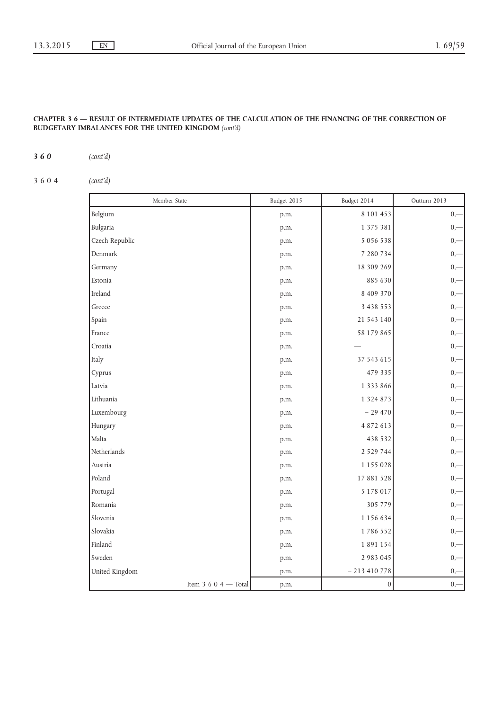# CHAPTER 3 6 — RESULT OF INTERMEDIATE UPDATES OF THE CALCULATION OF THE FINANCING OF THE CORRECTION OF BUDGETARY IMBALANCES FOR THE UNITED KINGDOM (cont'd)

360 (cont'd)

3604 (cont'd)

| Member State        | Budget 2015 | Budget 2014      | Outturn 2013 |
|---------------------|-------------|------------------|--------------|
| Belgium             | p.m.        | 8 101 453        | $0, -$       |
| Bulgaria            | p.m.        | 1 375 381        | $0, -$       |
| Czech Republic      | p.m.        | 5 0 5 6 5 3 8    | $0, -$       |
| Denmark             | p.m.        | 7 280 734        | $0, -$       |
| Germany             | p.m.        | 18 309 269       | $0, -$       |
| Estonia             | p.m.        | 885 630          | $0, -$       |
| Ireland             | p.m.        | 8 409 370        | $0, -$       |
| Greece              | p.m.        | 3 4 3 8 5 5 3    | $_{0,-}$     |
| Spain               | p.m.        | 21 543 140       | $0, -$       |
| France              | p.m.        | 58 179 865       | $0, -$       |
| Croatia             | p.m.        |                  | $0, -$       |
| Italy               | p.m.        | 37 543 615       | $0, -$       |
| Cyprus              | p.m.        | 479 335          | $0, -$       |
| Latvia              | p.m.        | 1 3 3 3 8 6 6    | $0, -$       |
| Lithuania           | p.m.        | 1 3 2 4 8 7 3    | $0, -$       |
| Luxembourg          | p.m.        | $-29470$         | $0, -$       |
| Hungary             | p.m.        | 4 872 613        | $_{0,-}$     |
| Malta               | p.m.        | 438 532          | $_{0,-}$     |
| Netherlands         | p.m.        | 2 5 2 9 7 4 4    | $0, -$       |
| Austria             | p.m.        | 1 1 5 5 0 2 8    | $0, -$       |
| Poland              | p.m.        | 17 881 528       | $0, -$       |
| Portugal            | p.m.        | 5 1 7 8 0 1 7    | $0, -$       |
| Romania             | p.m.        | 305 779          | $0, -$       |
| Slovenia            | p.m.        | 1 1 5 6 6 3 4    | $_{0,-}$     |
| Slovakia            | p.m.        | 1786 552         | $_{0,-}$     |
| Finland             | p.m.        | 1891154          | $0, -$       |
| Sweden              | p.m.        | 2 9 8 3 0 4 5    | $0, -$       |
| United Kingdom      | p.m.        | $-213410778$     | $0,-$        |
| Item $3604 - Total$ | p.m.        | $\boldsymbol{0}$ | $0, -$       |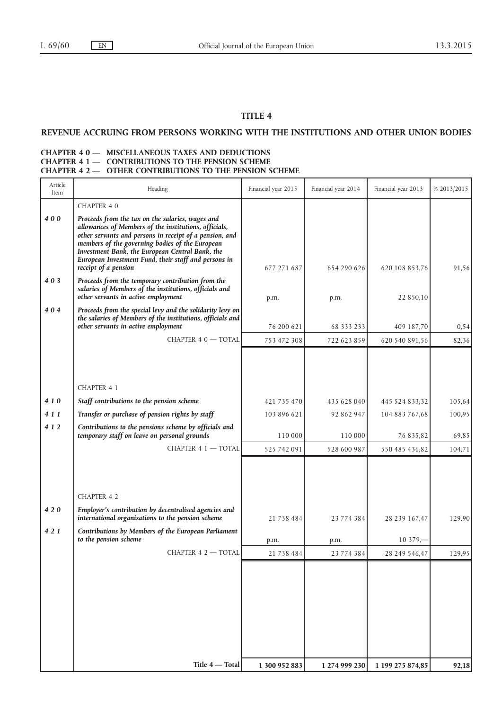# TITLE 4

# REVENUE ACCRUING FROM PERSONS WORKING WITH THE INSTITUTIONS AND OTHER UNION BODIES

## CHAPTER 4 0 — MISCELLANEOUS TAXES AND DEDUCTIONS CHAPTER 4 1 — CONTRIBUTIONS TO THE PENSION SCHEME CHAPTER 4 2 — OTHER CONTRIBUTIONS TO THE PENSION SCHEME

| Article<br>Item | Heading                                                                                                                                                                                                                                                                                                                                                    | Financial year 2015 | Financial year 2014 | Financial year 2013 | % 2013/2015 |
|-----------------|------------------------------------------------------------------------------------------------------------------------------------------------------------------------------------------------------------------------------------------------------------------------------------------------------------------------------------------------------------|---------------------|---------------------|---------------------|-------------|
|                 | CHAPTER 40                                                                                                                                                                                                                                                                                                                                                 |                     |                     |                     |             |
| 400             | Proceeds from the tax on the salaries, wages and<br>allowances of Members of the institutions, officials,<br>other servants and persons in receipt of a pension, and<br>members of the governing bodies of the European<br>Investment Bank, the European Central Bank, the<br>European Investment Fund, their staff and persons in<br>receipt of a pension | 677 271 687         | 654 290 626         | 620 108 853,76      | 91,56       |
| 403             | Proceeds from the temporary contribution from the<br>salaries of Members of the institutions, officials and<br>other servants in active employment                                                                                                                                                                                                         | p.m.                | p.m.                | 22 850,10           |             |
| 404             | Proceeds from the special levy and the solidarity levy on<br>the salaries of Members of the institutions, officials and<br>other servants in active employment                                                                                                                                                                                             | 76 200 621          | 68 333 233          | 409 187,70          | 0,54        |
|                 | CHAPTER 4 0 - TOTAL                                                                                                                                                                                                                                                                                                                                        | 753 472 308         | 722 623 859         | 620 540 891,56      | 82,36       |
|                 | <b>CHAPTER 4 1</b>                                                                                                                                                                                                                                                                                                                                         |                     |                     |                     |             |
| 410             | Staff contributions to the pension scheme                                                                                                                                                                                                                                                                                                                  | 421 735 470         | 435 628 040         | 445 524 833,32      | 105,64      |
| 4 1 1           | Transfer or purchase of pension rights by staff                                                                                                                                                                                                                                                                                                            | 103 896 621         | 92 862 947          | 104 883 767,68      | 100,95      |
| 412             | Contributions to the pensions scheme by officials and<br>temporary staff on leave on personal grounds                                                                                                                                                                                                                                                      | 110 000             | 110 000             | 76 835,82           | 69,85       |
|                 | CHAPTER 4 1 - TOTAL                                                                                                                                                                                                                                                                                                                                        | 525 742 091         | 528 600 987         | 550 485 436,82      | 104,71      |
|                 | <b>CHAPTER 4 2</b>                                                                                                                                                                                                                                                                                                                                         |                     |                     |                     |             |
| 420             | Employer's contribution by decentralised agencies and                                                                                                                                                                                                                                                                                                      |                     |                     |                     |             |
|                 | international organisations to the pension scheme                                                                                                                                                                                                                                                                                                          | 21 738 484          | 23 774 384          | 28 239 167,47       | 129,90      |
| 421             | Contributions by Members of the European Parliament<br>to the pension scheme                                                                                                                                                                                                                                                                               | p.m.                | p.m.                | $10379 -$           |             |
|                 | CHAPTER 4 2 - TOTAL                                                                                                                                                                                                                                                                                                                                        | 21 738 484          | 23 774 384          | 28 249 546,47       | 129,95      |
|                 |                                                                                                                                                                                                                                                                                                                                                            |                     |                     |                     |             |
|                 | Title 4 - Total                                                                                                                                                                                                                                                                                                                                            | 1 300 952 883       | 1 274 999 230       | 1 199 275 874,85    | 92,18       |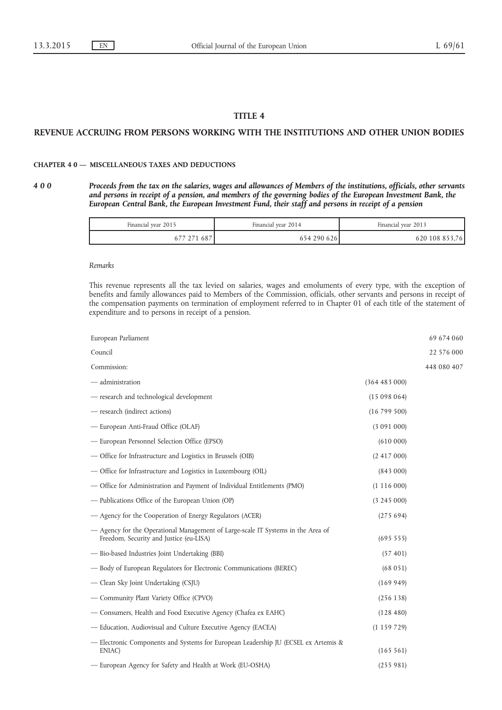# TITLE 4

#### REVENUE ACCRUING FROM PERSONS WORKING WITH THE INSTITUTIONS AND OTHER UNION BODIES

#### CHAPTER 4 0 — MISCELLANEOUS TAXES AND DEDUCTIONS

4 0 0 Proceeds from the tax on the salaries, wages and allowances of Members of the institutions, officials, other servants and persons in receipt of a pension, and members of the governing bodies of the European Investment Bank, the European Central Bank, the European Investment Fund, their staff and persons in receipt of a pension

| Financial year 2015 | Financial year 2014 | Financial year 2013 |
|---------------------|---------------------|---------------------|
| 687                 | 290 626<br>554      | 620 108 853,76      |

#### Remarks

This revenue represents all the tax levied on salaries, wages and emoluments of every type, with the exception of benefits and family allowances paid to Members of the Commission, officials, other servants and persons in receipt of the compensation payments on termination of employment referred to in Chapter 01 of each title of the statement of expenditure and to persons in receipt of a pension.

| European Parliament                                                                                                         |               | 69 674 060  |
|-----------------------------------------------------------------------------------------------------------------------------|---------------|-------------|
| Council                                                                                                                     |               | 22 576 000  |
| Commission:                                                                                                                 |               | 448 080 407 |
| — administration                                                                                                            | (364483000)   |             |
| - research and technological development                                                                                    | (15098064)    |             |
| - research (indirect actions)                                                                                               | (16799500)    |             |
| - European Anti-Fraud Office (OLAF)                                                                                         | (3091000)     |             |
| - European Personnel Selection Office (EPSO)                                                                                | (610000)      |             |
| - Office for Infrastructure and Logistics in Brussels (OIB)                                                                 | (2, 417, 000) |             |
| — Office for Infrastructure and Logistics in Luxembourg (OIL)                                                               | (843000)      |             |
| - Office for Administration and Payment of Individual Entitlements (PMO)                                                    | (1116000)     |             |
| - Publications Office of the European Union (OP)                                                                            | (3 245 000)   |             |
| - Agency for the Cooperation of Energy Regulators (ACER)                                                                    | (275694)      |             |
| - Agency for the Operational Management of Large-scale IT Systems in the Area of<br>Freedom, Security and Justice (eu-LISA) | (69555)       |             |
| - Bio-based Industries Joint Undertaking (BBI)                                                                              | (57, 401)     |             |
| — Body of European Regulators for Electronic Communications (BEREC)                                                         | (68051)       |             |
| - Clean Sky Joint Undertaking (CSJU)                                                                                        | (169949)      |             |
| - Community Plant Variety Office (CPVO)                                                                                     | (256138)      |             |
| - Consumers, Health and Food Executive Agency (Chafea ex EAHC)                                                              | (128 480)     |             |
| - Education, Audiovisual and Culture Executive Agency (EACEA)                                                               | (1159729)     |             |
| - Electronic Components and Systems for European Leadership JU (ECSEL ex Artemis &<br>ENIAC)                                | (165 561)     |             |
| - European Agency for Safety and Health at Work (EU-OSHA)                                                                   | (255981)      |             |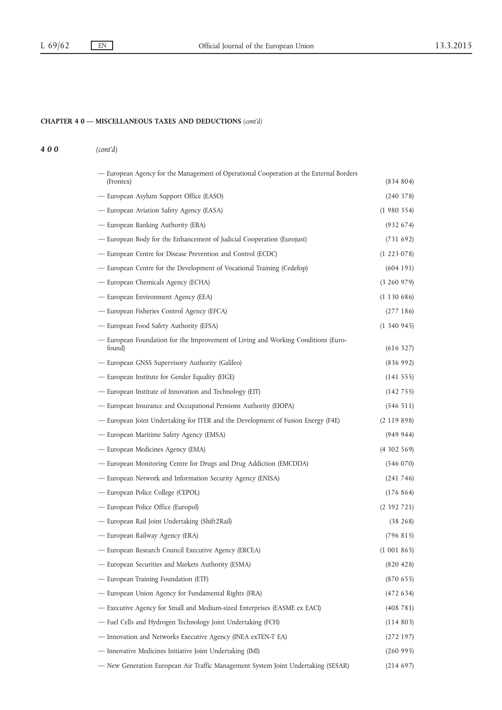# 400 (cont'd)

| - European Agency for the Management of Operational Cooperation at the External Borders<br>(Frontex) | (834804)        |
|------------------------------------------------------------------------------------------------------|-----------------|
| - European Asylum Support Office (EASO)                                                              | (240378)        |
| - European Aviation Safety Agency (EASA)                                                             | (1980354)       |
| - European Banking Authority (EBA)                                                                   | (932674)        |
| — European Body for the Enhancement of Judicial Cooperation (Eurojust)                               | (731692)        |
| - European Centre for Disease Prevention and Control (ECDC)                                          | $(1\;223\;078)$ |
| — European Centre for the Development of Vocational Training (Cedefop)                               | (604191)        |
| - European Chemicals Agency (ECHA)                                                                   | (3 260 979)     |
| - European Environment Agency (EEA)                                                                  | (1130686)       |
| — European Fisheries Control Agency (EFCA)                                                           | (277186)        |
| - European Food Safety Authority (EFSA)                                                              | $(1\;340\;945)$ |
| - European Foundation for the Improvement of Living and Working Conditions (Euro-<br>found)          | (616327)        |
| - European GNSS Supervisory Authority (Galileo)                                                      | (836992)        |
| - European Institute for Gender Equality (EIGE)                                                      | (141555)        |
| - European Institute of Innovation and Technology (EIT)                                              | (142755)        |
| - European Insurance and Occupational Pensions Authority (EIOPA)                                     | (546 511)       |
| — European Joint Undertaking for ITER and the Development of Fusion Energy (F4E)                     | (2119898)       |
| - European Maritime Safety Agency (EMSA)                                                             | (949944)        |
| - European Medicines Agency (EMA)                                                                    | (4302569)       |
| - European Monitoring Centre for Drugs and Drug Addiction (EMCDDA)                                   | (546070)        |
| - European Network and Information Security Agency (ENISA)                                           | (241746)        |
| — European Police College (CEPOL)                                                                    | (176864)        |
| - European Police Office (Europol)                                                                   | (2392721)       |
| - European Rail Joint Undertaking (Shift2Rail)                                                       | $(38\;268)$     |
| - European Railway Agency (ERA)                                                                      | (796815)        |
| - European Research Council Executive Agency (ERCEA)                                                 | (1 001 865)     |
| - European Securities and Markets Authority (ESMA)                                                   | (820 428)       |
| - European Training Foundation (ETF)                                                                 | (870655)        |
| - European Union Agency for Fundamental Rights (FRA)                                                 | (472634)        |
| - Executive Agency for Small and Medium-sized Enterprises (EASME ex EACI)                            | (408781)        |
| - Fuel Cells and Hydrogen Technology Joint Undertaking (FCH)                                         | (114803)        |
| - Innovation and Networks Executive Agency (INEA exTEN-T EA)                                         | (272197)        |
| - Innovative Medicines Initiative Joint Undertaking (IMI)                                            | (260995)        |
| - New Generation European Air Traffic Management System Joint Undertaking (SESAR)                    | (214697)        |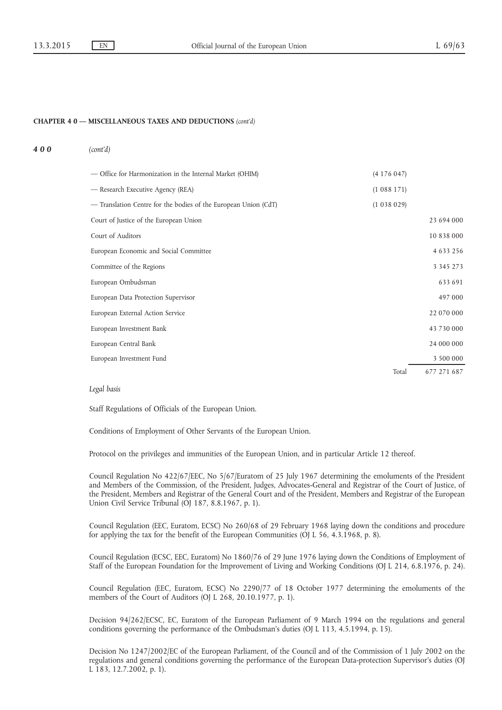#### 400 (cont'd)

| - Office for Harmonization in the Internal Market (OHIM)<br>(4176047)        |                      |
|------------------------------------------------------------------------------|----------------------|
| - Research Executive Agency (REA)<br>(1088171)                               |                      |
| — Translation Centre for the bodies of the European Union (CdT)<br>(1038029) |                      |
| Court of Justice of the European Union                                       | 23 694 000           |
| Court of Auditors                                                            | 10 838 000           |
| European Economic and Social Committee                                       | 4 6 3 3 2 5 6        |
| Committee of the Regions                                                     | 3 3 4 5 2 7 3        |
| European Ombudsman                                                           | 633 691              |
| European Data Protection Supervisor                                          | 497 000              |
| European External Action Service                                             | 22 070 000           |
| European Investment Bank                                                     | 43 730 000           |
| European Central Bank                                                        | 24 000 000           |
| European Investment Fund                                                     | 3 500 000            |
|                                                                              | Total<br>677 271 687 |

#### Legal basis

Staff Regulations of Officials of the European Union.

Conditions of Employment of Other Servants of the European Union.

Protocol on the privileges and immunities of the European Union, and in particular Article 12 thereof.

Council Regulation No 422/67/EEC, No 5/67/Euratom of 25 July 1967 determining the emoluments of the President and Members of the Commission, of the President, Judges, Advocates-General and Registrar of the Court of Justice, of the President, Members and Registrar of the General Court and of the President, Members and Registrar of the European Union Civil Service Tribunal (OJ 187, 8.8.1967, p. 1).

Council Regulation (EEC, Euratom, ECSC) No 260/68 of 29 February 1968 laying down the conditions and procedure for applying the tax for the benefit of the European Communities (OJ L 56, 4.3.1968, p. 8).

Council Regulation (ECSC, EEC, Euratom) No 1860/76 of 29 June 1976 laying down the Conditions of Employment of Staff of the European Foundation for the Improvement of Living and Working Conditions (OJ L 214, 6.8.1976, p. 24).

Council Regulation (EEC, Euratom, ECSC) No 2290/77 of 18 October 1977 determining the emoluments of the members of the Court of Auditors (OJ L 268, 20.10.1977, p. 1).

Decision 94/262/ECSC, EC, Euratom of the European Parliament of 9 March 1994 on the regulations and general conditions governing the performance of the Ombudsman's duties (OJ L 113, 4.5.1994, p. 15).

Decision No 1247/2002/EC of the European Parliament, of the Council and of the Commission of 1 July 2002 on the regulations and general conditions governing the performance of the European Data-protection Supervisor's duties (OJ L 183, 12.7.2002, p. 1).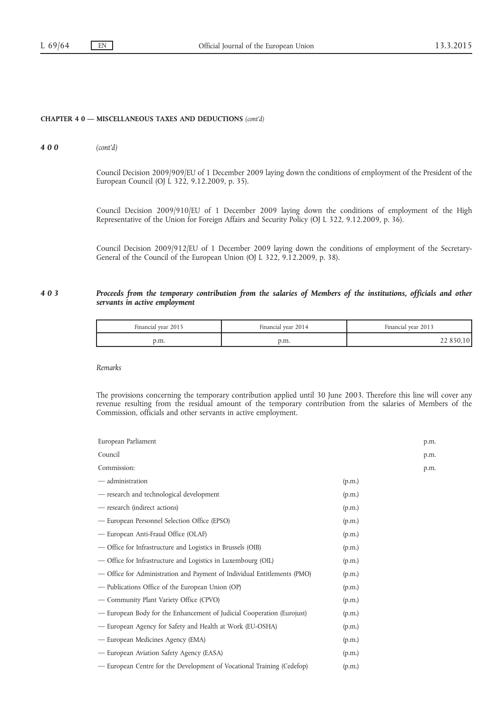400 (cont'd)

Council Decision 2009/909/EU of 1 December 2009 laying down the conditions of employment of the President of the European Council (OJ L 322, 9.12.2009, p. 35).

Council Decision 2009/910/EU of 1 December 2009 laying down the conditions of employment of the High Representative of the Union for Foreign Affairs and Security Policy (OJ L 322, 9.12.2009, p. 36).

Council Decision 2009/912/EU of 1 December 2009 laying down the conditions of employment of the Secretary-General of the Council of the European Union (OJ L 322, 9.12.2009, p. 38).

#### 4 0 3 Proceeds from the temporary contribution from the salaries of Members of the institutions, officials and other servants in active employment

| Financial year 2015 | Financial year 2014 | Financial year 2013 |
|---------------------|---------------------|---------------------|
| p.m.                | p.m.                |                     |

#### Remarks

The provisions concerning the temporary contribution applied until 30 June 2003. Therefore this line will cover any revenue resulting from the residual amount of the temporary contribution from the salaries of Members of the Commission, officials and other servants in active employment.

| European Parliament                                                      |        | p.m. |
|--------------------------------------------------------------------------|--------|------|
| Council                                                                  |        | p.m. |
| Commission:                                                              |        | p.m. |
| — administration                                                         | (p.m.) |      |
| - research and technological development                                 | (p.m.) |      |
| - research (indirect actions)                                            | (p.m.) |      |
| - European Personnel Selection Office (EPSO)                             | (p.m.) |      |
| - European Anti-Fraud Office (OLAF)                                      | (p.m.) |      |
| - Office for Infrastructure and Logistics in Brussels (OIB)              | (p.m.) |      |
| - Office for Infrastructure and Logistics in Luxembourg (OIL)            | (p.m.) |      |
| - Office for Administration and Payment of Individual Entitlements (PMO) | (p.m.) |      |
| - Publications Office of the European Union (OP)                         | (p.m.) |      |
| — Community Plant Variety Office (CPVO)                                  | (p.m.) |      |
| — European Body for the Enhancement of Judicial Cooperation (Eurojust)   | (p.m.) |      |
| - European Agency for Safety and Health at Work (EU-OSHA)                | (p.m.) |      |
| - European Medicines Agency (EMA)                                        | (p.m.) |      |
| - European Aviation Safety Agency (EASA)                                 | (p.m.) |      |
| — European Centre for the Development of Vocational Training (Cedefop)   | (p.m.) |      |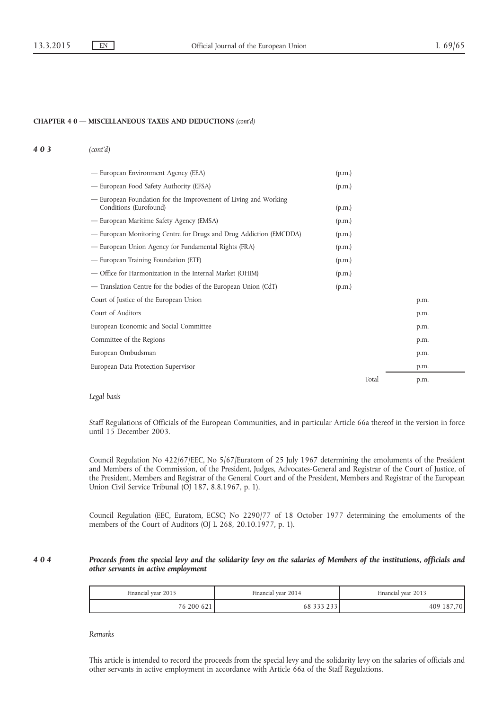#### 403 (cont'd)

| - European Environment Agency (EEA)                                                       | (p.m.) |      |
|-------------------------------------------------------------------------------------------|--------|------|
| - European Food Safety Authority (EFSA)                                                   | (p.m.) |      |
| - European Foundation for the Improvement of Living and Working<br>Conditions (Eurofound) | (p.m.) |      |
| — European Maritime Safety Agency (EMSA)                                                  | (p.m.) |      |
| — European Monitoring Centre for Drugs and Drug Addiction (EMCDDA)                        | (p.m.) |      |
| — European Union Agency for Fundamental Rights (FRA)                                      | (p.m.) |      |
| — European Training Foundation (ETF)                                                      | (p.m.) |      |
| - Office for Harmonization in the Internal Market (OHIM)                                  | (p.m.) |      |
| — Translation Centre for the bodies of the European Union (CdT)                           | (p.m.) |      |
| Court of Justice of the European Union                                                    |        | p.m. |
| Court of Auditors                                                                         |        | p.m. |
| European Economic and Social Committee                                                    |        | p.m. |
| Committee of the Regions                                                                  |        | p.m. |
| European Ombudsman                                                                        |        | p.m. |
| European Data Protection Supervisor                                                       |        | p.m. |
|                                                                                           | Total  | p.m. |

#### Legal basis

Staff Regulations of Officials of the European Communities, and in particular Article 66a thereof in the version in force until 15 December 2003.

Council Regulation No 422/67/EEC, No 5/67/Euratom of 25 July 1967 determining the emoluments of the President and Members of the Commission, of the President, Judges, Advocates-General and Registrar of the Court of Justice, of the President, Members and Registrar of the General Court and of the President, Members and Registrar of the European Union Civil Service Tribunal (OJ 187, 8.8.1967, p. 1).

Council Regulation (EEC, Euratom, ECSC) No 2290/77 of 18 October 1977 determining the emoluments of the members of the Court of Auditors (OJ L 268, 20.10.1977, p. 1).

## 4 0 4 Proceeds from the special levy and the solidarity levy on the salaries of Members of the institutions, officials and other servants in active employment

| Financial year 2015 | Financial year 2014 | Financial year 2013 |
|---------------------|---------------------|---------------------|
| 76 200 621          |                     | 409 187             |

Remarks

This article is intended to record the proceeds from the special levy and the solidarity levy on the salaries of officials and other servants in active employment in accordance with Article 66a of the Staff Regulations.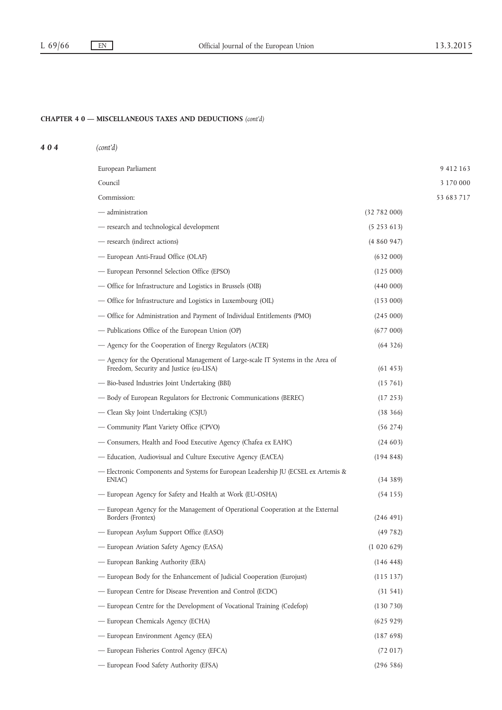# 404 (cont'd)

| European Parliament                                                                                                         |                 | 9 412 163  |
|-----------------------------------------------------------------------------------------------------------------------------|-----------------|------------|
| Council                                                                                                                     |                 | 3 170 000  |
| Commission:                                                                                                                 |                 | 53 683 717 |
| — administration                                                                                                            | (32782000)      |            |
| - research and technological development                                                                                    | $(5\;253\;613)$ |            |
| — research (indirect actions)                                                                                               | (4860947)       |            |
| - European Anti-Fraud Office (OLAF)                                                                                         | (632000)        |            |
| - European Personnel Selection Office (EPSO)                                                                                | (125000)        |            |
| — Office for Infrastructure and Logistics in Brussels (OIB)                                                                 | (440 000)       |            |
| - Office for Infrastructure and Logistics in Luxembourg (OIL)                                                               | (153000)        |            |
| - Office for Administration and Payment of Individual Entitlements (PMO)                                                    | (245000)        |            |
| - Publications Office of the European Union (OP)                                                                            | (677000)        |            |
| - Agency for the Cooperation of Energy Regulators (ACER)                                                                    | (64326)         |            |
| - Agency for the Operational Management of Large-scale IT Systems in the Area of<br>Freedom, Security and Justice (eu-LISA) | (61453)         |            |
| - Bio-based Industries Joint Undertaking (BBI)                                                                              | (15761)         |            |
| - Body of European Regulators for Electronic Communications (BEREC)                                                         | (17253)         |            |
| — Clean Sky Joint Undertaking (CSJU)                                                                                        | (38366)         |            |
| - Community Plant Variety Office (CPVO)                                                                                     | $(56 \ 274)$    |            |
| — Consumers, Health and Food Executive Agency (Chafea ex EAHC)                                                              | (24603)         |            |
| — Education, Audiovisual and Culture Executive Agency (EACEA)                                                               | (194848)        |            |
| - Electronic Components and Systems for European Leadership JU (ECSEL ex Artemis &<br>ENIAC)                                | (34389)         |            |
| - European Agency for Safety and Health at Work (EU-OSHA)                                                                   | (54155)         |            |
| — European Agency for the Management of Operational Cooperation at the External<br>Borders (Frontex)                        | (246 491)       |            |
| - European Asylum Support Office (EASO)                                                                                     | (49782)         |            |
| - European Aviation Safety Agency (EASA)                                                                                    | (1 020 629)     |            |
| - European Banking Authority (EBA)                                                                                          | (146448)        |            |
| - European Body for the Enhancement of Judicial Cooperation (Eurojust)                                                      | (115137)        |            |
| - European Centre for Disease Prevention and Control (ECDC)                                                                 | (31 541)        |            |
| - European Centre for the Development of Vocational Training (Cedefop)                                                      | (130730)        |            |
| - European Chemicals Agency (ECHA)                                                                                          | (625929)        |            |
| - European Environment Agency (EEA)                                                                                         | (187698)        |            |
| - European Fisheries Control Agency (EFCA)                                                                                  | (72017)         |            |

— European Food Safety Authority (EFSA) (296 586)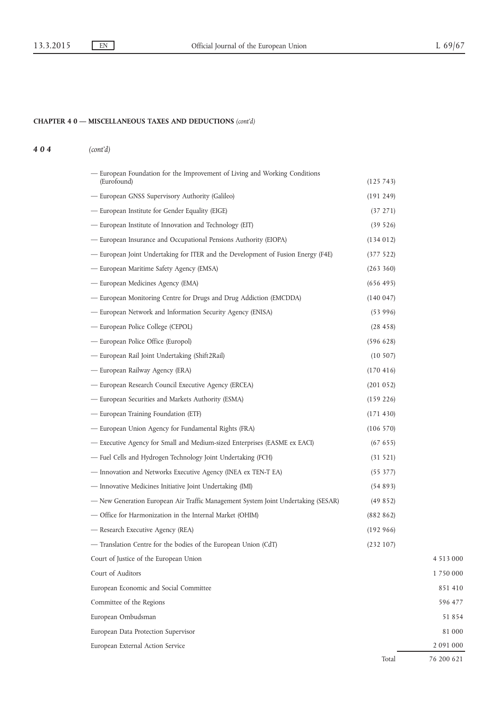# 404 (cont'd)

| - European Foundation for the Improvement of Living and Working Conditions<br>(Eurofound) | (125743)  |               |
|-------------------------------------------------------------------------------------------|-----------|---------------|
| - European GNSS Supervisory Authority (Galileo)                                           | (191 249) |               |
| - European Institute for Gender Equality (EIGE)                                           | (37 271)  |               |
| - European Institute of Innovation and Technology (EIT)                                   | (39 526)  |               |
| - European Insurance and Occupational Pensions Authority (EIOPA)                          | (134012)  |               |
| - European Joint Undertaking for ITER and the Development of Fusion Energy (F4E)          | (377522)  |               |
| — European Maritime Safety Agency (EMSA)                                                  | (263 360) |               |
| - European Medicines Agency (EMA)                                                         | (656495)  |               |
| - European Monitoring Centre for Drugs and Drug Addiction (EMCDDA)                        | (140047)  |               |
| - European Network and Information Security Agency (ENISA)                                | (53996)   |               |
| — European Police College (CEPOL)                                                         | (28458)   |               |
| — European Police Office (Europol)                                                        | (596 628) |               |
| - European Rail Joint Undertaking (Shift2Rail)                                            | (10 507)  |               |
| - European Railway Agency (ERA)                                                           | (170416)  |               |
| - European Research Council Executive Agency (ERCEA)                                      | (201052)  |               |
| - European Securities and Markets Authority (ESMA)                                        | (159 226) |               |
| - European Training Foundation (ETF)                                                      | (171 430) |               |
| - European Union Agency for Fundamental Rights (FRA)                                      | (106 570) |               |
| - Executive Agency for Small and Medium-sized Enterprises (EASME ex EACI)                 | (67655)   |               |
| - Fuel Cells and Hydrogen Technology Joint Undertaking (FCH)                              | (31 521)  |               |
| - Innovation and Networks Executive Agency (INEA ex TEN-T EA)                             | (55377)   |               |
| — Innovative Medicines Initiative Joint Undertaking (IMI)                                 | (54893)   |               |
| - New Generation European Air Traffic Management System Joint Undertaking (SESAR)         | (49852)   |               |
| — Office for Harmonization in the Internal Market (OHIM)                                  | (882862)  |               |
| - Research Executive Agency (REA)                                                         | (192966)  |               |
| - Translation Centre for the bodies of the European Union (CdT)                           | (232107)  |               |
| Court of Justice of the European Union                                                    |           | 4 5 1 3 0 0 0 |
| Court of Auditors                                                                         |           | 1750000       |
| European Economic and Social Committee                                                    |           | 851 410       |
| Committee of the Regions                                                                  |           | 596 477       |
| European Ombudsman                                                                        |           | 51 854        |
| European Data Protection Supervisor                                                       |           | 81 000        |
| European External Action Service                                                          |           | 2 091 000     |
|                                                                                           | Total     | 76 200 621    |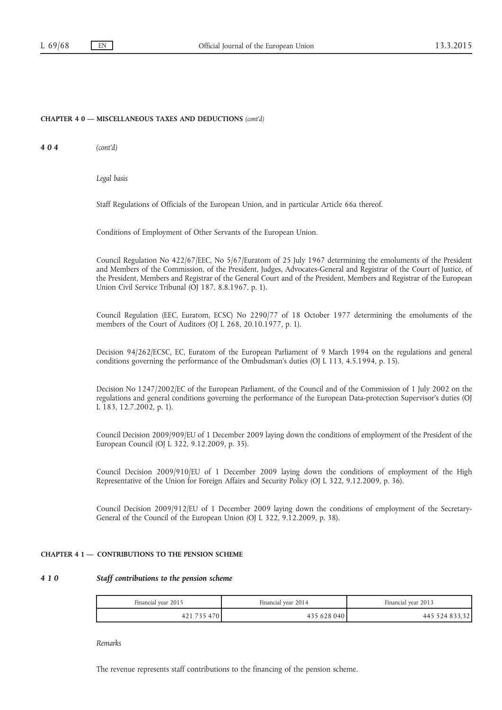404 (cont'd)

Legal basis

Staff Regulations of Officials of the European Union, and in particular Article 66a thereof.

Conditions of Employment of Other Servants of the European Union.

Council Regulation No 422/67/EEC, No 5/67/Euratom of 25 July 1967 determining the emoluments of the President and Members of the Commission, of the President, Judges, Advocates-General and Registrar of the Court of Justice, of the President, Members and Registrar of the General Court and of the President, Members and Registrar of the European Union Civil Service Tribunal (OJ 187, 8.8.1967, p. 1).

Council Regulation (EEC, Euratom, ECSC) No 2290/77 of 18 October 1977 determining the emoluments of the members of the Court of Auditors (OJ L 268, 20.10.1977, p. 1).

Decision 94/262/ECSC, EC, Euratom of the European Parliament of 9 March 1994 on the regulations and general conditions governing the performance of the Ombudsman's duties (OJ L 113, 4.5.1994, p. 15).

Decision No 1247/2002/EC of the European Parliament, of the Council and of the Commission of 1 July 2002 on the regulations and general conditions governing the performance of the European Data-protection Supervisor's duties (OJ L 183, 12.7.2002, p. 1).

Council Decision 2009/909/EU of 1 December 2009 laying down the conditions of employment of the President of the European Council (OJ L 322, 9.12.2009, p. 35).

Council Decision 2009/910/EU of 1 December 2009 laying down the conditions of employment of the High Representative of the Union for Foreign Affairs and Security Policy (OJ L 322, 9.12.2009, p. 36).

Council Decision 2009/912/EU of 1 December 2009 laying down the conditions of employment of the Secretary-General of the Council of the European Union (OJ L 322, 9.12.2009, p. 38).

#### CHAPTER 4 1 — CONTRIBUTIONS TO THE PENSION SCHEME

### 4 1 0 Staff contributions to the pension scheme

| Financial year 2015 | Financial year 2014 | Financial vear 2013 |
|---------------------|---------------------|---------------------|
| 470                 | 628 040             | 445                 |

Remarks

The revenue represents staff contributions to the financing of the pension scheme.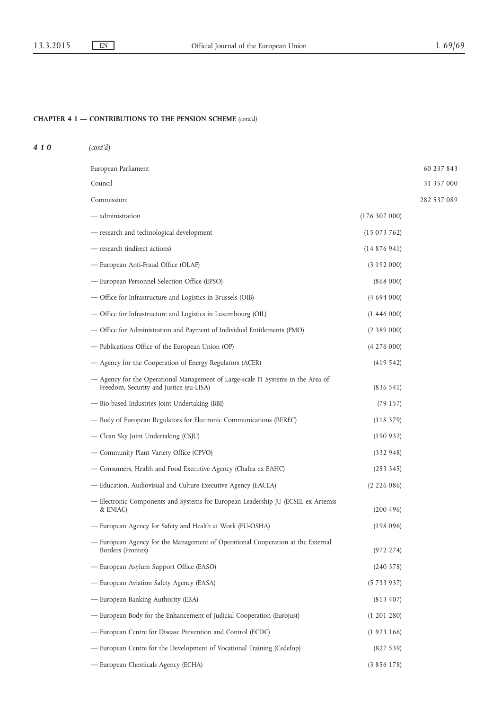| 410 | (cont'd)                                                                                                                    |                 |             |
|-----|-----------------------------------------------------------------------------------------------------------------------------|-----------------|-------------|
|     | European Parliament                                                                                                         |                 | 60 237 843  |
|     | Council                                                                                                                     |                 | 31 357 000  |
|     | Commission:                                                                                                                 |                 | 282 537 089 |
|     | - administration                                                                                                            | (176 307 000)   |             |
|     | - research and technological development                                                                                    | (15073762)      |             |
|     | - research (indirect actions)                                                                                               | (14876941)      |             |
|     | - European Anti-Fraud Office (OLAF)                                                                                         | (3192000)       |             |
|     | - European Personnel Selection Office (EPSO)                                                                                | (868000)        |             |
|     | - Office for Infrastructure and Logistics in Brussels (OIB)                                                                 | (4694000)       |             |
|     | - Office for Infrastructure and Logistics in Luxembourg (OIL)                                                               | (1446000)       |             |
|     | - Office for Administration and Payment of Individual Entitlements (PMO)                                                    | $(2\ 389\ 000)$ |             |
|     | - Publications Office of the European Union (OP)                                                                            | $(4\ 276\ 000)$ |             |
|     | - Agency for the Cooperation of Energy Regulators (ACER)                                                                    | (419542)        |             |
|     | - Agency for the Operational Management of Large-scale IT Systems in the Area of<br>Freedom, Security and Justice (eu-LISA) | (836541)        |             |
|     | - Bio-based Industries Joint Undertaking (BBI)                                                                              | (79157)         |             |
|     | - Body of European Regulators for Electronic Communications (BEREC)                                                         | (118379)        |             |
|     | - Clean Sky Joint Undertaking (CSJU)                                                                                        | (190932)        |             |
|     | - Community Plant Variety Office (CPVO)                                                                                     | (332948)        |             |
|     | - Consumers, Health and Food Executive Agency (Chafea ex EAHC)                                                              | (253 345)       |             |
|     | - Education, Audiovisual and Culture Executive Agency (EACEA)                                                               | (2 226 086)     |             |
|     | - Electronic Components and Systems for European Leadership JU (ECSEL ex Artemis<br>& ENIAC)                                | (200 496)       |             |
|     | - European Agency for Safety and Health at Work (EU-OSHA)                                                                   | (198096)        |             |
|     | - European Agency for the Management of Operational Cooperation at the External<br>Borders (Frontex)                        | (972 274)       |             |
|     | - European Asylum Support Office (EASO)                                                                                     | (240 378)       |             |
|     | - European Aviation Safety Agency (EASA)                                                                                    | (5733937)       |             |
|     | - European Banking Authority (EBA)                                                                                          | (813 407)       |             |
|     | - European Body for the Enhancement of Judicial Cooperation (Eurojust)                                                      | (1 201 280)     |             |
|     | - European Centre for Disease Prevention and Control (ECDC)                                                                 | (1923166)       |             |
|     | - European Centre for the Development of Vocational Training (Cedefop)                                                      | (827 539)       |             |
|     | - European Chemicals Agency (ECHA)                                                                                          | (3856178)       |             |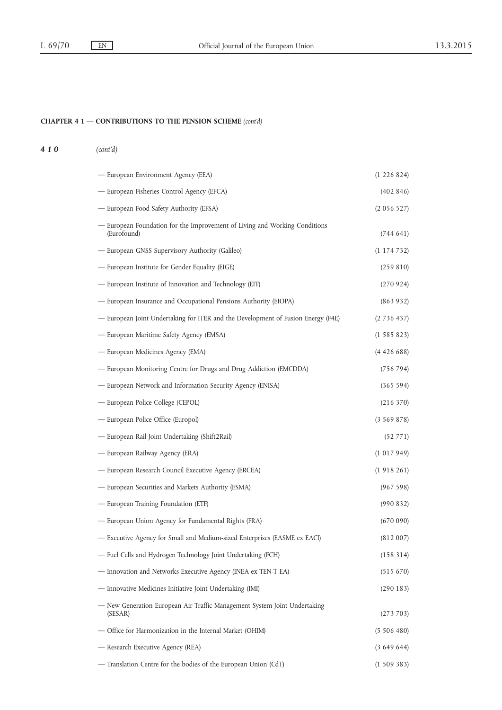# 410 (cont'd)

| - European Environment Agency (EEA)                                                       | (1 226 824)     |
|-------------------------------------------------------------------------------------------|-----------------|
| - European Fisheries Control Agency (EFCA)                                                | (402846)        |
| — European Food Safety Authority (EFSA)                                                   | (2 056 527)     |
| — European Foundation for the Improvement of Living and Working Conditions<br>(Eurofound) | (744641)        |
| - European GNSS Supervisory Authority (Galileo)                                           | $(1\;174\;732)$ |
| - European Institute for Gender Equality (EIGE)                                           | (259 810)       |
| - European Institute of Innovation and Technology (EIT)                                   | (270924)        |
| — European Insurance and Occupational Pensions Authority (EIOPA)                          | (863932)        |
| - European Joint Undertaking for ITER and the Development of Fusion Energy (F4E)          | (2736437)       |
| - European Maritime Safety Agency (EMSA)                                                  | (1585823)       |
| - European Medicines Agency (EMA)                                                         | (442668)        |
| - European Monitoring Centre for Drugs and Drug Addiction (EMCDDA)                        | (756 794)       |
| - European Network and Information Security Agency (ENISA)                                | (365594)        |
| - European Police College (CEPOL)                                                         | (216 370)       |
| — European Police Office (Europol)                                                        | (3569878)       |
| - European Rail Joint Undertaking (Shift2Rail)                                            | (52771)         |
| - European Railway Agency (ERA)                                                           | (1 017 949)     |
| - European Research Council Executive Agency (ERCEA)                                      | (1918261)       |
| - European Securities and Markets Authority (ESMA)                                        | (967598)        |
| - European Training Foundation (ETF)                                                      | (990832)        |
| - European Union Agency for Fundamental Rights (FRA)                                      | (670090)        |
| - Executive Agency for Small and Medium-sized Enterprises (EASME ex EACI)                 | (812007)        |
| - Fuel Cells and Hydrogen Technology Joint Undertaking (FCH)                              | (158314)        |
| - Innovation and Networks Executive Agency (INEA ex TEN-T EA)                             | (515 670)       |
| - Innovative Medicines Initiative Joint Undertaking (IMI)                                 | (290183)        |
| - New Generation European Air Traffic Management System Joint Undertaking<br>(SESAR)      | (273 703)       |
| — Office for Harmonization in the Internal Market (OHIM)                                  | (5 506 480)     |
| - Research Executive Agency (REA)                                                         | (3649644)       |
| - Translation Centre for the bodies of the European Union (CdT)                           | (1 509 383)     |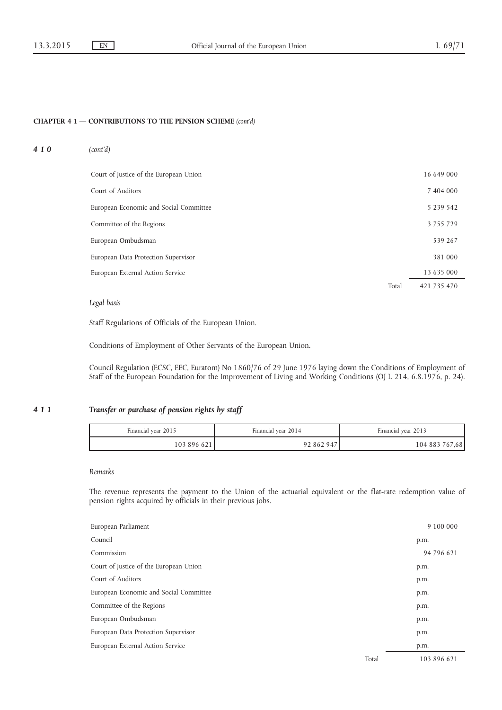| 410 | (cont'd)                               |       |               |
|-----|----------------------------------------|-------|---------------|
|     | Court of Justice of the European Union |       | 16 649 000    |
|     | Court of Auditors                      |       | 7 404 000     |
|     | European Economic and Social Committee |       | 5 2 3 9 5 4 2 |
|     | Committee of the Regions               |       | 3755729       |
|     | European Ombudsman                     |       | 539 267       |
|     | European Data Protection Supervisor    |       | 381 000       |
|     | European External Action Service       |       | 13 635 000    |
|     |                                        | Total | 421 735 470   |
|     |                                        |       |               |

#### Legal basis

Staff Regulations of Officials of the European Union.

Conditions of Employment of Other Servants of the European Union.

Council Regulation (ECSC, EEC, Euratom) No 1860/76 of 29 June 1976 laying down the Conditions of Employment of Staff of the European Foundation for the Improvement of Living and Working Conditions (OJ L 214, 6.8.1976, p. 24).

# 4 1 1 Transfer or purchase of pension rights by staff

| Financial year 2015 | Financial year 2014 | Financial year 2013 |
|---------------------|---------------------|---------------------|
| 103 896 621         | 92 862 947          | 104 883 767,68      |

## Remarks

The revenue represents the payment to the Union of the actuarial equivalent or the flat-rate redemption value of pension rights acquired by officials in their previous jobs.

| European Parliament                    |       | 9 100 000   |
|----------------------------------------|-------|-------------|
| Council                                |       | p.m.        |
| Commission                             |       | 94 796 621  |
| Court of Justice of the European Union |       | p.m.        |
| Court of Auditors                      |       | p.m.        |
| European Economic and Social Committee |       | p.m.        |
| Committee of the Regions               |       | p.m.        |
| European Ombudsman                     |       | p.m.        |
| European Data Protection Supervisor    |       | p.m.        |
| European External Action Service       |       | p.m.        |
|                                        | Total | 103 896 621 |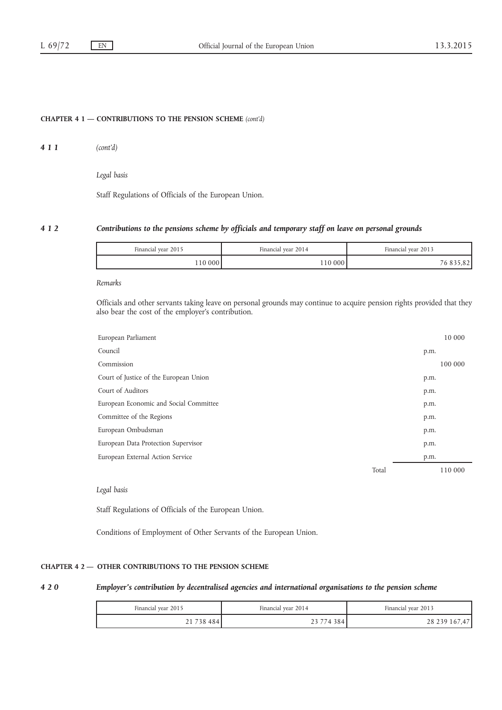411 (cont'd)

Legal basis

Staff Regulations of Officials of the European Union.

# 4 1 2 Contributions to the pensions scheme by officials and temporary staff on leave on personal grounds

| Financial year 2015 | Financial vear 2014 | Financial year 2013 |
|---------------------|---------------------|---------------------|
| 10000               | ا 10 000 ا          |                     |

#### Remarks

Officials and other servants taking leave on personal grounds may continue to acquire pension rights provided that they also bear the cost of the employer's contribution.

| European Parliament                    |       | 10 000  |
|----------------------------------------|-------|---------|
| Council                                |       | p.m.    |
| Commission                             |       | 100 000 |
| Court of Justice of the European Union |       | p.m.    |
| Court of Auditors                      |       | p.m.    |
| European Economic and Social Committee |       | p.m.    |
| Committee of the Regions               |       | p.m.    |
| European Ombudsman                     |       | p.m.    |
| European Data Protection Supervisor    |       | p.m.    |
| European External Action Service       |       | p.m.    |
|                                        | Total | 110 000 |

#### Legal basis

Staff Regulations of Officials of the European Union.

Conditions of Employment of Other Servants of the European Union.

# CHAPTER 4 2 — OTHER CONTRIBUTIONS TO THE PENSION SCHEME

## 4 2 0 Employer's contribution by decentralised agencies and international organisations to the pension scheme

| Financial year 2015 | Financial year 2014 | Financial vear 2013 |
|---------------------|---------------------|---------------------|
| 38 484              | 74 384              | 28 239 167,47       |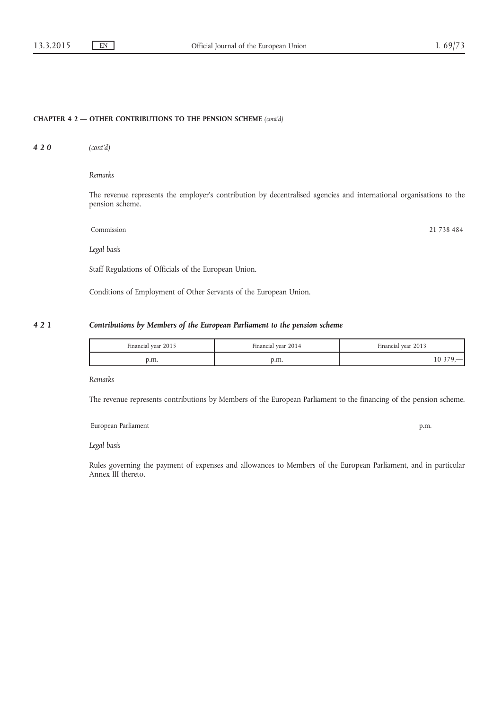420 (cont'd)

Remarks

The revenue represents the employer's contribution by decentralised agencies and international organisations to the pension scheme.

Commission 21 738 484

Legal basis

Staff Regulations of Officials of the European Union.

Conditions of Employment of Other Servants of the European Union.

## 4 2 1 Contributions by Members of the European Parliament to the pension scheme

| Financial year 2015 | Financial year 2014 | Financial year 2013 |
|---------------------|---------------------|---------------------|
| э.m.                | p.m.                |                     |

Remarks

The revenue represents contributions by Members of the European Parliament to the financing of the pension scheme.

European Parliament p.m.

Legal basis

Rules governing the payment of expenses and allowances to Members of the European Parliament, and in particular Annex III thereto.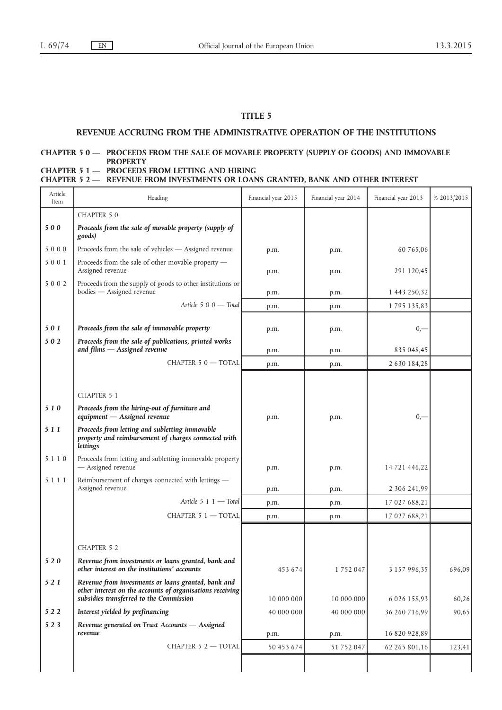# TITLE 5

## REVENUE ACCRUING FROM THE ADMINISTRATIVE OPERATION OF THE INSTITUTIONS

# CHAPTER 5 0 — PROCEEDS FROM THE SALE OF MOVABLE PROPERTY (SUPPLY OF GOODS) AND IMMOVABLE **PROPERTY**

# CHAPTER 5 1 — PROCEEDS FROM LETTING AND HIRING

#### CHAPTER 5 2 — REVENUE FROM INVESTMENTS OR LOANS GRANTED, BANK AND OTHER INTEREST

| Article<br>Item | Heading                                                                                                                                                     | Financial year 2015 | Financial year 2014 | Financial year 2013 | % 2013/2015 |
|-----------------|-------------------------------------------------------------------------------------------------------------------------------------------------------------|---------------------|---------------------|---------------------|-------------|
|                 | CHAPTER 5 0                                                                                                                                                 |                     |                     |                     |             |
| 500             | Proceeds from the sale of movable property (supply of<br>goods)                                                                                             |                     |                     |                     |             |
| 5000            | Proceeds from the sale of vehicles - Assigned revenue                                                                                                       | p.m.                | p.m.                | 60 765,06           |             |
| 5001            | Proceeds from the sale of other movable property -<br>Assigned revenue                                                                                      | p.m.                | p.m.                | 291 120,45          |             |
| 5 0 0 2         | Proceeds from the supply of goods to other institutions or<br>bodies - Assigned revenue                                                                     | p.m.                | p.m.                | 1 443 250,32        |             |
|                 | Article 5 0 $0$ – Total                                                                                                                                     | p.m.                | p.m.                | 1795135,83          |             |
| 501             |                                                                                                                                                             |                     |                     |                     |             |
| 502             | Proceeds from the sale of immovable property<br>Proceeds from the sale of publications, printed works                                                       | p.m.                | p.m.                | $0,-$               |             |
|                 | and $films$ $-$ Assigned revenue                                                                                                                            | p.m.                | p.m.                | 835 048,45          |             |
|                 | CHAPTER 5 0 - TOTAL                                                                                                                                         | p.m.                | p.m.                | 2 630 184,28        |             |
|                 |                                                                                                                                                             |                     |                     |                     |             |
|                 | <b>CHAPTER 5 1</b>                                                                                                                                          |                     |                     |                     |             |
| 510             | Proceeds from the hiring-out of furniture and<br>$equipment - Assigned$ revenue                                                                             | p.m.                | p.m.                | $0, -$              |             |
| 511             | Proceeds from letting and subletting immovable<br>property and reimbursement of charges connected with<br>lettings                                          |                     |                     |                     |             |
| 5 1 1 0         | Proceeds from letting and subletting immovable property<br>- Assigned revenue                                                                               | p.m.                | p.m.                | 14 721 446,22       |             |
| 5111            | Reimbursement of charges connected with lettings -<br>Assigned revenue                                                                                      | p.m.                | p.m.                | 2 306 241,99        |             |
|                 | Article 5 $11 - \text{Total}$                                                                                                                               | p.m.                | p.m.                | 17 027 688,21       |             |
|                 | CHAPTER 5 1 - TOTAL                                                                                                                                         | p.m.                | p.m.                | 17 027 688,21       |             |
|                 |                                                                                                                                                             |                     |                     |                     |             |
|                 | <b>CHAPTER 5 2</b>                                                                                                                                          |                     |                     |                     |             |
| 520             | Revenue from investments or loans granted, bank and<br>other interest on the institutions' accounts                                                         | 453 674             | 1752047             | 3 157 996,35        | 696,09      |
| 521             | Revenue from investments or loans granted, bank and<br>other interest on the accounts of organisations receiving<br>subsidies transferred to the Commission | 10 000 000          | 10 000 000          | 6 0 26 1 5 8, 9 3   | 60,26       |
| 522             | Interest yielded by prefinancing                                                                                                                            | 40 000 000          | 40 000 000          | 36 260 716,99       | 90,65       |
| 523             | Revenue generated on Trust Accounts - Assigned<br>revenue                                                                                                   | p.m.                | p.m.                | 16 820 928,89       |             |
|                 | CHAPTER 5 2 - TOTAL                                                                                                                                         | 50 453 674          | 51 752 047          | 62 265 801,16       | 123,41      |
|                 |                                                                                                                                                             |                     |                     |                     |             |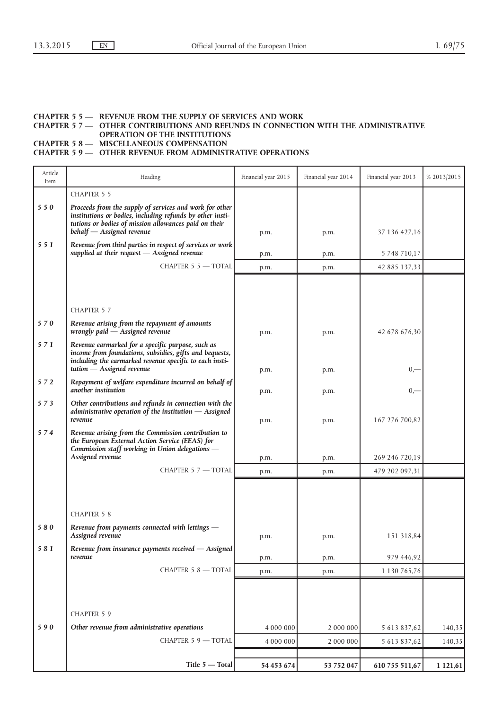# CHAPTER 5 5 — REVENUE FROM THE SUPPLY OF SERVICES AND WORK

# CHAPTER 5 7 — OTHER CONTRIBUTIONS AND REFUNDS IN CONNECTION WITH THE ADMINISTRATIVE OPERATION OF THE INSTITUTIONS

# CHAPTER 5 8 — MISCELLANEOUS COMPENSATION

# CHAPTER 5 9 — OTHER REVENUE FROM ADMINISTRATIVE OPERATIONS

| Article<br>Item | Heading                                                                                                                                                                                                    | Financial year 2015 | Financial year 2014 | Financial year 2013 | % 2013/2015 |
|-----------------|------------------------------------------------------------------------------------------------------------------------------------------------------------------------------------------------------------|---------------------|---------------------|---------------------|-------------|
|                 | <b>CHAPTER 5 5</b>                                                                                                                                                                                         |                     |                     |                     |             |
| 550             | Proceeds from the supply of services and work for other<br>institutions or bodies, including refunds by other insti-<br>tutions or bodies of mission allowances paid on their<br>behalf - Assigned revenue | p.m.                | p.m.                | 37 136 427,16       |             |
| 551             | Revenue from third parties in respect of services or work                                                                                                                                                  |                     |                     |                     |             |
|                 | supplied at their request $-$ Assigned revenue                                                                                                                                                             | p.m.                | p.m.                | 5 748 710,17        |             |
|                 | CHAPTER 5 5 - TOTAL                                                                                                                                                                                        | p.m.                | p.m.                | 42 885 137,33       |             |
|                 |                                                                                                                                                                                                            |                     |                     |                     |             |
|                 | <b>CHAPTER 5 7</b>                                                                                                                                                                                         |                     |                     |                     |             |
| 570             | Revenue arising from the repayment of amounts<br>wrongly $p$ aid $-$ Assigned revenue                                                                                                                      | p.m.                | p.m.                | 42 678 676,30       |             |
| 571             | Revenue earmarked for a specific purpose, such as<br>income from foundations, subsidies, gifts and bequests,<br>including the earmarked revenue specific to each insti-<br>$tution - Assigned revenue$     | p.m.                | p.m.                | $_{0,-}$            |             |
| 572             | Repayment of welfare expenditure incurred on behalf of<br>another institution                                                                                                                              | p.m.                | p.m.                | $_{0,-}$            |             |
| 573             | Other contributions and refunds in connection with the<br>administrative operation of the institution $-$ Assigned<br>revenue                                                                              | p.m.                | p.m.                | 167 276 700,82      |             |
| 574             | Revenue arising from the Commission contribution to<br>the European External Action Service (EEAS) for<br>Commission staff working in Union delegations -<br>Assigned revenue                              | p.m.                | p.m.                | 269 246 720,19      |             |
|                 | CHAPTER 5 7 - TOTAL                                                                                                                                                                                        | p.m.                | p.m.                | 479 202 097,31      |             |
|                 | <b>CHAPTER 5 8</b>                                                                                                                                                                                         |                     |                     |                     |             |
| 580             |                                                                                                                                                                                                            |                     |                     |                     |             |
|                 | Revenue from payments connected with lettings -<br>Assigned revenue                                                                                                                                        | p.m.                | p.m.                | 151 318,84          |             |
| 581             | Revenue from insurance payments received $-$ Assigned<br>revenue                                                                                                                                           | p.m.                | p.m.                | 979 446,92          |             |
|                 | CHAPTER 5 $8-$ TOTAL                                                                                                                                                                                       | p.m.                | p.m.                | 1 130 765,76        |             |
|                 | CHAPTER 5 9                                                                                                                                                                                                |                     |                     |                     |             |
| 590             | Other revenue from administrative operations                                                                                                                                                               | 4 000 000           | 2 000 000           | 5 613 837,62        | 140,35      |
|                 | CHAPTER 5 9 - TOTAL                                                                                                                                                                                        | 4 000 000           | 2 000 000           | 5 613 837,62        | 140,35      |
|                 | Title 5 — Total                                                                                                                                                                                            | 54 453 674          | 53 752 047          | 610 755 511,67      | 1 1 2 1,61  |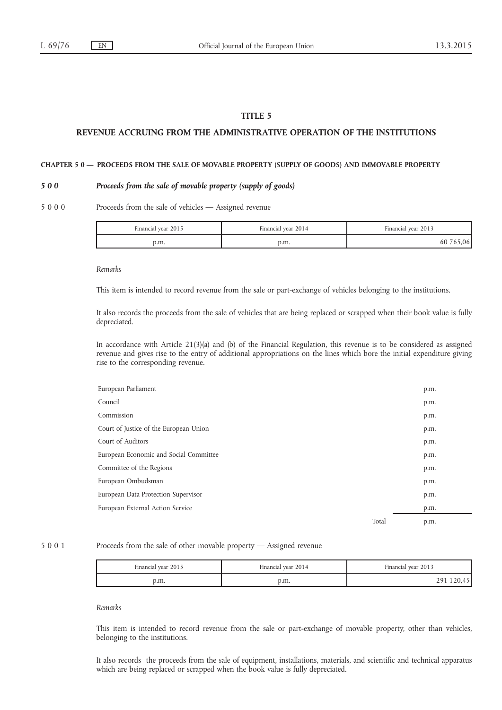## TITLE 5

#### REVENUE ACCRUING FROM THE ADMINISTRATIVE OPERATION OF THE INSTITUTIONS

#### CHAPTER 5 0 — PROCEEDS FROM THE SALE OF MOVABLE PROPERTY (SUPPLY OF GOODS) AND IMMOVABLE PROPERTY

#### 5 0 0 Proceeds from the sale of movable property (supply of goods)

5 0 0 0 Proceeds from the sale of vehicles — Assigned revenue

| Financial vear 2015 | Financial vear 2014 | Financial year 2013 |
|---------------------|---------------------|---------------------|
| p.m.                | p.m.                | 60 76               |

#### Remarks

This item is intended to record revenue from the sale or part-exchange of vehicles belonging to the institutions.

It also records the proceeds from the sale of vehicles that are being replaced or scrapped when their book value is fully depreciated.

In accordance with Article  $21(3)(a)$  and (b) of the Financial Regulation, this revenue is to be considered as assigned revenue and gives rise to the entry of additional appropriations on the lines which bore the initial expenditure giving rise to the corresponding revenue.

| European Parliament                    |       | p.m. |
|----------------------------------------|-------|------|
| Council                                |       | p.m. |
| Commission                             |       | p.m. |
| Court of Justice of the European Union |       | p.m. |
| Court of Auditors                      |       | p.m. |
| European Economic and Social Committee |       | p.m. |
| Committee of the Regions               |       | p.m. |
| European Ombudsman                     |       | p.m. |
| European Data Protection Supervisor    |       | p.m. |
| European External Action Service       |       | p.m. |
|                                        | Total | p.m. |

5 0 0 1 Proceeds from the sale of other movable property — Assigned revenue

| Financial year 2015 | Financial vear 2014 | Financial year 2013 |
|---------------------|---------------------|---------------------|
| p.m.                | p.m.                |                     |

#### Remarks

This item is intended to record revenue from the sale or part-exchange of movable property, other than vehicles, belonging to the institutions.

It also records the proceeds from the sale of equipment, installations, materials, and scientific and technical apparatus which are being replaced or scrapped when the book value is fully depreciated.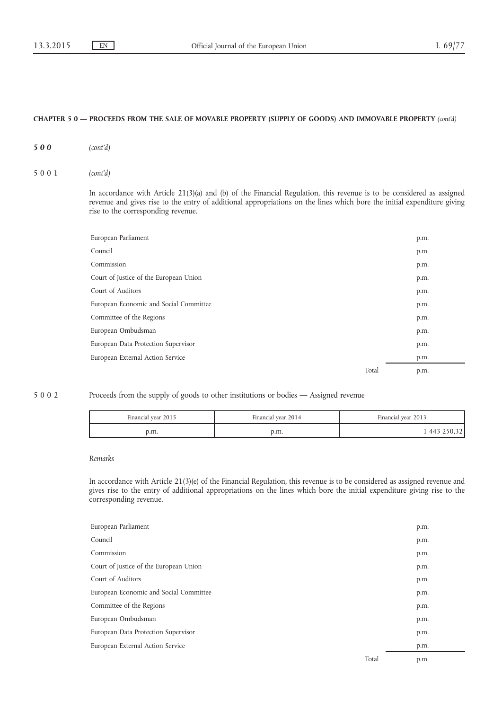## CHAPTER 5 0 — PROCEEDS FROM THE SALE OF MOVABLE PROPERTY (SUPPLY OF GOODS) AND IMMOVABLE PROPERTY (cont'd)

500 (cont'd)

#### 5001 (cont'd)

In accordance with Article 21(3)(a) and (b) of the Financial Regulation, this revenue is to be considered as assigned revenue and gives rise to the entry of additional appropriations on the lines which bore the initial expenditure giving rise to the corresponding revenue.

| European Parliament                    |       | p.m. |
|----------------------------------------|-------|------|
| Council                                |       | p.m. |
| Commission                             |       | p.m. |
| Court of Justice of the European Union |       | p.m. |
| Court of Auditors                      |       | p.m. |
| European Economic and Social Committee |       | p.m. |
| Committee of the Regions               |       | p.m. |
| European Ombudsman                     |       | p.m. |
| European Data Protection Supervisor    |       | p.m. |
| European External Action Service       |       | p.m. |
|                                        | Total | p.m. |

## 5 0 0 2 Proceeds from the supply of goods to other institutions or bodies — Assigned revenue

| Financial year 2015 | Financial year 2014 | Financial year 2013 |
|---------------------|---------------------|---------------------|
| p.m.                | p.m.                | 443                 |

#### Remarks

In accordance with Article 21(3)(e) of the Financial Regulation, this revenue is to be considered as assigned revenue and gives rise to the entry of additional appropriations on the lines which bore the initial expenditure giving rise to the corresponding revenue.

| European Parliament                    |       | p.m. |
|----------------------------------------|-------|------|
| Council                                |       | p.m. |
| Commission                             |       | p.m. |
| Court of Justice of the European Union |       | p.m. |
| Court of Auditors                      |       | p.m. |
| European Economic and Social Committee |       | p.m. |
| Committee of the Regions               |       | p.m. |
| European Ombudsman                     |       | p.m. |
| European Data Protection Supervisor    |       | p.m. |
| European External Action Service       |       | p.m. |
|                                        | Total | p.m. |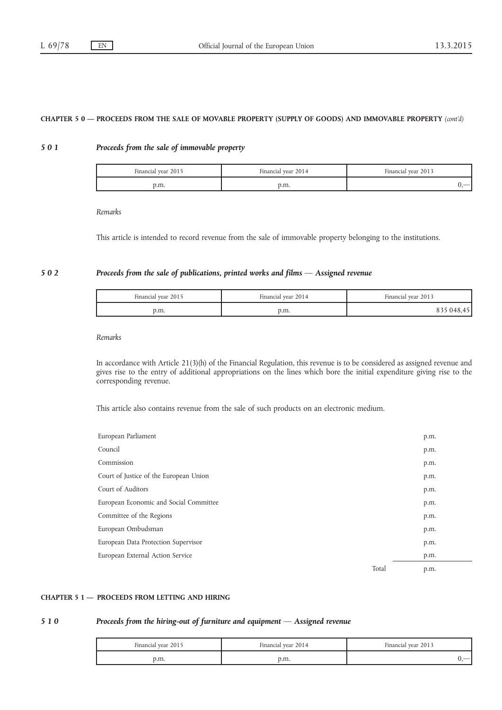## CHAPTER 5 0 — PROCEEDS FROM THE SALE OF MOVABLE PROPERTY (SUPPLY OF GOODS) AND IMMOVABLE PROPERTY (cont'd)

# 5 0 1 Proceeds from the sale of immovable property

| Financial year 2015 | Financial vear 2014 | Financial vear 2013 |
|---------------------|---------------------|---------------------|
| p.m.                | v.m.                | __                  |

Remarks

This article is intended to record revenue from the sale of immovable property belonging to the institutions.

## 5 0 2 Proceeds from the sale of publications, printed works and films — Assigned revenue

| Financial year 2015 | Financial vear 2014 | Financial year 2013 |
|---------------------|---------------------|---------------------|
| p.m.                | p.m.                | 835 048.45          |

Remarks

In accordance with Article 21(3)(h) of the Financial Regulation, this revenue is to be considered as assigned revenue and gives rise to the entry of additional appropriations on the lines which bore the initial expenditure giving rise to the corresponding revenue.

This article also contains revenue from the sale of such products on an electronic medium.

| European Parliament                    |       | p.m. |
|----------------------------------------|-------|------|
| Council                                |       | p.m. |
| Commission                             |       | p.m. |
| Court of Justice of the European Union |       | p.m. |
| Court of Auditors                      |       | p.m. |
| European Economic and Social Committee |       | p.m. |
| Committee of the Regions               |       | p.m. |
| European Ombudsman                     |       | p.m. |
| European Data Protection Supervisor    |       | p.m. |
| European External Action Service       |       | p.m. |
|                                        | Total | p.m. |

## CHAPTER 5 1 — PROCEEDS FROM LETTING AND HIRING

## 5 1 0 Proceeds from the hiring-out of furniture and equipment — Assigned revenue

| Financial year 2015 | Financial year 2014 | Financial year 2013      |
|---------------------|---------------------|--------------------------|
| p.m.                | р.ш.                | $\overline{\phantom{a}}$ |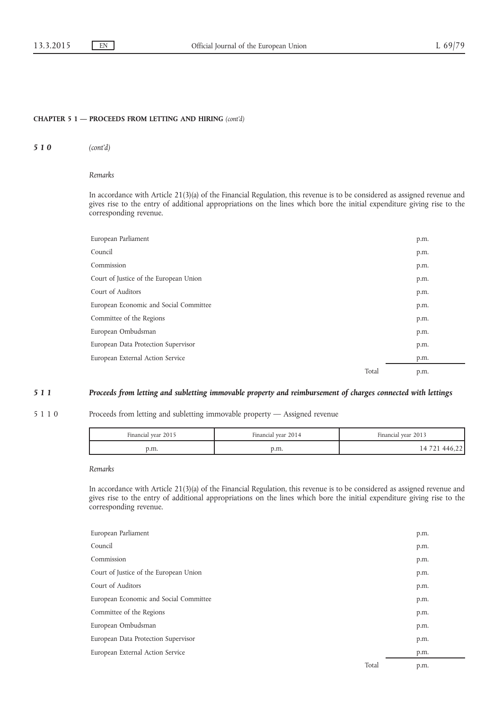#### CHAPTER 5 1 — PROCEEDS FROM LETTING AND HIRING (cont'd)

510 (cont'd)

#### Remarks

In accordance with Article 21(3)(a) of the Financial Regulation, this revenue is to be considered as assigned revenue and gives rise to the entry of additional appropriations on the lines which bore the initial expenditure giving rise to the corresponding revenue.

| European Parliament                    |       | p.m. |
|----------------------------------------|-------|------|
| Council                                |       | p.m. |
| Commission                             |       | p.m. |
| Court of Justice of the European Union |       | p.m. |
| Court of Auditors                      |       | p.m. |
| European Economic and Social Committee |       | p.m. |
| Committee of the Regions               |       | p.m. |
| European Ombudsman                     |       | p.m. |
| European Data Protection Supervisor    |       | p.m. |
| European External Action Service       |       | p.m. |
|                                        | Total | p.m. |

#### 5 1 1 Proceeds from letting and subletting immovable property and reimbursement of charges connected with lettings

#### 5 1 1 0 Proceeds from letting and subletting immovable property — Assigned revenue

| Financial year 2015 | Financial vear 2014 | Financial year 2013 |
|---------------------|---------------------|---------------------|
| p.m.                | p.m.                | 446.221<br>14 /     |

#### Remarks

In accordance with Article 21(3)(a) of the Financial Regulation, this revenue is to be considered as assigned revenue and gives rise to the entry of additional appropriations on the lines which bore the initial expenditure giving rise to the corresponding revenue.

| European Parliament                    |       | p.m. |
|----------------------------------------|-------|------|
| Council                                |       | p.m. |
| Commission                             |       | p.m. |
| Court of Justice of the European Union |       | p.m. |
| Court of Auditors                      |       | p.m. |
| European Economic and Social Committee |       | p.m. |
| Committee of the Regions               |       | p.m. |
| European Ombudsman                     |       | p.m. |
| European Data Protection Supervisor    |       | p.m. |
| European External Action Service       |       | p.m. |
|                                        | Total | p.m. |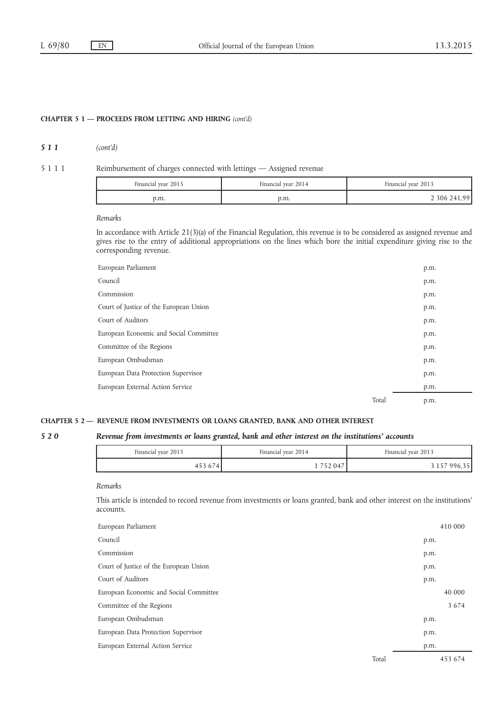## CHAPTER 5 1 — PROCEEDS FROM LETTING AND HIRING (cont'd)

# 511 (cont'd)

5 1 1 1 Reimbursement of charges connected with lettings — Assigned revenue

| Financial year 2015 | Financial vear 2014 | Financial year 2013 |
|---------------------|---------------------|---------------------|
| p.m.                | p.m.                | 2 306 241,99        |

Remarks

In accordance with Article 21(3)(a) of the Financial Regulation, this revenue is to be considered as assigned revenue and gives rise to the entry of additional appropriations on the lines which bore the initial expenditure giving rise to the corresponding revenue.

| European Parliament                    |       | p.m. |
|----------------------------------------|-------|------|
| Council                                |       | p.m. |
| Commission                             |       | p.m. |
| Court of Justice of the European Union |       | p.m. |
| Court of Auditors                      |       | p.m. |
| European Economic and Social Committee |       | p.m. |
| Committee of the Regions               |       | p.m. |
| European Ombudsman                     |       | p.m. |
| European Data Protection Supervisor    |       | p.m. |
| European External Action Service       |       | p.m. |
|                                        | Total | p.m. |

#### CHAPTER 5 2 — REVENUE FROM INVESTMENTS OR LOANS GRANTED, BANK AND OTHER INTEREST

#### 5 2 0 Revenue from investments or loans granted, bank and other interest on the institutions' accounts

| Financial year 2015 | Financial vear 2014 | Financial vear 2013 |
|---------------------|---------------------|---------------------|
|                     |                     | フフリ.ノノ              |

Remarks

This article is intended to record revenue from investments or loans granted, bank and other interest on the institutions' accounts.

| European Parliament                    |       | 410 000 |  |
|----------------------------------------|-------|---------|--|
| Council                                |       | p.m.    |  |
| Commission                             |       | p.m.    |  |
| Court of Justice of the European Union |       | p.m.    |  |
| Court of Auditors                      |       | p.m.    |  |
| European Economic and Social Committee |       | 40 000  |  |
| Committee of the Regions               |       | 3 6 7 4 |  |
| European Ombudsman                     |       | p.m.    |  |
| European Data Protection Supervisor    |       | p.m.    |  |
| European External Action Service       |       | p.m.    |  |
|                                        | Total | 453 674 |  |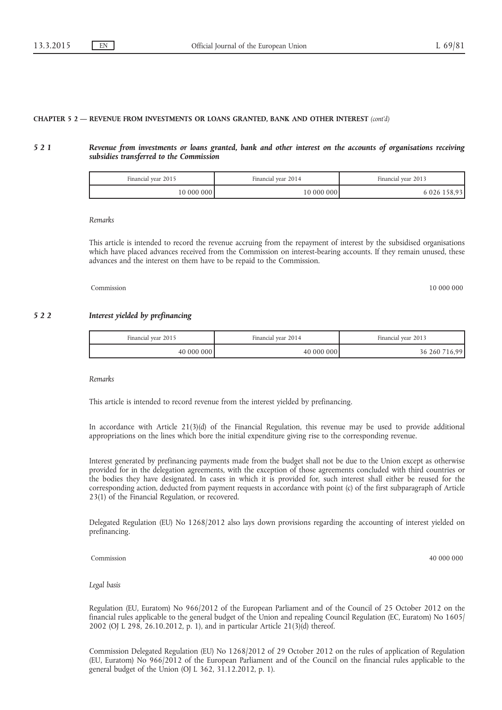#### CHAPTER 5 2 — REVENUE FROM INVESTMENTS OR LOANS GRANTED, BANK AND OTHER INTEREST (cont'd)

#### 5 2 1 Revenue from investments or loans granted, bank and other interest on the accounts of organisations receiving subsidies transferred to the Commission

| Financial year 2015 | Financial year 2014 | Financial year 2013 |
|---------------------|---------------------|---------------------|
| 10 000 000          | 10 000 000          | 6 0 2 6 1 5 8 9 3   |

Remarks

This article is intended to record the revenue accruing from the repayment of interest by the subsidised organisations which have placed advances received from the Commission on interest-bearing accounts. If they remain unused, these advances and the interest on them have to be repaid to the Commission.

Commission 10 000 000

## 5 2 2 Interest yielded by prefinancing

| Financial vear 2015 | Financial vear 2014 | Financial year 2013                |  |
|---------------------|---------------------|------------------------------------|--|
| 40 000 000          | 000000<br>40        | $16,99$ <sup>1</sup><br>260<br>36. |  |

#### Remarks

This article is intended to record revenue from the interest yielded by prefinancing.

In accordance with Article 21(3)(d) of the Financial Regulation, this revenue may be used to provide additional appropriations on the lines which bore the initial expenditure giving rise to the corresponding revenue.

Interest generated by prefinancing payments made from the budget shall not be due to the Union except as otherwise provided for in the delegation agreements, with the exception of those agreements concluded with third countries or the bodies they have designated. In cases in which it is provided for, such interest shall either be reused for the corresponding action, deducted from payment requests in accordance with point (c) of the first subparagraph of Article 23(1) of the Financial Regulation, or recovered.

Delegated Regulation (EU) No 1268/2012 also lays down provisions regarding the accounting of interest yielded on prefinancing.

Commission 40 000 000

Legal basis

Regulation (EU, Euratom) No 966/2012 of the European Parliament and of the Council of 25 October 2012 on the financial rules applicable to the general budget of the Union and repealing Council Regulation (EC, Euratom) No 1605/ 2002 (OJ L 298, 26.10.2012, p. 1), and in particular Article 21(3)(d) thereof.

Commission Delegated Regulation (EU) No 1268/2012 of 29 October 2012 on the rules of application of Regulation (EU, Euratom) No 966/2012 of the European Parliament and of the Council on the financial rules applicable to the general budget of the Union (OJ L 362, 31.12.2012, p. 1).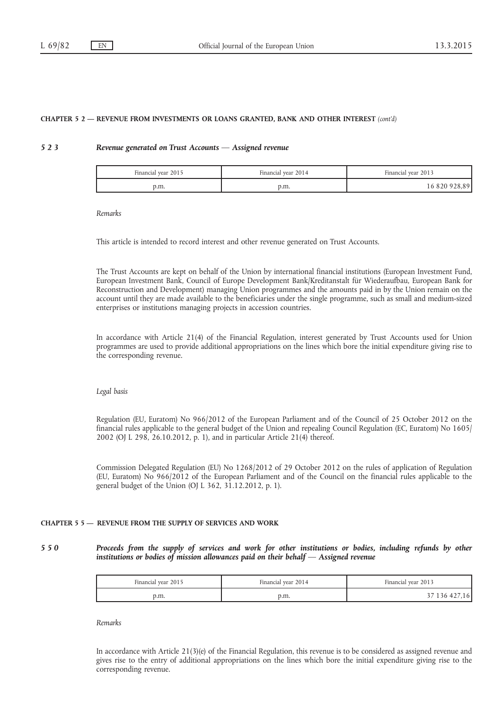#### CHAPTER 5 2 — REVENUE FROM INVESTMENTS OR LOANS GRANTED, BANK AND OTHER INTEREST (cont'd)

#### 5 2 3 Revenue generated on Trust Accounts — Assigned revenue

| Financial year 2015 | Financial year 2014 | Financial year 2013 |  |
|---------------------|---------------------|---------------------|--|
| p.m.                | p.m.                | 16 820 928,891      |  |

Remarks

This article is intended to record interest and other revenue generated on Trust Accounts.

The Trust Accounts are kept on behalf of the Union by international financial institutions (European Investment Fund, European Investment Bank, Council of Europe Development Bank/Kreditanstalt für Wiederaufbau, European Bank for Reconstruction and Development) managing Union programmes and the amounts paid in by the Union remain on the account until they are made available to the beneficiaries under the single programme, such as small and medium-sized enterprises or institutions managing projects in accession countries.

In accordance with Article 21(4) of the Financial Regulation, interest generated by Trust Accounts used for Union programmes are used to provide additional appropriations on the lines which bore the initial expenditure giving rise to the corresponding revenue.

#### Legal basis

Regulation (EU, Euratom) No 966/2012 of the European Parliament and of the Council of 25 October 2012 on the financial rules applicable to the general budget of the Union and repealing Council Regulation (EC, Euratom) No 1605/ 2002 (OJ L 298, 26.10.2012, p. 1), and in particular Article 21(4) thereof.

Commission Delegated Regulation (EU) No 1268/2012 of 29 October 2012 on the rules of application of Regulation (EU, Euratom) No 966/2012 of the European Parliament and of the Council on the financial rules applicable to the general budget of the Union (OJ L 362, 31.12.2012, p. 1).

#### CHAPTER 5 5 — REVENUE FROM THE SUPPLY OF SERVICES AND WORK

5 5 0 Proceeds from the supply of services and work for other institutions or bodies, including refunds by other institutions or bodies of mission allowances paid on their behalf — Assigned revenue

| Financial year 2015 | Financial vear 2014 | Financial year 2013 |
|---------------------|---------------------|---------------------|
| d.m.                | p.m.                | 13642/<br>4.I 6     |

Remarks

In accordance with Article 21(3)(e) of the Financial Regulation, this revenue is to be considered as assigned revenue and gives rise to the entry of additional appropriations on the lines which bore the initial expenditure giving rise to the corresponding revenue.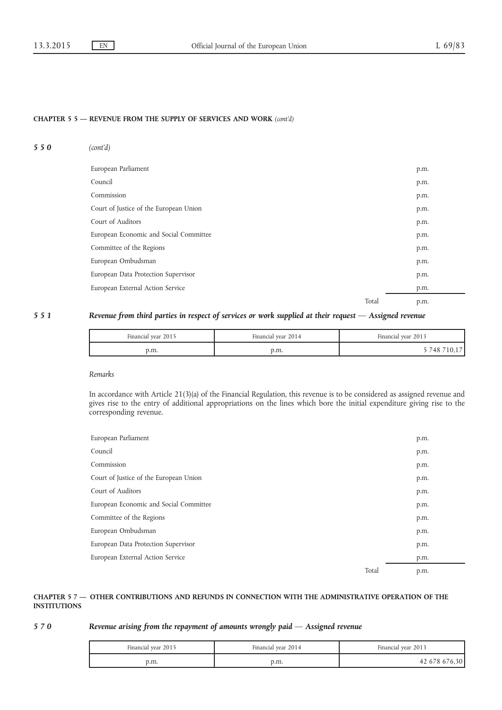#### CHAPTER 5 5 — REVENUE FROM THE SUPPLY OF SERVICES AND WORK (cont'd)

| 550 | (cont'd) |
|-----|----------|
|-----|----------|

| European Parliament                    |       | p.m. |
|----------------------------------------|-------|------|
| Council                                |       | p.m. |
| Commission                             |       | p.m. |
| Court of Justice of the European Union |       | p.m. |
| Court of Auditors                      |       | p.m. |
| European Economic and Social Committee |       | p.m. |
| Committee of the Regions               |       | p.m. |
| European Ombudsman                     |       | p.m. |
| European Data Protection Supervisor    |       | p.m. |
| European External Action Service       |       | p.m. |
|                                        | Total | p.m. |
|                                        |       |      |

## 5 5 1 Revenue from third parties in respect of services or work supplied at their request — Assigned revenue

| Financial year 2015 | Financial year 2014 | Financial year 2013  |
|---------------------|---------------------|----------------------|
| p.m.                | p.m.                | $48^{\circ}$<br>10.1 |

#### Remarks

In accordance with Article 21(3)(a) of the Financial Regulation, this revenue is to be considered as assigned revenue and gives rise to the entry of additional appropriations on the lines which bore the initial expenditure giving rise to the corresponding revenue.

| European Parliament                    |       | p.m. |
|----------------------------------------|-------|------|
| Council                                |       | p.m. |
| Commission                             |       | p.m. |
| Court of Justice of the European Union |       | p.m. |
| Court of Auditors                      |       | p.m. |
| European Economic and Social Committee |       | p.m. |
| Committee of the Regions               |       | p.m. |
| European Ombudsman                     |       | p.m. |
| European Data Protection Supervisor    |       | p.m. |
| European External Action Service       |       | p.m. |
|                                        | Total | p.m. |

### CHAPTER 5 7 — OTHER CONTRIBUTIONS AND REFUNDS IN CONNECTION WITH THE ADMINISTRATIVE OPERATION OF THE INSTITUTIONS

## 5 7 0 Revenue arising from the repayment of amounts wrongly paid — Assigned revenue

| Financial year 2015 | Financial year 2014 | Financial year 2013 |
|---------------------|---------------------|---------------------|
| p.m.                | p.m.                | 42 678 676,30       |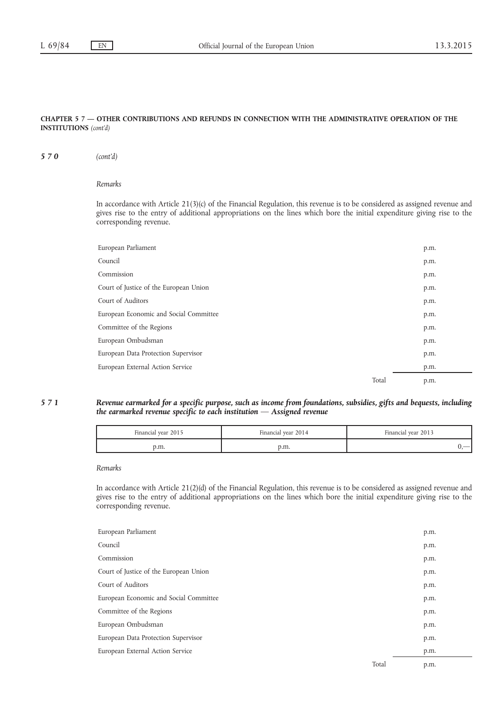# CHAPTER 5 7 — OTHER CONTRIBUTIONS AND REFUNDS IN CONNECTION WITH THE ADMINISTRATIVE OPERATION OF THE INSTITUTIONS (cont'd)

570 (cont'd)

#### Remarks

In accordance with Article 21(3)(c) of the Financial Regulation, this revenue is to be considered as assigned revenue and gives rise to the entry of additional appropriations on the lines which bore the initial expenditure giving rise to the corresponding revenue.

| European Parliament                    |       | p.m. |
|----------------------------------------|-------|------|
| Council                                |       | p.m. |
| Commission                             |       | p.m. |
| Court of Justice of the European Union |       | p.m. |
| Court of Auditors                      |       | p.m. |
| European Economic and Social Committee |       | p.m. |
| Committee of the Regions               |       | p.m. |
| European Ombudsman                     |       | p.m. |
| European Data Protection Supervisor    |       | p.m. |
| European External Action Service       |       | p.m. |
|                                        | Total | p.m. |

# 5 7 1 Revenue earmarked for a specific purpose, such as income from foundations, subsidies, gifts and bequests, including the earmarked revenue specific to each institution — Assigned revenue

| Financial year 2015 | Financial vear 2014 | Financial year 2013 |
|---------------------|---------------------|---------------------|
| р.ш.                | p.m.                |                     |

Remarks

In accordance with Article 21(2)(d) of the Financial Regulation, this revenue is to be considered as assigned revenue and gives rise to the entry of additional appropriations on the lines which bore the initial expenditure giving rise to the corresponding revenue.

| European Parliament                    |       | p.m. |
|----------------------------------------|-------|------|
| Council                                |       | p.m. |
| Commission                             |       | p.m. |
| Court of Justice of the European Union |       | p.m. |
| Court of Auditors                      |       | p.m. |
| European Economic and Social Committee |       | p.m. |
| Committee of the Regions               |       | p.m. |
| European Ombudsman                     |       | p.m. |
| European Data Protection Supervisor    |       | p.m. |
| European External Action Service       |       | p.m. |
|                                        | Total | p.m. |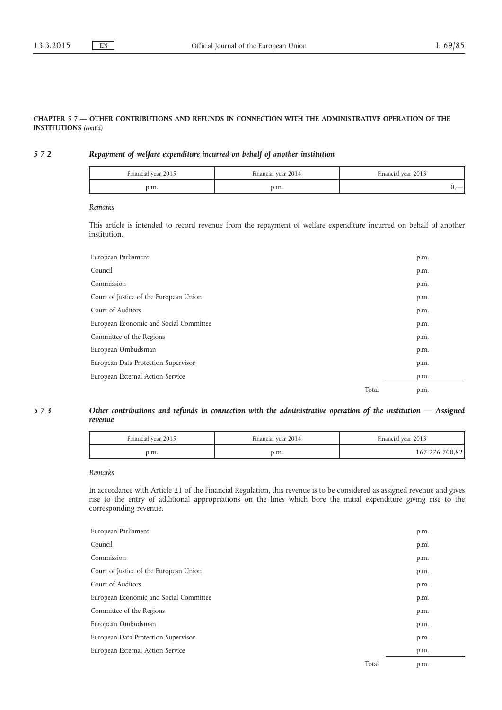# CHAPTER 5 7 — OTHER CONTRIBUTIONS AND REFUNDS IN CONNECTION WITH THE ADMINISTRATIVE OPERATION OF THE INSTITUTIONS (cont'd)

# 5 7 2 Repayment of welfare expenditure incurred on behalf of another institution

| Financial year 2015 | Financial vear 2014 | Financial year 2013      |
|---------------------|---------------------|--------------------------|
| p.m.                | p.m.                | $\overline{\phantom{a}}$ |

Remarks

This article is intended to record revenue from the repayment of welfare expenditure incurred on behalf of another institution.

| European Parliament                    |       | p.m. |
|----------------------------------------|-------|------|
| Council                                |       | p.m. |
| Commission                             |       | p.m. |
| Court of Justice of the European Union |       | p.m. |
| Court of Auditors                      |       | p.m. |
| European Economic and Social Committee |       | p.m. |
| Committee of the Regions               |       | p.m. |
| European Ombudsman                     |       | p.m. |
| European Data Protection Supervisor    |       | p.m. |
| European External Action Service       |       | p.m. |
|                                        | Total | p.m. |

# 5 7 3 Other contributions and refunds in connection with the administrative operation of the institution — Assigned revenue

| Financial year 2015 | Financial year 2014 | Financial year 2013 |
|---------------------|---------------------|---------------------|
| p.m.                | p.m.                | 700.82<br>16/       |

#### Remarks

In accordance with Article 21 of the Financial Regulation, this revenue is to be considered as assigned revenue and gives rise to the entry of additional appropriations on the lines which bore the initial expenditure giving rise to the corresponding revenue.

| European Parliament                    |       | p.m. |
|----------------------------------------|-------|------|
| Council                                |       | p.m. |
| Commission                             |       | p.m. |
| Court of Justice of the European Union |       | p.m. |
| Court of Auditors                      |       | p.m. |
| European Economic and Social Committee |       | p.m. |
| Committee of the Regions               |       | p.m. |
| European Ombudsman                     |       | p.m. |
| European Data Protection Supervisor    |       | p.m. |
| European External Action Service       |       | p.m. |
|                                        | Total | p.m. |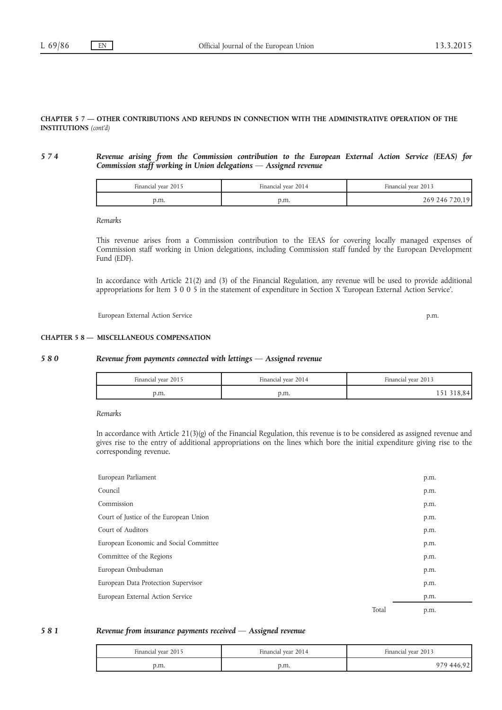# CHAPTER 5 7 — OTHER CONTRIBUTIONS AND REFUNDS IN CONNECTION WITH THE ADMINISTRATIVE OPERATION OF THE INSTITUTIONS (cont'd)

# 5 7 4 Revenue arising from the Commission contribution to the European External Action Service (EEAS) for Commission staff working in Union delegations — Assigned revenue

| Financial year 2015 | Financial vear 2014 | Financial year 2013 |
|---------------------|---------------------|---------------------|
| o.m.                | p.m.                | 269 246 720,19      |

Remarks

This revenue arises from a Commission contribution to the EEAS for covering locally managed expenses of Commission staff working in Union delegations, including Commission staff funded by the European Development Fund (EDF).

In accordance with Article 21(2) and (3) of the Financial Regulation, any revenue will be used to provide additional appropriations for Item 3 0 0 5 in the statement of expenditure in Section X 'European External Action Service'.

European External Action Service p.m.

# CHAPTER 5 8 — MISCELLANEOUS COMPENSATION

# 5 8 0 Revenue from payments connected with lettings — Assigned revenue

| Financial year 2015 | Financial vear 2014 | Financial year 2013 |
|---------------------|---------------------|---------------------|
| p.m.                | p.m.                |                     |

Remarks

In accordance with Article 21(3)(g) of the Financial Regulation, this revenue is to be considered as assigned revenue and gives rise to the entry of additional appropriations on the lines which bore the initial expenditure giving rise to the corresponding revenue.

| European Parliament                    |       | p.m. |
|----------------------------------------|-------|------|
| Council                                |       | p.m. |
| Commission                             |       | p.m. |
| Court of Justice of the European Union |       | p.m. |
| Court of Auditors                      |       | p.m. |
| European Economic and Social Committee |       | p.m. |
| Committee of the Regions               |       | p.m. |
| European Ombudsman                     |       | p.m. |
| European Data Protection Supervisor    |       | p.m. |
| European External Action Service       |       | p.m. |
|                                        | Total | p.m. |

# 5 8 1 Revenue from insurance payments received — Assigned revenue

| Financial year 2015 | Financial year 2014 | Financial year 2013 |
|---------------------|---------------------|---------------------|
| p.m.                | p.m.                |                     |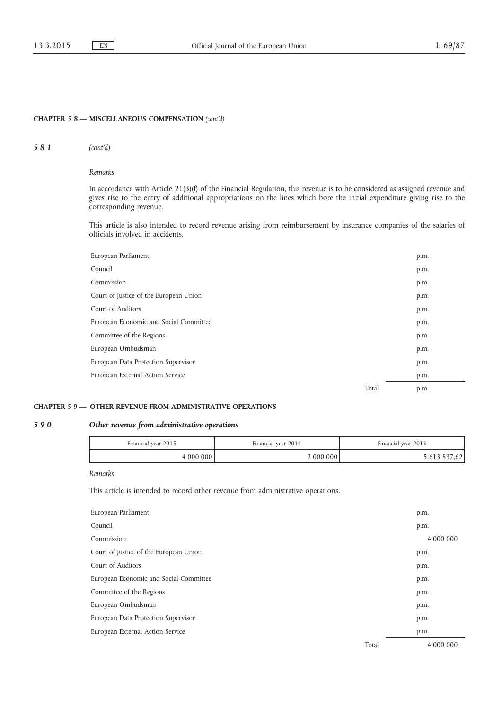# CHAPTER 5 8 — MISCELLANEOUS COMPENSATION (cont'd)

# 581 (cont'd)

# Remarks

In accordance with Article 21(3)(f) of the Financial Regulation, this revenue is to be considered as assigned revenue and gives rise to the entry of additional appropriations on the lines which bore the initial expenditure giving rise to the corresponding revenue.

This article is also intended to record revenue arising from reimbursement by insurance companies of the salaries of officials involved in accidents.

| European Parliament                    |       | p.m. |
|----------------------------------------|-------|------|
| Council                                |       | p.m. |
| Commission                             |       | p.m. |
| Court of Justice of the European Union |       | p.m. |
| Court of Auditors                      |       | p.m. |
| European Economic and Social Committee |       | p.m. |
| Committee of the Regions               |       | p.m. |
| European Ombudsman                     |       | p.m. |
| European Data Protection Supervisor    |       | p.m. |
| European External Action Service       |       | p.m. |
|                                        | Total | p.m. |

# CHAPTER 5 9 — OTHER REVENUE FROM ADMINISTRATIVE OPERATIONS

# 5 9 0 Other revenue from administrative operations

| Financial year 2015 | Financial vear 2014 | Financial year 2013 |
|---------------------|---------------------|---------------------|
| 000 000             | 000000              |                     |

#### Remarks

This article is intended to record other revenue from administrative operations.

| European Parliament                    |       | p.m.      |
|----------------------------------------|-------|-----------|
| Council                                |       | p.m.      |
| Commission                             |       | 4 000 000 |
| Court of Justice of the European Union |       | p.m.      |
| Court of Auditors                      |       | p.m.      |
| European Economic and Social Committee |       | p.m.      |
| Committee of the Regions               |       | p.m.      |
| European Ombudsman                     |       | p.m.      |
| European Data Protection Supervisor    |       | p.m.      |
| European External Action Service       |       | p.m.      |
|                                        | Total | 4 000 000 |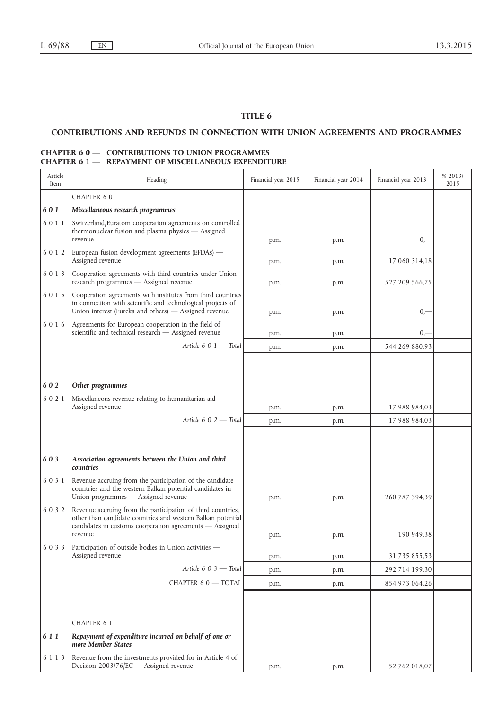# TITLE 6

# CONTRIBUTIONS AND REFUNDS IN CONNECTION WITH UNION AGREEMENTS AND PROGRAMMES

# CHAPTER 6 0 — CONTRIBUTIONS TO UNION PROGRAMMES CHAPTER 6 1 — REPAYMENT OF MISCELLANEOUS EXPENDITURE

| Article<br>Item                   | Heading                                                                                                                                                                                                                                                                                                                                                                                                                                                                                                                                    | Financial year 2015          | Financial year 2014          | Financial year 2013                                             | % 2013/<br>2015 |
|-----------------------------------|--------------------------------------------------------------------------------------------------------------------------------------------------------------------------------------------------------------------------------------------------------------------------------------------------------------------------------------------------------------------------------------------------------------------------------------------------------------------------------------------------------------------------------------------|------------------------------|------------------------------|-----------------------------------------------------------------|-----------------|
|                                   | CHAPTER 6 0                                                                                                                                                                                                                                                                                                                                                                                                                                                                                                                                |                              |                              |                                                                 |                 |
| 601                               | Miscellaneous research programmes                                                                                                                                                                                                                                                                                                                                                                                                                                                                                                          |                              |                              |                                                                 |                 |
| 6011                              | Switzerland/Euratom cooperation agreements on controlled<br>thermonuclear fusion and plasma physics - Assigned<br>revenue                                                                                                                                                                                                                                                                                                                                                                                                                  | p.m.                         | p.m.                         | $0, -$                                                          |                 |
| 6 0 1 2                           | European fusion development agreements (EFDAs) -<br>Assigned revenue                                                                                                                                                                                                                                                                                                                                                                                                                                                                       | p.m.                         | p.m.                         | 17 060 314,18                                                   |                 |
| 6013                              | Cooperation agreements with third countries under Union<br>research programmes - Assigned revenue                                                                                                                                                                                                                                                                                                                                                                                                                                          | p.m.                         | p.m.                         | 527 209 566,75                                                  |                 |
| 6 0 1 5                           | Cooperation agreements with institutes from third countries<br>in connection with scientific and technological projects of<br>Union interest (Eureka and others) - Assigned revenue                                                                                                                                                                                                                                                                                                                                                        | p.m.                         | p.m.                         | $_{0,-}$                                                        |                 |
| 6016                              | Agreements for European cooperation in the field of<br>scientific and technical research - Assigned revenue                                                                                                                                                                                                                                                                                                                                                                                                                                | p.m.                         | p.m.                         | $0,-$                                                           |                 |
|                                   | Article 6 0 1 - Total                                                                                                                                                                                                                                                                                                                                                                                                                                                                                                                      | p.m.                         | p.m.                         | 544 269 880,93                                                  |                 |
| 602                               | Other programmes                                                                                                                                                                                                                                                                                                                                                                                                                                                                                                                           |                              |                              |                                                                 |                 |
| 6021                              | Miscellaneous revenue relating to humanitarian aid -                                                                                                                                                                                                                                                                                                                                                                                                                                                                                       |                              |                              |                                                                 |                 |
|                                   | Assigned revenue                                                                                                                                                                                                                                                                                                                                                                                                                                                                                                                           | p.m.                         | p.m.                         | 17 988 984,03                                                   |                 |
|                                   | Article 6 0 2 - Total                                                                                                                                                                                                                                                                                                                                                                                                                                                                                                                      | p.m.                         | p.m.                         | 17 988 984,03                                                   |                 |
| 603<br>6 0 3 1<br>6032<br>6 0 3 3 | Association agreements between the Union and third<br>countries<br>Revenue accruing from the participation of the candidate<br>countries and the western Balkan potential candidates in<br>Union programmes - Assigned revenue<br>Revenue accruing from the participation of third countries,<br>other than candidate countries and western Balkan potential<br>candidates in customs cooperation agreements - Assigned<br>revenue<br>Participation of outside bodies in Union activities -<br>Assigned revenue<br>Article 6 0 $3$ – Total | p.m.<br>p.m.<br>p.m.<br>p.m. | p.m.<br>p.m.<br>p.m.<br>p.m. | 260 787 394,39<br>190 949,38<br>31 735 855,53<br>292 714 199,30 |                 |
|                                   | CHAPTER 6 0 - TOTAL                                                                                                                                                                                                                                                                                                                                                                                                                                                                                                                        |                              |                              | 854 973 064,26                                                  |                 |
|                                   |                                                                                                                                                                                                                                                                                                                                                                                                                                                                                                                                            | p.m.                         | p.m.                         |                                                                 |                 |
|                                   | CHAPTER 6 1                                                                                                                                                                                                                                                                                                                                                                                                                                                                                                                                |                              |                              |                                                                 |                 |
| 6 1 1                             | Repayment of expenditure incurred on behalf of one or<br>more Member States                                                                                                                                                                                                                                                                                                                                                                                                                                                                |                              |                              |                                                                 |                 |
| 6 1 1 3                           | Revenue from the investments provided for in Article 4 of<br>Decision 2003/76/EC - Assigned revenue                                                                                                                                                                                                                                                                                                                                                                                                                                        | p.m.                         | p.m.                         | 52 762 018,07                                                   |                 |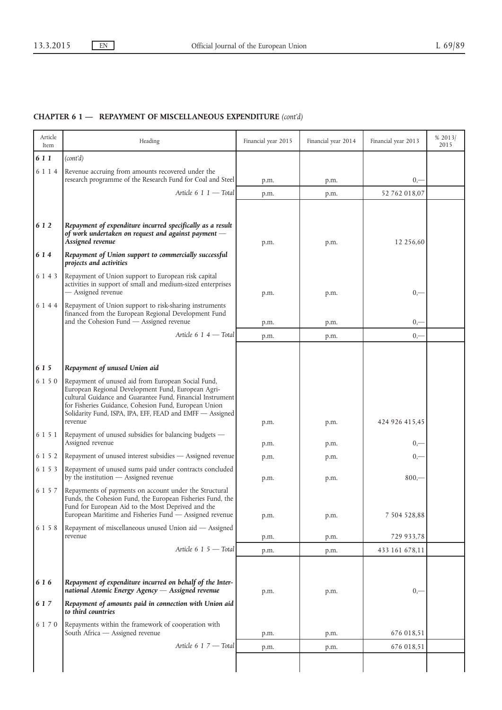| Article<br>Item | Heading                                                                                                                                                                                                                                                                                                 | Financial year 2015 | Financial year 2014 | Financial year 2013 | % 2013/<br>2015 |
|-----------------|---------------------------------------------------------------------------------------------------------------------------------------------------------------------------------------------------------------------------------------------------------------------------------------------------------|---------------------|---------------------|---------------------|-----------------|
| 6 1 1           | (cont'd)                                                                                                                                                                                                                                                                                                |                     |                     |                     |                 |
| 6 1 1 4         | Revenue accruing from amounts recovered under the                                                                                                                                                                                                                                                       |                     |                     |                     |                 |
|                 | research programme of the Research Fund for Coal and Steel                                                                                                                                                                                                                                              | p.m.                | p.m.                | $_{0,-}$            |                 |
|                 | Article $6 1 1 - \text{Total}$                                                                                                                                                                                                                                                                          | p.m.                | p.m.                | 52 762 018,07       |                 |
|                 |                                                                                                                                                                                                                                                                                                         |                     |                     |                     |                 |
| 6 1 2           | Repayment of expenditure incurred specifically as a result<br>of work undertaken on request and against payment -<br>Assigned revenue                                                                                                                                                                   | p.m.                | p.m.                | 12 256,60           |                 |
| 6 1 4           | Repayment of Union support to commercially successful<br>projects and activities                                                                                                                                                                                                                        |                     |                     |                     |                 |
| 6 1 4 3         | Repayment of Union support to European risk capital<br>activities in support of small and medium-sized enterprises<br>- Assigned revenue                                                                                                                                                                | p.m.                | p.m.                | $0,-$               |                 |
| 6 1 4 4         | Repayment of Union support to risk-sharing instruments<br>financed from the European Regional Development Fund<br>and the Cohesion Fund - Assigned revenue                                                                                                                                              | p.m.                | p.m.                | $_{0,-}$            |                 |
|                 | Article 6 1 4 - Total                                                                                                                                                                                                                                                                                   | p.m.                | p.m.                | $_{0,-}$            |                 |
|                 |                                                                                                                                                                                                                                                                                                         |                     |                     |                     |                 |
| 6 1 5           | Repayment of unused Union aid                                                                                                                                                                                                                                                                           |                     |                     |                     |                 |
| 6 1 5 0         | Repayment of unused aid from European Social Fund,<br>European Regional Development Fund, European Agri-<br>cultural Guidance and Guarantee Fund, Financial Instrument<br>for Fisheries Guidance, Cohesion Fund, European Union<br>Solidarity Fund, ISPA, IPA, EFF, FEAD and EMFF - Assigned<br>revenue | p.m.                | p.m.                | 424 926 415,45      |                 |
| 6 1 5 1         | Repayment of unused subsidies for balancing budgets -<br>Assigned revenue                                                                                                                                                                                                                               | p.m.                | p.m.                | $0,-$               |                 |
| 6 1 5 2         | Repayment of unused interest subsidies - Assigned revenue                                                                                                                                                                                                                                               | p.m.                | p.m.                | $_{0,-}$            |                 |
| 6 1 5 3         | Repayment of unused sums paid under contracts concluded<br>by the institution - Assigned revenue                                                                                                                                                                                                        | p.m.                | p.m.                | $800 -$             |                 |
| 6 1 5 7         | Repayments of payments on account under the Structural<br>Funds, the Cohesion Fund, the European Fisheries Fund, the<br>Fund for European Aid to the Most Deprived and the<br>European Maritime and Fisheries Fund - Assigned revenue                                                                   |                     |                     | 7 504 528,88        |                 |
| 6 1 5 8         | Repayment of miscellaneous unused Union aid - Assigned                                                                                                                                                                                                                                                  | p.m.                | p.m.                |                     |                 |
|                 | revenue                                                                                                                                                                                                                                                                                                 | p.m.                | p.m.                | 729 933,78          |                 |
|                 | Article 6 $15$ – Total                                                                                                                                                                                                                                                                                  | p.m.                | p.m.                | 433 161 678,11      |                 |
| 616             | Repayment of expenditure incurred on behalf of the Inter-                                                                                                                                                                                                                                               |                     |                     |                     |                 |
|                 | national Atomic Energy Agency - Assigned revenue                                                                                                                                                                                                                                                        | p.m.                | p.m.                | $0,-$               |                 |
| 6 1 7           | Repayment of amounts paid in connection with Union aid<br>to third countries                                                                                                                                                                                                                            |                     |                     |                     |                 |
| 6 1 7 0         | Repayments within the framework of cooperation with<br>South Africa - Assigned revenue                                                                                                                                                                                                                  | p.m.                | p.m.                | 676 018,51          |                 |
|                 | Article 6 $17 - \text{Total}$                                                                                                                                                                                                                                                                           | p.m.                | p.m.                | 676 018,51          |                 |
|                 |                                                                                                                                                                                                                                                                                                         |                     |                     |                     |                 |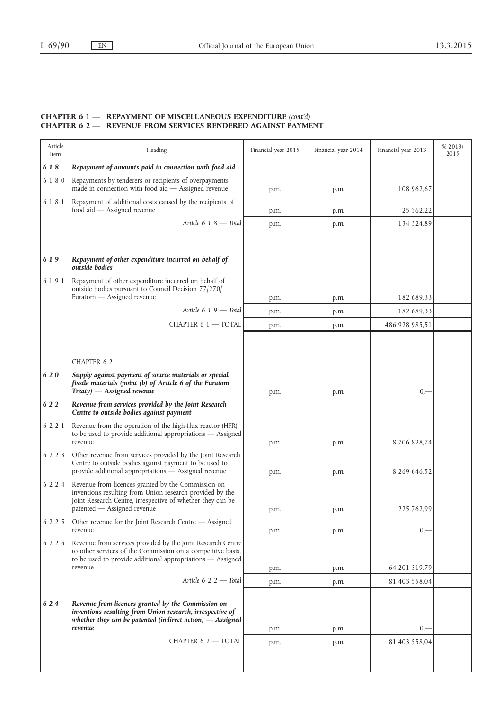# CHAPTER 6 1 - REPAYMENT OF MISCELLANEOUS EXPENDITURE (cont'd) CHAPTER 6 2 — REVENUE FROM SERVICES RENDERED AGAINST PAYMENT

| Article<br>Item | Heading                                                                                                                                                                                   | Financial year 2015 | Financial year 2014 | Financial year 2013 | % 2013/<br>2015 |
|-----------------|-------------------------------------------------------------------------------------------------------------------------------------------------------------------------------------------|---------------------|---------------------|---------------------|-----------------|
| 618             | Repayment of amounts paid in connection with food aid                                                                                                                                     |                     |                     |                     |                 |
| 6 1 8 0         | Repayments by tenderers or recipients of overpayments<br>made in connection with food aid - Assigned revenue                                                                              | p.m.                | p.m.                | 108 962,67          |                 |
| 6 1 8 1         | Repayment of additional costs caused by the recipients of<br>food aid - Assigned revenue                                                                                                  | p.m.                | p.m.                | 25 362,22           |                 |
|                 | Article $6 \t1 \t8 - \tTotal$                                                                                                                                                             | p.m.                | p.m.                | 134 324,89          |                 |
|                 |                                                                                                                                                                                           |                     |                     |                     |                 |
| 619             | Repayment of other expenditure incurred on behalf of<br>outside bodies                                                                                                                    |                     |                     |                     |                 |
| 6 1 9 1         | Repayment of other expenditure incurred on behalf of<br>outside bodies pursuant to Council Decision 77/270/<br>Euratom - Assigned revenue                                                 |                     |                     |                     |                 |
|                 | Article $6\ 1\ 9$ — Total                                                                                                                                                                 | p.m.                | p.m.                | 182 689,33          |                 |
|                 |                                                                                                                                                                                           | p.m.                | p.m.                | 182 689,33          |                 |
|                 | CHAPTER 6 1 - TOTAL                                                                                                                                                                       | p.m.                | p.m.                | 486 928 985,51      |                 |
|                 |                                                                                                                                                                                           |                     |                     |                     |                 |
|                 | <b>CHAPTER 6 2</b>                                                                                                                                                                        |                     |                     |                     |                 |
| 620             | Supply against payment of source materials or special<br>fissile materials (point (b) of Article 6 of the Euratom<br>$Treaty)$ $-$ Assigned revenue                                       | p.m.                | p.m.                | $_{0,-}$            |                 |
| 622             | Revenue from services provided by the Joint Research<br>Centre to outside bodies against payment                                                                                          |                     |                     |                     |                 |
| 6 2 2 1         | Revenue from the operation of the high-flux reactor (HFR)<br>to be used to provide additional appropriations - Assigned<br>revenue                                                        | p.m.                | p.m.                | 8 706 828,74        |                 |
| 6 2 2 3         | Other revenue from services provided by the Joint Research<br>Centre to outside bodies against payment to be used to<br>provide additional appropriations - Assigned revenue              | p.m.                | p.m.                | 8 269 646,52        |                 |
| 6 2 2 4         | Revenue from licences granted by the Commission on<br>inventions resulting from Union research provided by the<br>Joint Research Centre, irrespective of whether they can be              |                     |                     |                     |                 |
|                 | patented - Assigned revenue                                                                                                                                                               | p.m.                | p.m.                | 225 762,99          |                 |
| 6 2 2 5         | Other revenue for the Joint Research Centre - Assigned<br>revenue                                                                                                                         | p.m.                | p.m.                | $_{0,-}$            |                 |
| 6 2 2 6         | Revenue from services provided by the Joint Research Centre<br>to other services of the Commission on a competitive basis,<br>to be used to provide additional appropriations - Assigned  |                     |                     |                     |                 |
|                 | revenue                                                                                                                                                                                   | p.m.                | p.m.                | 64 201 319,79       |                 |
|                 | Article 6 2 2 $-$ Total                                                                                                                                                                   | p.m.                | p.m.                | 81 403 558,04       |                 |
| 624             | Revenue from licences granted by the Commission on<br>inventions resulting from Union research, irrespective of<br>whether they can be patented (indirect action) $-$ Assigned<br>revenue | p.m.                | p.m.                | $_{0,-}$            |                 |
|                 | CHAPTER 6 2 - TOTAL                                                                                                                                                                       | p.m.                | p.m.                | 81 403 558,04       |                 |
|                 |                                                                                                                                                                                           |                     |                     |                     |                 |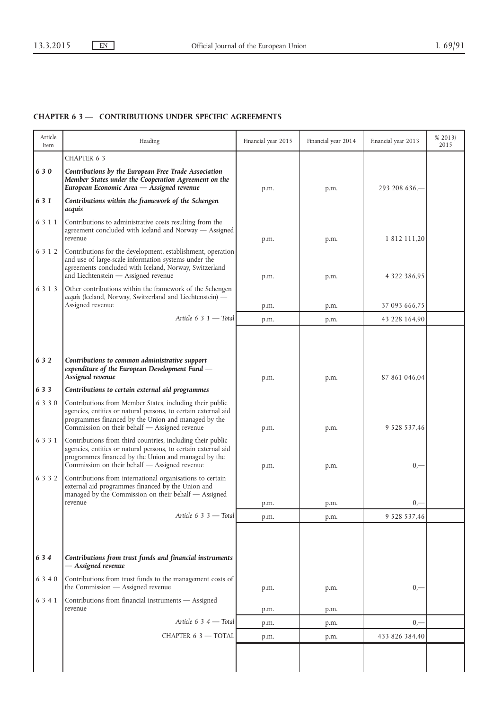| Article<br>Item | Heading                                                                                                                                                                                                                              | Financial year 2015 | Financial year 2014 | Financial year 2013 | % 2013/<br>2015 |
|-----------------|--------------------------------------------------------------------------------------------------------------------------------------------------------------------------------------------------------------------------------------|---------------------|---------------------|---------------------|-----------------|
|                 | CHAPTER 6 3                                                                                                                                                                                                                          |                     |                     |                     |                 |
| 630             | Contributions by the European Free Trade Association<br>Member States under the Cooperation Agreement on the<br>European Economic Area - Assigned revenue                                                                            | p.m.                | p.m.                | 293 208 636,-       |                 |
| 631             | Contributions within the framework of the Schengen<br>acquis                                                                                                                                                                         |                     |                     |                     |                 |
| 6 3 1 1         | Contributions to administrative costs resulting from the<br>agreement concluded with Iceland and Norway - Assigned<br>revenue                                                                                                        | p.m.                | p.m.                | 1 812 111,20        |                 |
| 6 3 1 2         | Contributions for the development, establishment, operation<br>and use of large-scale information systems under the<br>agreements concluded with Iceland, Norway, Switzerland<br>and Liechtenstein - Assigned revenue                | p.m.                | p.m.                | 4 3 2 2 3 8 6, 9 5  |                 |
| 6 3 1 3         | Other contributions within the framework of the Schengen<br>acquis (Iceland, Norway, Switzerland and Liechtenstein) -                                                                                                                |                     |                     |                     |                 |
|                 | Assigned revenue<br>Article $6 \n3 \n1 - Total$                                                                                                                                                                                      | p.m.                | p.m.                | 37 093 666,75       |                 |
|                 |                                                                                                                                                                                                                                      | p.m.                | p.m.                | 43 228 164,90       |                 |
| 632             | Contributions to common administrative support<br>expenditure of the European Development Fund -<br>Assigned revenue                                                                                                                 | p.m.                | p.m.                | 87 861 046,04       |                 |
| 633             | Contributions to certain external aid programmes                                                                                                                                                                                     |                     |                     |                     |                 |
| 6 3 3 0         | Contributions from Member States, including their public<br>agencies, entities or natural persons, to certain external aid<br>programmes financed by the Union and managed by the<br>Commission on their behalf - Assigned revenue   | p.m.                | p.m.                | 9 5 28 5 3 7, 4 6   |                 |
| 6 3 3 1         | Contributions from third countries, including their public<br>agencies, entities or natural persons, to certain external aid<br>programmes financed by the Union and managed by the<br>Commission on their behalf - Assigned revenue | p.m.                | p.m.                | $_{0,-}$            |                 |
| 6 3 3 2         | Contributions from international organisations to certain<br>external aid programmes financed by the Union and<br>managed by the Commission on their behalf - Assigned<br>revenue                                                    | p.m.                | p.m.                | $_{0,-}$            |                 |
|                 | Article 6 3 3 - Total                                                                                                                                                                                                                | p.m.                | p.m.                | 9 5 28 5 3 7, 4 6   |                 |
|                 |                                                                                                                                                                                                                                      |                     |                     |                     |                 |
| 634             | Contributions from trust funds and financial instruments<br>— Assigned revenue                                                                                                                                                       |                     |                     |                     |                 |
| 6 3 4 0         | Contributions from trust funds to the management costs of<br>the Commission - Assigned revenue                                                                                                                                       | p.m.                | p.m.                | $_{0,-}$            |                 |
| 6 3 4 1         | Contributions from financial instruments - Assigned<br>revenue                                                                                                                                                                       | p.m.                | p.m.                |                     |                 |
|                 | Article $6\,3\,4$ — Total                                                                                                                                                                                                            | p.m.                | p.m.                | $_{0,-}$            |                 |
|                 | CHAPTER 6 3 - TOTAL                                                                                                                                                                                                                  | p.m.                | p.m.                | 433 826 384,40      |                 |
|                 |                                                                                                                                                                                                                                      |                     |                     |                     |                 |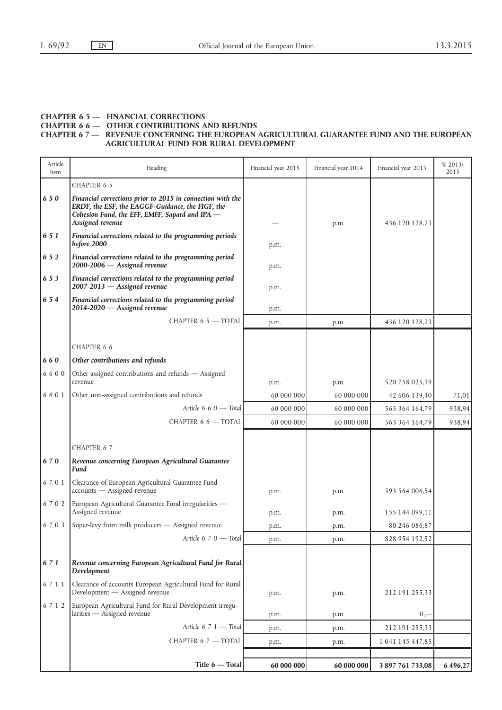# CHAPTER 6 5 — FINANCIAL CORRECTIONS

# CHAPTER 6 6 — OTHER CONTRIBUTIONS AND REFUNDS

#### CHAPTER 6 7 — REVENUE CONCERNING THE EUROPEAN AGRICULTURAL GUARANTEE FUND AND THE EUROPEAN AGRICULTURAL FUND FOR RURAL DEVELOPMENT

| Article<br>Item | Heading                                                                                                                                                                              | Financial year 2015 | Financial year 2014 | Financial year 2013 | % 2013/<br>2015 |
|-----------------|--------------------------------------------------------------------------------------------------------------------------------------------------------------------------------------|---------------------|---------------------|---------------------|-----------------|
|                 | CHAPTER 6 5                                                                                                                                                                          |                     |                     |                     |                 |
| 650             | Financial corrections prior to 2015 in connection with the<br>ERDF, the ESF, the EAGGF-Guidance, the FIGF, the<br>Cohesion Fund, the EFF, EMFF, Sapard and IPA -<br>Assigned revenue |                     | p.m.                | 436 120 128,23      |                 |
| 651             | Financial corrections related to the programming periods<br>before 2000                                                                                                              | p.m.                |                     |                     |                 |
| 652             | Financial corrections related to the programming period<br>2000-2006 - Assigned revenue                                                                                              | p.m.                |                     |                     |                 |
| 653             | Financial corrections related to the programming period<br>2007-2013 - Assigned revenue                                                                                              | p.m.                |                     |                     |                 |
| 654             | Financial corrections related to the programming period<br>2014-2020 - Assigned revenue                                                                                              | p.m.                |                     |                     |                 |
|                 | CHAPTER 6 5 - TOTAL                                                                                                                                                                  | p.m.                | p.m.                | 436 120 128,23      |                 |
|                 |                                                                                                                                                                                      |                     |                     |                     |                 |
|                 | CHAPTER 6 6                                                                                                                                                                          |                     |                     |                     |                 |
| 660             | Other contributions and refunds                                                                                                                                                      |                     |                     |                     |                 |
| 6600            | Other assigned contributions and refunds - Assigned<br>revenue                                                                                                                       | p.m.                | p.m.                | 520 758 025,39      |                 |
| 6601            | Other non-assigned contributions and refunds                                                                                                                                         | 60 000 000          | 60 000 000          | 42 606 139,40       | 71,01           |
|                 | Article $660$ — Total                                                                                                                                                                | 60 000 000          | 60 000 000          | 563 364 164,79      | 938,94          |
|                 | CHAPTER 6 6 - TOTAL                                                                                                                                                                  | 60 000 000          | 60 000 000          | 563 364 164,79      | 938,94          |
|                 |                                                                                                                                                                                      |                     |                     |                     |                 |
|                 | CHAPTER 6 7                                                                                                                                                                          |                     |                     |                     |                 |
| 670             | Revenue concerning European Agricultural Guarantee<br>Fund                                                                                                                           |                     |                     |                     |                 |
| 6701            | Clearance of European Agricultural Guarantee Fund<br>accounts - Assigned revenue                                                                                                     | p.m.                | p.m.                | 593 564 006,54      |                 |
| 6702            | European Agricultural Guarantee Fund irregularities -<br>Assigned revenue                                                                                                            | p.m.                | p.m.                | 155 144 099,11      |                 |
| 6703            | Super-levy from milk producers - Assigned revenue                                                                                                                                    | p.m.                | p.m.                | 80 246 086,87       |                 |
|                 | Article 6 7 0 - Total                                                                                                                                                                | p.m.                | p.m.                | 828 954 192,52      |                 |
| $671$           | Revenue concerning European Agricultural Fund for Rural<br>Development                                                                                                               |                     |                     |                     |                 |
| 6 7 1 1         | Clearance of accounts European Agricultural Fund for Rural<br>Development - Assigned revenue                                                                                         | p.m.                | p.m.                | 212 191 255,33      |                 |
| 6 7 1 2         | European Agricultural Fund for Rural Development irregu-<br>larities - Assigned revenue                                                                                              | p.m.                | p.m.                | $0,-$               |                 |
|                 | Article 6 7 1 - Total                                                                                                                                                                | p.m.                | p.m.                | 212 191 255,33      |                 |
|                 | CHAPTER 6 $7 -$ TOTAL                                                                                                                                                                | p.m.                | p.m.                | 1 041 145 447,85    |                 |
|                 |                                                                                                                                                                                      |                     |                     |                     |                 |
|                 | Title 6 - Total                                                                                                                                                                      | 60 000 000          | 60 000 000          | 3 897 761 733,08    | 6 496,27        |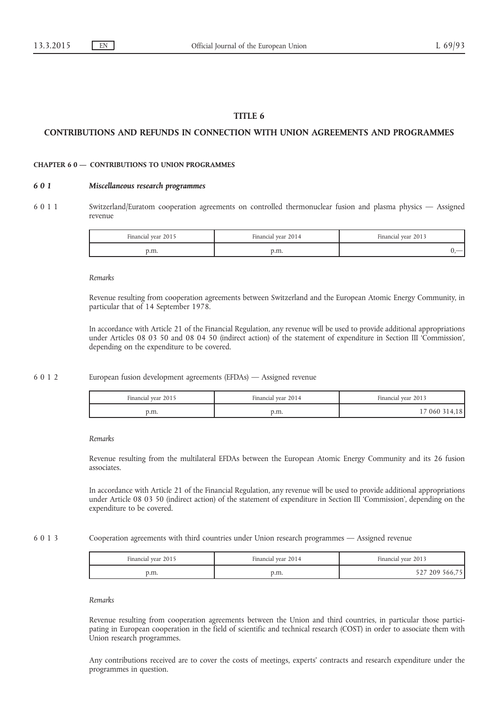# TITLE 6

# CONTRIBUTIONS AND REFUNDS IN CONNECTION WITH UNION AGREEMENTS AND PROGRAMMES

#### CHAPTER 6 0 — CONTRIBUTIONS TO UNION PROGRAMMES

#### 6 0 1 Miscellaneous research programmes

6 0 1 1 Switzerland/Euratom cooperation agreements on controlled thermonuclear fusion and plasma physics — Assigned revenue

| Financial year 2015 | Financial vear 2014 | Financial vear 2013 |
|---------------------|---------------------|---------------------|
| p.m.                | p.m.                |                     |

#### Remarks

Revenue resulting from cooperation agreements between Switzerland and the European Atomic Energy Community, in particular that of 14 September 1978.

In accordance with Article 21 of the Financial Regulation, any revenue will be used to provide additional appropriations under Articles 08 03 50 and 08 04 50 (indirect action) of the statement of expenditure in Section III 'Commission', depending on the expenditure to be covered.

# 6 0 1 2 European fusion development agreements (EFDAs) — Assigned revenue

| Financial year 2015 | Financial year 2014 | Financial year 2013 |
|---------------------|---------------------|---------------------|
| p.m.                | p.m.                | 060 314,18          |

Remarks

Revenue resulting from the multilateral EFDAs between the European Atomic Energy Community and its 26 fusion associates.

In accordance with Article 21 of the Financial Regulation, any revenue will be used to provide additional appropriations under Article 08 03 50 (indirect action) of the statement of expenditure in Section III 'Commission', depending on the expenditure to be covered.

# 6 0 1 3 Cooperation agreements with third countries under Union research programmes — Assigned revenue

| Financial year 2015 | Financial year 2014 | Financial year 2013 |
|---------------------|---------------------|---------------------|
| p.m.                | p.m.                | 209<br>566./        |

#### Remarks

Revenue resulting from cooperation agreements between the Union and third countries, in particular those participating in European cooperation in the field of scientific and technical research (COST) in order to associate them with Union research programmes.

Any contributions received are to cover the costs of meetings, experts' contracts and research expenditure under the programmes in question.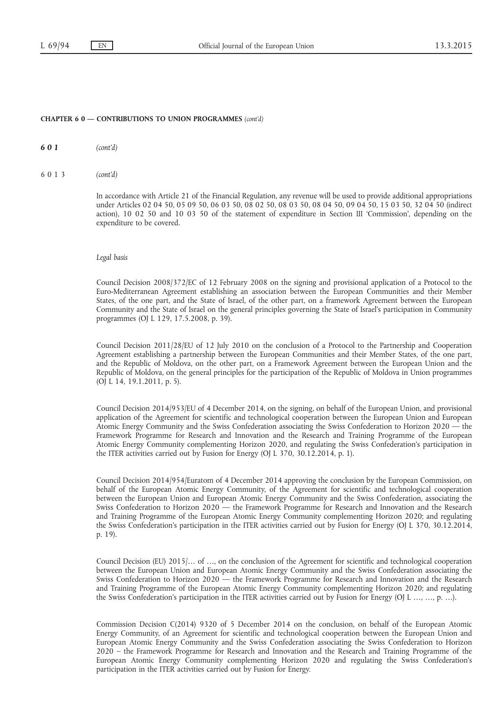601 (cont'd)

6013 (cont'd)

In accordance with Article 21 of the Financial Regulation, any revenue will be used to provide additional appropriations under Articles 02 04 50, 05 09 50, 06 03 50, 08 02 50, 08 03 50, 08 04 50, 09 04 50, 15 03 50, 32 04 50 (indirect action), 10 02 50 and 10 03 50 of the statement of expenditure in Section III 'Commission', depending on the expenditure to be covered.

#### Legal basis

Council Decision 2008/372/EC of 12 February 2008 on the signing and provisional application of a Protocol to the Euro-Mediterranean Agreement establishing an association between the European Communities and their Member States, of the one part, and the State of Israel, of the other part, on a framework Agreement between the European Community and the State of Israel on the general principles governing the State of Israel's participation in Community programmes (OJ L 129, 17.5.2008, p. 39).

Council Decision 2011/28/EU of 12 July 2010 on the conclusion of a Protocol to the Partnership and Cooperation Agreement establishing a partnership between the European Communities and their Member States, of the one part, and the Republic of Moldova, on the other part, on a Framework Agreement between the European Union and the Republic of Moldova, on the general principles for the participation of the Republic of Moldova in Union programmes (OJ L 14, 19.1.2011, p. 5).

Council Decision 2014/953/EU of 4 December 2014, on the signing, on behalf of the European Union, and provisional application of the Agreement for scientific and technological cooperation between the European Union and European Atomic Energy Community and the Swiss Confederation associating the Swiss Confederation to Horizon 2020 — the Framework Programme for Research and Innovation and the Research and Training Programme of the European Atomic Energy Community complementing Horizon 2020, and regulating the Swiss Confederation's participation in the ITER activities carried out by Fusion for Energy (OJ L 370, 30.12.2014, p. 1).

Council Decision 2014/954/Euratom of 4 December 2014 approving the conclusion by the European Commission, on behalf of the European Atomic Energy Community, of the Agreement for scientific and technological cooperation between the European Union and European Atomic Energy Community and the Swiss Confederation, associating the Swiss Confederation to Horizon 2020 — the Framework Programme for Research and Innovation and the Research and Training Programme of the European Atomic Energy Community complementing Horizon 2020; and regulating the Swiss Confederation's participation in the ITER activities carried out by Fusion for Energy (OJ L 370, 30.12.2014, p. 19).

Council Decision (EU) 2015/… of …, on the conclusion of the Agreement for scientific and technological cooperation between the European Union and European Atomic Energy Community and the Swiss Confederation associating the Swiss Confederation to Horizon 2020 — the Framework Programme for Research and Innovation and the Research and Training Programme of the European Atomic Energy Community complementing Horizon 2020; and regulating the Swiss Confederation's participation in the ITER activities carried out by Fusion for Energy (OJ L …, …, p. …).

Commission Decision C(2014) 9320 of 5 December 2014 on the conclusion, on behalf of the European Atomic Energy Community, of an Agreement for scientific and technological cooperation between the European Union and European Atomic Energy Community and the Swiss Confederation associating the Swiss Confederation to Horizon 2020 – the Framework Programme for Research and Innovation and the Research and Training Programme of the European Atomic Energy Community complementing Horizon 2020 and regulating the Swiss Confederation's participation in the ITER activities carried out by Fusion for Energy.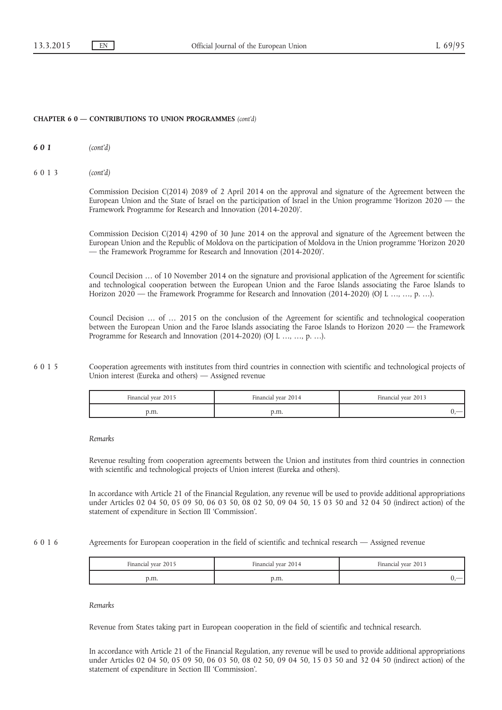601 (cont'd)

6013 (cont'd)

Commission Decision C(2014) 2089 of 2 April 2014 on the approval and signature of the Agreement between the European Union and the State of Israel on the participation of Israel in the Union programme 'Horizon 2020 — the Framework Programme for Research and Innovation (2014-2020)'.

Commission Decision C(2014) 4290 of 30 June 2014 on the approval and signature of the Agreement between the European Union and the Republic of Moldova on the participation of Moldova in the Union programme 'Horizon 2020 — the Framework Programme for Research and Innovation (2014-2020)'.

Council Decision … of 10 November 2014 on the signature and provisional application of the Agreement for scientific and technological cooperation between the European Union and the Faroe Islands associating the Faroe Islands to Horizon 2020 — the Framework Programme for Research and Innovation (2014-2020) (OJ L ..., ..., p. ...).

Council Decision … of … 2015 on the conclusion of the Agreement for scientific and technological cooperation between the European Union and the Faroe Islands associating the Faroe Islands to Horizon 2020 — the Framework Programme for Research and Innovation (2014-2020) (OJ L …, …, p. …).

6 0 1 5 Cooperation agreements with institutes from third countries in connection with scientific and technological projects of Union interest (Eureka and others) — Assigned revenue

| Financial year 2015 | Financial vear 2014 | Financial year 2013      |
|---------------------|---------------------|--------------------------|
| p.m.                | o.m.                | $\overline{\phantom{a}}$ |

Remarks

Revenue resulting from cooperation agreements between the Union and institutes from third countries in connection with scientific and technological projects of Union interest (Eureka and others).

In accordance with Article 21 of the Financial Regulation, any revenue will be used to provide additional appropriations under Articles 02 04 50, 05 09 50, 06 03 50, 08 02 50, 09 04 50, 15 03 50 and 32 04 50 (indirect action) of the statement of expenditure in Section III 'Commission'.

6 0 1 6 Agreements for European cooperation in the field of scientific and technical research — Assigned revenue

| Financial year 2015 | Financial year 2014 | Financial vear 2013 |
|---------------------|---------------------|---------------------|
| p.m.                | p.m.                |                     |

Remarks

Revenue from States taking part in European cooperation in the field of scientific and technical research.

In accordance with Article 21 of the Financial Regulation, any revenue will be used to provide additional appropriations under Articles 02 04 50, 05 09 50, 06 03 50, 08 02 50, 09 04 50, 15 03 50 and 32 04 50 (indirect action) of the statement of expenditure in Section III 'Commission'.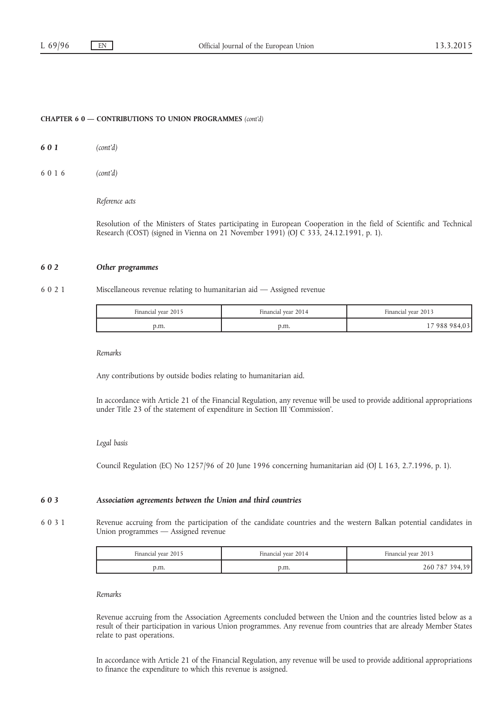- 601 (cont'd)
- 6016 (cont'd)

Reference acts

Resolution of the Ministers of States participating in European Cooperation in the field of Scientific and Technical Research (COST) (signed in Vienna on 21 November 1991) (OJ C 333, 24.12.1991, p. 1).

# 6 0 2 Other programmes

# 6 0 2 1 Miscellaneous revenue relating to humanitarian aid — Assigned revenue

| Financial year 2015 | Financial year 2014 | Financial vear 2013 |
|---------------------|---------------------|---------------------|
| p.m.                | p.m.                | 17 988 984,03       |

Remarks

Any contributions by outside bodies relating to humanitarian aid.

In accordance with Article 21 of the Financial Regulation, any revenue will be used to provide additional appropriations under Title 23 of the statement of expenditure in Section III 'Commission'.

#### Legal basis

Council Regulation (EC) No 1257/96 of 20 June 1996 concerning humanitarian aid (OJ L 163, 2.7.1996, p. 1).

# 6 0 3 Association agreements between the Union and third countries

6 0 3 1 Revenue accruing from the participation of the candidate countries and the western Balkan potential candidates in Union programmes — Assigned revenue

| Financial vear 2015 | Financial vear 2014 | Financial vear 2013 |
|---------------------|---------------------|---------------------|
| p.m.                | v.m.                | 260 787 394,39      |

# Remarks

Revenue accruing from the Association Agreements concluded between the Union and the countries listed below as a result of their participation in various Union programmes. Any revenue from countries that are already Member States relate to past operations.

In accordance with Article 21 of the Financial Regulation, any revenue will be used to provide additional appropriations to finance the expenditure to which this revenue is assigned.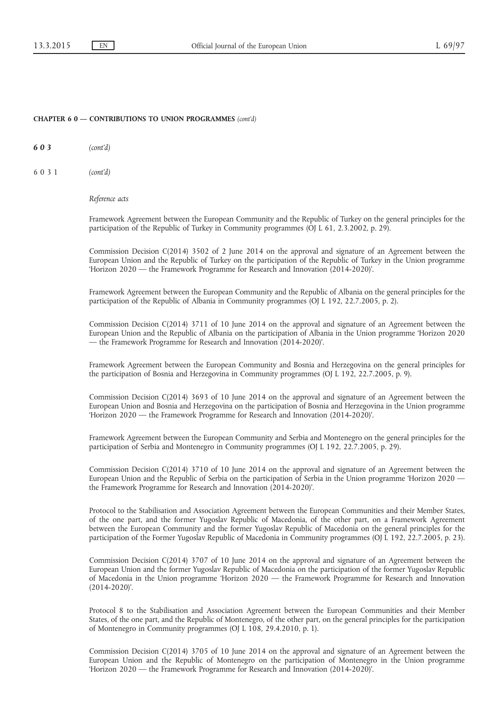603 (cont'd)

6031 (cont'd)

### Reference acts

Framework Agreement between the European Community and the Republic of Turkey on the general principles for the participation of the Republic of Turkey in Community programmes (OJ L 61, 2.3.2002, p. 29).

Commission Decision C(2014) 3502 of 2 June 2014 on the approval and signature of an Agreement between the European Union and the Republic of Turkey on the participation of the Republic of Turkey in the Union programme 'Horizon 2020 — the Framework Programme for Research and Innovation (2014-2020)'.

Framework Agreement between the European Community and the Republic of Albania on the general principles for the participation of the Republic of Albania in Community programmes (OJ L 192, 22.7.2005, p. 2).

Commission Decision C(2014) 3711 of 10 June 2014 on the approval and signature of an Agreement between the European Union and the Republic of Albania on the participation of Albania in the Union programme 'Horizon 2020 — the Framework Programme for Research and Innovation (2014-2020)'.

Framework Agreement between the European Community and Bosnia and Herzegovina on the general principles for the participation of Bosnia and Herzegovina in Community programmes (OJ L 192, 22.7.2005, p. 9).

Commission Decision C(2014) 3693 of 10 June 2014 on the approval and signature of an Agreement between the European Union and Bosnia and Herzegovina on the participation of Bosnia and Herzegovina in the Union programme 'Horizon 2020 — the Framework Programme for Research and Innovation (2014-2020)'.

Framework Agreement between the European Community and Serbia and Montenegro on the general principles for the participation of Serbia and Montenegro in Community programmes (OJ L 192, 22.7.2005, p. 29).

Commission Decision C(2014) 3710 of 10 June 2014 on the approval and signature of an Agreement between the European Union and the Republic of Serbia on the participation of Serbia in the Union programme 'Horizon 2020 the Framework Programme for Research and Innovation (2014-2020)'.

Protocol to the Stabilisation and Association Agreement between the European Communities and their Member States, of the one part, and the former Yugoslav Republic of Macedonia, of the other part, on a Framework Agreement between the European Community and the former Yugoslav Republic of Macedonia on the general principles for the participation of the Former Yugoslav Republic of Macedonia in Community programmes (OJ L 192, 22.7.2005, p. 23).

Commission Decision C(2014) 3707 of 10 June 2014 on the approval and signature of an Agreement between the European Union and the former Yugoslav Republic of Macedonia on the participation of the former Yugoslav Republic of Macedonia in the Union programme 'Horizon 2020 — the Framework Programme for Research and Innovation (2014-2020)'.

Protocol 8 to the Stabilisation and Association Agreement between the European Communities and their Member States, of the one part, and the Republic of Montenegro, of the other part, on the general principles for the participation of Montenegro in Community programmes (OJ L 108, 29.4.2010, p. 1).

Commission Decision C(2014) 3705 of 10 June 2014 on the approval and signature of an Agreement between the European Union and the Republic of Montenegro on the participation of Montenegro in the Union programme 'Horizon 2020 — the Framework Programme for Research and Innovation (2014-2020)'.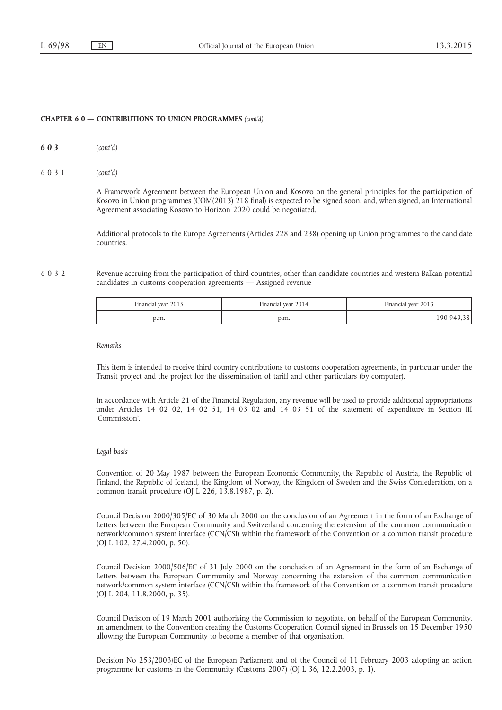- 603 (cont'd)
- 6031 (cont'd)

A Framework Agreement between the European Union and Kosovo on the general principles for the participation of Kosovo in Union programmes (COM(2013) 218 final) is expected to be signed soon, and, when signed, an International Agreement associating Kosovo to Horizon 2020 could be negotiated.

Additional protocols to the Europe Agreements (Articles 228 and 238) opening up Union programmes to the candidate countries.

6 0 3 2 Revenue accruing from the participation of third countries, other than candidate countries and western Balkan potential candidates in customs cooperation agreements — Assigned revenue

| Financial year 2015 | Financial vear 2014 | Financial vear 2013 |
|---------------------|---------------------|---------------------|
| p.m.                | p.m.                | 190 949,38          |

#### Remarks

This item is intended to receive third country contributions to customs cooperation agreements, in particular under the Transit project and the project for the dissemination of tariff and other particulars (by computer).

In accordance with Article 21 of the Financial Regulation, any revenue will be used to provide additional appropriations under Articles 14 02 02, 14 02 51, 14 03 02 and 14 03 51 of the statement of expenditure in Section III 'Commission'.

#### Legal basis

Convention of 20 May 1987 between the European Economic Community, the Republic of Austria, the Republic of Finland, the Republic of Iceland, the Kingdom of Norway, the Kingdom of Sweden and the Swiss Confederation, on a common transit procedure (OJ L 226, 13.8.1987, p. 2).

Council Decision 2000/305/EC of 30 March 2000 on the conclusion of an Agreement in the form of an Exchange of Letters between the European Community and Switzerland concerning the extension of the common communication network/common system interface (CCN/CSI) within the framework of the Convention on a common transit procedure (OJ L 102, 27.4.2000, p. 50).

Council Decision 2000/506/EC of 31 July 2000 on the conclusion of an Agreement in the form of an Exchange of Letters between the European Community and Norway concerning the extension of the common communication network/common system interface (CCN/CSI) within the framework of the Convention on a common transit procedure (OJ L 204, 11.8.2000, p. 35).

Council Decision of 19 March 2001 authorising the Commission to negotiate, on behalf of the European Community, an amendment to the Convention creating the Customs Cooperation Council signed in Brussels on 15 December 1950 allowing the European Community to become a member of that organisation.

Decision No 253/2003/EC of the European Parliament and of the Council of 11 February 2003 adopting an action programme for customs in the Community (Customs 2007) (OJ L 36, 12.2.2003, p. 1).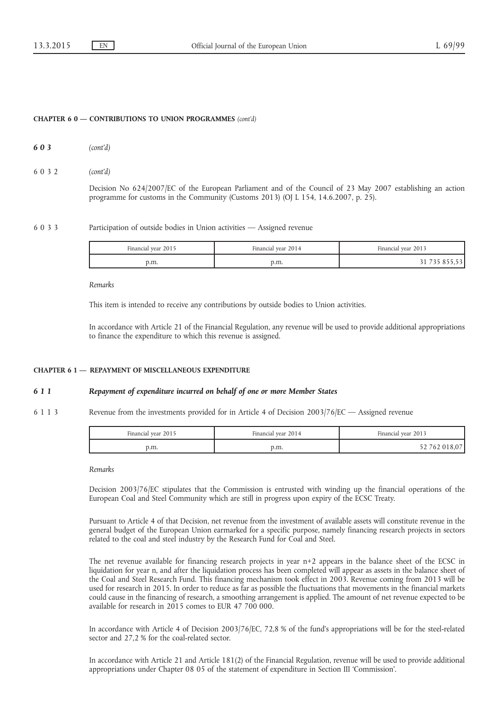603 (cont'd)

6032 (cont'd)

Decision No 624/2007/EC of the European Parliament and of the Council of 23 May 2007 establishing an action programme for customs in the Community (Customs 2013) (OJ L 154, 14.6.2007, p. 25).

# 6 0 3 3 Participation of outside bodies in Union activities — Assigned revenue

| Financial year 2015 | $\mathbf{r}$<br>Financial vear 2014 | Financial vear 2013 |
|---------------------|-------------------------------------|---------------------|
| p.m.                | э.m.                                |                     |

Remarks

This item is intended to receive any contributions by outside bodies to Union activities.

In accordance with Article 21 of the Financial Regulation, any revenue will be used to provide additional appropriations to finance the expenditure to which this revenue is assigned.

#### CHAPTER 6 1 — REPAYMENT OF MISCELLANEOUS EXPENDITURE

# 6 1 1 Repayment of expenditure incurred on behalf of one or more Member States

# 6 1 1 3 Revenue from the investments provided for in Article 4 of Decision 2003/76/EC — Assigned revenue

| Financial year 2015 | Financial vear 2014 | Financial year 2013 |
|---------------------|---------------------|---------------------|
| э.m.                | p.m.                | $52\,762\,018.0$    |

Remarks

Decision 2003/76/EC stipulates that the Commission is entrusted with winding up the financial operations of the European Coal and Steel Community which are still in progress upon expiry of the ECSC Treaty.

Pursuant to Article 4 of that Decision, net revenue from the investment of available assets will constitute revenue in the general budget of the European Union earmarked for a specific purpose, namely financing research projects in sectors related to the coal and steel industry by the Research Fund for Coal and Steel.

The net revenue available for financing research projects in year n+2 appears in the balance sheet of the ECSC in liquidation for year n, and after the liquidation process has been completed will appear as assets in the balance sheet of the Coal and Steel Research Fund. This financing mechanism took effect in 2003. Revenue coming from 2013 will be used for research in 2015. In order to reduce as far as possible the fluctuations that movements in the financial markets could cause in the financing of research, a smoothing arrangement is applied. The amount of net revenue expected to be available for research in 2015 comes to EUR 47 700 000.

In accordance with Article 4 of Decision 2003/76/EC, 72,8 % of the fund's appropriations will be for the steel-related sector and 27,2 % for the coal-related sector.

In accordance with Article 21 and Article 181(2) of the Financial Regulation, revenue will be used to provide additional appropriations under Chapter 08 05 of the statement of expenditure in Section III 'Commission'.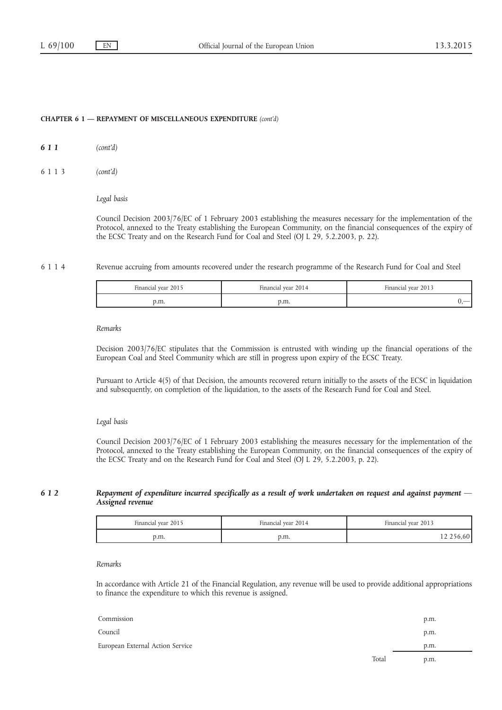- 611 (cont'd)
- 6113 (cont'd)

Legal basis

Council Decision 2003/76/EC of 1 February 2003 establishing the measures necessary for the implementation of the Protocol, annexed to the Treaty establishing the European Community, on the financial consequences of the expiry of the ECSC Treaty and on the Research Fund for Coal and Steel (OJ L 29, 5.2.2003, p. 22).

6 1 1 4 Revenue accruing from amounts recovered under the research programme of the Research Fund for Coal and Steel

| Financial year 2015 | Financial year 2014 | Financial year 2013 |
|---------------------|---------------------|---------------------|
| o.m.                | p.m.                |                     |

Remarks

Decision 2003/76/EC stipulates that the Commission is entrusted with winding up the financial operations of the European Coal and Steel Community which are still in progress upon expiry of the ECSC Treaty.

Pursuant to Article 4(5) of that Decision, the amounts recovered return initially to the assets of the ECSC in liquidation and subsequently, on completion of the liquidation, to the assets of the Research Fund for Coal and Steel.

## Legal basis

Council Decision 2003/76/EC of 1 February 2003 establishing the measures necessary for the implementation of the Protocol, annexed to the Treaty establishing the European Community, on the financial consequences of the expiry of the ECSC Treaty and on the Research Fund for Coal and Steel (OJ L 29, 5.2.2003, p. 22).

# 6 1 2 Repayment of expenditure incurred specifically as a result of work undertaken on request and against payment — Assigned revenue

| Financial year 2015 | Financial year 2014 | Financial vear 2013 |
|---------------------|---------------------|---------------------|
| p.m.                | p.m.                |                     |

Remarks

In accordance with Article 21 of the Financial Regulation, any revenue will be used to provide additional appropriations to finance the expenditure to which this revenue is assigned.

| Commission                       |       | p.m. |
|----------------------------------|-------|------|
| Council                          |       | p.m. |
| European External Action Service |       | p.m. |
|                                  | Total | p.m. |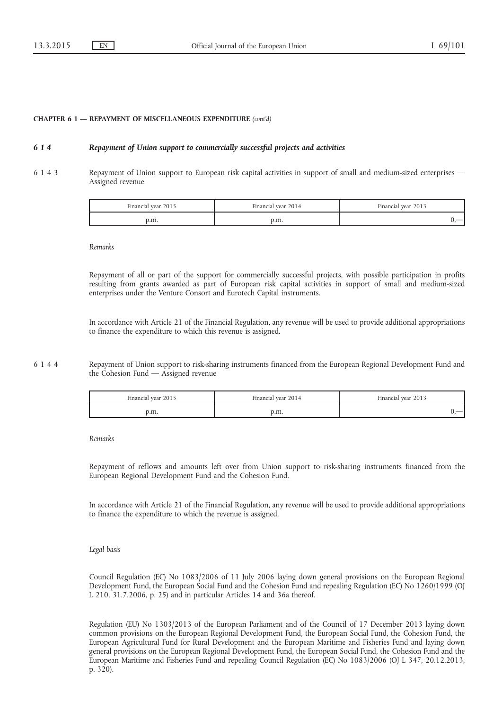# 6 1 4 Repayment of Union support to commercially successful projects and activities

6 1 4 3 Repayment of Union support to European risk capital activities in support of small and medium-sized enterprises — Assigned revenue

| Financial year 2015 | Financial year 2014 | Financial year 2013 |
|---------------------|---------------------|---------------------|
| p.m.                | p.m.                |                     |

#### Remarks

Repayment of all or part of the support for commercially successful projects, with possible participation in profits resulting from grants awarded as part of European risk capital activities in support of small and medium-sized enterprises under the Venture Consort and Eurotech Capital instruments.

In accordance with Article 21 of the Financial Regulation, any revenue will be used to provide additional appropriations to finance the expenditure to which this revenue is assigned.

6 1 4 4 Repayment of Union support to risk-sharing instruments financed from the European Regional Development Fund and the Cohesion Fund — Assigned revenue

| Financial year 2015 | Financial year 2014 | Financial year 2013 |
|---------------------|---------------------|---------------------|
| d.m.                | ,,,,,,              |                     |

Remarks

Repayment of reflows and amounts left over from Union support to risk-sharing instruments financed from the European Regional Development Fund and the Cohesion Fund.

In accordance with Article 21 of the Financial Regulation, any revenue will be used to provide additional appropriations to finance the expenditure to which the revenue is assigned.

### Legal basis

Council Regulation (EC) No 1083/2006 of 11 July 2006 laying down general provisions on the European Regional Development Fund, the European Social Fund and the Cohesion Fund and repealing Regulation (EC) No 1260/1999 (OJ L 210, 31.7.2006, p. 25) and in particular Articles 14 and 36a thereof.

Regulation (EU) No 1303/2013 of the European Parliament and of the Council of 17 December 2013 laying down common provisions on the European Regional Development Fund, the European Social Fund, the Cohesion Fund, the European Agricultural Fund for Rural Development and the European Maritime and Fisheries Fund and laying down general provisions on the European Regional Development Fund, the European Social Fund, the Cohesion Fund and the European Maritime and Fisheries Fund and repealing Council Regulation (EC) No 1083/2006 (OJ L 347, 20.12.2013, p. 320).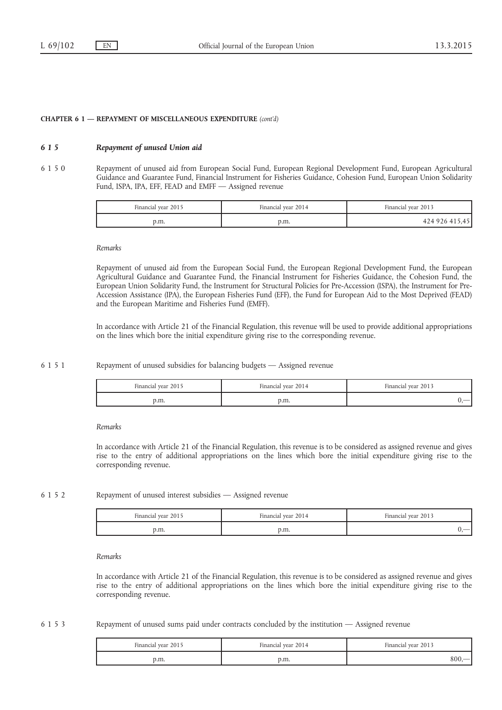# 6 1 5 Repayment of unused Union aid

6 1 5 0 Repayment of unused aid from European Social Fund, European Regional Development Fund, European Agricultural Guidance and Guarantee Fund, Financial Instrument for Fisheries Guidance, Cohesion Fund, European Union Solidarity Fund, ISPA, IPA, EFF, FEAD and EMFF — Assigned revenue

| Financial year 2015 | Financial year 2014 | Financial year 2013 |
|---------------------|---------------------|---------------------|
| p.m.                | p.m.                | 424 926 415,45      |

#### Remarks

Repayment of unused aid from the European Social Fund, the European Regional Development Fund, the European Agricultural Guidance and Guarantee Fund, the Financial Instrument for Fisheries Guidance, the Cohesion Fund, the European Union Solidarity Fund, the Instrument for Structural Policies for Pre-Accession (ISPA), the Instrument for Pre-Accession Assistance (IPA), the European Fisheries Fund (EFF), the Fund for European Aid to the Most Deprived (FEAD) and the European Maritime and Fisheries Fund (EMFF).

In accordance with Article 21 of the Financial Regulation, this revenue will be used to provide additional appropriations on the lines which bore the initial expenditure giving rise to the corresponding revenue.

6 1 5 1 Repayment of unused subsidies for balancing budgets — Assigned revenue

| Financial year 2015 | Financial year 2014 | Financial vear 2013 |
|---------------------|---------------------|---------------------|
| d.m.                | p.m.                |                     |

Remarks

In accordance with Article 21 of the Financial Regulation, this revenue is to be considered as assigned revenue and gives rise to the entry of additional appropriations on the lines which bore the initial expenditure giving rise to the corresponding revenue.

# 6 1 5 2 Repayment of unused interest subsidies — Assigned revenue

| Financial year 2015 | Financial year 2014 | Financial year 2013 |
|---------------------|---------------------|---------------------|
| p.m.                | p.m.                |                     |

Remarks

In accordance with Article 21 of the Financial Regulation, this revenue is to be considered as assigned revenue and gives rise to the entry of additional appropriations on the lines which bore the initial expenditure giving rise to the corresponding revenue.

6 1 5 3 Repayment of unused sums paid under contracts concluded by the institution — Assigned revenue

| Financial vear 2015 | Financial vear 2014 | Financial vear 2013 |
|---------------------|---------------------|---------------------|
| p.m.                | p.m.                | 300 –               |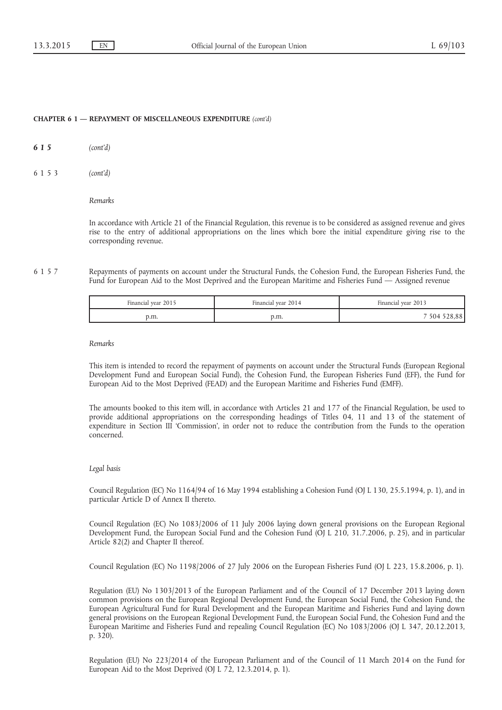- 615 (cont'd)
- 6153 (cont'd)

Remarks

In accordance with Article 21 of the Financial Regulation, this revenue is to be considered as assigned revenue and gives rise to the entry of additional appropriations on the lines which bore the initial expenditure giving rise to the corresponding revenue.

6 1 5 7 Repayments of payments on account under the Structural Funds, the Cohesion Fund, the European Fisheries Fund, the Fund for European Aid to the Most Deprived and the European Maritime and Fisheries Fund — Assigned revenue

| Financial year 2015 | Financial year 2014 | Financial year 2013 |
|---------------------|---------------------|---------------------|
| p.m.                | p.m.                | 504                 |

#### Remarks

This item is intended to record the repayment of payments on account under the Structural Funds (European Regional Development Fund and European Social Fund), the Cohesion Fund, the European Fisheries Fund (EFF), the Fund for European Aid to the Most Deprived (FEAD) and the European Maritime and Fisheries Fund (EMFF).

The amounts booked to this item will, in accordance with Articles 21 and 177 of the Financial Regulation, be used to provide additional appropriations on the corresponding headings of Titles 04, 11 and 13 of the statement of expenditure in Section III 'Commission', in order not to reduce the contribution from the Funds to the operation concerned.

#### Legal basis

Council Regulation (EC) No 1164/94 of 16 May 1994 establishing a Cohesion Fund (OJ L 130, 25.5.1994, p. 1), and in particular Article D of Annex II thereto.

Council Regulation (EC) No 1083/2006 of 11 July 2006 laying down general provisions on the European Regional Development Fund, the European Social Fund and the Cohesion Fund (OJ L 210, 31.7.2006, p. 25), and in particular Article 82(2) and Chapter II thereof.

Council Regulation (EC) No 1198/2006 of 27 July 2006 on the European Fisheries Fund (OJ L 223, 15.8.2006, p. 1).

Regulation (EU) No 1303/2013 of the European Parliament and of the Council of 17 December 2013 laying down common provisions on the European Regional Development Fund, the European Social Fund, the Cohesion Fund, the European Agricultural Fund for Rural Development and the European Maritime and Fisheries Fund and laying down general provisions on the European Regional Development Fund, the European Social Fund, the Cohesion Fund and the European Maritime and Fisheries Fund and repealing Council Regulation (EC) No 1083/2006 (OJ L 347, 20.12.2013, p. 320).

Regulation (EU) No 223/2014 of the European Parliament and of the Council of 11 March 2014 on the Fund for European Aid to the Most Deprived (OJ L 72, 12.3.2014, p. 1).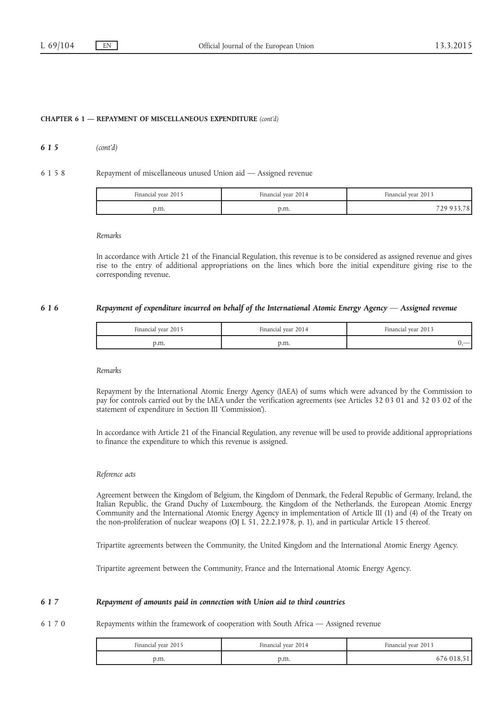615 (cont'd)

6 1 5 8 Repayment of miscellaneous unused Union aid — Assigned revenue

| Financial year 2015 | Financial vear 2014 | Financial year 2013 |
|---------------------|---------------------|---------------------|
| p.m.                | p.m.                |                     |

#### Remarks

In accordance with Article 21 of the Financial Regulation, this revenue is to be considered as assigned revenue and gives rise to the entry of additional appropriations on the lines which bore the initial expenditure giving rise to the corresponding revenue.

# 6 1 6 Repayment of expenditure incurred on behalf of the International Atomic Energy Agency — Assigned revenue

| Financial year 2015 | Financial year 2014 | Financial year 2013 |
|---------------------|---------------------|---------------------|
| p.m.                | p.m.                |                     |

#### Remarks

Repayment by the International Atomic Energy Agency (IAEA) of sums which were advanced by the Commission to pay for controls carried out by the IAEA under the verification agreements (see Articles 32 03 01 and 32 03 02 of the statement of expenditure in Section III 'Commission').

In accordance with Article 21 of the Financial Regulation, any revenue will be used to provide additional appropriations to finance the expenditure to which this revenue is assigned.

# Reference acts

Agreement between the Kingdom of Belgium, the Kingdom of Denmark, the Federal Republic of Germany, Ireland, the Italian Republic, the Grand Duchy of Luxembourg, the Kingdom of the Netherlands, the European Atomic Energy Community and the International Atomic Energy Agency in implementation of Article III (1) and (4) of the Treaty on the non-proliferation of nuclear weapons (OJ L 51, 22.2.1978, p. 1), and in particular Article 15 thereof.

Tripartite agreements between the Community, the United Kingdom and the International Atomic Energy Agency.

Tripartite agreement between the Community, France and the International Atomic Energy Agency.

# 6 1 7 Repayment of amounts paid in connection with Union aid to third countries

6 1 7 0 Repayments within the framework of cooperation with South Africa — Assigned revenue

| Financial year 2015 | Financial vear 2014 | Financial year 2013 |
|---------------------|---------------------|---------------------|
| p.m.                | p.m.                | 676 018,5           |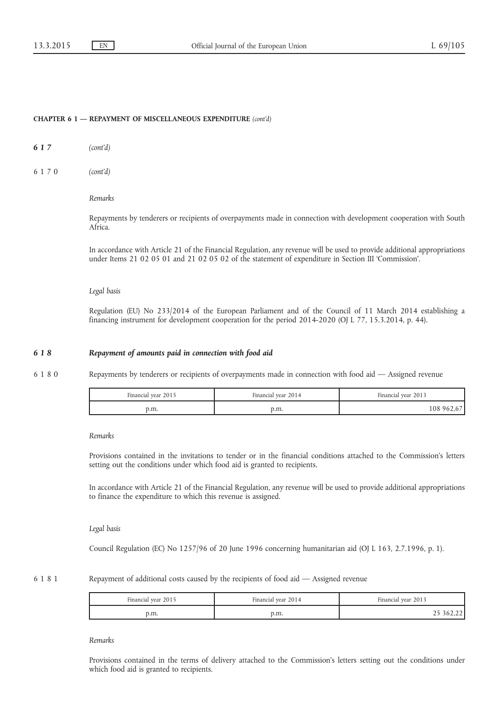- 617 (cont'd)
- 6170 (cont'd)

Remarks

Repayments by tenderers or recipients of overpayments made in connection with development cooperation with South Africa.

In accordance with Article 21 of the Financial Regulation, any revenue will be used to provide additional appropriations under Items 21 02 05 01 and 21 02 05 02 of the statement of expenditure in Section III 'Commission'.

Legal basis

Regulation (EU) No 233/2014 of the European Parliament and of the Council of 11 March 2014 establishing a financing instrument for development cooperation for the period 2014-2020 (OJ L 77, 15.3.2014, p. 44).

# 6 1 8 Repayment of amounts paid in connection with food aid

6 1 8 0 Repayments by tenderers or recipients of overpayments made in connection with food aid — Assigned revenue

| Financial year 2015 | Financial vear 2014 | Financial year 2013 |
|---------------------|---------------------|---------------------|
| p.m.                | p.m.                | 108 962,67          |

Remarks

Provisions contained in the invitations to tender or in the financial conditions attached to the Commission's letters setting out the conditions under which food aid is granted to recipients.

In accordance with Article 21 of the Financial Regulation, any revenue will be used to provide additional appropriations to finance the expenditure to which this revenue is assigned.

Legal basis

Council Regulation (EC) No 1257/96 of 20 June 1996 concerning humanitarian aid (OJ L 163, 2.7.1996, p. 1).

# 6 1 8 1 Repayment of additional costs caused by the recipients of food aid — Assigned revenue

| Financial vear 2015 | Financial vear 2014 | Financial vear 2013 |
|---------------------|---------------------|---------------------|
| э.m.                | p.m.                |                     |

Remarks

Provisions contained in the terms of delivery attached to the Commission's letters setting out the conditions under which food aid is granted to recipients.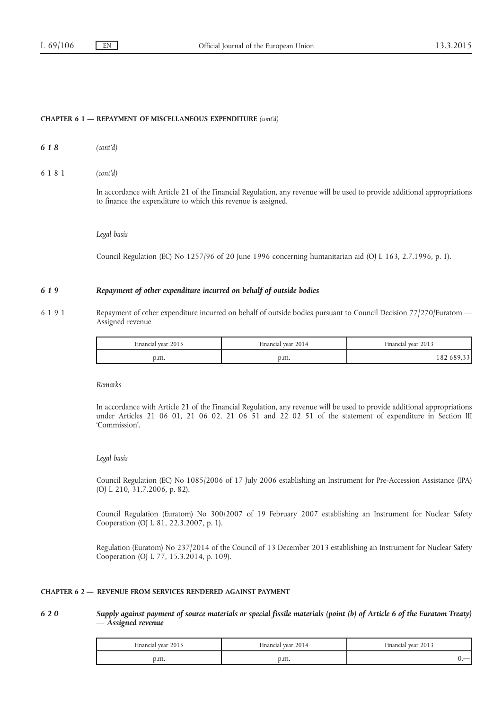- 618 (cont'd)
- 6181 (cont'd)

In accordance with Article 21 of the Financial Regulation, any revenue will be used to provide additional appropriations to finance the expenditure to which this revenue is assigned.

Legal basis

Council Regulation (EC) No 1257/96 of 20 June 1996 concerning humanitarian aid (OJ L 163, 2.7.1996, p. 1).

# 6 1 9 Repayment of other expenditure incurred on behalf of outside bodies

6 1 9 1 Repayment of other expenditure incurred on behalf of outside bodies pursuant to Council Decision 77/270/Euratom — Assigned revenue

| Financial year 2015 | Financial year 2014 | Financial year 2013 |
|---------------------|---------------------|---------------------|
| p.m.                | p.m.                |                     |

#### Remarks

In accordance with Article 21 of the Financial Regulation, any revenue will be used to provide additional appropriations under Articles 21 06 01, 21 06 02, 21 06 51 and 22 02 51 of the statement of expenditure in Section III 'Commission'.

#### Legal basis

Council Regulation (EC) No 1085/2006 of 17 July 2006 establishing an Instrument for Pre-Accession Assistance (IPA) (OJ L 210, 31.7.2006, p. 82).

Council Regulation (Euratom) No 300/2007 of 19 February 2007 establishing an Instrument for Nuclear Safety Cooperation (OJ L 81, 22.3.2007, p. 1).

Regulation (Euratom) No 237/2014 of the Council of 13 December 2013 establishing an Instrument for Nuclear Safety Cooperation (OJ L 77, 15.3.2014, p. 109).

# CHAPTER 6 2 — REVENUE FROM SERVICES RENDERED AGAINST PAYMENT

# 6 2 0 Supply against payment of source materials or special fissile materials (point (b) of Article 6 of the Euratom Treaty) — Assigned revenue

| Financial year 2015 | Financial vear 2014 | Financial year 2013 |
|---------------------|---------------------|---------------------|
| p.m.                | o.m.                |                     |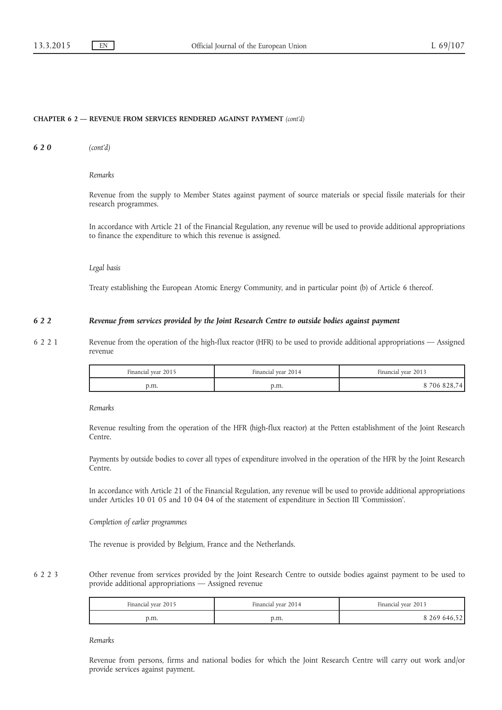#### CHAPTER 6 2 — REVENUE FROM SERVICES RENDERED AGAINST PAYMENT (cont'd)

620 (cont'd)

Remarks

Revenue from the supply to Member States against payment of source materials or special fissile materials for their research programmes.

In accordance with Article 21 of the Financial Regulation, any revenue will be used to provide additional appropriations to finance the expenditure to which this revenue is assigned.

Legal basis

Treaty establishing the European Atomic Energy Community, and in particular point (b) of Article 6 thereof.

# 6 2 2 Revenue from services provided by the Joint Research Centre to outside bodies against payment

6 2 2 1 Revenue from the operation of the high-flux reactor (HFR) to be used to provide additional appropriations — Assigned revenue

| Financial year 2015 | Financial vear 2014 | Financial year 2013 |
|---------------------|---------------------|---------------------|
| p.m.                | p.m.                | 8 706 828,74        |

Remarks

Revenue resulting from the operation of the HFR (high-flux reactor) at the Petten establishment of the Joint Research Centre.

Payments by outside bodies to cover all types of expenditure involved in the operation of the HFR by the Joint Research Centre.

In accordance with Article 21 of the Financial Regulation, any revenue will be used to provide additional appropriations under Articles 10 01 05 and 10 04 04 of the statement of expenditure in Section III 'Commission'.

Completion of earlier programmes

The revenue is provided by Belgium, France and the Netherlands.

6 2 2 3 Other revenue from services provided by the Joint Research Centre to outside bodies against payment to be used to provide additional appropriations — Assigned revenue

| Financial year 2015 | Financial vear 2014 | Financial vear 2013 |
|---------------------|---------------------|---------------------|
| d.m.                | p.m.                | 8 269 646,52        |

Remarks

Revenue from persons, firms and national bodies for which the Joint Research Centre will carry out work and/or provide services against payment.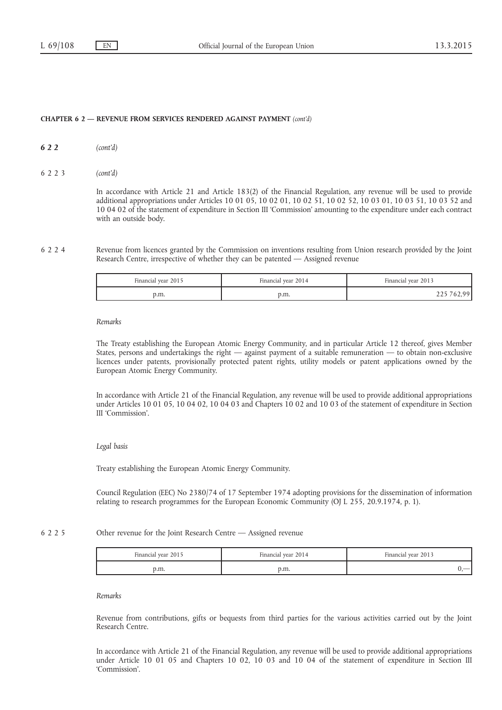#### CHAPTER 6 2 — REVENUE FROM SERVICES RENDERED AGAINST PAYMENT (cont'd)

- 622 (cont'd)
- 6223 (cont'd)

In accordance with Article 21 and Article 183(2) of the Financial Regulation, any revenue will be used to provide additional appropriations under Articles 10 01 05, 10 02 01, 10 02 51, 10 02 52, 10 03 01, 10 03 51, 10 03 52 and 10 04 02 of the statement of expenditure in Section III 'Commission' amounting to the expenditure under each contract with an outside body.

6 2 2 4 Revenue from licences granted by the Commission on inventions resulting from Union research provided by the Joint Research Centre, irrespective of whether they can be patented — Assigned revenue

| Financial year 2015 | Financial vear 2014 | Financial vear 2013 |
|---------------------|---------------------|---------------------|
| p.m.                | p.m.                |                     |

#### Remarks

The Treaty establishing the European Atomic Energy Community, and in particular Article 12 thereof, gives Member States, persons and undertakings the right — against payment of a suitable remuneration — to obtain non-exclusive licences under patents, provisionally protected patent rights, utility models or patent applications owned by the European Atomic Energy Community.

In accordance with Article 21 of the Financial Regulation, any revenue will be used to provide additional appropriations under Articles 10 01 05, 10 04 02, 10 04 03 and Chapters 10 02 and 10 03 of the statement of expenditure in Section III 'Commission'.

#### Legal basis

Treaty establishing the European Atomic Energy Community.

Council Regulation (EEC) No 2380/74 of 17 September 1974 adopting provisions for the dissemination of information relating to research programmes for the European Economic Community (OJ L 255, 20.9.1974, p. 1).

# 6 2 2 5 Other revenue for the Joint Research Centre — Assigned revenue

| Financial year 2015 | Financial vear 2014 | Financial year 2013 |
|---------------------|---------------------|---------------------|
| o.m.                | p.m.                |                     |

#### Remarks

Revenue from contributions, gifts or bequests from third parties for the various activities carried out by the Joint Research Centre.

In accordance with Article 21 of the Financial Regulation, any revenue will be used to provide additional appropriations under Article 10 01 05 and Chapters 10 02, 10 03 and 10 04 of the statement of expenditure in Section III 'Commission'.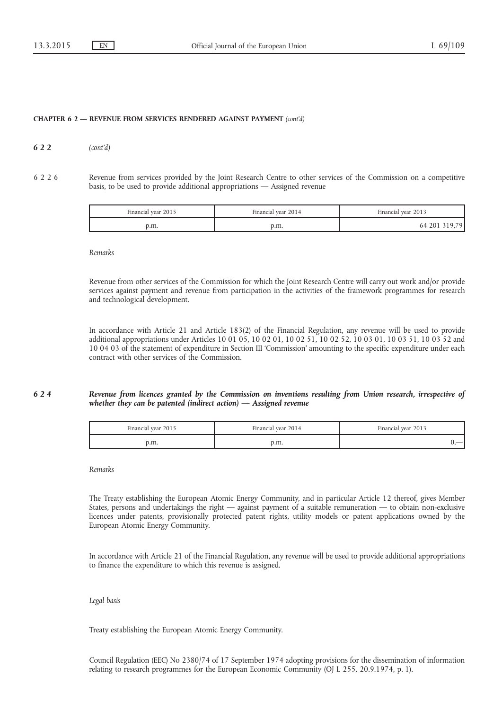#### CHAPTER 6 2 — REVENUE FROM SERVICES RENDERED AGAINST PAYMENT (cont'd)

622 (cont'd)

6 2 2 6 Revenue from services provided by the Joint Research Centre to other services of the Commission on a competitive basis, to be used to provide additional appropriations — Assigned revenue

| Financial year 2015 | Financial vear 2014 | Financial year 2013 |
|---------------------|---------------------|---------------------|
| p.m.                | p.m.                | 64 201 319,79       |

Remarks

Revenue from other services of the Commission for which the Joint Research Centre will carry out work and/or provide services against payment and revenue from participation in the activities of the framework programmes for research and technological development.

In accordance with Article 21 and Article 183(2) of the Financial Regulation, any revenue will be used to provide additional appropriations under Articles 10 01 05, 10 02 01, 10 02 51, 10 02 52, 10 03 01, 10 03 51, 10 03 52 and 10 04 03 of the statement of expenditure in Section III 'Commission' amounting to the specific expenditure under each contract with other services of the Commission.

# 6 2 4 Revenue from licences granted by the Commission on inventions resulting from Union research, irrespective of whether they can be patented (indirect action)  $-$  Assigned revenue

| Financial year 2015 | Financial vear 2014 | Financial year 2013 |
|---------------------|---------------------|---------------------|
| p.m.                | p.m.                |                     |

#### Remarks

The Treaty establishing the European Atomic Energy Community, and in particular Article 12 thereof, gives Member States, persons and undertakings the right — against payment of a suitable remuneration — to obtain non-exclusive licences under patents, provisionally protected patent rights, utility models or patent applications owned by the European Atomic Energy Community.

In accordance with Article 21 of the Financial Regulation, any revenue will be used to provide additional appropriations to finance the expenditure to which this revenue is assigned.

#### Legal basis

Treaty establishing the European Atomic Energy Community.

Council Regulation (EEC) No 2380/74 of 17 September 1974 adopting provisions for the dissemination of information relating to research programmes for the European Economic Community (OJ L 255, 20.9.1974, p. 1).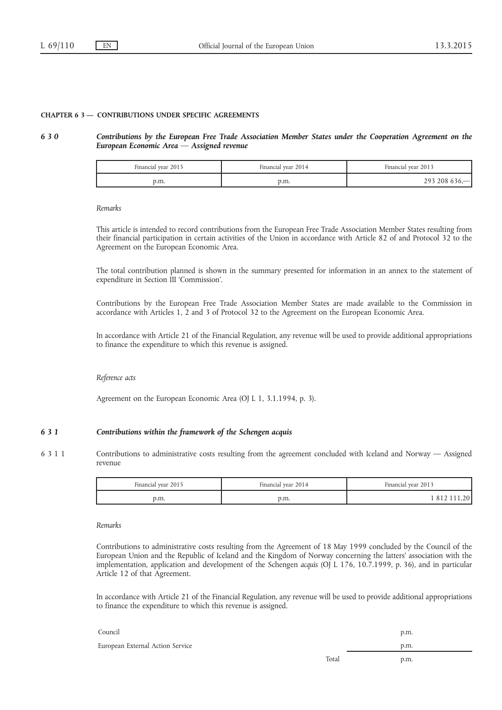### 6 3 0 Contributions by the European Free Trade Association Member States under the Cooperation Agreement on the European Economic Area — Assigned revenue

| Financial vear 2015 | Financial vear 2014 | Financial vear 2013 |
|---------------------|---------------------|---------------------|
| p.m.                | o.m.                |                     |

Remarks

This article is intended to record contributions from the European Free Trade Association Member States resulting from their financial participation in certain activities of the Union in accordance with Article 82 of and Protocol 32 to the Agreement on the European Economic Area.

The total contribution planned is shown in the summary presented for information in an annex to the statement of expenditure in Section III 'Commission'.

Contributions by the European Free Trade Association Member States are made available to the Commission in accordance with Articles 1, 2 and 3 of Protocol 32 to the Agreement on the European Economic Area.

In accordance with Article 21 of the Financial Regulation, any revenue will be used to provide additional appropriations to finance the expenditure to which this revenue is assigned.

Reference acts

Agreement on the European Economic Area (OJ L 1, 3.1.1994, p. 3).

# 6 3 1 Contributions within the framework of the Schengen acquis

6 3 1 1 Contributions to administrative costs resulting from the agreement concluded with Iceland and Norway — Assigned revenue

| Financial year 2015 | Financial vear 2014 | Financial vear 2013 |
|---------------------|---------------------|---------------------|
| p.m.                | p.m.                |                     |

Remarks

Contributions to administrative costs resulting from the Agreement of 18 May 1999 concluded by the Council of the European Union and the Republic of Iceland and the Kingdom of Norway concerning the latters' association with the implementation, application and development of the Schengen acquis (OJ L 176, 10.7.1999, p. 36), and in particular Article 12 of that Agreement.

In accordance with Article 21 of the Financial Regulation, any revenue will be used to provide additional appropriations to finance the expenditure to which this revenue is assigned.

| Council                          |       | p.m. |
|----------------------------------|-------|------|
| European External Action Service |       | p.m. |
|                                  | Total | p.m. |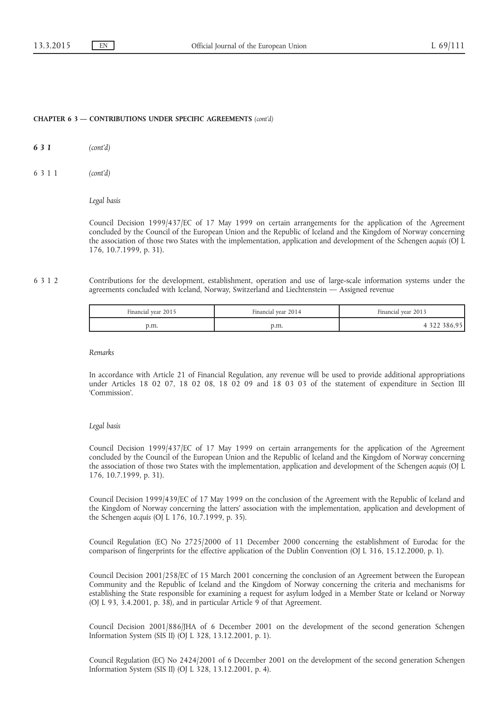631 (cont'd)

6311 (cont'd)

Legal basis

Council Decision 1999/437/EC of 17 May 1999 on certain arrangements for the application of the Agreement concluded by the Council of the European Union and the Republic of Iceland and the Kingdom of Norway concerning the association of those two States with the implementation, application and development of the Schengen acquis (OJ L 176, 10.7.1999, p. 31).

6 3 1 2 Contributions for the development, establishment, operation and use of large-scale information systems under the agreements concluded with Iceland, Norway, Switzerland and Liechtenstein — Assigned revenue

| Financial year 2015 | Financial year 2014 | Financial year 2013 |
|---------------------|---------------------|---------------------|
| d.m.                | p.m.                |                     |

Remarks

In accordance with Article 21 of Financial Regulation, any revenue will be used to provide additional appropriations under Articles 18 02 07, 18 02 08, 18 02 09 and 18 03 03 of the statement of expenditure in Section III 'Commission'.

#### Legal basis

Council Decision 1999/437/EC of 17 May 1999 on certain arrangements for the application of the Agreement concluded by the Council of the European Union and the Republic of Iceland and the Kingdom of Norway concerning the association of those two States with the implementation, application and development of the Schengen acquis (OJ L 176, 10.7.1999, p. 31).

Council Decision 1999/439/EC of 17 May 1999 on the conclusion of the Agreement with the Republic of Iceland and the Kingdom of Norway concerning the latters' association with the implementation, application and development of the Schengen acquis (OJ L 176, 10.7.1999, p. 35).

Council Regulation (EC) No 2725/2000 of 11 December 2000 concerning the establishment of Eurodac for the comparison of fingerprints for the effective application of the Dublin Convention (OJ L 316, 15.12.2000, p. 1).

Council Decision 2001/258/EC of 15 March 2001 concerning the conclusion of an Agreement between the European Community and the Republic of Iceland and the Kingdom of Norway concerning the criteria and mechanisms for establishing the State responsible for examining a request for asylum lodged in a Member State or Iceland or Norway (OJ L 93, 3.4.2001, p. 38), and in particular Article 9 of that Agreement.

Council Decision 2001/886/JHA of 6 December 2001 on the development of the second generation Schengen Information System (SIS II) (OJ L 328, 13.12.2001, p. 1).

Council Regulation (EC) No 2424/2001 of 6 December 2001 on the development of the second generation Schengen Information System (SIS II) (OJ L 328, 13.12.2001, p. 4).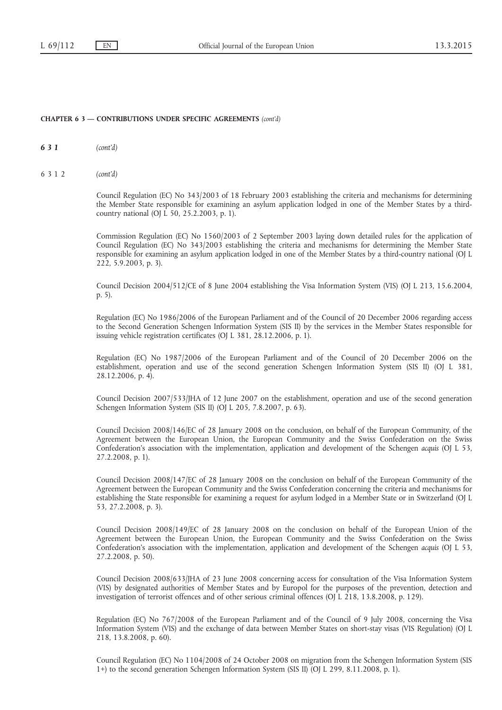631 (cont'd)

6312 (cont'd)

Council Regulation (EC) No 343/2003 of 18 February 2003 establishing the criteria and mechanisms for determining the Member State responsible for examining an asylum application lodged in one of the Member States by a thirdcountry national (OJ L 50, 25.2.2003, p. 1).

Commission Regulation (EC) No 1560/2003 of 2 September 2003 laying down detailed rules for the application of Council Regulation (EC) No 343/2003 establishing the criteria and mechanisms for determining the Member State responsible for examining an asylum application lodged in one of the Member States by a third-country national (OJ L 222, 5.9.2003, p. 3).

Council Decision 2004/512/CE of 8 June 2004 establishing the Visa Information System (VIS) (OJ L 213, 15.6.2004, p. 5).

Regulation (EC) No 1986/2006 of the European Parliament and of the Council of 20 December 2006 regarding access to the Second Generation Schengen Information System (SIS II) by the services in the Member States responsible for issuing vehicle registration certificates (OJ L 381, 28.12.2006, p. 1).

Regulation (EC) No 1987/2006 of the European Parliament and of the Council of 20 December 2006 on the establishment, operation and use of the second generation Schengen Information System (SIS II) (OJ L 381, 28.12.2006, p. 4).

Council Decision 2007/533/JHA of 12 June 2007 on the establishment, operation and use of the second generation Schengen Information System (SIS II) (OJ L 205, 7.8.2007, p. 63).

Council Decision 2008/146/EC of 28 January 2008 on the conclusion, on behalf of the European Community, of the Agreement between the European Union, the European Community and the Swiss Confederation on the Swiss Confederation's association with the implementation, application and development of the Schengen acquis (OJ L 53, 27.2.2008, p. 1).

Council Decision 2008/147/EC of 28 January 2008 on the conclusion on behalf of the European Community of the Agreement between the European Community and the Swiss Confederation concerning the criteria and mechanisms for establishing the State responsible for examining a request for asylum lodged in a Member State or in Switzerland (OJ L 53, 27.2.2008, p. 3).

Council Decision 2008/149/EC of 28 January 2008 on the conclusion on behalf of the European Union of the Agreement between the European Union, the European Community and the Swiss Confederation on the Swiss Confederation's association with the implementation, application and development of the Schengen acquis (OJ L 53, 27.2.2008, p. 50).

Council Decision 2008/633/JHA of 23 June 2008 concerning access for consultation of the Visa Information System (VIS) by designated authorities of Member States and by Europol for the purposes of the prevention, detection and investigation of terrorist offences and of other serious criminal offences (OJ L 218, 13.8.2008, p. 129).

Regulation (EC) No 767/2008 of the European Parliament and of the Council of 9 July 2008, concerning the Visa Information System (VIS) and the exchange of data between Member States on short-stay visas (VIS Regulation) (OJ L 218, 13.8.2008, p. 60).

Council Regulation (EC) No 1104/2008 of 24 October 2008 on migration from the Schengen Information System (SIS 1+) to the second generation Schengen Information System (SIS II) (OJ L 299, 8.11.2008, p. 1).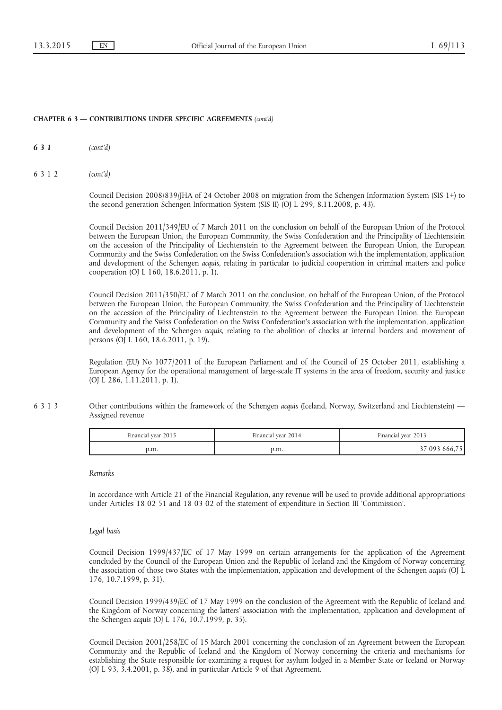631 (cont'd)

6312 (cont'd)

Council Decision 2008/839/JHA of 24 October 2008 on migration from the Schengen Information System (SIS 1+) to the second generation Schengen Information System (SIS II) (OJ L 299, 8.11.2008, p. 43).

Council Decision 2011/349/EU of 7 March 2011 on the conclusion on behalf of the European Union of the Protocol between the European Union, the European Community, the Swiss Confederation and the Principality of Liechtenstein on the accession of the Principality of Liechtenstein to the Agreement between the European Union, the European Community and the Swiss Confederation on the Swiss Confederation's association with the implementation, application and development of the Schengen acquis, relating in particular to judicial cooperation in criminal matters and police cooperation (OJ L 160, 18.6.2011, p. 1).

Council Decision 2011/350/EU of 7 March 2011 on the conclusion, on behalf of the European Union, of the Protocol between the European Union, the European Community, the Swiss Confederation and the Principality of Liechtenstein on the accession of the Principality of Liechtenstein to the Agreement between the European Union, the European Community and the Swiss Confederation on the Swiss Confederation's association with the implementation, application and development of the Schengen acquis, relating to the abolition of checks at internal borders and movement of persons (OJ L 160, 18.6.2011, p. 19).

Regulation (EU) No 1077/2011 of the European Parliament and of the Council of 25 October 2011, establishing a European Agency for the operational management of large-scale IT systems in the area of freedom, security and justice (OJ L 286, 1.11.2011, p. 1).

6 3 1 3 Other contributions within the framework of the Schengen acquis (Iceland, Norway, Switzerland and Liechtenstein) — Assigned revenue

| Financial year 2015 | Financial vear 2014 | Financial year 2013 |
|---------------------|---------------------|---------------------|
| p.m.                | p.m.                | 37 093 666,75       |

### Remarks

In accordance with Article 21 of the Financial Regulation, any revenue will be used to provide additional appropriations under Articles 18 02 51 and 18 03 02 of the statement of expenditure in Section III 'Commission'.

#### Legal basis

Council Decision 1999/437/EC of 17 May 1999 on certain arrangements for the application of the Agreement concluded by the Council of the European Union and the Republic of Iceland and the Kingdom of Norway concerning the association of those two States with the implementation, application and development of the Schengen acquis (OJ L 176, 10.7.1999, p. 31).

Council Decision 1999/439/EC of 17 May 1999 on the conclusion of the Agreement with the Republic of Iceland and the Kingdom of Norway concerning the latters' association with the implementation, application and development of the Schengen acquis (OJ L 176, 10.7.1999, p. 35).

Council Decision 2001/258/EC of 15 March 2001 concerning the conclusion of an Agreement between the European Community and the Republic of Iceland and the Kingdom of Norway concerning the criteria and mechanisms for establishing the State responsible for examining a request for asylum lodged in a Member State or Iceland or Norway (OJ L 93, 3.4.2001, p. 38), and in particular Article 9 of that Agreement.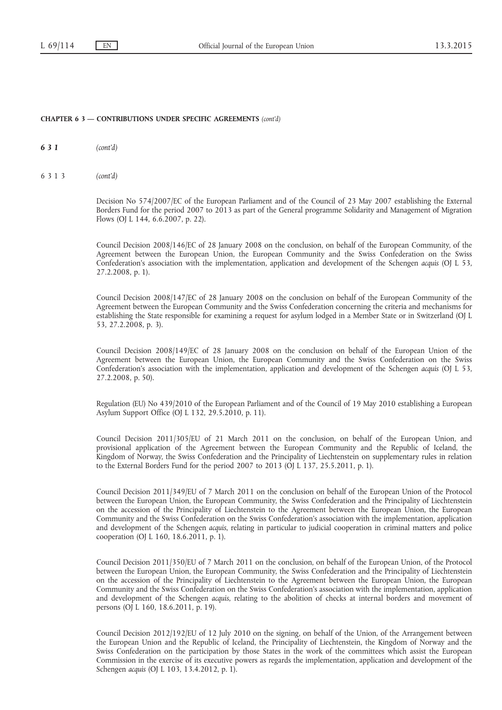631 (cont'd)

6313 (cont'd)

Decision No 574/2007/EC of the European Parliament and of the Council of 23 May 2007 establishing the External Borders Fund for the period 2007 to 2013 as part of the General programme Solidarity and Management of Migration Flows (OJ L 144, 6.6.2007, p. 22).

Council Decision 2008/146/EC of 28 January 2008 on the conclusion, on behalf of the European Community, of the Agreement between the European Union, the European Community and the Swiss Confederation on the Swiss Confederation's association with the implementation, application and development of the Schengen acquis (OJ L 53, 27.2.2008, p. 1).

Council Decision 2008/147/EC of 28 January 2008 on the conclusion on behalf of the European Community of the Agreement between the European Community and the Swiss Confederation concerning the criteria and mechanisms for establishing the State responsible for examining a request for asylum lodged in a Member State or in Switzerland (OJ L 53, 27.2.2008, p. 3).

Council Decision 2008/149/EC of 28 January 2008 on the conclusion on behalf of the European Union of the Agreement between the European Union, the European Community and the Swiss Confederation on the Swiss Confederation's association with the implementation, application and development of the Schengen acquis (OJ L 53, 27.2.2008, p. 50).

Regulation (EU) No 439/2010 of the European Parliament and of the Council of 19 May 2010 establishing a European Asylum Support Office (OJ L 132, 29.5.2010, p. 11).

Council Decision 2011/305/EU of 21 March 2011 on the conclusion, on behalf of the European Union, and provisional application of the Agreement between the European Community and the Republic of Iceland, the Kingdom of Norway, the Swiss Confederation and the Principality of Liechtenstein on supplementary rules in relation to the External Borders Fund for the period 2007 to 2013 (OJ L 137, 25.5.2011, p. 1).

Council Decision 2011/349/EU of 7 March 2011 on the conclusion on behalf of the European Union of the Protocol between the European Union, the European Community, the Swiss Confederation and the Principality of Liechtenstein on the accession of the Principality of Liechtenstein to the Agreement between the European Union, the European Community and the Swiss Confederation on the Swiss Confederation's association with the implementation, application and development of the Schengen acquis, relating in particular to judicial cooperation in criminal matters and police cooperation (OJ L 160, 18.6.2011, p. 1).

Council Decision 2011/350/EU of 7 March 2011 on the conclusion, on behalf of the European Union, of the Protocol between the European Union, the European Community, the Swiss Confederation and the Principality of Liechtenstein on the accession of the Principality of Liechtenstein to the Agreement between the European Union, the European Community and the Swiss Confederation on the Swiss Confederation's association with the implementation, application and development of the Schengen acquis, relating to the abolition of checks at internal borders and movement of persons (OJ L 160, 18.6.2011, p. 19).

Council Decision 2012/192/EU of 12 July 2010 on the signing, on behalf of the Union, of the Arrangement between the European Union and the Republic of Iceland, the Principality of Liechtenstein, the Kingdom of Norway and the Swiss Confederation on the participation by those States in the work of the committees which assist the European Commission in the exercise of its executive powers as regards the implementation, application and development of the Schengen acquis (OJ L 103, 13.4.2012, p. 1).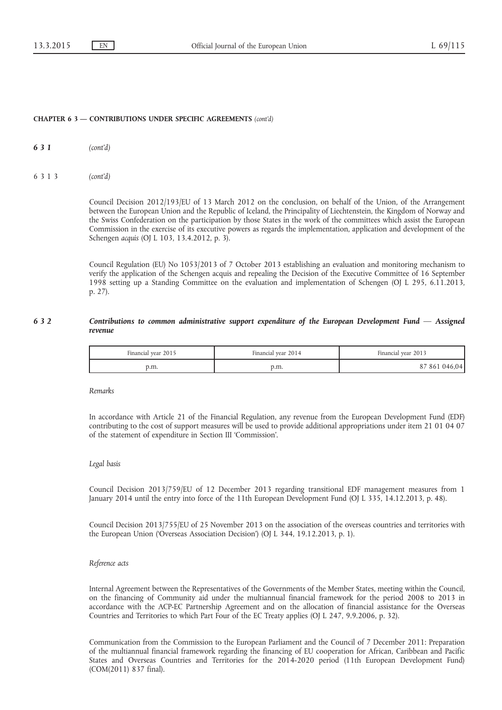631 (cont'd)

6313 (cont'd)

Council Decision 2012/193/EU of 13 March 2012 on the conclusion, on behalf of the Union, of the Arrangement between the European Union and the Republic of Iceland, the Principality of Liechtenstein, the Kingdom of Norway and the Swiss Confederation on the participation by those States in the work of the committees which assist the European Commission in the exercise of its executive powers as regards the implementation, application and development of the Schengen acquis (OJ L 103, 13.4.2012, p. 3).

Council Regulation (EU) No 1053/2013 of 7 October 2013 establishing an evaluation and monitoring mechanism to verify the application of the Schengen acquis and repealing the Decision of the Executive Committee of 16 September 1998 setting up a Standing Committee on the evaluation and implementation of Schengen (OJ L 295, 6.11.2013, p. 27).

# 6 3 2 Contributions to common administrative support expenditure of the European Development Fund — Assigned revenue

| Financial year 2015 | Financial year 2014 | Financial year 2013 |
|---------------------|---------------------|---------------------|
| d.m.                | p.m.                | 87 861 046,04       |

Remarks

In accordance with Article 21 of the Financial Regulation, any revenue from the European Development Fund (EDF) contributing to the cost of support measures will be used to provide additional appropriations under item 21 01 04 07 of the statement of expenditure in Section III 'Commission'.

#### Legal basis

Council Decision 2013/759/EU of 12 December 2013 regarding transitional EDF management measures from 1 January 2014 until the entry into force of the 11th European Development Fund (OJ L 335, 14.12.2013, p. 48).

Council Decision 2013/755/EU of 25 November 2013 on the association of the overseas countries and territories with the European Union ('Overseas Association Decision') (OJ L 344, 19.12.2013, p. 1).

#### Reference acts

Internal Agreement between the Representatives of the Governments of the Member States, meeting within the Council, on the financing of Community aid under the multiannual financial framework for the period 2008 to 2013 in accordance with the ACP-EC Partnership Agreement and on the allocation of financial assistance for the Overseas Countries and Territories to which Part Four of the EC Treaty applies (OJ L 247, 9.9.2006, p. 32).

Communication from the Commission to the European Parliament and the Council of 7 December 2011: Preparation of the multiannual financial framework regarding the financing of EU cooperation for African, Caribbean and Pacific States and Overseas Countries and Territories for the 2014-2020 period (11th European Development Fund) (COM(2011) 837 final).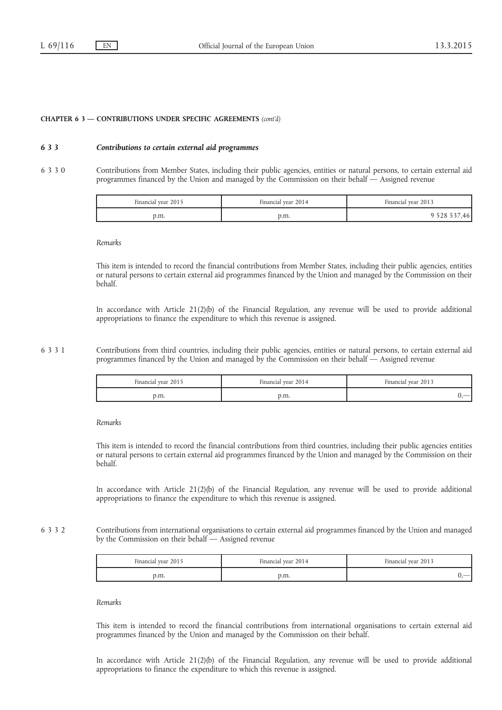# 6 3 3 Contributions to certain external aid programmes

6 3 3 0 Contributions from Member States, including their public agencies, entities or natural persons, to certain external aid programmes financed by the Union and managed by the Commission on their behalf — Assigned revenue

| Financial year 2015 | Financial year 2014 | Financial year 2013 |
|---------------------|---------------------|---------------------|
| p.m.                | p.m.                | 7.46 I<br>52853/    |

#### Remarks

This item is intended to record the financial contributions from Member States, including their public agencies, entities or natural persons to certain external aid programmes financed by the Union and managed by the Commission on their behalf.

In accordance with Article 21(2)(b) of the Financial Regulation, any revenue will be used to provide additional appropriations to finance the expenditure to which this revenue is assigned.

6 3 3 1 Contributions from third countries, including their public agencies, entities or natural persons, to certain external aid programmes financed by the Union and managed by the Commission on their behalf — Assigned revenue

| Financial year 2015 | Financial year 2014 | Financial year 2013 |
|---------------------|---------------------|---------------------|
| o.m.                | p.111.              | __                  |

Remarks

This item is intended to record the financial contributions from third countries, including their public agencies entities or natural persons to certain external aid programmes financed by the Union and managed by the Commission on their behalf.

In accordance with Article 21(2)(b) of the Financial Regulation, any revenue will be used to provide additional appropriations to finance the expenditure to which this revenue is assigned.

6 3 3 2 Contributions from international organisations to certain external aid programmes financed by the Union and managed by the Commission on their behalf — Assigned revenue

| Financial year 2015 | Financial year 2014 | Financial vear 2013 |
|---------------------|---------------------|---------------------|
| p.m.                | p.m.                |                     |

Remarks

This item is intended to record the financial contributions from international organisations to certain external aid programmes financed by the Union and managed by the Commission on their behalf.

In accordance with Article 21(2)(b) of the Financial Regulation, any revenue will be used to provide additional appropriations to finance the expenditure to which this revenue is assigned.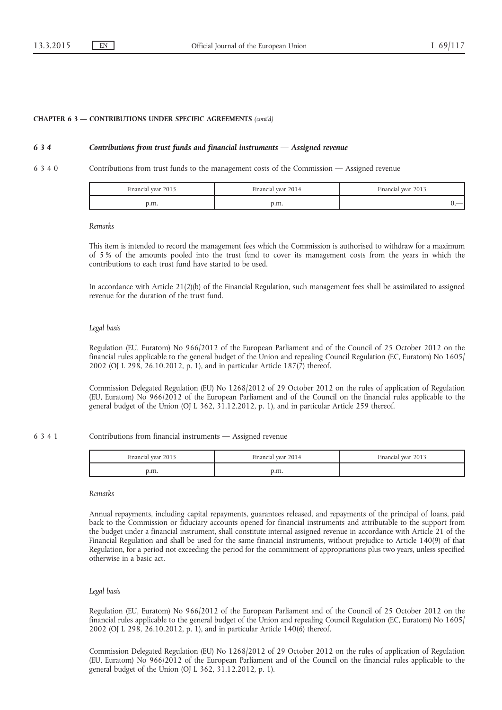# 6 3 4 Contributions from trust funds and financial instruments — Assigned revenue

6 3 4 0 Contributions from trust funds to the management costs of the Commission — Assigned revenue

| Financial year 2015 | Financial vear 2014 | Financial year 2013      |
|---------------------|---------------------|--------------------------|
| d.m.                | p.m.                | $\overline{\phantom{a}}$ |

#### Remarks

This item is intended to record the management fees which the Commission is authorised to withdraw for a maximum of 5 % of the amounts pooled into the trust fund to cover its management costs from the years in which the contributions to each trust fund have started to be used.

In accordance with Article 21(2)(b) of the Financial Regulation, such management fees shall be assimilated to assigned revenue for the duration of the trust fund.

#### Legal basis

Regulation (EU, Euratom) No 966/2012 of the European Parliament and of the Council of 25 October 2012 on the financial rules applicable to the general budget of the Union and repealing Council Regulation (EC, Euratom) No 1605/ 2002 (OJ L 298, 26.10.2012, p. 1), and in particular Article 187(7) thereof.

Commission Delegated Regulation (EU) No 1268/2012 of 29 October 2012 on the rules of application of Regulation (EU, Euratom) No 966/2012 of the European Parliament and of the Council on the financial rules applicable to the general budget of the Union (OJ L 362, 31.12.2012, p. 1), and in particular Article 259 thereof.

6 3 4 1 Contributions from financial instruments — Assigned revenue

| Financial year 2015 | Financial vear 2014 | Financial year 2013 |
|---------------------|---------------------|---------------------|
| p.m.                | p.m.                |                     |

# Remarks

Annual repayments, including capital repayments, guarantees released, and repayments of the principal of loans, paid back to the Commission or fiduciary accounts opened for financial instruments and attributable to the support from the budget under a financial instrument, shall constitute internal assigned revenue in accordance with Article 21 of the Financial Regulation and shall be used for the same financial instruments, without prejudice to Article 140(9) of that Regulation, for a period not exceeding the period for the commitment of appropriations plus two years, unless specified otherwise in a basic act.

#### Legal basis

Regulation (EU, Euratom) No 966/2012 of the European Parliament and of the Council of 25 October 2012 on the financial rules applicable to the general budget of the Union and repealing Council Regulation (EC, Euratom) No 1605/ 2002 (OJ L 298, 26.10.2012, p. 1), and in particular Article 140(6) thereof.

Commission Delegated Regulation (EU) No 1268/2012 of 29 October 2012 on the rules of application of Regulation (EU, Euratom) No 966/2012 of the European Parliament and of the Council on the financial rules applicable to the general budget of the Union (OJ L 362, 31.12.2012, p. 1).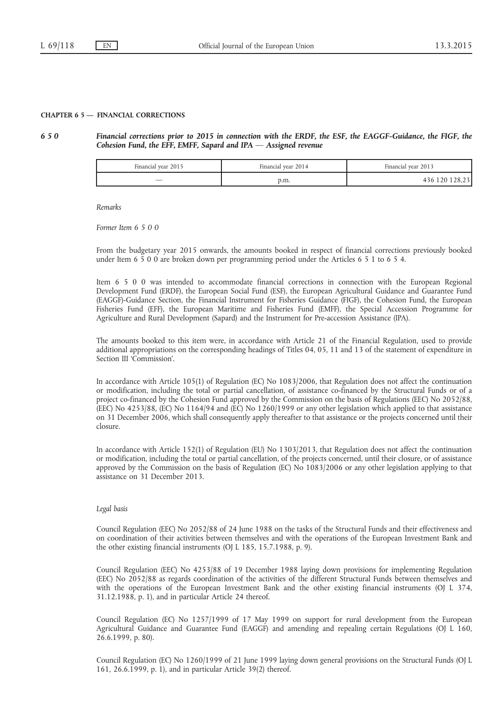#### CHAPTER 6 5 — FINANCIAL CORRECTIONS

#### 6 5 0 Financial corrections prior to 2015 in connection with the ERDF, the ESF, the EAGGF-Guidance, the FIGF, the Cohesion Fund, the EFF, EMFF, Sapard and IPA  $-$  Assigned revenue

| Financial year 2015 | Financial vear 2014 | Financial vear 2013 |
|---------------------|---------------------|---------------------|
| $-$                 | p.m.                | 436 120 128,23      |

Remarks

Former Item 6 5 0 0

From the budgetary year 2015 onwards, the amounts booked in respect of financial corrections previously booked under Item 6 5 0 0 are broken down per programming period under the Articles 6 5 1 to 6 5 4.

Item 6 5 0 0 was intended to accommodate financial corrections in connection with the European Regional Development Fund (ERDF), the European Social Fund (ESF), the European Agricultural Guidance and Guarantee Fund (EAGGF)-Guidance Section, the Financial Instrument for Fisheries Guidance (FIGF), the Cohesion Fund, the European Fisheries Fund (EFF), the European Maritime and Fisheries Fund (EMFF), the Special Accession Programme for Agriculture and Rural Development (Sapard) and the Instrument for Pre-accession Assistance (IPA).

The amounts booked to this item were, in accordance with Article 21 of the Financial Regulation, used to provide additional appropriations on the corresponding headings of Titles 04, 05, 11 and 13 of the statement of expenditure in Section III 'Commission'.

In accordance with Article 105(1) of Regulation (EC) No 1083/2006, that Regulation does not affect the continuation or modification, including the total or partial cancellation, of assistance co-financed by the Structural Funds or of a project co-financed by the Cohesion Fund approved by the Commission on the basis of Regulations (EEC) No 2052/88, (EEC) No 4253/88, (EC) No 1164/94 and (EC) No 1260/1999 or any other legislation which applied to that assistance on 31 December 2006, which shall consequently apply thereafter to that assistance or the projects concerned until their closure.

In accordance with Article 152(1) of Regulation (EU) No 1303/2013, that Regulation does not affect the continuation or modification, including the total or partial cancellation, of the projects concerned, until their closure, or of assistance approved by the Commission on the basis of Regulation (EC) No 1083/2006 or any other legislation applying to that assistance on 31 December 2013.

# Legal basis

Council Regulation (EEC) No 2052/88 of 24 June 1988 on the tasks of the Structural Funds and their effectiveness and on coordination of their activities between themselves and with the operations of the European Investment Bank and the other existing financial instruments (OJ L 185, 15.7.1988, p. 9).

Council Regulation (EEC) No 4253/88 of 19 December 1988 laying down provisions for implementing Regulation (EEC) No 2052/88 as regards coordination of the activities of the different Structural Funds between themselves and with the operations of the European Investment Bank and the other existing financial instruments (OJ L 374, 31.12.1988, p. 1), and in particular Article 24 thereof.

Council Regulation (EC) No 1257/1999 of 17 May 1999 on support for rural development from the European Agricultural Guidance and Guarantee Fund (EAGGF) and amending and repealing certain Regulations (OJ L 160, 26.6.1999, p. 80).

Council Regulation (EC) No 1260/1999 of 21 June 1999 laying down general provisions on the Structural Funds (OJ L 161, 26.6.1999, p. 1), and in particular Article 39(2) thereof.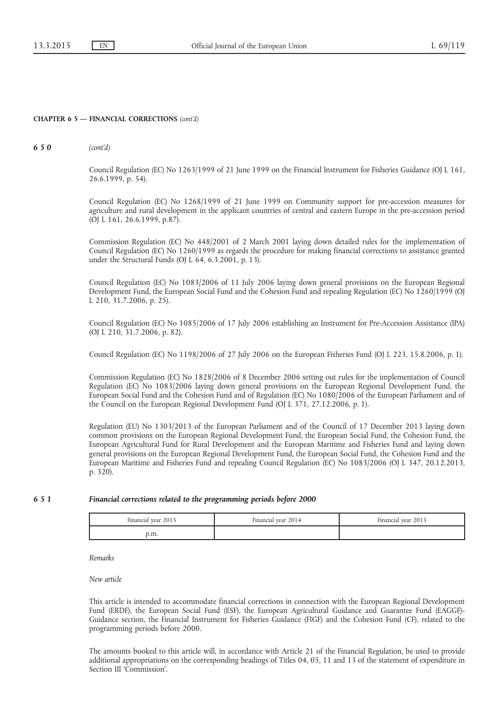#### CHAPTER 6 5 — FINANCIAL CORRECTIONS (cont'd)

650 (cont'd)

Council Regulation (EC) No 1263/1999 of 21 June 1999 on the Financial Instrument for Fisheries Guidance (OJ L 161, 26.6.1999, p. 54).

Council Regulation (EC) No 1268/1999 of 21 June 1999 on Community support for pre-accession measures for agriculture and rural development in the applicant countries of central and eastern Europe in the pre-accession period (OJ L 161, 26.6.1999, p.87).

Commission Regulation (EC) No 448/2001 of 2 March 2001 laying down detailed rules for the implementation of Council Regulation (EC) No 1260/1999 as regards the procedure for making financial corrections to assistance granted under the Structural Funds (OJ L 64, 6.3.2001, p. 13).

Council Regulation (EC) No 1083/2006 of 11 July 2006 laying down general provisions on the European Regional Development Fund, the European Social Fund and the Cohesion Fund and repealing Regulation (EC) No 1260/1999 (OJ L 210, 31.7.2006, p. 25).

Council Regulation (EC) No 1085/2006 of 17 July 2006 establishing an Instrument for Pre-Accession Assistance (IPA) (OJ L 210, 31.7.2006, p. 82).

Council Regulation (EC) No 1198/2006 of 27 July 2006 on the European Fisheries Fund (OJ L 223, 15.8.2006, p. 1).

Commission Regulation (EC) No 1828/2006 of 8 December 2006 setting out rules for the implementation of Council Regulation (EC) No 1083/2006 laying down general provisions on the European Regional Development Fund, the European Social Fund and the Cohesion Fund and of Regulation (EC) No 1080/2006 of the European Parliament and of the Council on the European Regional Development Fund (OJ L 371, 27.12.2006, p. 1).

Regulation (EU) No 1303/2013 of the European Parliament and of the Council of 17 December 2013 laying down common provisions on the European Regional Development Fund, the European Social Fund, the Cohesion Fund, the European Agricultural Fund for Rural Development and the European Maritime and Fisheries Fund and laying down general provisions on the European Regional Development Fund, the European Social Fund, the Cohesion Fund and the European Maritime and Fisheries Fund and repealing Council Regulation (EC) No 1083/2006 (OJ L 347, 20.12.2013, p. 320).

#### 6 5 1 Financial corrections related to the programming periods before 2000

| Financial year 2015 | Financial year 2014 | Financial year 2013 |
|---------------------|---------------------|---------------------|
| э.m.                |                     |                     |

Remarks

New article

This article is intended to accommodate financial corrections in connection with the European Regional Development Fund (ERDF), the European Social Fund (ESF), the European Agricultural Guidance and Guarantee Fund (EAGGF)- Guidance section, the Financial Instrument for Fisheries Guidance (FIGF) and the Cohesion Fund (CF), related to the programming periods before 2000.

The amounts booked to this article will, in accordance with Article 21 of the Financial Regulation, be used to provide additional appropriations on the corresponding headings of Titles 04, 05, 11 and 13 of the statement of expenditure in Section III 'Commission'.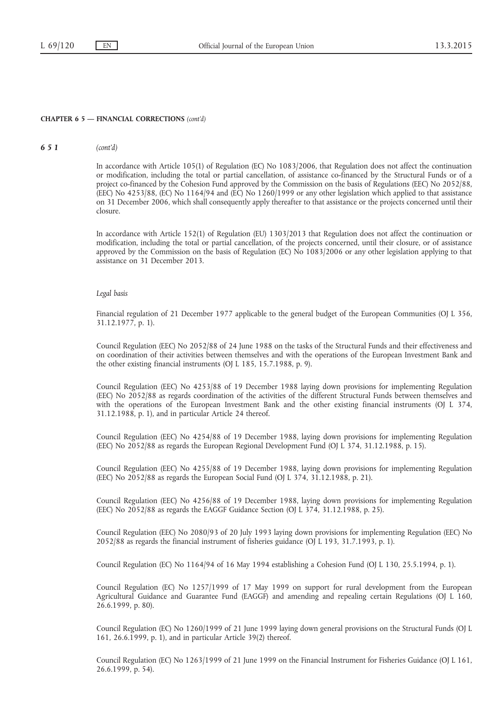## 651 (cont'd)

In accordance with Article 105(1) of Regulation (EC) No 1083/2006, that Regulation does not affect the continuation or modification, including the total or partial cancellation, of assistance co-financed by the Structural Funds or of a project co-financed by the Cohesion Fund approved by the Commission on the basis of Regulations (EEC) No 2052/88, (EEC) No 4253/88, (EC) No 1164/94 and (EC) No 1260/1999 or any other legislation which applied to that assistance on 31 December 2006, which shall consequently apply thereafter to that assistance or the projects concerned until their closure.

In accordance with Article 152(1) of Regulation (EU) 1303/2013 that Regulation does not affect the continuation or modification, including the total or partial cancellation, of the projects concerned, until their closure, or of assistance approved by the Commission on the basis of Regulation (EC) No 1083/2006 or any other legislation applying to that assistance on 31 December 2013.

#### Legal basis

Financial regulation of 21 December 1977 applicable to the general budget of the European Communities (OJ L 356, 31.12.1977, p. 1).

Council Regulation (EEC) No 2052/88 of 24 June 1988 on the tasks of the Structural Funds and their effectiveness and on coordination of their activities between themselves and with the operations of the European Investment Bank and the other existing financial instruments (OJ L 185, 15.7.1988, p. 9).

Council Regulation (EEC) No 4253/88 of 19 December 1988 laying down provisions for implementing Regulation (EEC) No 2052/88 as regards coordination of the activities of the different Structural Funds between themselves and with the operations of the European Investment Bank and the other existing financial instruments (OJ L 374, 31.12.1988, p. 1), and in particular Article 24 thereof.

Council Regulation (EEC) No 4254/88 of 19 December 1988, laying down provisions for implementing Regulation (EEC) No 2052/88 as regards the European Regional Development Fund (OJ L 374, 31.12.1988, p. 15).

Council Regulation (EEC) No 4255/88 of 19 December 1988, laying down provisions for implementing Regulation (EEC) No 2052/88 as regards the European Social Fund (OJ L 374, 31.12.1988, p. 21).

Council Regulation (EEC) No 4256/88 of 19 December 1988, laying down provisions for implementing Regulation (EEC) No 2052/88 as regards the EAGGF Guidance Section (OJ L 374, 31.12.1988, p. 25).

Council Regulation (EEC) No 2080/93 of 20 July 1993 laying down provisions for implementing Regulation (EEC) No 2052/88 as regards the financial instrument of fisheries guidance (OJ L 193, 31.7.1993, p. 1).

Council Regulation (EC) No 1164/94 of 16 May 1994 establishing a Cohesion Fund (OJ L 130, 25.5.1994, p. 1).

Council Regulation (EC) No 1257/1999 of 17 May 1999 on support for rural development from the European Agricultural Guidance and Guarantee Fund (EAGGF) and amending and repealing certain Regulations (OJ L 160, 26.6.1999, p. 80).

Council Regulation (EC) No 1260/1999 of 21 June 1999 laying down general provisions on the Structural Funds (OJ L 161, 26.6.1999, p. 1), and in particular Article 39(2) thereof.

Council Regulation (EC) No 1263/1999 of 21 June 1999 on the Financial Instrument for Fisheries Guidance (OJ L 161, 26.6.1999, p. 54).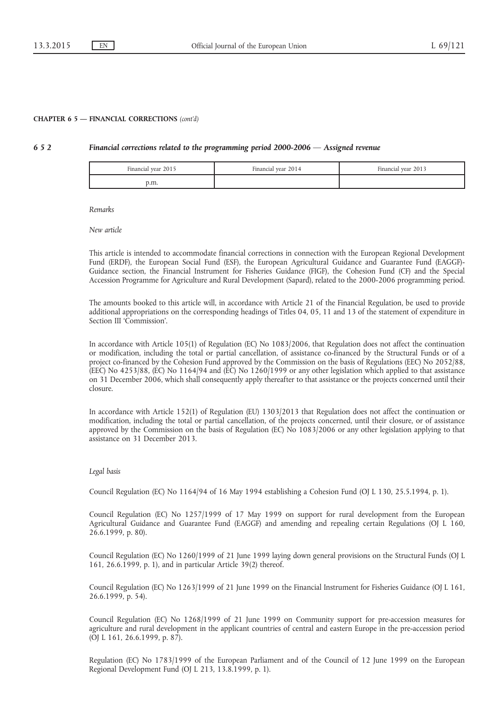#### 6 5 2 Financial corrections related to the programming period 2000-2006 — Assigned revenue

| Financial year 2015 | Financial year 2014 | Financial year 2013 |
|---------------------|---------------------|---------------------|
| p.m.                |                     |                     |

Remarks

New article

This article is intended to accommodate financial corrections in connection with the European Regional Development Fund (ERDF), the European Social Fund (ESF), the European Agricultural Guidance and Guarantee Fund (EAGGF)- Guidance section, the Financial Instrument for Fisheries Guidance (FIGF), the Cohesion Fund (CF) and the Special Accession Programme for Agriculture and Rural Development (Sapard), related to the 2000-2006 programming period.

The amounts booked to this article will, in accordance with Article 21 of the Financial Regulation, be used to provide additional appropriations on the corresponding headings of Titles 04, 05, 11 and 13 of the statement of expenditure in Section III 'Commission'.

In accordance with Article 105(1) of Regulation (EC) No 1083/2006, that Regulation does not affect the continuation or modification, including the total or partial cancellation, of assistance co-financed by the Structural Funds or of a project co-financed by the Cohesion Fund approved by the Commission on the basis of Regulations (EEC) No 2052/88, (EEC) No 4253/88, (EC) No 1164/94 and (EC) No 1260/1999 or any other legislation which applied to that assistance on 31 December 2006, which shall consequently apply thereafter to that assistance or the projects concerned until their closure.

In accordance with Article 152(1) of Regulation (EU) 1303/2013 that Regulation does not affect the continuation or modification, including the total or partial cancellation, of the projects concerned, until their closure, or of assistance approved by the Commission on the basis of Regulation (EC) No 1083/2006 or any other legislation applying to that assistance on 31 December 2013.

#### Legal basis

Council Regulation (EC) No 1164/94 of 16 May 1994 establishing a Cohesion Fund (OJ L 130, 25.5.1994, p. 1).

Council Regulation (EC) No 1257/1999 of 17 May 1999 on support for rural development from the European Agricultural Guidance and Guarantee Fund (EAGGF) and amending and repealing certain Regulations (OJ L 160, 26.6.1999, p. 80).

Council Regulation (EC) No 1260/1999 of 21 June 1999 laying down general provisions on the Structural Funds (OJ L 161, 26.6.1999, p. 1), and in particular Article 39(2) thereof.

Council Regulation (EC) No 1263/1999 of 21 June 1999 on the Financial Instrument for Fisheries Guidance (OJ L 161, 26.6.1999, p. 54).

Council Regulation (EC) No 1268/1999 of 21 June 1999 on Community support for pre-accession measures for agriculture and rural development in the applicant countries of central and eastern Europe in the pre-accession period (OJ L 161, 26.6.1999, p. 87).

Regulation (EC) No 1783/1999 of the European Parliament and of the Council of 12 June 1999 on the European Regional Development Fund (OJ L 213, 13.8.1999, p. 1).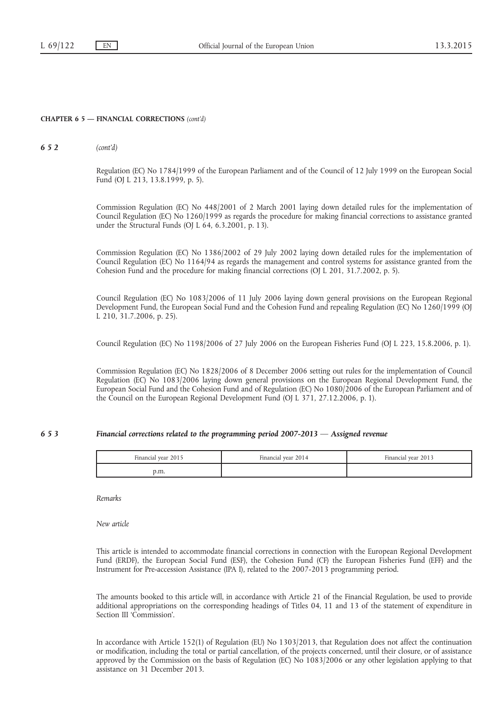# 652 (cont'd)

Regulation (EC) No 1784/1999 of the European Parliament and of the Council of 12 July 1999 on the European Social Fund (OJ L 213, 13.8.1999, p. 5).

Commission Regulation (EC) No 448/2001 of 2 March 2001 laying down detailed rules for the implementation of Council Regulation (EC) No 1260/1999 as regards the procedure for making financial corrections to assistance granted under the Structural Funds (OJ L 64, 6.3.2001, p. 13).

Commission Regulation (EC) No 1386/2002 of 29 July 2002 laying down detailed rules for the implementation of Council Regulation (EC) No 1164/94 as regards the management and control systems for assistance granted from the Cohesion Fund and the procedure for making financial corrections (OJ L 201, 31.7.2002, p. 5).

Council Regulation (EC) No 1083/2006 of 11 July 2006 laying down general provisions on the European Regional Development Fund, the European Social Fund and the Cohesion Fund and repealing Regulation (EC) No 1260/1999 (OJ L 210, 31.7.2006, p. 25).

Council Regulation (EC) No 1198/2006 of 27 July 2006 on the European Fisheries Fund (OJ L 223, 15.8.2006, p. 1).

Commission Regulation (EC) No 1828/2006 of 8 December 2006 setting out rules for the implementation of Council Regulation (EC) No 1083/2006 laying down general provisions on the European Regional Development Fund, the European Social Fund and the Cohesion Fund and of Regulation (EC) No 1080/2006 of the European Parliament and of the Council on the European Regional Development Fund (OJ L 371, 27.12.2006, p. 1).

# 6 5 3 Financial corrections related to the programming period 2007-2013 — Assigned revenue

| Financial year 2015 | Financial year 2014 | Financial year 2013 |
|---------------------|---------------------|---------------------|
| p.m.                |                     |                     |

Remarks

New article

This article is intended to accommodate financial corrections in connection with the European Regional Development Fund (ERDF), the European Social Fund (ESF), the Cohesion Fund (CF) the European Fisheries Fund (EFF) and the Instrument for Pre-accession Assistance (IPA I), related to the 2007-2013 programming period.

The amounts booked to this article will, in accordance with Article 21 of the Financial Regulation, be used to provide additional appropriations on the corresponding headings of Titles 04, 11 and 13 of the statement of expenditure in Section III 'Commission'.

In accordance with Article 152(1) of Regulation (EU) No 1303/2013, that Regulation does not affect the continuation or modification, including the total or partial cancellation, of the projects concerned, until their closure, or of assistance approved by the Commission on the basis of Regulation (EC) No 1083/2006 or any other legislation applying to that assistance on 31 December 2013.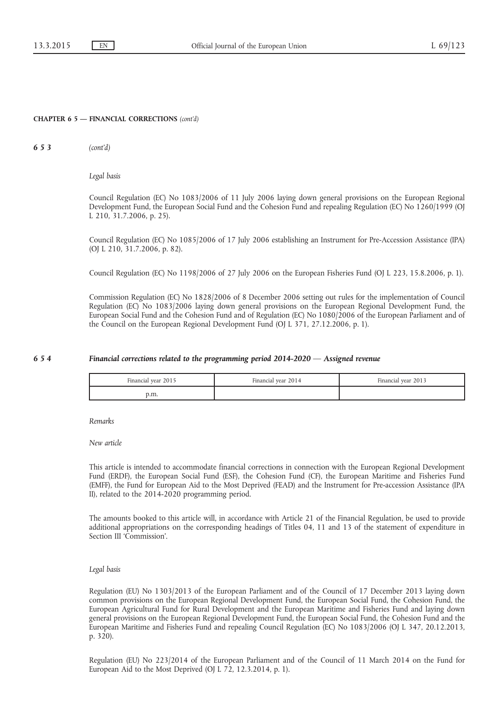653 (cont'd)

Legal basis

Council Regulation (EC) No 1083/2006 of 11 July 2006 laying down general provisions on the European Regional Development Fund, the European Social Fund and the Cohesion Fund and repealing Regulation (EC) No 1260/1999 (OJ L 210, 31.7.2006, p. 25).

Council Regulation (EC) No 1085/2006 of 17 July 2006 establishing an Instrument for Pre-Accession Assistance (IPA) (OJ L 210, 31.7.2006, p. 82).

Council Regulation (EC) No 1198/2006 of 27 July 2006 on the European Fisheries Fund (OJ L 223, 15.8.2006, p. 1).

Commission Regulation (EC) No 1828/2006 of 8 December 2006 setting out rules for the implementation of Council Regulation (EC) No 1083/2006 laying down general provisions on the European Regional Development Fund, the European Social Fund and the Cohesion Fund and of Regulation (EC) No 1080/2006 of the European Parliament and of the Council on the European Regional Development Fund (OJ L 371, 27.12.2006, p. 1).

# 6 5 4 Financial corrections related to the programming period 2014-2020 — Assigned revenue

| Financial year 2015 | Financial year 2014 | Financial year 2013 |
|---------------------|---------------------|---------------------|
| лш.                 |                     |                     |

Remarks

New article

This article is intended to accommodate financial corrections in connection with the European Regional Development Fund (ERDF), the European Social Fund (ESF), the Cohesion Fund (CF), the European Maritime and Fisheries Fund (EMFF), the Fund for European Aid to the Most Deprived (FEAD) and the Instrument for Pre-accession Assistance (IPA II), related to the 2014-2020 programming period.

The amounts booked to this article will, in accordance with Article 21 of the Financial Regulation, be used to provide additional appropriations on the corresponding headings of Titles 04, 11 and 13 of the statement of expenditure in Section III 'Commission'.

#### Legal basis

Regulation (EU) No 1303/2013 of the European Parliament and of the Council of 17 December 2013 laying down common provisions on the European Regional Development Fund, the European Social Fund, the Cohesion Fund, the European Agricultural Fund for Rural Development and the European Maritime and Fisheries Fund and laying down general provisions on the European Regional Development Fund, the European Social Fund, the Cohesion Fund and the European Maritime and Fisheries Fund and repealing Council Regulation (EC) No 1083/2006 (OJ L 347, 20.12.2013, p. 320).

Regulation (EU) No 223/2014 of the European Parliament and of the Council of 11 March 2014 on the Fund for European Aid to the Most Deprived (OJ L 72, 12.3.2014, p. 1).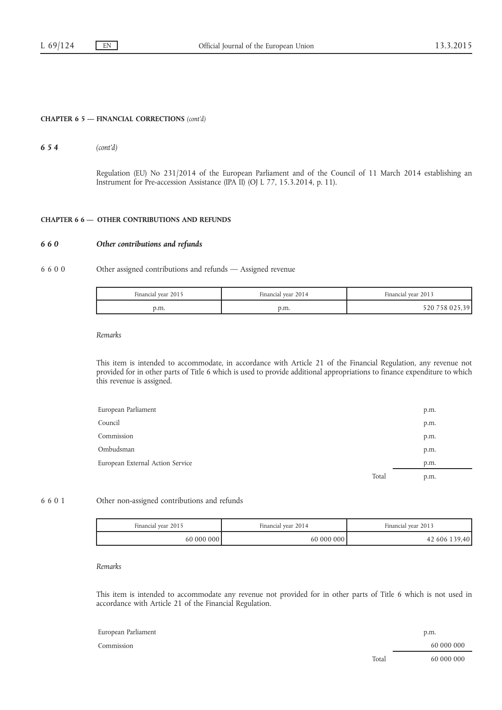654 (cont'd)

Regulation (EU) No 231/2014 of the European Parliament and of the Council of 11 March 2014 establishing an Instrument for Pre-accession Assistance (IPA II) (OJ L 77, 15.3.2014, p. 11).

# CHAPTER 6 6 — OTHER CONTRIBUTIONS AND REFUNDS

# 6 6 0 Other contributions and refunds

## 6 6 0 0 Other assigned contributions and refunds — Assigned revenue

| Financial year 2015 | Financial year 2014 | Financial year 2013 |
|---------------------|---------------------|---------------------|
| p.m.                | p.m.                | -20 7<br>758 02.    |

Remarks

This item is intended to accommodate, in accordance with Article 21 of the Financial Regulation, any revenue not provided for in other parts of Title 6 which is used to provide additional appropriations to finance expenditure to which this revenue is assigned.

| European Parliament              |       | p.m. |
|----------------------------------|-------|------|
| Council                          |       | p.m. |
| Commission                       |       | p.m. |
| Ombudsman                        |       | p.m. |
| European External Action Service |       | p.m. |
|                                  | Total | p.m. |

## 6 6 0 1 Other non-assigned contributions and refunds

| Financial year 2015 | Financial year 2014 | Financial vear 2013                      |
|---------------------|---------------------|------------------------------------------|
| 60 000 000          | 60 000 000          | .39.40<br>$^{\backprime}$ 606 $_{\odot}$ |

## Remarks

This item is intended to accommodate any revenue not provided for in other parts of Title 6 which is not used in accordance with Article 21 of the Financial Regulation.

| European Parliament |       | p.m.       |
|---------------------|-------|------------|
| Commission          |       | 60 000 000 |
|                     | Total | 60 000 000 |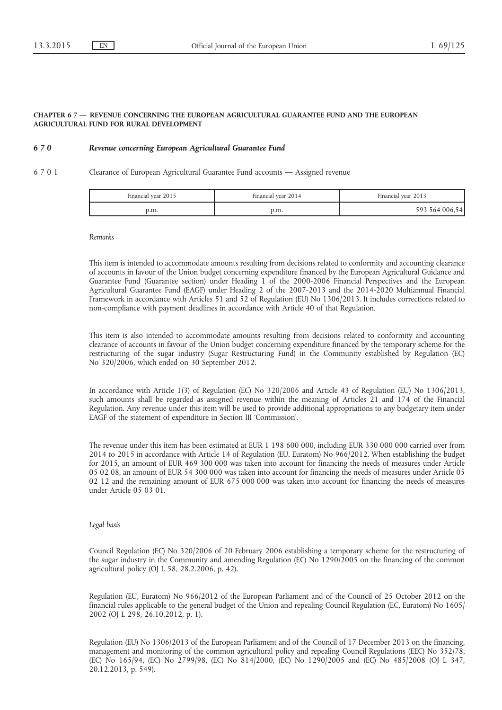#### 6 7 0 Revenue concerning European Agricultural Guarantee Fund

6 7 0 1 Clearance of European Agricultural Guarantee Fund accounts — Assigned revenue

| Financial year 2015 | Financial vear 2014 | Financial year 2013 |
|---------------------|---------------------|---------------------|
| p.m.                | p.m.                | 593 564 006.54      |

#### Remarks

This item is intended to accommodate amounts resulting from decisions related to conformity and accounting clearance of accounts in favour of the Union budget concerning expenditure financed by the European Agricultural Guidance and Guarantee Fund (Guarantee section) under Heading 1 of the 2000-2006 Financial Perspectives and the European Agricultural Guarantee Fund (EAGF) under Heading 2 of the 2007-2013 and the 2014-2020 Multiannual Financial Framework in accordance with Articles 51 and 52 of Regulation (EU) No 1306/2013. It includes corrections related to non-compliance with payment deadlines in accordance with Article 40 of that Regulation.

This item is also intended to accommodate amounts resulting from decisions related to conformity and accounting clearance of accounts in favour of the Union budget concerning expenditure financed by the temporary scheme for the restructuring of the sugar industry (Sugar Restructuring Fund) in the Community established by Regulation (EC) No 320/2006, which ended on 30 September 2012.

In accordance with Article 1(3) of Regulation (EC) No 320/2006 and Article 43 of Regulation (EU) No 1306/2013, such amounts shall be regarded as assigned revenue within the meaning of Articles 21 and 174 of the Financial Regulation. Any revenue under this item will be used to provide additional appropriations to any budgetary item under EAGF of the statement of expenditure in Section III 'Commission'.

The revenue under this item has been estimated at EUR 1 198 600 000, including EUR 330 000 000 carried over from 2014 to 2015 in accordance with Article 14 of Regulation (EU, Euratom) No 966/2012. When establishing the budget for 2015, an amount of EUR 469 300 000 was taken into account for financing the needs of measures under Article 05 02 08, an amount of EUR 54 300 000 was taken into account for financing the needs of measures under Article 05 02 12 and the remaining amount of EUR 675 000 000 was taken into account for financing the needs of measures under Article 05 03 01.

#### Legal basis

Council Regulation (EC) No 320/2006 of 20 February 2006 establishing a temporary scheme for the restructuring of the sugar industry in the Community and amending Regulation (EC) No  $1290/2005$  on the financing of the common agricultural policy (OJ L 58, 28.2.2006, p. 42).

Regulation (EU, Euratom) No 966/2012 of the European Parliament and of the Council of 25 October 2012 on the financial rules applicable to the general budget of the Union and repealing Council Regulation (EC, Euratom) No 1605/ 2002 (OJ L 298, 26.10.2012, p. 1).

Regulation (EU) No 1306/2013 of the European Parliament and of the Council of 17 December 2013 on the financing, management and monitoring of the common agricultural policy and repealing Council Regulations (EEC) No 352/78, (EC) No 165/94, (EC) No 2799/98, (EC) No 814/2000, (EC) No 1290/2005 and (EC) No 485/2008 (OJ L 347, 20.12.2013, p. 549).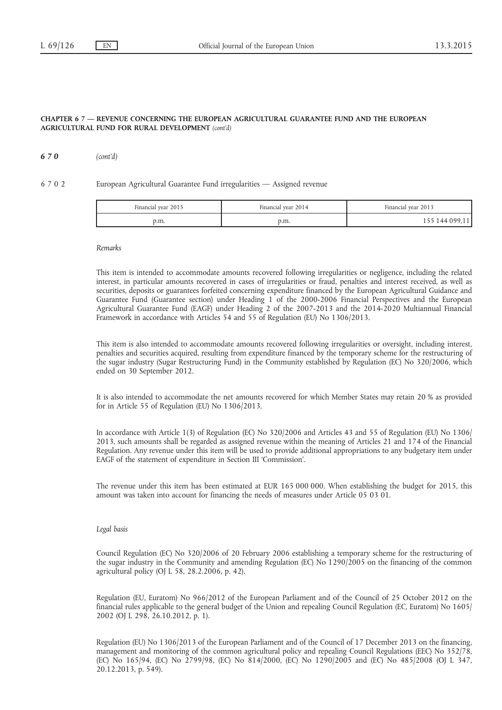670 (cont'd)

6 7 0 2 European Agricultural Guarantee Fund irregularities — Assigned revenue

| Financial year 2015 | Financial year 2014 | Financial year 2013 |
|---------------------|---------------------|---------------------|
| p.m.                | p.m.                | 155 144 099,11      |

#### Remarks

This item is intended to accommodate amounts recovered following irregularities or negligence, including the related interest, in particular amounts recovered in cases of irregularities or fraud, penalties and interest received, as well as securities, deposits or guarantees forfeited concerning expenditure financed by the European Agricultural Guidance and Guarantee Fund (Guarantee section) under Heading 1 of the 2000-2006 Financial Perspectives and the European Agricultural Guarantee Fund (EAGF) under Heading 2 of the 2007-2013 and the 2014-2020 Multiannual Financial Framework in accordance with Articles 54 and 55 of Regulation (EU) No 1306/2013.

This item is also intended to accommodate amounts recovered following irregularities or oversight, including interest, penalties and securities acquired, resulting from expenditure financed by the temporary scheme for the restructuring of the sugar industry (Sugar Restructuring Fund) in the Community established by Regulation (EC) No 320/2006, which ended on 30 September 2012.

It is also intended to accommodate the net amounts recovered for which Member States may retain 20 % as provided for in Article 55 of Regulation (EU) No 1306/2013.

In accordance with Article 1(3) of Regulation (EC) No 320/2006 and Articles 43 and 55 of Regulation (EU) No 1306/ 2013, such amounts shall be regarded as assigned revenue within the meaning of Articles 21 and 174 of the Financial Regulation. Any revenue under this item will be used to provide additional appropriations to any budgetary item under EAGF of the statement of expenditure in Section III 'Commission'.

The revenue under this item has been estimated at EUR 165 000 000. When establishing the budget for 2015, this amount was taken into account for financing the needs of measures under Article 05 03 01.

#### Legal basis

Council Regulation (EC) No 320/2006 of 20 February 2006 establishing a temporary scheme for the restructuring of the sugar industry in the Community and amending Regulation (EC) No 1290/2005 on the financing of the common agricultural policy (OJ L 58, 28.2.2006, p. 42).

Regulation (EU, Euratom) No 966/2012 of the European Parliament and of the Council of 25 October 2012 on the financial rules applicable to the general budget of the Union and repealing Council Regulation (EC, Euratom) No 1605/ 2002 (OJ L 298, 26.10.2012, p. 1).

Regulation (EU) No 1306/2013 of the European Parliament and of the Council of 17 December 2013 on the financing, management and monitoring of the common agricultural policy and repealing Council Regulations (EEC) No 352/78, (EC) No 165/94, (EC) No 2799/98, (EC) No 814/2000, (EC) No 1290/2005 and (EC) No 485/2008 (OJ L 347, 20.12.2013, p. 549).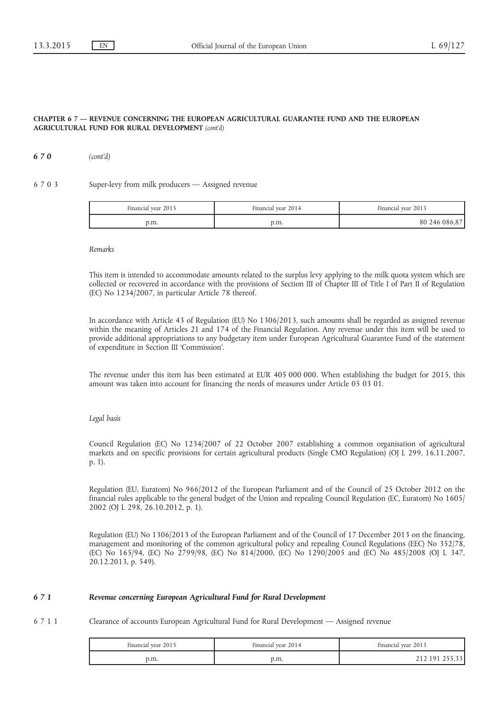670 (cont'd)

6 7 0 3 Super-levy from milk producers — Assigned revenue

| Financial year 2015 | Financial year 2014 | Financial year 2013 |
|---------------------|---------------------|---------------------|
| p.m.                | p.m.                | 80 246 086,87       |

#### Remarks

This item is intended to accommodate amounts related to the surplus levy applying to the milk quota system which are collected or recovered in accordance with the provisions of Section III of Chapter III of Title I of Part II of Regulation (EC) No 1234/2007, in particular Article 78 thereof.

In accordance with Article 43 of Regulation (EU) No 1306/2013, such amounts shall be regarded as assigned revenue within the meaning of Articles 21 and 174 of the Financial Regulation. Any revenue under this item will be used to provide additional appropriations to any budgetary item under European Agricultural Guarantee Fund of the statement of expenditure in Section III 'Commission'.

The revenue under this item has been estimated at EUR 405 000 000. When establishing the budget for 2015, this amount was taken into account for financing the needs of measures under Article 05 03 01.

#### Legal basis

Council Regulation (EC) No 1234/2007 of 22 October 2007 establishing a common organisation of agricultural markets and on specific provisions for certain agricultural products (Single CMO Regulation) (OJ L 299, 16.11.2007, p. 1).

Regulation (EU, Euratom) No 966/2012 of the European Parliament and of the Council of 25 October 2012 on the financial rules applicable to the general budget of the Union and repealing Council Regulation (EC, Euratom) No 1605/ 2002 (OJ L 298, 26.10.2012, p. 1).

Regulation (EU) No 1306/2013 of the European Parliament and of the Council of 17 December 2013 on the financing, management and monitoring of the common agricultural policy and repealing Council Regulations (EEC) No 352/78, (EC) No 165/94, (EC) No 2799/98, (EC) No 814/2000, (EC) No 1290/2005 and (EC) No 485/2008 (OJ L 347, 20.12.2013, p. 549).

# 6 7 1 Revenue concerning European Agricultural Fund for Rural Development

6 7 1 1 Clearance of accounts European Agricultural Fund for Rural Development — Assigned revenue

| Financial year 2015 | Financial vear 2014 | Financial year 2013    |
|---------------------|---------------------|------------------------|
| э.m.                | p.m.                | $\cdots$ , 191 255,55. |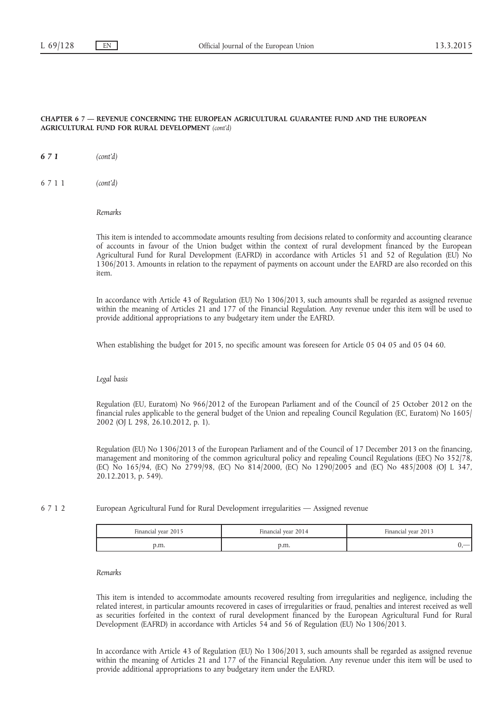671 (cont'd)

6711 (cont'd)

Remarks

This item is intended to accommodate amounts resulting from decisions related to conformity and accounting clearance of accounts in favour of the Union budget within the context of rural development financed by the European Agricultural Fund for Rural Development (EAFRD) in accordance with Articles 51 and 52 of Regulation (EU) No 1306/2013. Amounts in relation to the repayment of payments on account under the EAFRD are also recorded on this item.

In accordance with Article 43 of Regulation (EU) No 1306/2013, such amounts shall be regarded as assigned revenue within the meaning of Articles 21 and 177 of the Financial Regulation. Any revenue under this item will be used to provide additional appropriations to any budgetary item under the EAFRD.

When establishing the budget for 2015, no specific amount was foreseen for Article 05 04 05 and 05 04 60.

#### Legal basis

Regulation (EU, Euratom) No 966/2012 of the European Parliament and of the Council of 25 October 2012 on the financial rules applicable to the general budget of the Union and repealing Council Regulation (EC, Euratom) No 1605/ 2002 (OJ L 298, 26.10.2012, p. 1).

Regulation (EU) No 1306/2013 of the European Parliament and of the Council of 17 December 2013 on the financing, management and monitoring of the common agricultural policy and repealing Council Regulations (EEC) No 352/78, (EC) No 165/94, (EC) No 2799/98, (EC) No 814/2000, (EC) No 1290/2005 and (EC) No 485/2008 (OJ L 347, 20.12.2013, p. 549).

6 7 1 2 European Agricultural Fund for Rural Development irregularities — Assigned revenue

| Financial year 2015 | Financial year 2014 | Financial year 2013 |
|---------------------|---------------------|---------------------|
| p.m.                | d.m.                |                     |

Remarks

This item is intended to accommodate amounts recovered resulting from irregularities and negligence, including the related interest, in particular amounts recovered in cases of irregularities or fraud, penalties and interest received as well as securities forfeited in the context of rural development financed by the European Agricultural Fund for Rural Development (EAFRD) in accordance with Articles 54 and 56 of Regulation (EU) No 1306/2013.

In accordance with Article 43 of Regulation (EU) No 1306/2013, such amounts shall be regarded as assigned revenue within the meaning of Articles 21 and 177 of the Financial Regulation. Any revenue under this item will be used to provide additional appropriations to any budgetary item under the EAFRD.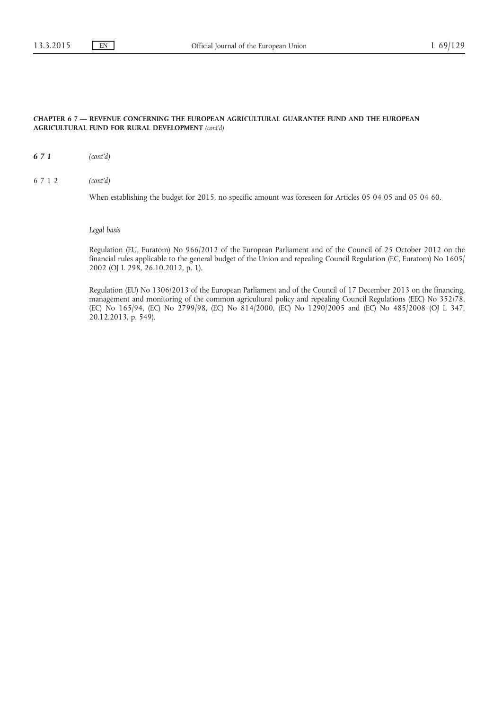671 (cont'd)

6712 (cont'd)

When establishing the budget for 2015, no specific amount was foreseen for Articles 05 04 05 and 05 04 60.

Legal basis

Regulation (EU, Euratom) No 966/2012 of the European Parliament and of the Council of 25 October 2012 on the financial rules applicable to the general budget of the Union and repealing Council Regulation (EC, Euratom) No 1605/ 2002 (OJ L 298, 26.10.2012, p. 1).

Regulation (EU) No 1306/2013 of the European Parliament and of the Council of 17 December 2013 on the financing, management and monitoring of the common agricultural policy and repealing Council Regulations (EEC) No 352/78, (EC) No 165/94, (EC) No 2799/98, (EC) No 814/2000, (EC) No 1290/2005 and (EC) No 485/2008 (OJ L 347, 20.12.2013, p. 549).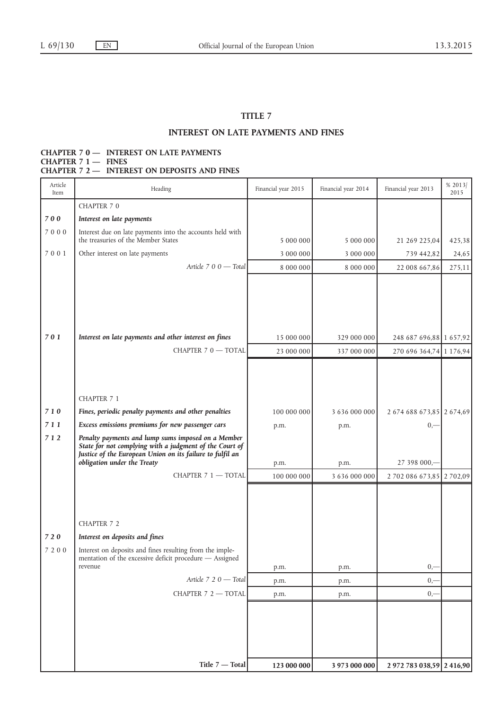# TITLE 7

# INTEREST ON LATE PAYMENTS AND FINES

# CHAPTER 7 0 - INTEREST ON LATE PAYMENTS CHAPTER 7 1 — FINES CHAPTER 7 2 — INTEREST ON DEPOSITS AND FINES

| Article<br>Item | Heading                                                                                                                                                                                                                          | Financial year 2015 | Financial year 2014   | Financial year 2013                       | % 2013/<br>2015 |
|-----------------|----------------------------------------------------------------------------------------------------------------------------------------------------------------------------------------------------------------------------------|---------------------|-----------------------|-------------------------------------------|-----------------|
|                 | <b>CHAPTER 70</b>                                                                                                                                                                                                                |                     |                       |                                           |                 |
| 700             | Interest on late payments                                                                                                                                                                                                        |                     |                       |                                           |                 |
| 7000            | Interest due on late payments into the accounts held with<br>the treasuries of the Member States                                                                                                                                 | 5 000 000           | 5 000 000             | 21 269 225,04                             | 425,38          |
| 7001            | Other interest on late payments                                                                                                                                                                                                  | 3 000 000           | 3 000 000             | 739 442,82                                | 24,65           |
|                 | Article 7 0 0 - Total                                                                                                                                                                                                            | 8 000 000           | 8 000 000             | 22 008 667,86                             | 275,11          |
|                 |                                                                                                                                                                                                                                  |                     |                       |                                           |                 |
| 701             | Interest on late payments and other interest on fines                                                                                                                                                                            | 15 000 000          | 329 000 000           | 248 687 696,88 1 657,92                   |                 |
|                 | CHAPTER 7 0 - TOTAL                                                                                                                                                                                                              | 23 000 000          | 337 000 000           | 270 696 364,74 1 176,94                   |                 |
|                 |                                                                                                                                                                                                                                  |                     |                       |                                           |                 |
|                 | <b>CHAPTER 7 1</b>                                                                                                                                                                                                               |                     |                       |                                           |                 |
| 710             | Fines, periodic penalty payments and other penalties                                                                                                                                                                             | 100 000 000         | 3 636 000 000         | 2 674 688 673,85 2 674,69                 |                 |
| 711             | Excess emissions premiums for new passenger cars                                                                                                                                                                                 | p.m.                | p.m.                  | $0, -$                                    |                 |
| 712             | Penalty payments and lump sums imposed on a Member<br>State for not complying with a judgment of the Court of<br>Justice of the European Union on its failure to fulfil an<br>obligation under the Treaty<br>CHAPTER 7 1 - TOTAL | p.m.<br>100 000 000 | p.m.<br>3 636 000 000 | 27 398 000,-<br>2 702 086 673,85 2 702,09 |                 |
|                 | <b>CHAPTER 7 2</b>                                                                                                                                                                                                               |                     |                       |                                           |                 |
| 720             | Interest on deposits and fines                                                                                                                                                                                                   |                     |                       |                                           |                 |
| 7 2 0 0         | Interest on deposits and fines resulting from the imple-<br>mentation of the excessive deficit procedure - Assigned<br>revenue                                                                                                   | p.m.                | p.m.                  | $0,-$                                     |                 |
|                 | Article $720 - \text{Total}$                                                                                                                                                                                                     | p.m.                | p.m.                  | $0, -$                                    |                 |
|                 | CHAPTER 7 2 - TOTAL                                                                                                                                                                                                              | p.m.                | p.m.                  | $0,-$                                     |                 |
|                 |                                                                                                                                                                                                                                  |                     |                       |                                           |                 |
|                 | Title $7 -$ Total                                                                                                                                                                                                                | 123 000 000         | 3 973 000 000         | 2 972 783 038,59 2 416,90                 |                 |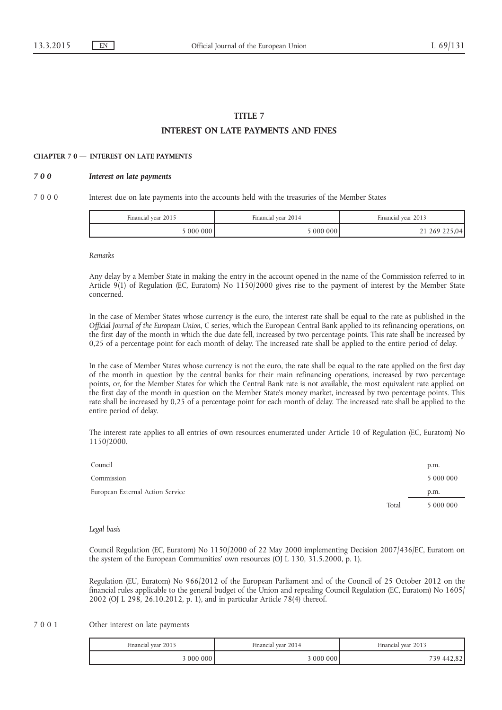# TITLE 7 INTEREST ON LATE PAYMENTS AND FINES

## CHAPTER 7 0 — INTEREST ON LATE PAYMENTS

#### 7 0 0 Interest on late payments

7 0 0 0 Interest due on late payments into the accounts held with the treasuries of the Member States

| Financial vear 2015 | Financial vear 2014 | Financial year 2013 |  |
|---------------------|---------------------|---------------------|--|
| 0000001             | $-0000001$          | 21 269 225,04       |  |

#### Remarks

Any delay by a Member State in making the entry in the account opened in the name of the Commission referred to in Article 9(1) of Regulation (EC, Euratom) No 1150/2000 gives rise to the payment of interest by the Member State concerned.

In the case of Member States whose currency is the euro, the interest rate shall be equal to the rate as published in the Official Journal of the European Union, C series, which the European Central Bank applied to its refinancing operations, on the first day of the month in which the due date fell, increased by two percentage points. This rate shall be increased by 0,25 of a percentage point for each month of delay. The increased rate shall be applied to the entire period of delay.

In the case of Member States whose currency is not the euro, the rate shall be equal to the rate applied on the first day of the month in question by the central banks for their main refinancing operations, increased by two percentage points, or, for the Member States for which the Central Bank rate is not available, the most equivalent rate applied on the first day of the month in question on the Member State's money market, increased by two percentage points. This rate shall be increased by 0,25 of a percentage point for each month of delay. The increased rate shall be applied to the entire period of delay.

The interest rate applies to all entries of own resources enumerated under Article 10 of Regulation (EC, Euratom) No 1150/2000.

| Council                          |       | p.m.      |
|----------------------------------|-------|-----------|
| Commission                       |       | 5 000 000 |
| European External Action Service |       | p.m.      |
|                                  | Total | 5 000 000 |

#### Legal basis

Council Regulation (EC, Euratom) No 1150/2000 of 22 May 2000 implementing Decision 2007/436/EC, Euratom on the system of the European Communities' own resources (OJ L 130, 31.5.2000, p. 1).

Regulation (EU, Euratom) No 966/2012 of the European Parliament and of the Council of 25 October 2012 on the financial rules applicable to the general budget of the Union and repealing Council Regulation (EC, Euratom) No 1605/ 2002 (OJ L 298, 26.10.2012, p. 1), and in particular Article 78(4) thereof.

#### 7 0 0 1 Other interest on late payments

| Financial year 2015 | Financial year 2014 | Financial vear 2013 |
|---------------------|---------------------|---------------------|
| 000000              | 000000              | 739 442,82          |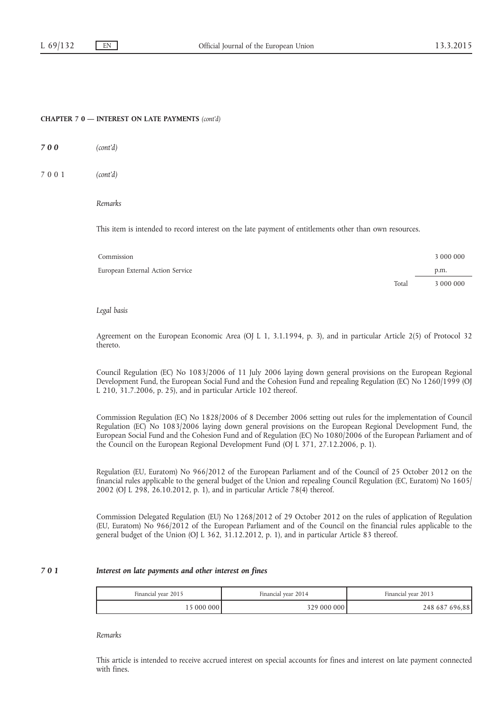#### CHAPTER 7 0 — INTEREST ON LATE PAYMENTS (cont'd)

- 700 (cont'd)
- 7001 (cont'd)

#### Remarks

This item is intended to record interest on the late payment of entitlements other than own resources.

| Commission                       |       | 3 000 000 |
|----------------------------------|-------|-----------|
| European External Action Service |       | p.m.      |
|                                  | Total | 3 000 000 |

#### Legal basis

Agreement on the European Economic Area (OJ L 1, 3.1.1994, p. 3), and in particular Article 2(5) of Protocol 32 thereto.

Council Regulation (EC) No 1083/2006 of 11 July 2006 laying down general provisions on the European Regional Development Fund, the European Social Fund and the Cohesion Fund and repealing Regulation (EC) No 1260/1999 (OJ L 210, 31.7.2006, p. 25), and in particular Article 102 thereof.

Commission Regulation (EC) No 1828/2006 of 8 December 2006 setting out rules for the implementation of Council Regulation (EC) No 1083/2006 laying down general provisions on the European Regional Development Fund, the European Social Fund and the Cohesion Fund and of Regulation (EC) No 1080/2006 of the European Parliament and of the Council on the European Regional Development Fund (OJ L 371, 27.12.2006, p. 1).

Regulation (EU, Euratom) No 966/2012 of the European Parliament and of the Council of 25 October 2012 on the financial rules applicable to the general budget of the Union and repealing Council Regulation (EC, Euratom) No 1605/ 2002 (OJ L 298, 26.10.2012, p. 1), and in particular Article 78(4) thereof.

Commission Delegated Regulation (EU) No 1268/2012 of 29 October 2012 on the rules of application of Regulation (EU, Euratom) No 966/2012 of the European Parliament and of the Council on the financial rules applicable to the general budget of the Union (OJ L 362, 31.12.2012, p. 1), and in particular Article 83 thereof.

# 7 0 1 Interest on late payments and other interest on fines

| Financial vear 2015 | Financial year 2014 | Financial year 2013 |  |
|---------------------|---------------------|---------------------|--|
| ا 000 000 د.        | 329 000 000         | 248 687 696,88      |  |

Remarks

This article is intended to receive accrued interest on special accounts for fines and interest on late payment connected with fines.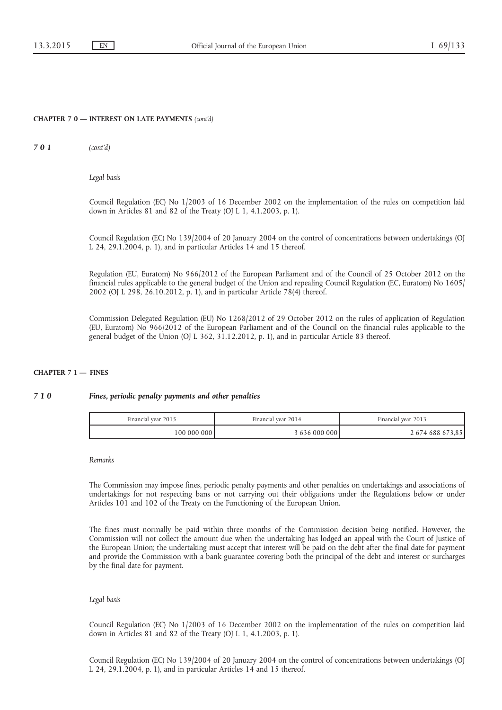#### CHAPTER 7 0 — INTEREST ON LATE PAYMENTS (cont'd)

701 (cont'd)

#### Legal basis

Council Regulation (EC) No 1/2003 of 16 December 2002 on the implementation of the rules on competition laid down in Articles 81 and 82 of the Treaty (OJ L 1, 4.1.2003, p. 1).

Council Regulation (EC) No 139/2004 of 20 January 2004 on the control of concentrations between undertakings (OJ L 24, 29.1.2004, p. 1), and in particular Articles 14 and 15 thereof.

Regulation (EU, Euratom) No 966/2012 of the European Parliament and of the Council of 25 October 2012 on the financial rules applicable to the general budget of the Union and repealing Council Regulation (EC, Euratom) No 1605/ 2002 (OJ L 298, 26.10.2012, p. 1), and in particular Article 78(4) thereof.

Commission Delegated Regulation (EU) No 1268/2012 of 29 October 2012 on the rules of application of Regulation (EU, Euratom) No 966/2012 of the European Parliament and of the Council on the financial rules applicable to the general budget of the Union (OJ L 362, 31.12.2012, p. 1), and in particular Article 83 thereof.

# CHAPTER 7 1 — FINES

## 7 1 0 Fines, periodic penalty payments and other penalties

| Financial year 2015 | Financial year 2014 | Financial year 2013 |  |
|---------------------|---------------------|---------------------|--|
| 100 000 000 l       | 36360000001         | 2 674 688 673,85    |  |

#### Remarks

The Commission may impose fines, periodic penalty payments and other penalties on undertakings and associations of undertakings for not respecting bans or not carrying out their obligations under the Regulations below or under Articles 101 and 102 of the Treaty on the Functioning of the European Union.

The fines must normally be paid within three months of the Commission decision being notified. However, the Commission will not collect the amount due when the undertaking has lodged an appeal with the Court of Justice of the European Union; the undertaking must accept that interest will be paid on the debt after the final date for payment and provide the Commission with a bank guarantee covering both the principal of the debt and interest or surcharges by the final date for payment.

#### Legal basis

Council Regulation (EC) No 1/2003 of 16 December 2002 on the implementation of the rules on competition laid down in Articles 81 and 82 of the Treaty (OJ L 1, 4.1.2003, p. 1).

Council Regulation (EC) No 139/2004 of 20 January 2004 on the control of concentrations between undertakings (OJ L 24, 29.1.2004, p. 1), and in particular Articles 14 and 15 thereof.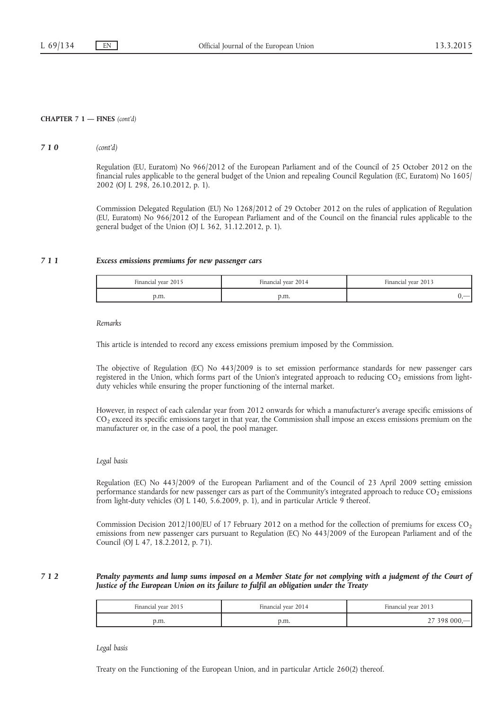#### CHAPTER 7 1 — FINES (cont'd)

# 710 (cont'd)

Regulation (EU, Euratom) No 966/2012 of the European Parliament and of the Council of 25 October 2012 on the financial rules applicable to the general budget of the Union and repealing Council Regulation (EC, Euratom) No 1605/ 2002 (OJ L 298, 26.10.2012, p. 1).

Commission Delegated Regulation (EU) No 1268/2012 of 29 October 2012 on the rules of application of Regulation (EU, Euratom) No 966/2012 of the European Parliament and of the Council on the financial rules applicable to the general budget of the Union (OJ L 362, 31.12.2012, p. 1).

#### 7 1 1 Excess emissions premiums for new passenger cars

| Financial year 2015 | Financial year 2014 | Financial year 2013 |
|---------------------|---------------------|---------------------|
| p.m.                | ρ.111.              |                     |

#### Remarks

This article is intended to record any excess emissions premium imposed by the Commission.

The objective of Regulation (EC) No 443/2009 is to set emission performance standards for new passenger cars registered in the Union, which forms part of the Union's integrated approach to reducing CO<sub>2</sub> emissions from lightduty vehicles while ensuring the proper functioning of the internal market.

However, in respect of each calendar year from 2012 onwards for which a manufacturer's average specific emissions of CO2 exceed its specific emissions target in that year, the Commission shall impose an excess emissions premium on the manufacturer or, in the case of a pool, the pool manager.

#### Legal basis

Regulation (EC) No 443/2009 of the European Parliament and of the Council of 23 April 2009 setting emission performance standards for new passenger cars as part of the Community's integrated approach to reduce  $CO_2$  emissions from light-duty vehicles (OJ L 140, 5.6.2009, p. 1), and in particular Article 9 thereof.

Commission Decision 2012/100/EU of 17 February 2012 on a method for the collection of premiums for excess CO<sub>2</sub> emissions from new passenger cars pursuant to Regulation (EC) No 443/2009 of the European Parliament and of the Council (OJ L 47, 18.2.2012, p. 71).

# 7 1 2 Penalty payments and lump sums imposed on a Member State for not complying with a judgment of the Court of Justice of the European Union on its failure to fulfil an obligation under the Treaty

| Financial year 2015 | Financial year 2014 | Financial year 2013 |
|---------------------|---------------------|---------------------|
| D.III.              | p.m.                | $-398.00c$          |

Legal basis

Treaty on the Functioning of the European Union, and in particular Article 260(2) thereof.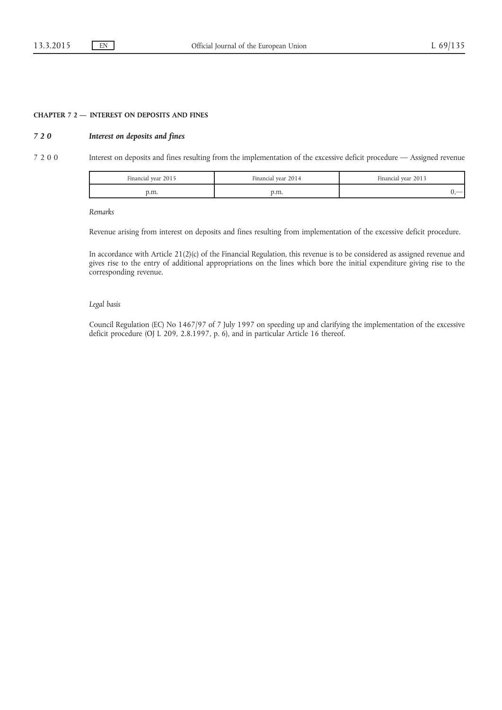# CHAPTER 7 2 — INTEREST ON DEPOSITS AND FINES

## 7 2 0 Interest on deposits and fines

7 2 0 0 Interest on deposits and fines resulting from the implementation of the excessive deficit procedure — Assigned revenue

| Financial year 2015 | Financial year 2014 | Financial year 2013      |
|---------------------|---------------------|--------------------------|
| p.m.                | p.m.                | $\overline{\phantom{a}}$ |

Remarks

Revenue arising from interest on deposits and fines resulting from implementation of the excessive deficit procedure.

In accordance with Article 21(2)(c) of the Financial Regulation, this revenue is to be considered as assigned revenue and gives rise to the entry of additional appropriations on the lines which bore the initial expenditure giving rise to the corresponding revenue.

## Legal basis

Council Regulation (EC) No 1467/97 of 7 July 1997 on speeding up and clarifying the implementation of the excessive deficit procedure (OJ L 209, 2.8.1997, p. 6), and in particular Article 16 thereof.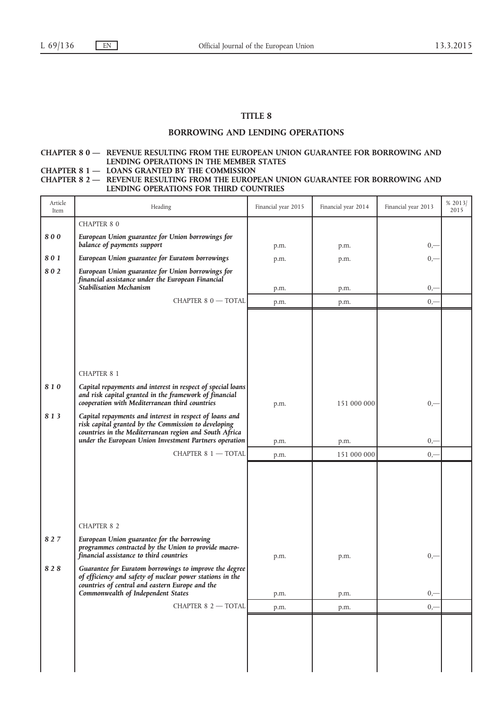# TITLE 8

# BORROWING AND LENDING OPERATIONS

# CHAPTER 8 0 — REVENUE RESULTING FROM THE EUROPEAN UNION GUARANTEE FOR BORROWING AND LENDING OPERATIONS IN THE MEMBER STATES CHAPTER 8 1 — LOANS GRANTED BY THE COMMISSION

# CHAPTER 8 2 — REVENUE RESULTING FROM THE EUROPEAN UNION GUARANTEE FOR BORROWING AND LENDING OPERATIONS FOR THIRD COUNTRIES

| Article<br>Item | Heading                                                                                                                                                                                                                             | Financial year 2015 | Financial year 2014 | Financial year 2013 | % 2013/<br>2015 |
|-----------------|-------------------------------------------------------------------------------------------------------------------------------------------------------------------------------------------------------------------------------------|---------------------|---------------------|---------------------|-----------------|
|                 | <b>CHAPTER 80</b>                                                                                                                                                                                                                   |                     |                     |                     |                 |
| 800             | European Union guarantee for Union borrowings for<br>balance of payments support                                                                                                                                                    | p.m.                | p.m.                | $_{0,-}$            |                 |
| 801             | European Union guarantee for Euratom borrowings                                                                                                                                                                                     | p.m.                | p.m.                | $0, -$              |                 |
| 802             | European Union guarantee for Union borrowings for<br>financial assistance under the European Financial<br><b>Stabilisation Mechanism</b>                                                                                            | p.m.                | p.m.                | $_{0,-}$            |                 |
|                 | CHAPTER 8 0 - TOTAL                                                                                                                                                                                                                 | p.m.                | p.m.                | $0, -$              |                 |
|                 |                                                                                                                                                                                                                                     |                     |                     |                     |                 |
|                 | <b>CHAPTER 8 1</b>                                                                                                                                                                                                                  |                     |                     |                     |                 |
| 810             | Capital repayments and interest in respect of special loans<br>and risk capital granted in the framework of financial<br>cooperation with Mediterranean third countries                                                             | p.m.                | 151 000 000         | $0, -$              |                 |
| 813             | Capital repayments and interest in respect of loans and<br>risk capital granted by the Commission to developing<br>countries in the Mediterranean region and South Africa<br>under the European Union Investment Partners operation | p.m.                | p.m.                | $0, -$              |                 |
|                 | CHAPTER 8 1 - TOTAL                                                                                                                                                                                                                 | p.m.                | 151 000 000         | $0, -$              |                 |
|                 | <b>CHAPTER 8 2</b>                                                                                                                                                                                                                  |                     |                     |                     |                 |
| 827             | European Union guarantee for the borrowing<br>programmes contracted by the Union to provide macro-<br>financial assistance to third countries                                                                                       | p.m.                | p.m.                | $_{0,-}$            |                 |
| 828             | Guarantee for Euratom borrowings to improve the degree<br>of efficiency and safety of nuclear power stations in the<br>countries of central and eastern Europe and the                                                              |                     |                     |                     |                 |
|                 | Commonwealth of Independent States                                                                                                                                                                                                  | p.m.                | p.m.                | $0, -$              |                 |
|                 | CHAPTER 8 2 - TOTAL                                                                                                                                                                                                                 | p.m.                | p.m.                | $0, -$              |                 |
|                 |                                                                                                                                                                                                                                     |                     |                     |                     |                 |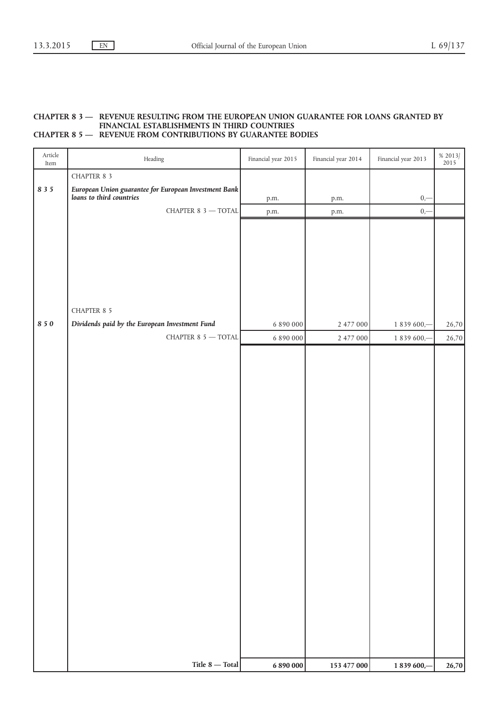# CHAPTER 8 3 — REVENUE RESULTING FROM THE EUROPEAN UNION GUARANTEE FOR LOANS GRANTED BY FINANCIAL ESTABLISHMENTS IN THIRD COUNTRIES CHAPTER 8 5 — REVENUE FROM CONTRIBUTIONS BY GUARANTEE BODIES

| Article<br>Item | Heading                                                                                                            | Financial year 2015 | Financial year 2014 | Financial year 2013 | % 2013/<br>$2015\,$ |
|-----------------|--------------------------------------------------------------------------------------------------------------------|---------------------|---------------------|---------------------|---------------------|
|                 | CHAPTER 8 3                                                                                                        |                     |                     |                     |                     |
| 835             | $\begin{tabular}{l c} European Union guarantee for European Investment Bankloans to third countries \end{tabular}$ | p.m.                | p.m.                | $_{0,-}$            |                     |
|                 | CHAPTER 8 $3$ — TOTAL                                                                                              | p.m.                | p.m.                | $0, -$              |                     |
|                 |                                                                                                                    |                     |                     |                     |                     |
|                 | CHAPTER 8 5                                                                                                        |                     |                     |                     |                     |
| 850             | Dividends paid by the European Investment Fund                                                                     | 6890000             | 2 477 000           | 1 839 600,-         | 26,70               |
|                 | CHAPTER 8 $5$ — TOTAL                                                                                              | 6 890 000           | 2 477 000           | 1839600,-           | 26,70               |
|                 | Title $8$ — Total $\,$                                                                                             | 6 890 000           | 153 477 000         | 1 839 600,-         | 26,70               |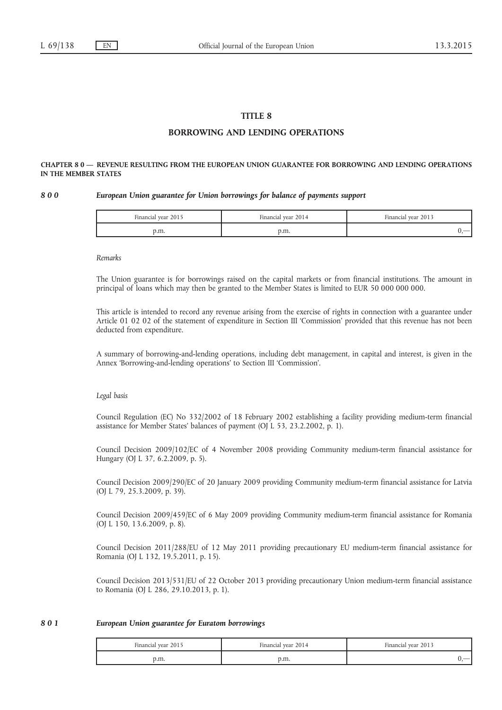# TITLE 8

# BORROWING AND LENDING OPERATIONS

## CHAPTER 8 0 — REVENUE RESULTING FROM THE EUROPEAN UNION GUARANTEE FOR BORROWING AND LENDING OPERATIONS IN THE MEMBER STATES

#### 8 0 0 European Union guarantee for Union borrowings for balance of payments support

| Financial year 2015 | Financial year 2014<br>$\mathbf{r}$ | Financial year 2013 |
|---------------------|-------------------------------------|---------------------|
| p.m.                | p.m.                                |                     |

#### Remarks

The Union guarantee is for borrowings raised on the capital markets or from financial institutions. The amount in principal of loans which may then be granted to the Member States is limited to EUR 50 000 000 000.

This article is intended to record any revenue arising from the exercise of rights in connection with a guarantee under Article 01 02 02 of the statement of expenditure in Section III 'Commission' provided that this revenue has not been deducted from expenditure.

A summary of borrowing-and-lending operations, including debt management, in capital and interest, is given in the Annex 'Borrowing-and-lending operations' to Section III 'Commission'.

## Legal basis

Council Regulation (EC) No 332/2002 of 18 February 2002 establishing a facility providing medium-term financial assistance for Member States' balances of payment (OJ L 53, 23.2.2002, p. 1).

Council Decision 2009/102/EC of 4 November 2008 providing Community medium-term financial assistance for Hungary (OJ L 37, 6.2.2009, p. 5).

Council Decision 2009/290/EC of 20 January 2009 providing Community medium-term financial assistance for Latvia (OJ L 79, 25.3.2009, p. 39).

Council Decision 2009/459/EC of 6 May 2009 providing Community medium-term financial assistance for Romania (OJ L 150, 13.6.2009, p. 8).

Council Decision 2011/288/EU of 12 May 2011 providing precautionary EU medium-term financial assistance for Romania (OJ L 132, 19.5.2011, p. 15).

Council Decision 2013/531/EU of 22 October 2013 providing precautionary Union medium-term financial assistance to Romania (OJ L 286, 29.10.2013, p. 1).

# 8 0 1 European Union guarantee for Euratom borrowings

| Financial year 2015 | Financial year 2014 | Financial vear 2013 |
|---------------------|---------------------|---------------------|
| лш.                 | p.m.                |                     |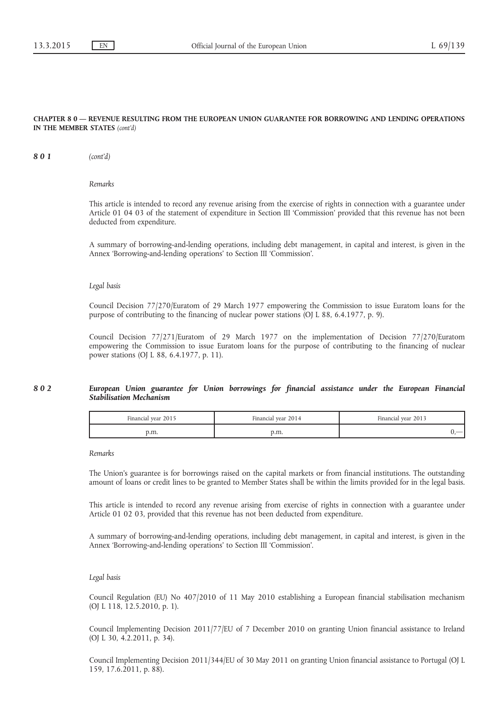## CHAPTER 8 0 — REVENUE RESULTING FROM THE EUROPEAN UNION GUARANTEE FOR BORROWING AND LENDING OPERATIONS IN THE MEMBER STATES (cont'd)

801 (cont'd)

#### Remarks

This article is intended to record any revenue arising from the exercise of rights in connection with a guarantee under Article 01 04 03 of the statement of expenditure in Section III 'Commission' provided that this revenue has not been deducted from expenditure.

A summary of borrowing-and-lending operations, including debt management, in capital and interest, is given in the Annex 'Borrowing-and-lending operations' to Section III 'Commission'.

#### Legal basis

Council Decision 77/270/Euratom of 29 March 1977 empowering the Commission to issue Euratom loans for the purpose of contributing to the financing of nuclear power stations (OJ L 88, 6.4.1977, p. 9).

Council Decision 77/271/Euratom of 29 March 1977 on the implementation of Decision 77/270/Euratom empowering the Commission to issue Euratom loans for the purpose of contributing to the financing of nuclear power stations (OJ L 88, 6.4.1977, p. 11).

# 8 0 2 European Union guarantee for Union borrowings for financial assistance under the European Financial Stabilisation Mechanism

| Financial year 2015 | Financial year 2014 | Financial year 2013      |  |
|---------------------|---------------------|--------------------------|--|
| э.m.                | э.m.                | $\overline{\phantom{a}}$ |  |

Remarks

The Union's guarantee is for borrowings raised on the capital markets or from financial institutions. The outstanding amount of loans or credit lines to be granted to Member States shall be within the limits provided for in the legal basis.

This article is intended to record any revenue arising from exercise of rights in connection with a guarantee under Article 01 02 03, provided that this revenue has not been deducted from expenditure.

A summary of borrowing-and-lending operations, including debt management, in capital and interest, is given in the Annex 'Borrowing-and-lending operations' to Section III 'Commission'.

#### Legal basis

Council Regulation (EU) No 407/2010 of 11 May 2010 establishing a European financial stabilisation mechanism (OJ L 118, 12.5.2010, p. 1).

Council Implementing Decision 2011/77/EU of 7 December 2010 on granting Union financial assistance to Ireland (OJ L 30, 4.2.2011, p. 34).

Council Implementing Decision 2011/344/EU of 30 May 2011 on granting Union financial assistance to Portugal (OJ L 159, 17.6.2011, p. 88).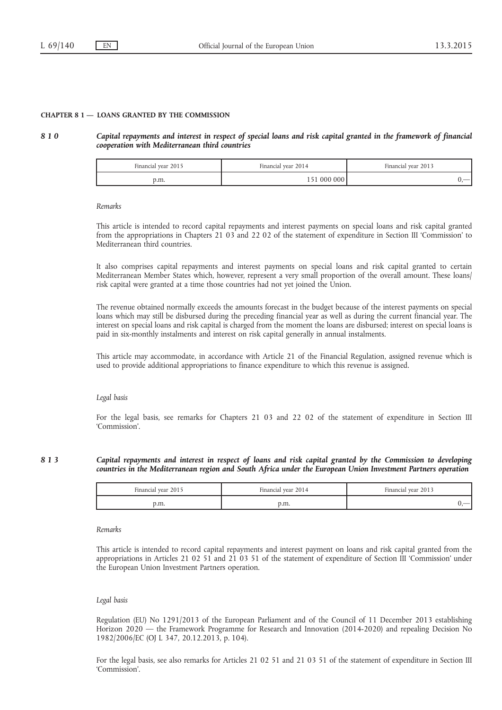#### CHAPTER 8 1 — LOANS GRANTED BY THE COMMISSION

8 1 0 Capital repayments and interest in respect of special loans and risk capital granted in the framework of financial cooperation with Mediterranean third countries

| Financial vear 2015 | Financial vear 2014 | Financial vear 2013 |  |
|---------------------|---------------------|---------------------|--|
| p.m.                | 51 000 000          |                     |  |

Remarks

This article is intended to record capital repayments and interest payments on special loans and risk capital granted from the appropriations in Chapters 21 03 and 22 02 of the statement of expenditure in Section III 'Commission' to Mediterranean third countries.

It also comprises capital repayments and interest payments on special loans and risk capital granted to certain Mediterranean Member States which, however, represent a very small proportion of the overall amount. These loans/ risk capital were granted at a time those countries had not yet joined the Union.

The revenue obtained normally exceeds the amounts forecast in the budget because of the interest payments on special loans which may still be disbursed during the preceding financial year as well as during the current financial year. The interest on special loans and risk capital is charged from the moment the loans are disbursed; interest on special loans is paid in six-monthly instalments and interest on risk capital generally in annual instalments.

This article may accommodate, in accordance with Article 21 of the Financial Regulation, assigned revenue which is used to provide additional appropriations to finance expenditure to which this revenue is assigned.

#### Legal basis

For the legal basis, see remarks for Chapters 21 03 and 22 02 of the statement of expenditure in Section III 'Commission'.

# 8 1 3 Capital repayments and interest in respect of loans and risk capital granted by the Commission to developing countries in the Mediterranean region and South Africa under the European Union Investment Partners operation

| Financial year 2015 | Financial year 2014 | Financial year 2013 |
|---------------------|---------------------|---------------------|
| p.m.                | p.m.                | __                  |

Remarks

This article is intended to record capital repayments and interest payment on loans and risk capital granted from the appropriations in Articles 21 02 51 and 21 03 51 of the statement of expenditure of Section III 'Commission' under the European Union Investment Partners operation.

#### Legal basis

Regulation (EU) No 1291/2013 of the European Parliament and of the Council of 11 December 2013 establishing Horizon 2020 — the Framework Programme for Research and Innovation (2014-2020) and repealing Decision No 1982/2006/EC (OJ L 347, 20.12.2013, p. 104).

For the legal basis, see also remarks for Articles 21 02 51 and 21 03 51 of the statement of expenditure in Section III 'Commission'.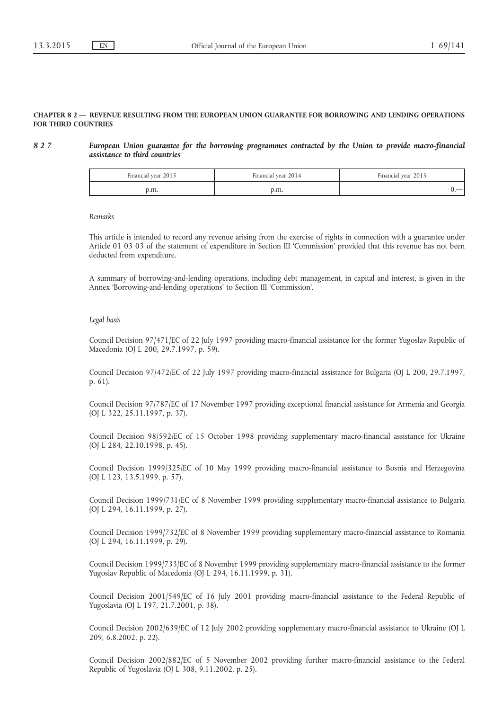## CHAPTER 8 2 — REVENUE RESULTING FROM THE EUROPEAN UNION GUARANTEE FOR BORROWING AND LENDING OPERATIONS FOR THIRD COUNTRIES

8 2 7 European Union guarantee for the borrowing programmes contracted by the Union to provide macro-financial assistance to third countries

| Financial year 2015<br>Financial year 2014 |      | Financial year 2013 |  |
|--------------------------------------------|------|---------------------|--|
| p.m.                                       | p.m. |                     |  |

Remarks

This article is intended to record any revenue arising from the exercise of rights in connection with a guarantee under Article 01 03 03 of the statement of expenditure in Section III 'Commission' provided that this revenue has not been deducted from expenditure.

A summary of borrowing-and-lending operations, including debt management, in capital and interest, is given in the Annex 'Borrowing-and-lending operations' to Section III 'Commission'.

#### Legal basis

Council Decision 97/471/EC of 22 July 1997 providing macro-financial assistance for the former Yugoslav Republic of Macedonia (OJ L 200, 29.7.1997, p. 59).

Council Decision 97/472/EC of 22 July 1997 providing macro-financial assistance for Bulgaria (OJ L 200, 29.7.1997, p. 61).

Council Decision 97/787/EC of 17 November 1997 providing exceptional financial assistance for Armenia and Georgia (OJ L 322, 25.11.1997, p. 37).

Council Decision 98/592/EC of 15 October 1998 providing supplementary macro-financial assistance for Ukraine (OJ L 284, 22.10.1998, p. 45).

Council Decision 1999/325/EC of 10 May 1999 providing macro-financial assistance to Bosnia and Herzegovina (OJ L 123, 13.5.1999, p. 57).

Council Decision 1999/731/EC of 8 November 1999 providing supplementary macro-financial assistance to Bulgaria (OJ L 294, 16.11.1999, p. 27).

Council Decision 1999/732/EC of 8 November 1999 providing supplementary macro-financial assistance to Romania (OJ L 294, 16.11.1999, p. 29).

Council Decision 1999/733/EC of 8 November 1999 providing supplementary macro-financial assistance to the former Yugoslav Republic of Macedonia (OJ L 294, 16.11.1999, p. 31).

Council Decision 2001/549/EC of 16 July 2001 providing macro-financial assistance to the Federal Republic of Yugoslavia (OJ L 197, 21.7.2001, p. 38).

Council Decision 2002/639/EC of 12 July 2002 providing supplementary macro-financial assistance to Ukraine (OJ L 209, 6.8.2002, p. 22).

Council Decision 2002/882/EC of 5 November 2002 providing further macro-financial assistance to the Federal Republic of Yugoslavia (OJ L 308, 9.11.2002, p. 25).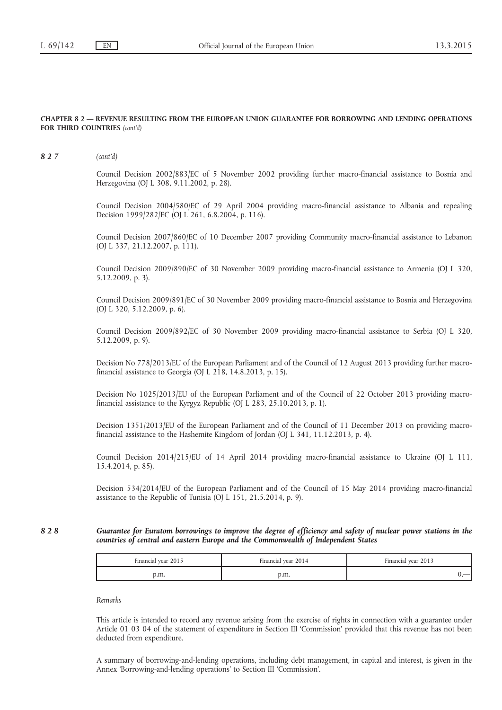# CHAPTER 8 2 — REVENUE RESULTING FROM THE EUROPEAN UNION GUARANTEE FOR BORROWING AND LENDING OPERATIONS FOR THIRD COUNTRIES (cont'd)

827 (cont'd)

Council Decision 2002/883/EC of 5 November 2002 providing further macro-financial assistance to Bosnia and Herzegovina (OJ L 308, 9.11.2002, p. 28).

Council Decision 2004/580/EC of 29 April 2004 providing macro-financial assistance to Albania and repealing Decision 1999/282/EC (OJ L 261, 6.8.2004, p. 116).

Council Decision 2007/860/EC of 10 December 2007 providing Community macro-financial assistance to Lebanon (OJ L 337, 21.12.2007, p. 111).

Council Decision 2009/890/EC of 30 November 2009 providing macro-financial assistance to Armenia (OJ L 320, 5.12.2009, p. 3).

Council Decision 2009/891/EC of 30 November 2009 providing macro-financial assistance to Bosnia and Herzegovina (OJ L 320, 5.12.2009, p. 6).

Council Decision 2009/892/EC of 30 November 2009 providing macro-financial assistance to Serbia (OJ L 320, 5.12.2009, p. 9).

Decision No 778/2013/EU of the European Parliament and of the Council of 12 August 2013 providing further macrofinancial assistance to Georgia (OJ L 218, 14.8.2013, p. 15).

Decision No 1025/2013/EU of the European Parliament and of the Council of 22 October 2013 providing macrofinancial assistance to the Kyrgyz Republic (OJ L 283, 25.10.2013, p. 1).

Decision 1351/2013/EU of the European Parliament and of the Council of 11 December 2013 on providing macrofinancial assistance to the Hashemite Kingdom of Jordan (OJ L 341, 11.12.2013, p. 4).

Council Decision 2014/215/EU of 14 April 2014 providing macro-financial assistance to Ukraine (OJ L 111, 15.4.2014, p. 85).

Decision 534/2014/EU of the European Parliament and of the Council of 15 May 2014 providing macro-financial assistance to the Republic of Tunisia (OJ L 151, 21.5.2014, p. 9).

# 8 2 8 Guarantee for Euratom borrowings to improve the degree of efficiency and safety of nuclear power stations in the countries of central and eastern Europe and the Commonwealth of Independent States

| Financial year 2015 | Financial year 2014 | Financial year 2013 |
|---------------------|---------------------|---------------------|
| p.m.                | o.m.                |                     |

Remarks

This article is intended to record any revenue arising from the exercise of rights in connection with a guarantee under Article 01 03 04 of the statement of expenditure in Section III 'Commission' provided that this revenue has not been deducted from expenditure.

A summary of borrowing-and-lending operations, including debt management, in capital and interest, is given in the Annex 'Borrowing-and-lending operations' to Section III 'Commission'.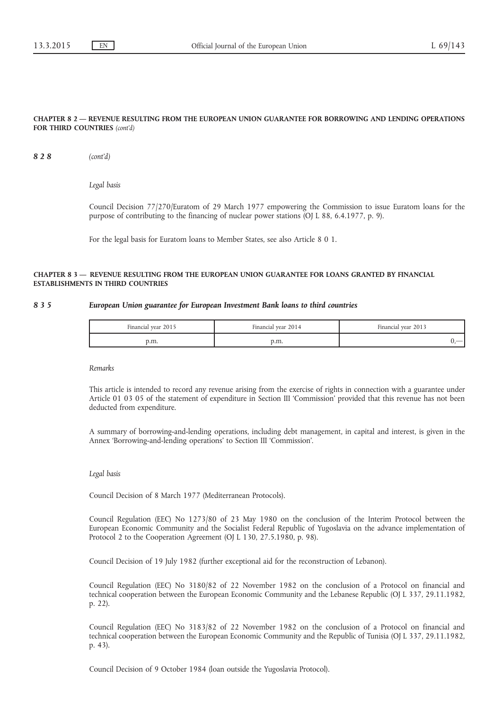#### CHAPTER 8 2 — REVENUE RESULTING FROM THE EUROPEAN UNION GUARANTEE FOR BORROWING AND LENDING OPERATIONS FOR THIRD COUNTRIES (cont'd)

828 (cont'd)

Legal basis

Council Decision 77/270/Euratom of 29 March 1977 empowering the Commission to issue Euratom loans for the purpose of contributing to the financing of nuclear power stations (OJ L 88, 6.4.1977, p. 9).

For the legal basis for Euratom loans to Member States, see also Article 8 0 1.

# CHAPTER 8 3 — REVENUE RESULTING FROM THE EUROPEAN UNION GUARANTEE FOR LOANS GRANTED BY FINANCIAL ESTABLISHMENTS IN THIRD COUNTRIES

#### 8 3 5 European Union guarantee for European Investment Bank loans to third countries

| Financial year 2015 | Financial year 2014 | Financial year 2013      |
|---------------------|---------------------|--------------------------|
| p.m.                | э.m.                | $\overline{\phantom{a}}$ |

Remarks

This article is intended to record any revenue arising from the exercise of rights in connection with a guarantee under Article 01 03 05 of the statement of expenditure in Section III 'Commission' provided that this revenue has not been deducted from expenditure.

A summary of borrowing-and-lending operations, including debt management, in capital and interest, is given in the Annex 'Borrowing-and-lending operations' to Section III 'Commission'.

#### Legal basis

Council Decision of 8 March 1977 (Mediterranean Protocols).

Council Regulation (EEC) No 1273/80 of 23 May 1980 on the conclusion of the Interim Protocol between the European Economic Community and the Socialist Federal Republic of Yugoslavia on the advance implementation of Protocol 2 to the Cooperation Agreement (OJ L 130, 27.5.1980, p. 98).

Council Decision of 19 July 1982 (further exceptional aid for the reconstruction of Lebanon).

Council Regulation (EEC) No 3180/82 of 22 November 1982 on the conclusion of a Protocol on financial and technical cooperation between the European Economic Community and the Lebanese Republic (OJ L 337, 29.11.1982, p. 22).

Council Regulation (EEC) No 3183/82 of 22 November 1982 on the conclusion of a Protocol on financial and technical cooperation between the European Economic Community and the Republic of Tunisia (OJ L 337, 29.11.1982, p. 43).

Council Decision of 9 October 1984 (loan outside the Yugoslavia Protocol).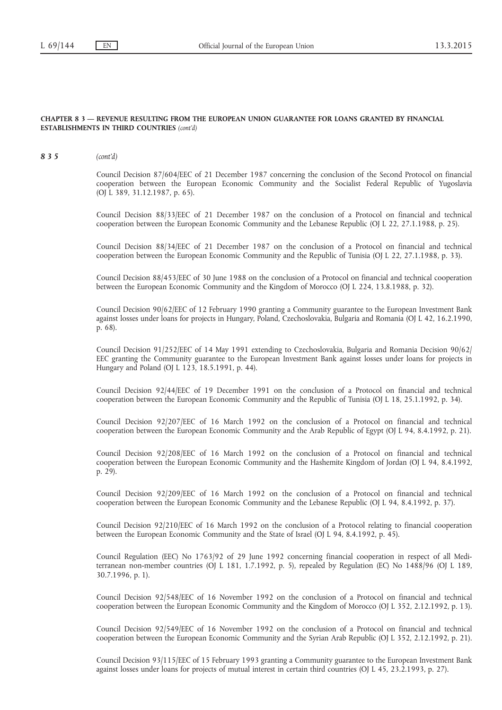# CHAPTER 8 3 — REVENUE RESULTING FROM THE EUROPEAN UNION GUARANTEE FOR LOANS GRANTED BY FINANCIAL ESTABLISHMENTS IN THIRD COUNTRIES (cont'd)

835 (cont'd)

Council Decision 87/604/EEC of 21 December 1987 concerning the conclusion of the Second Protocol on financial cooperation between the European Economic Community and the Socialist Federal Republic of Yugoslavia (OJ L 389, 31.12.1987, p. 65).

Council Decision 88/33/EEC of 21 December 1987 on the conclusion of a Protocol on financial and technical cooperation between the European Economic Community and the Lebanese Republic (OJ L 22, 27.1.1988, p. 25).

Council Decision 88/34/EEC of 21 December 1987 on the conclusion of a Protocol on financial and technical cooperation between the European Economic Community and the Republic of Tunisia (OJ L 22, 27.1.1988, p. 33).

Council Decision 88/453/EEC of 30 June 1988 on the conclusion of a Protocol on financial and technical cooperation between the European Economic Community and the Kingdom of Morocco (OJ L 224, 13.8.1988, p. 32).

Council Decision 90/62/EEC of 12 February 1990 granting a Community guarantee to the European Investment Bank against losses under loans for projects in Hungary, Poland, Czechoslovakia, Bulgaria and Romania (OJ L 42, 16.2.1990, p. 68).

Council Decision 91/252/EEC of 14 May 1991 extending to Czechoslovakia, Bulgaria and Romania Decision 90/62/ EEC granting the Community guarantee to the European Investment Bank against losses under loans for projects in Hungary and Poland (OJ L 123, 18.5.1991, p. 44).

Council Decision 92/44/EEC of 19 December 1991 on the conclusion of a Protocol on financial and technical cooperation between the European Economic Community and the Republic of Tunisia (OJ L 18, 25.1.1992, p. 34).

Council Decision 92/207/EEC of 16 March 1992 on the conclusion of a Protocol on financial and technical cooperation between the European Economic Community and the Arab Republic of Egypt (OJ L 94, 8.4.1992, p. 21).

Council Decision 92/208/EEC of 16 March 1992 on the conclusion of a Protocol on financial and technical cooperation between the European Economic Community and the Hashemite Kingdom of Jordan (OJ L 94, 8.4.1992, p. 29).

Council Decision 92/209/EEC of 16 March 1992 on the conclusion of a Protocol on financial and technical cooperation between the European Economic Community and the Lebanese Republic (OJ L 94, 8.4.1992, p. 37).

Council Decision 92/210/EEC of 16 March 1992 on the conclusion of a Protocol relating to financial cooperation between the European Economic Community and the State of Israel (OJ L 94, 8.4.1992, p. 45).

Council Regulation (EEC) No 1763/92 of 29 June 1992 concerning financial cooperation in respect of all Mediterranean non-member countries (OJ L 181, 1.7.1992, p. 5), repealed by Regulation (EC) No 1488/96 (OJ L 189, 30.7.1996, p. 1).

Council Decision 92/548/EEC of 16 November 1992 on the conclusion of a Protocol on financial and technical cooperation between the European Economic Community and the Kingdom of Morocco (OJ L 352, 2.12.1992, p. 13).

Council Decision 92/549/EEC of 16 November 1992 on the conclusion of a Protocol on financial and technical cooperation between the European Economic Community and the Syrian Arab Republic (OJ L 352, 2.12.1992, p. 21).

Council Decision 93/115/EEC of 15 February 1993 granting a Community guarantee to the European Investment Bank against losses under loans for projects of mutual interest in certain third countries (OJ L 45, 23.2.1993, p. 27).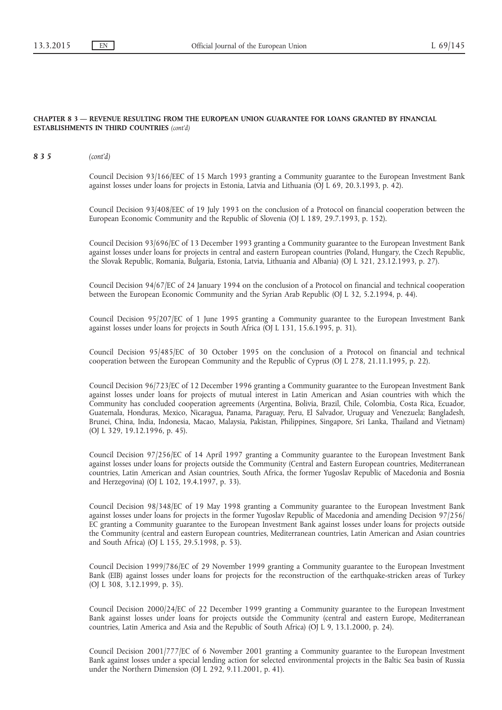## CHAPTER 8 3 — REVENUE RESULTING FROM THE EUROPEAN UNION GUARANTEE FOR LOANS GRANTED BY FINANCIAL ESTABLISHMENTS IN THIRD COUNTRIES (cont'd)

835 (cont'd)

Council Decision 93/166/EEC of 15 March 1993 granting a Community guarantee to the European Investment Bank against losses under loans for projects in Estonia, Latvia and Lithuania (OJ L 69, 20.3.1993, p. 42).

Council Decision 93/408/EEC of 19 July 1993 on the conclusion of a Protocol on financial cooperation between the European Economic Community and the Republic of Slovenia (OJ L 189, 29.7.1993, p. 152).

Council Decision 93/696/EC of 13 December 1993 granting a Community guarantee to the European Investment Bank against losses under loans for projects in central and eastern European countries (Poland, Hungary, the Czech Republic, the Slovak Republic, Romania, Bulgaria, Estonia, Latvia, Lithuania and Albania) (OJ L 321, 23.12.1993, p. 27).

Council Decision 94/67/EC of 24 January 1994 on the conclusion of a Protocol on financial and technical cooperation between the European Economic Community and the Syrian Arab Republic (OJ L 32, 5.2.1994, p. 44).

Council Decision 95/207/EC of 1 June 1995 granting a Community guarantee to the European Investment Bank against losses under loans for projects in South Africa (OJ L 131, 15.6.1995, p. 31).

Council Decision 95/485/EC of 30 October 1995 on the conclusion of a Protocol on financial and technical cooperation between the European Community and the Republic of Cyprus (OJ L 278, 21.11.1995, p. 22).

Council Decision 96/723/EC of 12 December 1996 granting a Community guarantee to the European Investment Bank against losses under loans for projects of mutual interest in Latin American and Asian countries with which the Community has concluded cooperation agreements (Argentina, Bolivia, Brazil, Chile, Colombia, Costa Rica, Ecuador, Guatemala, Honduras, Mexico, Nicaragua, Panama, Paraguay, Peru, El Salvador, Uruguay and Venezuela; Bangladesh, Brunei, China, India, Indonesia, Macao, Malaysia, Pakistan, Philippines, Singapore, Sri Lanka, Thailand and Vietnam) (OJ L 329, 19.12.1996, p. 45).

Council Decision 97/256/EC of 14 April 1997 granting a Community guarantee to the European Investment Bank against losses under loans for projects outside the Community (Central and Eastern European countries, Mediterranean countries, Latin American and Asian countries, South Africa, the former Yugoslav Republic of Macedonia and Bosnia and Herzegovina) (OJ L 102, 19.4.1997, p. 33).

Council Decision 98/348/EC of 19 May 1998 granting a Community guarantee to the European Investment Bank against losses under loans for projects in the former Yugoslav Republic of Macedonia and amending Decision 97/256/ EC granting a Community guarantee to the European Investment Bank against losses under loans for projects outside the Community (central and eastern European countries, Mediterranean countries, Latin American and Asian countries and South Africa) (OJ L 155, 29.5.1998, p. 53).

Council Decision 1999/786/EC of 29 November 1999 granting a Community guarantee to the European Investment Bank (EIB) against losses under loans for projects for the reconstruction of the earthquake-stricken areas of Turkey (OJ L 308, 3.12.1999, p. 35).

Council Decision 2000/24/EC of 22 December 1999 granting a Community guarantee to the European Investment Bank against losses under loans for projects outside the Community (central and eastern Europe, Mediterranean countries, Latin America and Asia and the Republic of South Africa) (OJ L 9, 13.1.2000, p. 24).

Council Decision 2001/777/EC of 6 November 2001 granting a Community guarantee to the European Investment Bank against losses under a special lending action for selected environmental projects in the Baltic Sea basin of Russia under the Northern Dimension (OJ L 292, 9.11.2001, p. 41).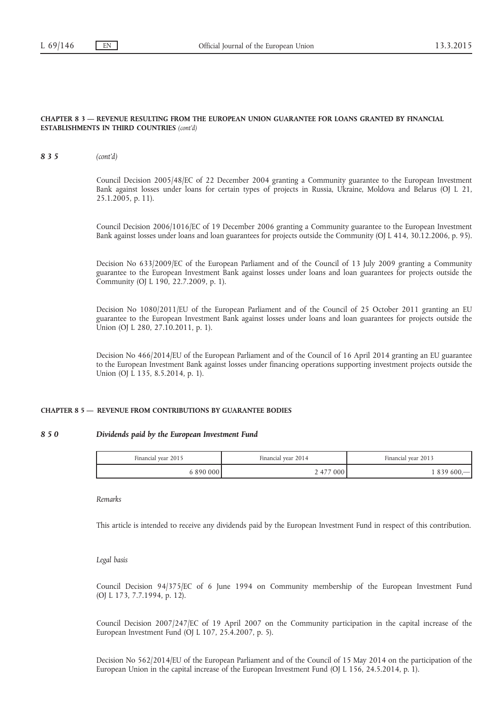## CHAPTER 8 3 — REVENUE RESULTING FROM THE EUROPEAN UNION GUARANTEE FOR LOANS GRANTED BY FINANCIAL ESTABLISHMENTS IN THIRD COUNTRIES (cont'd)

835 (cont'd)

Council Decision 2005/48/EC of 22 December 2004 granting a Community guarantee to the European Investment Bank against losses under loans for certain types of projects in Russia, Ukraine, Moldova and Belarus (OJ L 21, 25.1.2005, p. 11).

Council Decision 2006/1016/EC of 19 December 2006 granting a Community guarantee to the European Investment Bank against losses under loans and loan guarantees for projects outside the Community (OJ L 414, 30.12.2006, p. 95).

Decision No 633/2009/EC of the European Parliament and of the Council of 13 July 2009 granting a Community guarantee to the European Investment Bank against losses under loans and loan guarantees for projects outside the Community (OJ L 190, 22.7.2009, p. 1).

Decision No 1080/2011/EU of the European Parliament and of the Council of 25 October 2011 granting an EU guarantee to the European Investment Bank against losses under loans and loan guarantees for projects outside the Union (OJ L 280, 27.10.2011, p. 1).

Decision No 466/2014/EU of the European Parliament and of the Council of 16 April 2014 granting an EU guarantee to the European Investment Bank against losses under financing operations supporting investment projects outside the Union (OJ L 135, 8.5.2014, p. 1).

# CHAPTER 8 5 — REVENUE FROM CONTRIBUTIONS BY GUARANTEE BODIES

#### 8 5 0 Dividends paid by the European Investment Fund

| Financial year 2015 | Financial year 2014 | Financial year 2013 |  |
|---------------------|---------------------|---------------------|--|
| 890 000             | 000                 | $1839600 -$         |  |

Remarks

This article is intended to receive any dividends paid by the European Investment Fund in respect of this contribution.

Legal basis

Council Decision 94/375/EC of 6 June 1994 on Community membership of the European Investment Fund (OJ L 173, 7.7.1994, p. 12).

Council Decision 2007/247/EC of 19 April 2007 on the Community participation in the capital increase of the European Investment Fund (OJ L 107, 25.4.2007, p. 5).

Decision No 562/2014/EU of the European Parliament and of the Council of 15 May 2014 on the participation of the European Union in the capital increase of the European Investment Fund (OJ L 156, 24.5.2014, p. 1).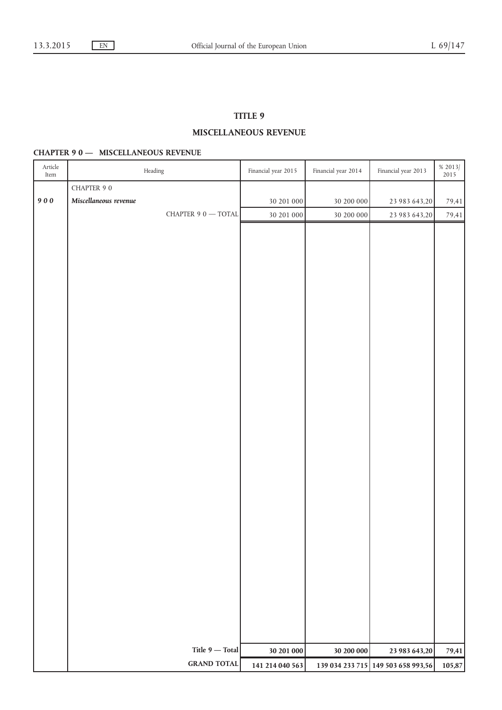# TITLE 9

# MISCELLANEOUS REVENUE

# CHAPTER 9 0 - MISCELLANEOUS REVENUE

| $\Large \bf Article$<br>$\mbox{Item}$ |                       | Heading                      | Financial year 2015 | Financial year 2014 | Financial year 2013                | $\begin{array}{c} \text{\% 2013}/ \ \text{\small{2015}} \end{array}$ |
|---------------------------------------|-----------------------|------------------------------|---------------------|---------------------|------------------------------------|----------------------------------------------------------------------|
|                                       | CHAPTER 9 $0$         |                              |                     |                     |                                    |                                                                      |
| $900$                                 | Miscellaneous revenue |                              | 30 201 000          | 30 200 000          | 23 983 643,20                      | 79,41                                                                |
|                                       |                       | CHAPTER 9 $0 - \text{TOTAL}$ | $30\ 201\ 000$      | $30\ 200\ 000$      | 23 983 643,20                      | 79,41                                                                |
|                                       |                       |                              |                     |                     |                                    |                                                                      |
|                                       |                       | Title 9 — Total              | 30 201 000          | 30 200 000          | 23 983 643,20                      | 79,41                                                                |
|                                       |                       | <b>GRAND TOTAL</b>           | 141 214 040 563     |                     | 139 034 233 715 149 503 658 993,56 | 105,87                                                               |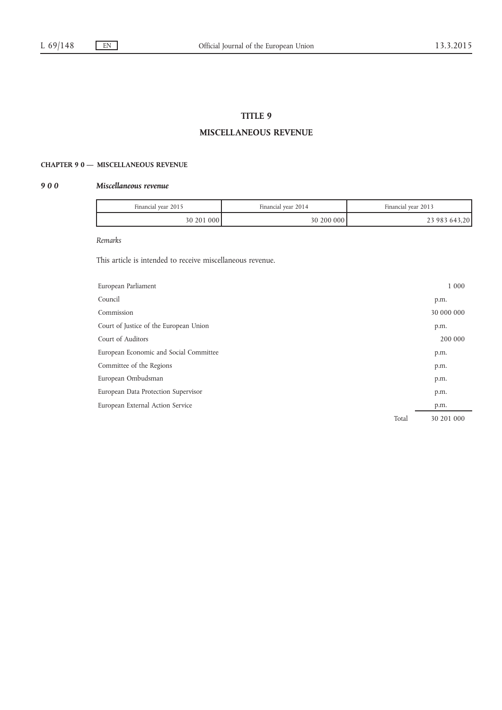# TITLE 9

# MISCELLANEOUS REVENUE

# CHAPTER 9 0 — MISCELLANEOUS REVENUE

# 9 0 0 Miscellaneous revenue

| Financial year 2015 | Financial vear 2014 | Financial vear 2013 |
|---------------------|---------------------|---------------------|
| 30 201 000          | 30 200 000          | 23 983 643,20       |

Remarks

This article is intended to receive miscellaneous revenue.

| European Parliament                    |       | 1 0 0 0    |
|----------------------------------------|-------|------------|
| Council                                |       | p.m.       |
| Commission                             |       | 30 000 000 |
| Court of Justice of the European Union |       | p.m.       |
| Court of Auditors                      |       | 200 000    |
| European Economic and Social Committee |       | p.m.       |
| Committee of the Regions               |       | p.m.       |
| European Ombudsman                     |       | p.m.       |
| European Data Protection Supervisor    |       | p.m.       |
| European External Action Service       |       | p.m.       |
|                                        | Total | 30 201 000 |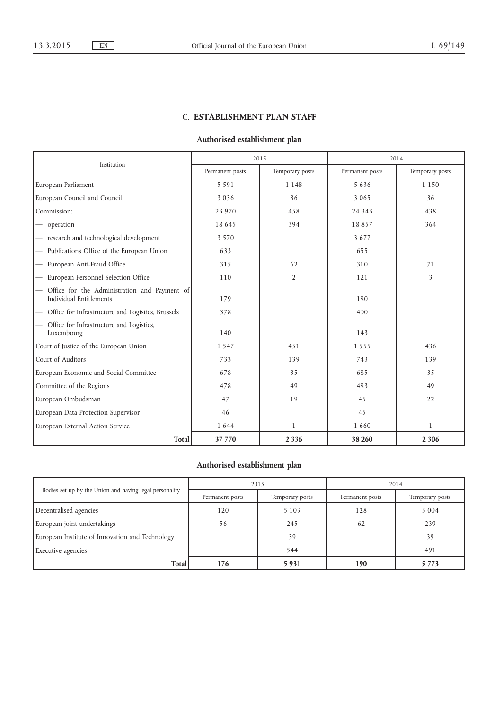# C. ESTABLISHMENT PLAN STAFF

# Authorised establishment plan

|                                                                         | 2015            |                 | 2014            |                 |
|-------------------------------------------------------------------------|-----------------|-----------------|-----------------|-----------------|
| Institution                                                             | Permanent posts | Temporary posts | Permanent posts | Temporary posts |
| European Parliament                                                     | 5 5 9 1         | 1 1 4 8         | 5636            | 1 1 5 0         |
| European Council and Council                                            | 3036            | 36              | 3 0 6 5         | 36              |
| Commission:                                                             | 23 970          | 458             | 24 3 4 3        | 438             |
| operation                                                               | 18 645          | 394             | 18857           | 364             |
| - research and technological development                                | 3 5 7 0         |                 | 3677            |                 |
| - Publications Office of the European Union                             | 633             |                 | 655             |                 |
| European Anti-Fraud Office                                              | 315             | 62              | 310             | 71              |
| European Personnel Selection Office                                     | 110             | $\overline{2}$  | 121             | 3               |
| Office for the Administration and Payment of<br>Individual Entitlements | 179             |                 | 180             |                 |
| Office for Infrastructure and Logistics, Brussels                       | 378             |                 | 400             |                 |
| Office for Infrastructure and Logistics,<br>Luxembourg                  | 140             |                 | 143             |                 |
| Court of Justice of the European Union                                  | 1 5 4 7         | 451             | 1 5 5 5         | 436             |
| Court of Auditors                                                       | 733             | 139             | 743             | 139             |
| European Economic and Social Committee                                  | 678             | 35              | 685             | 35              |
| Committee of the Regions                                                | 478             | 49              | 483             | 49              |
| European Ombudsman                                                      | 47              | 19              | 45              | 22              |
| European Data Protection Supervisor                                     | 46              |                 | 45              |                 |
| European External Action Service                                        | 1644            | $\mathbf{1}$    | 1660            | 1               |
| <b>Total</b>                                                            | 37 770          | 2 3 3 6         | 38 260          | 2 3 0 6         |

# Authorised establishment plan

|                                                         | 2015            |                 | 2014            |                 |  |
|---------------------------------------------------------|-----------------|-----------------|-----------------|-----------------|--|
| Bodies set up by the Union and having legal personality | Permanent posts | Temporary posts | Permanent posts | Temporary posts |  |
| Decentralised agencies                                  | 120             | 5 1 0 3         | 128             | 5 0 0 4         |  |
| European joint undertakings                             | 56              | 245             | 62              | 239             |  |
| European Institute of Innovation and Technology         |                 | 39              |                 | 39              |  |
| Executive agencies                                      |                 | 544             |                 | 491             |  |
| <b>Total</b>                                            | 176             | 5931            | 190             | 5773            |  |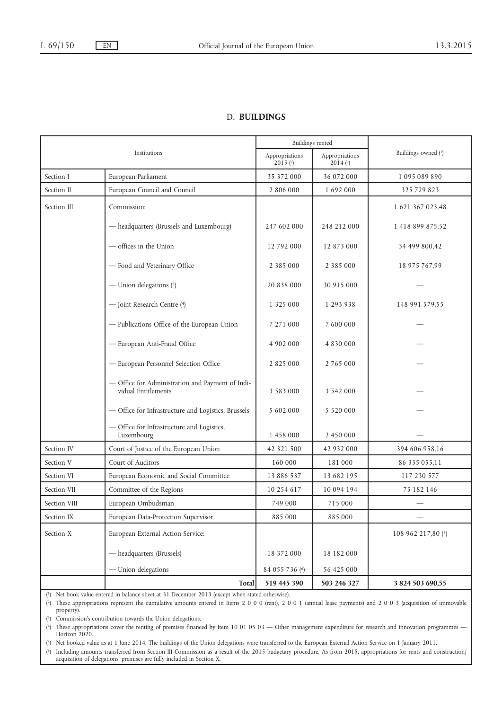# D. BUILDINGS

|              |                                                                         | Buildings rented             |                              |                     |  |
|--------------|-------------------------------------------------------------------------|------------------------------|------------------------------|---------------------|--|
|              | Institutions                                                            | Appropriations<br>$2015$ (2) | Appropriations<br>$2014$ (2) | Buildings owned (1) |  |
| Section I    | European Parliament                                                     | 35 372 000                   | 36 072 000                   | 1095089890          |  |
| Section II   | European Council and Council                                            | 2 806 000                    | 1 692 000                    | 325 729 823         |  |
| Section III  | Commission:                                                             |                              |                              | 1 621 367 023,48    |  |
|              | - headquarters (Brussels and Luxembourg)                                | 247 602 000                  | 248 212 000                  | 1 418 899 875,52    |  |
|              | - offices in the Union                                                  | 12 792 000                   | 12 873 000                   | 34 499 800,42       |  |
|              | - Food and Veterinary Office                                            | 2 3 8 5 0 0 0                | 2 3 8 5 0 0 0                | 18 975 767,99       |  |
|              | — Union delegations (3)                                                 | 20 838 000                   | 30 915 000                   |                     |  |
|              | - Joint Research Centre (4)                                             | 1 3 2 5 0 0 0                | 1 293 938                    | 148 991 579,55      |  |
|              | - Publications Office of the European Union                             | 7 271 000                    | 7 600 000                    |                     |  |
|              | - European Anti-Fraud Office                                            | 4 902 000                    | 4 8 3 0 0 0 0                |                     |  |
|              | - European Personnel Selection Office                                   | 2 8 2 5 0 0 0                | 2 765 000                    |                     |  |
|              | - Office for Administration and Payment of Indi-<br>vidual Entitlements | 3 5 8 3 0 0 0                | 3 542 000                    |                     |  |
|              | - Office for Infrastructure and Logistics, Brussels                     | 5 602 000                    | 5 5 2 0 0 0 0                |                     |  |
|              | - Office for Infrastructure and Logistics,<br>Luxembourg                | 1 458 000                    | 2 450 000                    |                     |  |
| Section IV   | Court of Justice of the European Union                                  | 42 321 500                   | 42 932 000                   | 394 606 958,16      |  |
| Section V    | Court of Auditors                                                       | 160 000                      | 181 000                      | 86 335 055,11       |  |
| Section VI   | European Economic and Social Committee                                  | 13 886 537                   | 13 682 195                   | 117 230 577         |  |
| Section VII  | Committee of the Regions                                                | 10 254 617                   | 10 094 194                   | 75 182 146          |  |
| Section VIII | European Ombudsman                                                      | 749 000                      | 715 000                      |                     |  |
| Section IX   | European Data-Protection Supervisor                                     | 885 000                      | 885 000                      |                     |  |
| Section X    | European External Action Service:                                       |                              |                              | 108 962 217,80 (5)  |  |
|              | - headquarters (Brussels)                                               | 18 372 000                   | 18 18 2 000                  |                     |  |
|              | - Union delegations                                                     | 84 055 736 (6)               | 56 425 000                   |                     |  |
|              | <b>Total</b>                                                            | 519 445 390                  | 503 246 327                  | 3 824 503 690,55    |  |

( 1) Net book value entered in balance sheet at 31 December 2013 (except when stated otherwise).

( 2) These appropriations represent the cumulative amounts entered in Items 2000 (rent), 2001 (annual lease payments) and 2003 (acquisition of immovable property).

( 3) Commission's contribution towards the Union delegations.

( 4) These appropriations cover the renting of premises financed by Item 10 01 05 03 — Other management expenditure for research and innovation programmes — Horizon 2020.

( 5) Net booked value as at 1 June 2014. The buildings of the Union delegations were transferred to the European External Action Service on 1 January 2011.

(9) Including amounts transferred from Section III Commission as a result of the 2015 budgetary procedure. As from 2015, appropriations for rents and construction acquisition of delegations' premises are fully included in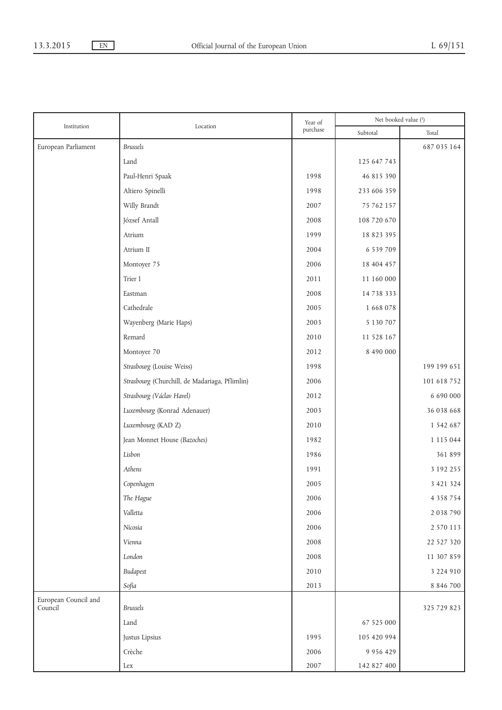|                                 | Location                                       | Year of<br>purchase | Net booked value (1) |               |  |
|---------------------------------|------------------------------------------------|---------------------|----------------------|---------------|--|
| Institution                     |                                                |                     | Subtotal             | Total         |  |
| European Parliament             | <b>Brussels</b>                                |                     |                      | 687 035 164   |  |
|                                 | Land                                           |                     | 125 647 743          |               |  |
|                                 | Paul-Henri Spaak                               | 1998                | 46 815 390           |               |  |
|                                 | Altiero Spinelli                               | 1998                | 233 606 359          |               |  |
|                                 | Willy Brandt                                   | 2007                | 75 762 157           |               |  |
|                                 | József Antall                                  | 2008                | 108 720 670          |               |  |
|                                 | Atrium                                         | 1999                | 18 823 395           |               |  |
|                                 | Atrium II                                      | 2004                | 6 5 3 9 7 0 9        |               |  |
|                                 | Montoyer 75                                    | 2006                | 18 404 457           |               |  |
|                                 | Trier I                                        | 2011                | 11 160 000           |               |  |
|                                 | Eastman                                        | 2008                | 14 7 38 3 33         |               |  |
|                                 | Cathedrale                                     | 2005                | 1 668 078            |               |  |
|                                 | Wayenberg (Marie Haps)                         | 2003                | 5 130 707            |               |  |
|                                 | Remard                                         | 2010                | 11 528 167           |               |  |
|                                 | Montoyer 70                                    | 2012                | 8 490 000            |               |  |
|                                 | Strasbourg (Louise Weiss)                      | 1998                |                      | 199 199 651   |  |
|                                 | Strasbourg (Churchill, de Madariaga, Pflimlin) | 2006                |                      | 101 618 752   |  |
|                                 | Strasbourg (Václav Havel)                      | 2012                |                      | 6 690 000     |  |
|                                 | Luxembourg (Konrad Adenauer)                   | 2003                |                      | 36 038 668    |  |
|                                 | Luxembourg (KAD Z)                             | 2010                |                      | 1 542 687     |  |
|                                 | Jean Monnet House (Bazoches)                   | 1982                |                      | 1 1 1 5 0 4 4 |  |
|                                 | Lisbon                                         | 1986                |                      | 361 899       |  |
|                                 | Athens                                         | 1991                |                      | 3 192 255     |  |
|                                 | Copenhagen                                     | 2005                |                      | 3 421 324     |  |
|                                 | The Hague                                      | 2006                |                      | 4 3 5 8 7 5 4 |  |
|                                 | Valletta                                       | 2006                |                      | 2038790       |  |
|                                 | Nicosia                                        | 2006                |                      | 2 570 113     |  |
|                                 | Vienna                                         | 2008                |                      | 22 527 320    |  |
|                                 | London                                         | 2008                |                      | 11 307 859    |  |
|                                 | Budapest                                       | 2010                |                      | 3 2 2 4 9 1 0 |  |
|                                 | Sofia                                          | 2013                |                      | 8 8 4 6 7 0 0 |  |
| European Council and<br>Council | Brussels                                       |                     |                      | 325 729 823   |  |
|                                 | Land                                           |                     | 67 525 000           |               |  |
|                                 | Justus Lipsius                                 | 1995                | 105 420 994          |               |  |
|                                 | Crèche                                         | 2006                | 9 9 5 6 4 2 9        |               |  |
|                                 | Lex                                            | 2007                | 142 827 400          |               |  |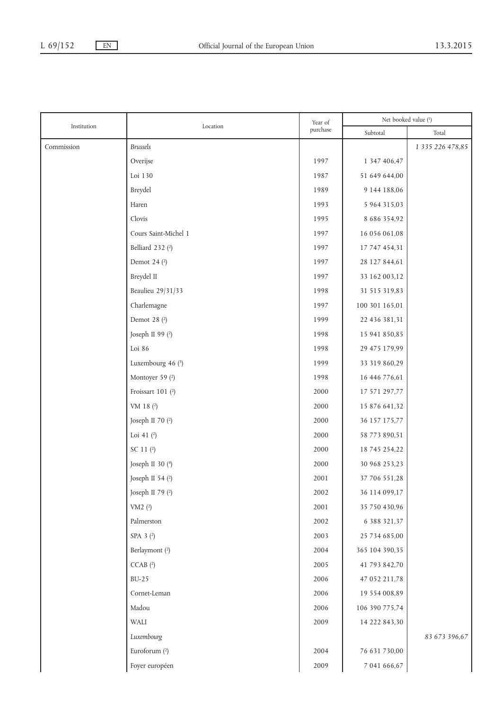|             | Location             | Year of<br>purchase | Net booked value (1) |                  |  |
|-------------|----------------------|---------------------|----------------------|------------------|--|
| Institution |                      |                     | Subtotal             | Total            |  |
| Commission  | <b>Brussels</b>      |                     |                      | 1 335 226 478,85 |  |
|             | Overijse             | 1997                | 1 347 406,47         |                  |  |
|             | Loi 130              | 1987                | 51 649 644,00        |                  |  |
|             | Breydel              | 1989                | 9 144 188,06         |                  |  |
|             | Haren                | 1993                | 5 964 315,03         |                  |  |
|             | Clovis               | 1995                | 8 686 354,92         |                  |  |
|             | Cours Saint-Michel 1 | 1997                | 16 056 061,08        |                  |  |
|             | Belliard 232 (2)     | 1997                | 17 747 454,31        |                  |  |
|             | Demot 24 (2)         | 1997                | 28 127 844,61        |                  |  |
|             | Breydel II           | 1997                | 33 162 003,12        |                  |  |
|             | Beaulieu 29/31/33    | 1998                | 31 515 319,83        |                  |  |
|             | Charlemagne          | 1997                | 100 301 165,01       |                  |  |
|             | Demot 28 (2)         | 1999                | 22 436 381,31        |                  |  |
|             | Joseph II 99 (2)     | 1998                | 15 941 850,85        |                  |  |
|             | Loi 86               | 1998                | 29 475 179,99        |                  |  |
|             | Luxembourg 46 $(3)$  | 1999                | 33 319 860,29        |                  |  |
|             | Montoyer 59 (2)      | 1998                | 16 446 776,61        |                  |  |
|             | Froissart 101 (2)    | 2000                | 17 571 297,77        |                  |  |
|             | VM 18 (2)            | 2000                | 15 876 641,32        |                  |  |
|             | Joseph II 70 (2)     | 2000                | 36 157 175,77        |                  |  |
|             | Loi 41 $(2)$         | 2000                | 58 773 890,51        |                  |  |
|             | SC 11 (2)            | 2000                | 18 745 254,22        |                  |  |
|             | Joseph II 30 (4)     | 2000                | 30 968 253,23        |                  |  |
|             | Joseph II 54 (2)     | 2001                | 37 706 551,28        |                  |  |
|             | Joseph II 79 (2)     | 2002                | 36 114 099,17        |                  |  |
|             | VM2 $(2)$            | 2001                | 35 750 430,96        |                  |  |
|             | Palmerston           | 2002                | 6 388 321,37         |                  |  |
|             | SPA $3(2)$           | 2003                | 25 734 685,00        |                  |  |
|             | Berlaymont (2)       | 2004                | 365 104 390,35       |                  |  |
|             | $CCAB$ $(2)$         | 2005                | 41 793 842,70        |                  |  |
|             | $BU-25$              | 2006                | 47 052 211,78        |                  |  |
|             | Cornet-Leman         | 2006                | 19 554 008,89        |                  |  |
|             | Madou                | 2006                | 106 390 775,74       |                  |  |
|             | WALI                 | 2009                | 14 222 843,30        |                  |  |
|             | Luxembourg           |                     |                      | 83 673 396,67    |  |
|             | Euroforum (2)        | 2004                | 76 631 730,00        |                  |  |
|             | Foyer européen       | 2009                | 7 041 666,67         |                  |  |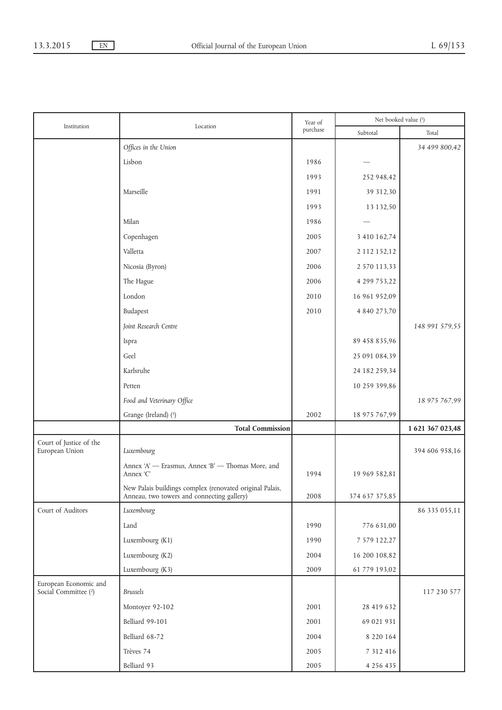|                                               | Location                                                                                               | Year of<br>purchase | Net booked value (1) |                |
|-----------------------------------------------|--------------------------------------------------------------------------------------------------------|---------------------|----------------------|----------------|
| Institution                                   |                                                                                                        |                     | Subtotal             | Total          |
|                                               | Offices in the Union                                                                                   |                     |                      | 34 499 800,42  |
|                                               | Lisbon                                                                                                 | 1986                |                      |                |
|                                               |                                                                                                        | 1993                | 252 948,42           |                |
|                                               | Marseille                                                                                              | 1991                | 39 312,30            |                |
|                                               |                                                                                                        | 1993                | 13 132,50            |                |
|                                               | Milan                                                                                                  | 1986                |                      |                |
|                                               | Copenhagen                                                                                             | 2005                | 3 410 162,74         |                |
|                                               | Valletta                                                                                               | 2007                | 2 112 152,12         |                |
|                                               | Nicosia (Byron)                                                                                        | 2006                | 2 570 113,33         |                |
|                                               | The Hague                                                                                              | 2006                | 4 299 753,22         |                |
|                                               | London                                                                                                 | 2010                | 16 961 952,09        |                |
|                                               | Budapest                                                                                               | 2010                | 4 840 273,70         |                |
|                                               | Joint Research Centre                                                                                  |                     |                      | 148 991 579,55 |
|                                               | Ispra                                                                                                  |                     | 89 458 835,96        |                |
|                                               | Geel                                                                                                   |                     | 25 091 084,39        |                |
|                                               | Karlsruhe                                                                                              |                     | 24 182 259,34        |                |
|                                               | Petten                                                                                                 |                     | 10 259 399,86        |                |
|                                               | Food and Veterinary Office                                                                             |                     |                      | 18 975 767,99  |
|                                               | Grange (Ireland) (5)                                                                                   | 2002                | 18 975 767,99        |                |
|                                               | <b>Total Commission</b>                                                                                |                     |                      | 1621367023,48  |
| Court of Justice of the<br>European Union     | Luxembourg                                                                                             |                     |                      | 394 606 958,16 |
|                                               | Annex 'A' - Erasmus, Annex 'B' - Thomas More, and<br>Annex 'C'                                         | 1994                | 19 969 582,81        |                |
|                                               | New Palais buildings complex (renovated original Palais,<br>Anneau, two towers and connecting gallery) | 2008                | 374 637 375,85       |                |
| Court of Auditors                             | Luxembourg                                                                                             |                     |                      | 86 335 055,11  |
|                                               | Land                                                                                                   | 1990                | 776 631,00           |                |
|                                               | Luxembourg (K1)                                                                                        | 1990                | 7 579 122,27         |                |
|                                               | Luxembourg (K2)                                                                                        | 2004                | 16 200 108,82        |                |
|                                               | Luxembourg (K3)                                                                                        | 2009                | 61 779 193,02        |                |
| European Economic and<br>Social Committee (2) | <b>Brussels</b>                                                                                        |                     |                      | 117 230 577    |
|                                               | Montoyer 92-102                                                                                        | 2001                | 28 419 632           |                |
|                                               | <b>Belliard 99-101</b>                                                                                 | 2001                | 69 021 931           |                |
|                                               | Belliard 68-72                                                                                         | 2004                | 8 2 2 0 1 6 4        |                |
|                                               | Trèves 74                                                                                              | 2005                | 7 312 416            |                |
|                                               | Belliard 93                                                                                            | 2005                | 4 2 5 6 4 3 5        |                |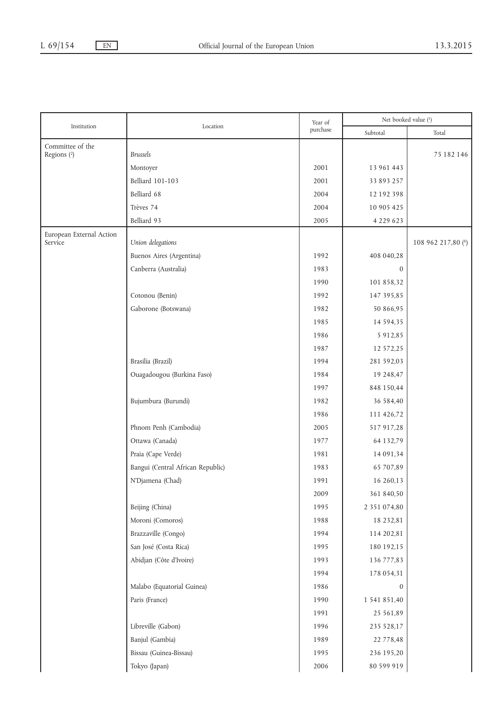|                                     | Location                          | Year of<br>purchase | Net booked value (1) |                    |  |
|-------------------------------------|-----------------------------------|---------------------|----------------------|--------------------|--|
| Institution                         |                                   |                     | Subtotal             | Total              |  |
| Committee of the<br>Regions (2)     | <b>Brussels</b>                   |                     |                      | 75 182 146         |  |
|                                     | Montoyer                          | 2001                | 13 961 443           |                    |  |
|                                     | <b>Belliard 101-103</b>           | 2001                | 33 893 257           |                    |  |
|                                     | Belliard 68                       | 2004                | 12 192 398           |                    |  |
|                                     | Trèves 74                         | 2004                | 10 905 425           |                    |  |
|                                     | Belliard 93                       | 2005                | 4 2 2 9 6 2 3        |                    |  |
| European External Action<br>Service | Union delegations                 |                     |                      | 108 962 217,80 (6) |  |
|                                     | Buenos Aires (Argentina)          | 1992                | 408 040,28           |                    |  |
|                                     | Canberra (Australia)              | 1983                | $\overline{0}$       |                    |  |
|                                     |                                   | 1990                | 101 858,32           |                    |  |
|                                     | Cotonou (Benin)                   | 1992                | 147 395,85           |                    |  |
|                                     | Gaborone (Botswana)               | 1982                | 50 866,95            |                    |  |
|                                     |                                   | 1985                | 14 594,35            |                    |  |
|                                     |                                   | 1986                | 5 9 1 2, 8 5         |                    |  |
|                                     |                                   | 1987                | 12 572,25            |                    |  |
|                                     | Brasilia (Brazil)                 | 1994                | 281 592,03           |                    |  |
|                                     | Ouagadougou (Burkina Faso)        | 1984                | 19 248,47            |                    |  |
|                                     |                                   | 1997                | 848 150,44           |                    |  |
|                                     | Bujumbura (Burundi)               | 1982                | 36 584,40            |                    |  |
|                                     |                                   | 1986                | 111 426,72           |                    |  |
|                                     | Phnom Penh (Cambodia)             | 2005                | 517 917,28           |                    |  |
|                                     | Ottawa (Canada)                   | 1977                | 64 132,79            |                    |  |
|                                     | Praia (Cape Verde)                | 1981                | 14 091,34            |                    |  |
|                                     | Bangui (Central African Republic) | 1983                | 65 707,89            |                    |  |
|                                     | N'Djamena (Chad)                  | 1991                | 16 260,13            |                    |  |
|                                     |                                   | 2009                | 361 840,50           |                    |  |
|                                     | Beijing (China)                   | 1995                | 2 3 5 1 0 7 4, 8 0   |                    |  |
|                                     | Moroni (Comoros)                  | 1988                | 18 232,81            |                    |  |
|                                     | Brazzaville (Congo)               | 1994                | 114 202,81           |                    |  |
|                                     | San José (Costa Rica)             | 1995                | 180 192,15           |                    |  |
|                                     | Abidjan (Côte d'Ivoire)           | 1993                | 136 777,83           |                    |  |
|                                     |                                   | 1994                | 178 054,31           |                    |  |
|                                     | Malabo (Equatorial Guinea)        | 1986                | 0                    |                    |  |
|                                     | Paris (France)                    | 1990                | 1 541 851,40         |                    |  |
|                                     |                                   | 1991                | 25 561,89            |                    |  |
|                                     | Libreville (Gabon)                | 1996                | 235 528,17           |                    |  |
|                                     | Banjul (Gambia)                   | 1989                | 22 778,48            |                    |  |
|                                     | Bissau (Guinea-Bissau)            | 1995                | 236 195,20           |                    |  |
|                                     | Tokyo (Japan)                     | 2006                | 80 599 919           |                    |  |